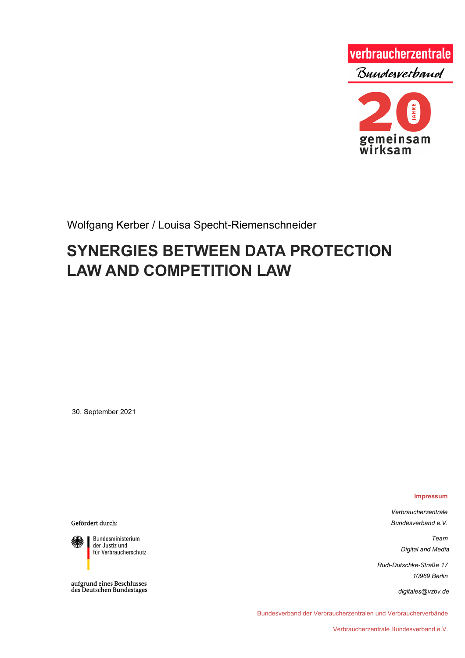

Wolfgang Kerber / Louisa Specht-Riemenschneider

# **SYNERGIES BETWEEN DATA PROTECTION LAW AND COMPETITION LAW**

30. September 2021

**Impressum**

*Verbraucherzentrale Bundesverband e.V.*

> *Team Digital and Media*

*Rudi-Dutschke-Straße 17 10969 Berlin*

*digitales@vzbv.de*

Bundesverband der Verbraucherzentralen und Verbraucherverbände

Gefördert durch:

Bundesministerium der Justiz und für Verbraucherschutz

aufgrund eines Beschlusses<br>des Deutschen Bundestages

Verbraucherzentrale Bundesverband e.V.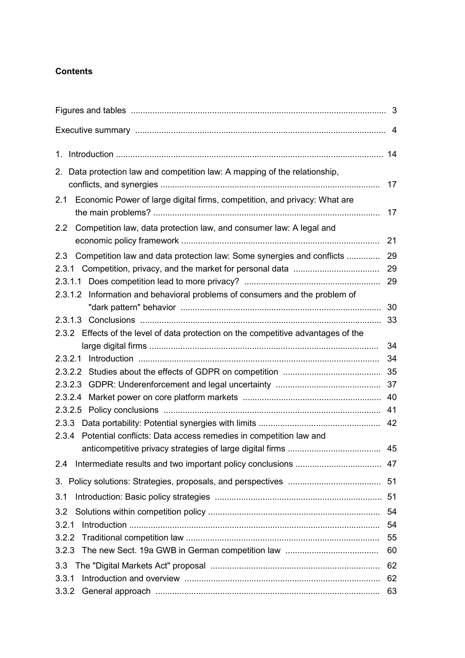#### **Contents**

| 2. Data protection law and competition law: A mapping of the relationship,         |    |
|------------------------------------------------------------------------------------|----|
|                                                                                    | 17 |
| 2.1 Economic Power of large digital firms, competition, and privacy: What are      | 17 |
| Competition law, data protection law, and consumer law: A legal and<br>2.2         | 21 |
|                                                                                    |    |
| Competition law and data protection law: Some synergies and conflicts<br>2.3       | 29 |
| 2.3.1                                                                              | 29 |
|                                                                                    | 29 |
| 2.3.1.2 Information and behavioral problems of consumers and the problem of        | 30 |
|                                                                                    |    |
| 2.3.2 Effects of the level of data protection on the competitive advantages of the |    |
|                                                                                    | 34 |
| 2.3.2.1                                                                            | 34 |
|                                                                                    |    |
|                                                                                    |    |
|                                                                                    |    |
|                                                                                    |    |
|                                                                                    |    |
| Potential conflicts: Data access remedies in competition law and<br>2.3.4          |    |
|                                                                                    |    |
| 2.4                                                                                |    |
| 3.                                                                                 |    |
| 3.1                                                                                |    |
| 3.2                                                                                | 54 |
| 3.2.1                                                                              | 54 |
| 3.2.2                                                                              | 55 |
|                                                                                    | 60 |
| 3.3                                                                                | 62 |
| 3.3.1                                                                              | 62 |
| 3.3.2                                                                              | 63 |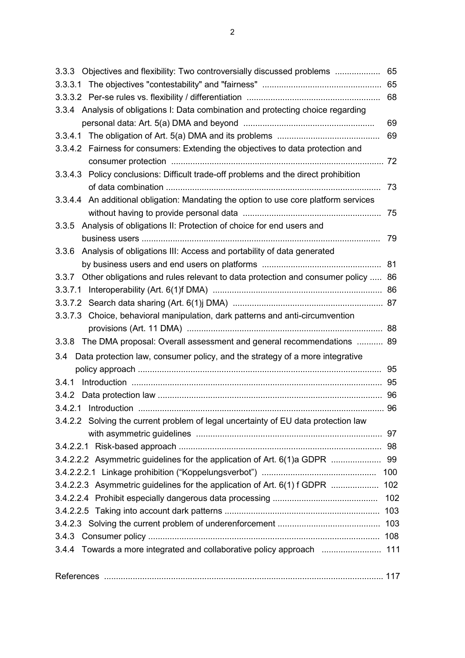| 3.3.3 Objectives and flexibility: Two controversially discussed problems                 | 65  |
|------------------------------------------------------------------------------------------|-----|
|                                                                                          |     |
|                                                                                          | 68  |
| 3.3.4 Analysis of obligations I: Data combination and protecting choice regarding        |     |
|                                                                                          | 69  |
|                                                                                          | 69  |
| 3.3.4.2 Fairness for consumers: Extending the objectives to data protection and          |     |
|                                                                                          |     |
| 3.3.4.3 Policy conclusions: Difficult trade-off problems and the direct prohibition      |     |
|                                                                                          | -73 |
| 3.3.4.4 An additional obligation: Mandating the option to use core platform services     |     |
|                                                                                          | 75  |
| Analysis of obligations II: Protection of choice for end users and<br>3.3.5              |     |
|                                                                                          | 79  |
| 3.3.6 Analysis of obligations III: Access and portability of data generated              |     |
|                                                                                          |     |
| Other obligations and rules relevant to data protection and consumer policy  86<br>3.3.7 |     |
|                                                                                          |     |
|                                                                                          |     |
| 3.3.7.3 Choice, behavioral manipulation, dark patterns and anti-circumvention            |     |
|                                                                                          |     |
| 3.3.8 The DMA proposal: Overall assessment and general recommendations  89               |     |
| Data protection law, consumer policy, and the strategy of a more integrative<br>3.4      |     |
|                                                                                          |     |
|                                                                                          |     |
|                                                                                          |     |
|                                                                                          |     |
| 3.4.2.2 Solving the current problem of legal uncertainty of EU data protection law       |     |
|                                                                                          |     |
|                                                                                          |     |
| 3.4.2.2.2 Asymmetric guidelines for the application of Art. 6(1)a GDPR  99               |     |
|                                                                                          |     |
| 3.4.2.2.3 Asymmetric guidelines for the application of Art. 6(1) f GDPR  102             |     |
|                                                                                          |     |
|                                                                                          |     |
|                                                                                          |     |
|                                                                                          |     |
| 3.4.4 Towards a more integrated and collaborative policy approach  111                   |     |
|                                                                                          |     |
|                                                                                          |     |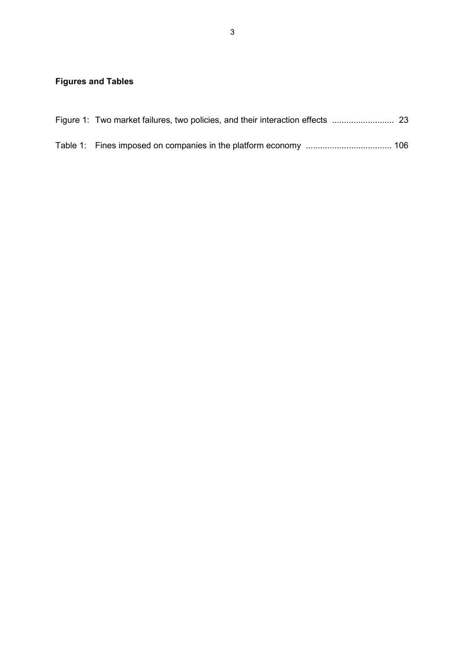## **Figures and Tables**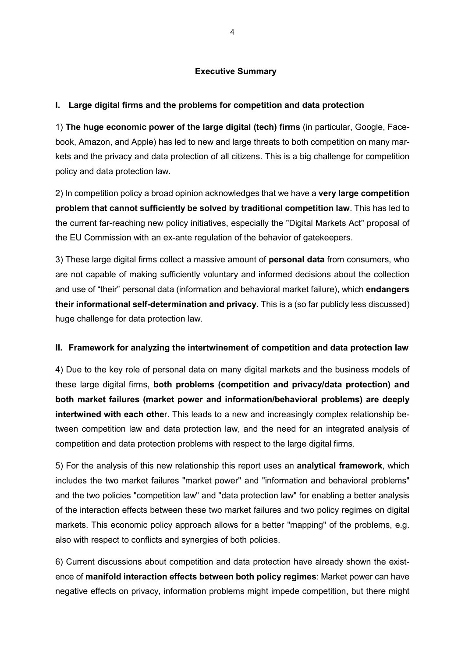#### **Executive Summary**

#### **I. Large digital firms and the problems for competition and data protection**

1) **The huge economic power of the large digital (tech) firms** (in particular, Google, Facebook, Amazon, and Apple) has led to new and large threats to both competition on many markets and the privacy and data protection of all citizens. This is a big challenge for competition policy and data protection law.

2) In competition policy a broad opinion acknowledges that we have a **very large competition problem that cannot sufficiently be solved by traditional competition law**. This has led to the current far-reaching new policy initiatives, especially the "Digital Markets Act" proposal of the EU Commission with an ex-ante regulation of the behavior of gatekeepers.

3) These large digital firms collect a massive amount of **personal data** from consumers, who are not capable of making sufficiently voluntary and informed decisions about the collection and use of "their" personal data (information and behavioral market failure), which **endangers their informational self-determination and privacy**. This is a (so far publicly less discussed) huge challenge for data protection law.

#### **II. Framework for analyzing the intertwinement of competition and data protection law**

4) Due to the key role of personal data on many digital markets and the business models of these large digital firms, **both problems (competition and privacy/data protection) and both market failures (market power and information/behavioral problems) are deeply intertwined with each othe**r. This leads to a new and increasingly complex relationship between competition law and data protection law, and the need for an integrated analysis of competition and data protection problems with respect to the large digital firms.

5) For the analysis of this new relationship this report uses an **analytical framework**, which includes the two market failures "market power" and "information and behavioral problems" and the two policies "competition law" and "data protection law" for enabling a better analysis of the interaction effects between these two market failures and two policy regimes on digital markets. This economic policy approach allows for a better "mapping" of the problems, e.g. also with respect to conflicts and synergies of both policies.

6) Current discussions about competition and data protection have already shown the existence of **manifold interaction effects between both policy regimes**: Market power can have negative effects on privacy, information problems might impede competition, but there might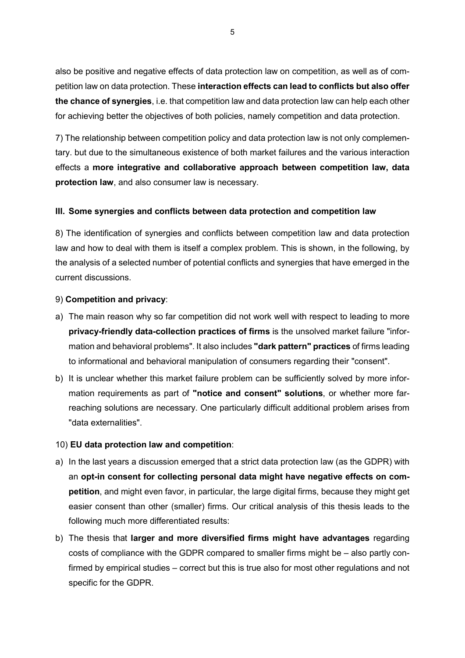also be positive and negative effects of data protection law on competition, as well as of competition law on data protection. These **interaction effects can lead to conflicts but also offer the chance of synergies**, i.e. that competition law and data protection law can help each other for achieving better the objectives of both policies, namely competition and data protection.

7) The relationship between competition policy and data protection law is not only complementary. but due to the simultaneous existence of both market failures and the various interaction effects a **more integrative and collaborative approach between competition law, data protection law**, and also consumer law is necessary.

#### **III. Some synergies and conflicts between data protection and competition law**

8) The identification of synergies and conflicts between competition law and data protection law and how to deal with them is itself a complex problem. This is shown, in the following, by the analysis of a selected number of potential conflicts and synergies that have emerged in the current discussions.

#### 9) **Competition and privacy**:

- a) The main reason why so far competition did not work well with respect to leading to more **privacy-friendly data-collection practices of firms** is the unsolved market failure "information and behavioral problems". It also includes **"dark pattern" practices** of firms leading to informational and behavioral manipulation of consumers regarding their "consent".
- b) It is unclear whether this market failure problem can be sufficiently solved by more information requirements as part of **"notice and consent" solutions**, or whether more farreaching solutions are necessary. One particularly difficult additional problem arises from "data externalities".

#### 10) **EU data protection law and competition**:

- a) In the last years a discussion emerged that a strict data protection law (as the GDPR) with an **opt-in consent for collecting personal data might have negative effects on competition**, and might even favor, in particular, the large digital firms, because they might get easier consent than other (smaller) firms. Our critical analysis of this thesis leads to the following much more differentiated results:
- b) The thesis that **larger and more diversified firms might have advantages** regarding costs of compliance with the GDPR compared to smaller firms might be – also partly confirmed by empirical studies – correct but this is true also for most other regulations and not specific for the GDPR.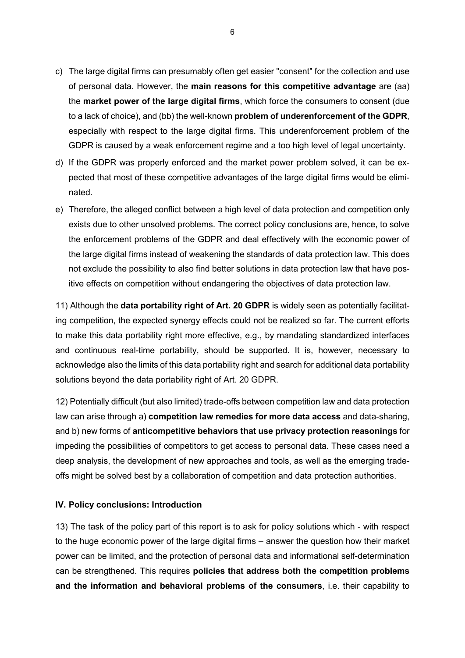- c) The large digital firms can presumably often get easier "consent" for the collection and use of personal data. However, the **main reasons for this competitive advantage** are (aa) the **market power of the large digital firms**, which force the consumers to consent (due to a lack of choice), and (bb) the well-known **problem of underenforcement of the GDPR**, especially with respect to the large digital firms. This underenforcement problem of the GDPR is caused by a weak enforcement regime and a too high level of legal uncertainty.
- d) If the GDPR was properly enforced and the market power problem solved, it can be expected that most of these competitive advantages of the large digital firms would be eliminated.
- e) Therefore, the alleged conflict between a high level of data protection and competition only exists due to other unsolved problems. The correct policy conclusions are, hence, to solve the enforcement problems of the GDPR and deal effectively with the economic power of the large digital firms instead of weakening the standards of data protection law. This does not exclude the possibility to also find better solutions in data protection law that have positive effects on competition without endangering the objectives of data protection law.

11) Although the **data portability right of Art. 20 GDPR** is widely seen as potentially facilitating competition, the expected synergy effects could not be realized so far. The current efforts to make this data portability right more effective, e.g., by mandating standardized interfaces and continuous real-time portability, should be supported. It is, however, necessary to acknowledge also the limits of this data portability right and search for additional data portability solutions beyond the data portability right of Art. 20 GDPR.

12) Potentially difficult (but also limited) trade-offs between competition law and data protection law can arise through a) **competition law remedies for more data access** and data-sharing, and b) new forms of **anticompetitive behaviors that use privacy protection reasonings** for impeding the possibilities of competitors to get access to personal data. These cases need a deep analysis, the development of new approaches and tools, as well as the emerging tradeoffs might be solved best by a collaboration of competition and data protection authorities.

#### **IV. Policy conclusions: Introduction**

13) The task of the policy part of this report is to ask for policy solutions which - with respect to the huge economic power of the large digital firms – answer the question how their market power can be limited, and the protection of personal data and informational self-determination can be strengthened. This requires **policies that address both the competition problems and the information and behavioral problems of the consumers**, i.e. their capability to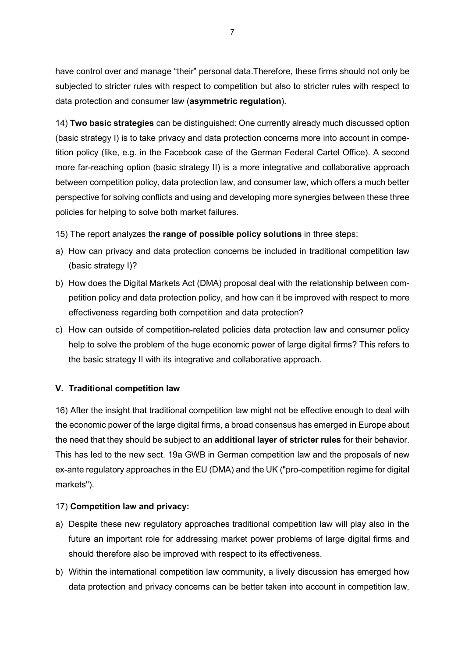have control over and manage "their" personal data.Therefore, these firms should not only be subjected to stricter rules with respect to competition but also to stricter rules with respect to data protection and consumer law (**asymmetric regulation**).

14) **Two basic strategies** can be distinguished: One currently already much discussed option (basic strategy I) is to take privacy and data protection concerns more into account in competition policy (like, e.g. in the Facebook case of the German Federal Cartel Office). A second more far-reaching option (basic strategy II) is a more integrative and collaborative approach between competition policy, data protection law, and consumer law, which offers a much better perspective for solving conflicts and using and developing more synergies between these three policies for helping to solve both market failures.

15) The report analyzes the **range of possible policy solutions** in three steps:

- a) How can privacy and data protection concerns be included in traditional competition law (basic strategy I)?
- b) How does the Digital Markets Act (DMA) proposal deal with the relationship between competition policy and data protection policy, and how can it be improved with respect to more effectiveness regarding both competition and data protection?
- c) How can outside of competition-related policies data protection law and consumer policy help to solve the problem of the huge economic power of large digital firms? This refers to the basic strategy II with its integrative and collaborative approach.

#### **V. Traditional competition law**

16) After the insight that traditional competition law might not be effective enough to deal with the economic power of the large digital firms, a broad consensus has emerged in Europe about the need that they should be subject to an **additional layer of stricter rules** for their behavior. This has led to the new sect. 19a GWB in German competition law and the proposals of new ex-ante regulatory approaches in the EU (DMA) and the UK ("pro-competition regime for digital markets").

#### 17) **Competition law and privacy:**

- a) Despite these new regulatory approaches traditional competition law will play also in the future an important role for addressing market power problems of large digital firms and should therefore also be improved with respect to its effectiveness.
- b) Within the international competition law community, a lively discussion has emerged how data protection and privacy concerns can be better taken into account in competition law,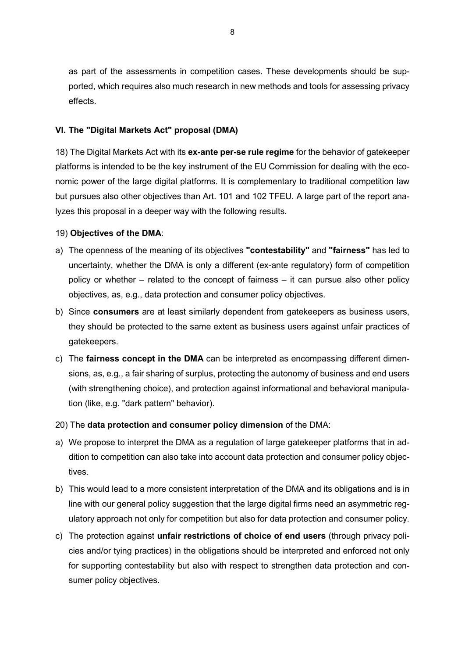as part of the assessments in competition cases. These developments should be supported, which requires also much research in new methods and tools for assessing privacy effects.

#### **VI. The "Digital Markets Act" proposal (DMA)**

18) The Digital Markets Act with its **ex-ante per-se rule regime** for the behavior of gatekeeper platforms is intended to be the key instrument of the EU Commission for dealing with the economic power of the large digital platforms. It is complementary to traditional competition law but pursues also other objectives than Art. 101 and 102 TFEU. A large part of the report analyzes this proposal in a deeper way with the following results.

#### 19) **Objectives of the DMA**:

- a) The openness of the meaning of its objectives **"contestability"** and **"fairness"** has led to uncertainty, whether the DMA is only a different (ex-ante regulatory) form of competition policy or whether – related to the concept of fairness – it can pursue also other policy objectives, as, e.g., data protection and consumer policy objectives.
- b) Since **consumers** are at least similarly dependent from gatekeepers as business users, they should be protected to the same extent as business users against unfair practices of gatekeepers.
- c) The **fairness concept in the DMA** can be interpreted as encompassing different dimensions, as, e.g., a fair sharing of surplus, protecting the autonomy of business and end users (with strengthening choice), and protection against informational and behavioral manipulation (like, e.g. "dark pattern" behavior).
- 20) The **data protection and consumer policy dimension** of the DMA:
- a) We propose to interpret the DMA as a regulation of large gatekeeper platforms that in addition to competition can also take into account data protection and consumer policy objectives.
- b) This would lead to a more consistent interpretation of the DMA and its obligations and is in line with our general policy suggestion that the large digital firms need an asymmetric regulatory approach not only for competition but also for data protection and consumer policy.
- c) The protection against **unfair restrictions of choice of end users** (through privacy policies and/or tying practices) in the obligations should be interpreted and enforced not only for supporting contestability but also with respect to strengthen data protection and consumer policy objectives.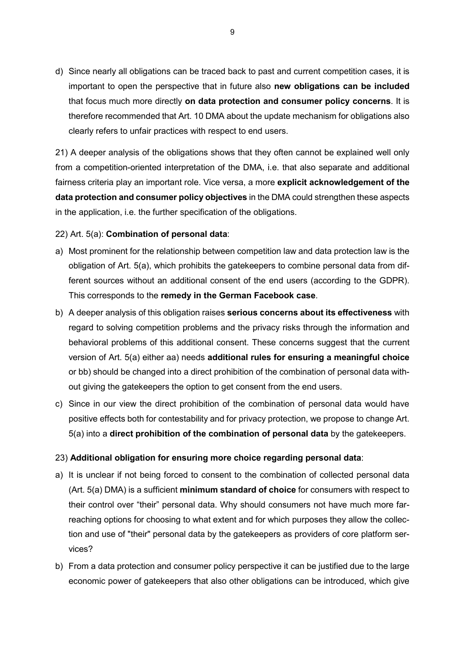d) Since nearly all obligations can be traced back to past and current competition cases, it is important to open the perspective that in future also **new obligations can be included** that focus much more directly **on data protection and consumer policy concerns**. It is therefore recommended that Art. 10 DMA about the update mechanism for obligations also clearly refers to unfair practices with respect to end users.

21) A deeper analysis of the obligations shows that they often cannot be explained well only from a competition-oriented interpretation of the DMA, i.e. that also separate and additional fairness criteria play an important role. Vice versa, a more **explicit acknowledgement of the data protection and consumer policy objectives** in the DMA could strengthen these aspects in the application, i.e. the further specification of the obligations.

22) Art. 5(a): **Combination of personal data**:

- a) Most prominent for the relationship between competition law and data protection law is the obligation of Art. 5(a), which prohibits the gatekeepers to combine personal data from different sources without an additional consent of the end users (according to the GDPR). This corresponds to the **remedy in the German Facebook case**.
- b) A deeper analysis of this obligation raises **serious concerns about its effectiveness** with regard to solving competition problems and the privacy risks through the information and behavioral problems of this additional consent. These concerns suggest that the current version of Art. 5(a) either aa) needs **additional rules for ensuring a meaningful choice** or bb) should be changed into a direct prohibition of the combination of personal data without giving the gatekeepers the option to get consent from the end users.
- c) Since in our view the direct prohibition of the combination of personal data would have positive effects both for contestability and for privacy protection, we propose to change Art. 5(a) into a **direct prohibition of the combination of personal data** by the gatekeepers.

#### 23) **Additional obligation for ensuring more choice regarding personal data**:

- a) It is unclear if not being forced to consent to the combination of collected personal data (Art. 5(a) DMA) is a sufficient **minimum standard of choice** for consumers with respect to their control over "their" personal data. Why should consumers not have much more farreaching options for choosing to what extent and for which purposes they allow the collection and use of "their" personal data by the gatekeepers as providers of core platform services?
- b) From a data protection and consumer policy perspective it can be justified due to the large economic power of gatekeepers that also other obligations can be introduced, which give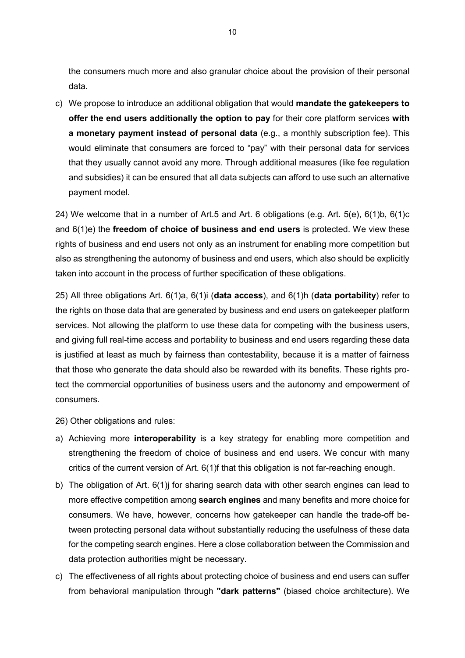the consumers much more and also granular choice about the provision of their personal data.

c) We propose to introduce an additional obligation that would **mandate the gatekeepers to offer the end users additionally the option to pay** for their core platform services **with a monetary payment instead of personal data** (e.g., a monthly subscription fee). This would eliminate that consumers are forced to "pay" with their personal data for services that they usually cannot avoid any more. Through additional measures (like fee regulation and subsidies) it can be ensured that all data subjects can afford to use such an alternative payment model.

24) We welcome that in a number of Art.5 and Art. 6 obligations (e.g. Art. 5(e), 6(1)b, 6(1)c and 6(1)e) the **freedom of choice of business and end users** is protected. We view these rights of business and end users not only as an instrument for enabling more competition but also as strengthening the autonomy of business and end users, which also should be explicitly taken into account in the process of further specification of these obligations.

25) All three obligations Art. 6(1)a, 6(1)i (**data access**), and 6(1)h (**data portability**) refer to the rights on those data that are generated by business and end users on gatekeeper platform services. Not allowing the platform to use these data for competing with the business users, and giving full real-time access and portability to business and end users regarding these data is justified at least as much by fairness than contestability, because it is a matter of fairness that those who generate the data should also be rewarded with its benefits. These rights protect the commercial opportunities of business users and the autonomy and empowerment of consumers.

- 26) Other obligations and rules:
- a) Achieving more **interoperability** is a key strategy for enabling more competition and strengthening the freedom of choice of business and end users. We concur with many critics of the current version of Art. 6(1)f that this obligation is not far-reaching enough.
- b) The obligation of Art. 6(1) for sharing search data with other search engines can lead to more effective competition among **search engines** and many benefits and more choice for consumers. We have, however, concerns how gatekeeper can handle the trade-off between protecting personal data without substantially reducing the usefulness of these data for the competing search engines. Here a close collaboration between the Commission and data protection authorities might be necessary.
- c) The effectiveness of all rights about protecting choice of business and end users can suffer from behavioral manipulation through **"dark patterns"** (biased choice architecture). We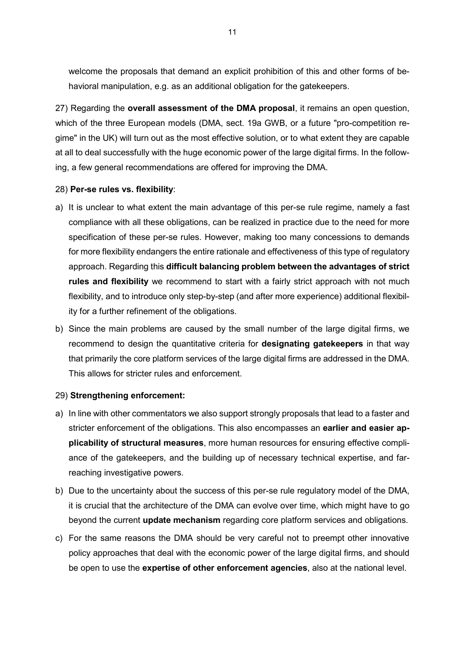welcome the proposals that demand an explicit prohibition of this and other forms of behavioral manipulation, e.g. as an additional obligation for the gatekeepers.

27) Regarding the **overall assessment of the DMA proposal**, it remains an open question, which of the three European models (DMA, sect. 19a GWB, or a future "pro-competition regime" in the UK) will turn out as the most effective solution, or to what extent they are capable at all to deal successfully with the huge economic power of the large digital firms. In the following, a few general recommendations are offered for improving the DMA.

#### 28) **Per-se rules vs. flexibility**:

- a) It is unclear to what extent the main advantage of this per-se rule regime, namely a fast compliance with all these obligations, can be realized in practice due to the need for more specification of these per-se rules. However, making too many concessions to demands for more flexibility endangers the entire rationale and effectiveness of this type of regulatory approach. Regarding this **difficult balancing problem between the advantages of strict rules and flexibility** we recommend to start with a fairly strict approach with not much flexibility, and to introduce only step-by-step (and after more experience) additional flexibility for a further refinement of the obligations.
- b) Since the main problems are caused by the small number of the large digital firms, we recommend to design the quantitative criteria for **designating gatekeepers** in that way that primarily the core platform services of the large digital firms are addressed in the DMA. This allows for stricter rules and enforcement.

#### 29) **Strengthening enforcement:**

- a) In line with other commentators we also support strongly proposals that lead to a faster and stricter enforcement of the obligations. This also encompasses an **earlier and easier applicability of structural measures**, more human resources for ensuring effective compliance of the gatekeepers, and the building up of necessary technical expertise, and farreaching investigative powers.
- b) Due to the uncertainty about the success of this per-se rule regulatory model of the DMA, it is crucial that the architecture of the DMA can evolve over time, which might have to go beyond the current **update mechanism** regarding core platform services and obligations.
- c) For the same reasons the DMA should be very careful not to preempt other innovative policy approaches that deal with the economic power of the large digital firms, and should be open to use the **expertise of other enforcement agencies**, also at the national level.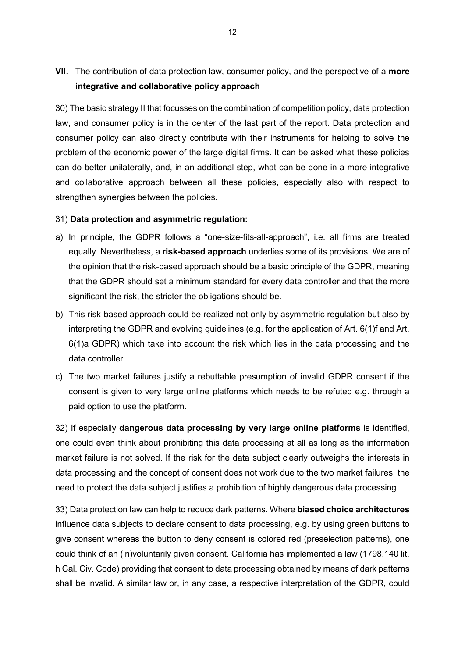**VII.** The contribution of data protection law, consumer policy, and the perspective of a **more integrative and collaborative policy approach**

30) The basic strategy II that focusses on the combination of competition policy, data protection law, and consumer policy is in the center of the last part of the report. Data protection and consumer policy can also directly contribute with their instruments for helping to solve the problem of the economic power of the large digital firms. It can be asked what these policies can do better unilaterally, and, in an additional step, what can be done in a more integrative and collaborative approach between all these policies, especially also with respect to strengthen synergies between the policies.

#### 31) **Data protection and asymmetric regulation:**

- a) In principle, the GDPR follows a "one-size-fits-all-approach", i.e. all firms are treated equally. Nevertheless, a **risk-based approach** underlies some of its provisions. We are of the opinion that the risk-based approach should be a basic principle of the GDPR, meaning that the GDPR should set a minimum standard for every data controller and that the more significant the risk, the stricter the obligations should be.
- b) This risk-based approach could be realized not only by asymmetric regulation but also by interpreting the GDPR and evolving guidelines (e.g. for the application of Art. 6(1)f and Art. 6(1)a GDPR) which take into account the risk which lies in the data processing and the data controller.
- c) The two market failures justify a rebuttable presumption of invalid GDPR consent if the consent is given to very large online platforms which needs to be refuted e.g. through a paid option to use the platform.

32) If especially **dangerous data processing by very large online platforms** is identified, one could even think about prohibiting this data processing at all as long as the information market failure is not solved. If the risk for the data subject clearly outweighs the interests in data processing and the concept of consent does not work due to the two market failures, the need to protect the data subject justifies a prohibition of highly dangerous data processing.

33) Data protection law can help to reduce dark patterns. Where **biased choice architectures** influence data subjects to declare consent to data processing, e.g. by using green buttons to give consent whereas the button to deny consent is colored red (preselection patterns), one could think of an (in)voluntarily given consent. California has implemented a law (1798.140 lit. h Cal. Civ. Code) providing that consent to data processing obtained by means of dark patterns shall be invalid. A similar law or, in any case, a respective interpretation of the GDPR, could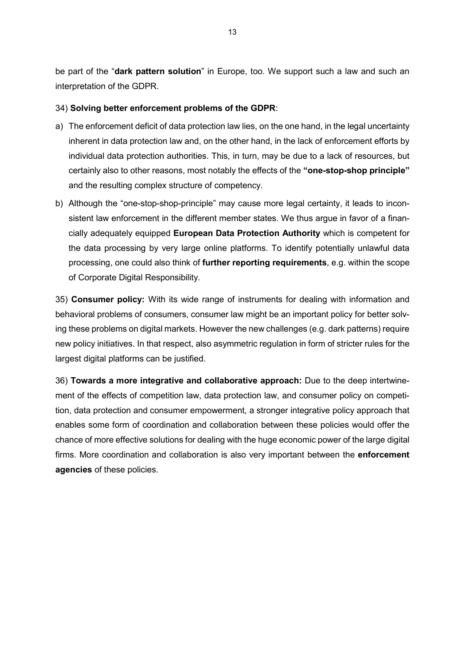be part of the "**dark pattern solution**" in Europe, too. We support such a law and such an interpretation of the GDPR.

#### 34) **Solving better enforcement problems of the GDPR**:

- a) The enforcement deficit of data protection law lies, on the one hand, in the legal uncertainty inherent in data protection law and, on the other hand, in the lack of enforcement efforts by individual data protection authorities. This, in turn, may be due to a lack of resources, but certainly also to other reasons, most notably the effects of the **"one-stop-shop principle"** and the resulting complex structure of competency.
- b) Although the "one-stop-shop-principle" may cause more legal certainty, it leads to inconsistent law enforcement in the different member states. We thus argue in favor of a financially adequately equipped **European Data Protection Authority** which is competent for the data processing by very large online platforms. To identify potentially unlawful data processing, one could also think of **further reporting requirements**, e.g. within the scope of Corporate Digital Responsibility.

35) **Consumer policy:** With its wide range of instruments for dealing with information and behavioral problems of consumers, consumer law might be an important policy for better solving these problems on digital markets. However the new challenges (e.g. dark patterns) require new policy initiatives. In that respect, also asymmetric regulation in form of stricter rules for the largest digital platforms can be justified.

36) **Towards a more integrative and collaborative approach:** Due to the deep intertwinement of the effects of competition law, data protection law, and consumer policy on competition, data protection and consumer empowerment, a stronger integrative policy approach that enables some form of coordination and collaboration between these policies would offer the chance of more effective solutions for dealing with the huge economic power of the large digital firms. More coordination and collaboration is also very important between the **enforcement agencies** of these policies.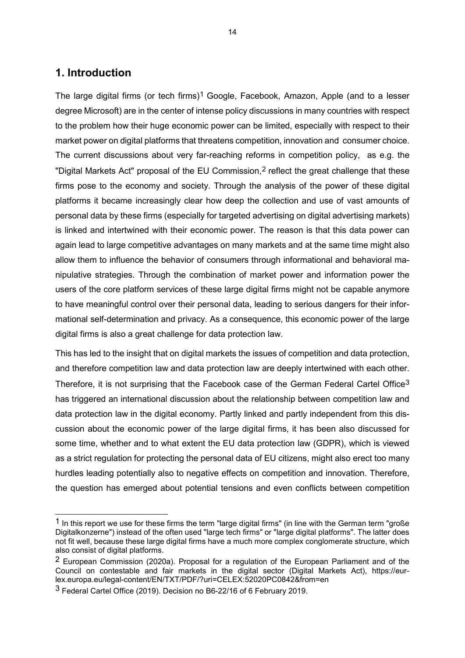## **1. Introduction**

-

The large digital firms (or tech firms)<sup>[1](#page-14-0)</sup> Google, Facebook, Amazon, Apple (and to a lesser degree Microsoft) are in the center of intense policy discussions in many countries with respect to the problem how their huge economic power can be limited, especially with respect to their market power on digital platforms that threatens competition, innovation and consumer choice. The current discussions about very far-reaching reforms in competition policy, as e.g. the "Digital Markets Act" proposal of the EU Commission,[2](#page-14-1) reflect the great challenge that these firms pose to the economy and society. Through the analysis of the power of these digital platforms it became increasingly clear how deep the collection and use of vast amounts of personal data by these firms (especially for targeted advertising on digital advertising markets) is linked and intertwined with their economic power. The reason is that this data power can again lead to large competitive advantages on many markets and at the same time might also allow them to influence the behavior of consumers through informational and behavioral manipulative strategies. Through the combination of market power and information power the users of the core platform services of these large digital firms might not be capable anymore to have meaningful control over their personal data, leading to serious dangers for their informational self-determination and privacy. As a consequence, this economic power of the large digital firms is also a great challenge for data protection law.

This has led to the insight that on digital markets the issues of competition and data protection, and therefore competition law and data protection law are deeply intertwined with each other. Therefore, it is not surprising that the Facebook case of the German Federal Cartel Office<sup>[3](#page-14-2)</sup> has triggered an international discussion about the relationship between competition law and data protection law in the digital economy. Partly linked and partly independent from this discussion about the economic power of the large digital firms, it has been also discussed for some time, whether and to what extent the EU data protection law (GDPR), which is viewed as a strict regulation for protecting the personal data of EU citizens, might also erect too many hurdles leading potentially also to negative effects on competition and innovation. Therefore, the question has emerged about potential tensions and even conflicts between competition

<span id="page-14-0"></span><sup>1</sup> In this report we use for these firms the term "large digital firms" (in line with the German term "große Digitalkonzerne") instead of the often used "large tech firms" or "large digital platforms". The latter does not fit well, because these large digital firms have a much more complex conglomerate structure, which also consist of digital platforms.

<span id="page-14-1"></span><sup>2</sup> European Commission (2020a). Proposal for a regulation of the European Parliament and of the Council on contestable and fair markets in the digital sector (Digital Markets Act), https://eurlex.europa.eu/legal-content/EN/TXT/PDF/?uri=CELEX:52020PC0842&from=en

<span id="page-14-2"></span><sup>3</sup> Federal Cartel Office (2019). Decision no B6-22/16 of 6 February 2019.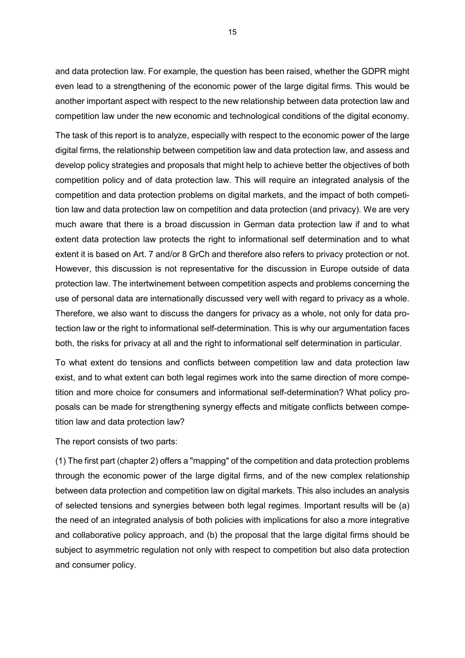and data protection law. For example, the question has been raised, whether the GDPR might even lead to a strengthening of the economic power of the large digital firms. This would be another important aspect with respect to the new relationship between data protection law and competition law under the new economic and technological conditions of the digital economy.

The task of this report is to analyze, especially with respect to the economic power of the large digital firms, the relationship between competition law and data protection law, and assess and develop policy strategies and proposals that might help to achieve better the objectives of both competition policy and of data protection law. This will require an integrated analysis of the competition and data protection problems on digital markets, and the impact of both competition law and data protection law on competition and data protection (and privacy). We are very much aware that there is a broad discussion in German data protection law if and to what extent data protection law protects the right to informational self determination and to what extent it is based on Art. 7 and/or 8 GrCh and therefore also refers to privacy protection or not. However, this discussion is not representative for the discussion in Europe outside of data protection law. The intertwinement between competition aspects and problems concerning the use of personal data are internationally discussed very well with regard to privacy as a whole. Therefore, we also want to discuss the dangers for privacy as a whole, not only for data protection law or the right to informational self-determination. This is why our argumentation faces both, the risks for privacy at all and the right to informational self determination in particular.

To what extent do tensions and conflicts between competition law and data protection law exist, and to what extent can both legal regimes work into the same direction of more competition and more choice for consumers and informational self-determination? What policy proposals can be made for strengthening synergy effects and mitigate conflicts between competition law and data protection law?

The report consists of two parts:

(1) The first part (chapter 2) offers a "mapping" of the competition and data protection problems through the economic power of the large digital firms, and of the new complex relationship between data protection and competition law on digital markets. This also includes an analysis of selected tensions and synergies between both legal regimes. Important results will be (a) the need of an integrated analysis of both policies with implications for also a more integrative and collaborative policy approach, and (b) the proposal that the large digital firms should be subject to asymmetric regulation not only with respect to competition but also data protection and consumer policy.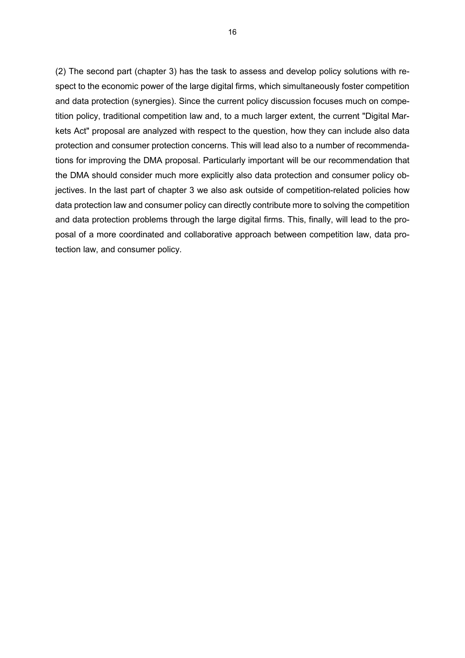(2) The second part (chapter 3) has the task to assess and develop policy solutions with respect to the economic power of the large digital firms, which simultaneously foster competition and data protection (synergies). Since the current policy discussion focuses much on competition policy, traditional competition law and, to a much larger extent, the current "Digital Markets Act" proposal are analyzed with respect to the question, how they can include also data protection and consumer protection concerns. This will lead also to a number of recommendations for improving the DMA proposal. Particularly important will be our recommendation that the DMA should consider much more explicitly also data protection and consumer policy objectives. In the last part of chapter 3 we also ask outside of competition-related policies how data protection law and consumer policy can directly contribute more to solving the competition and data protection problems through the large digital firms. This, finally, will lead to the proposal of a more coordinated and collaborative approach between competition law, data protection law, and consumer policy.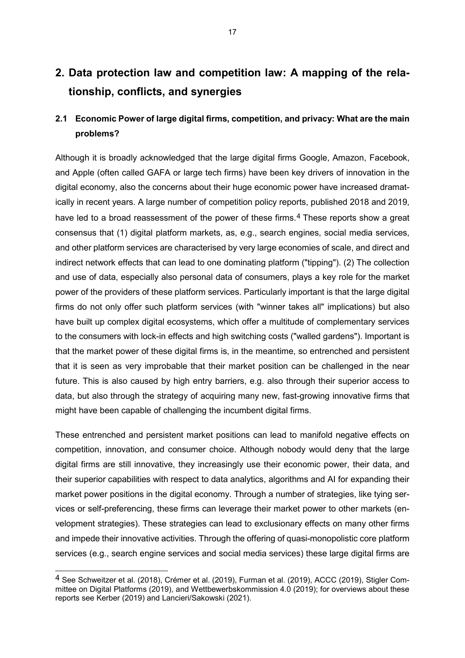## **2. Data protection law and competition law: A mapping of the relationship, conflicts, and synergies**

## **2.1 Economic Power of large digital firms, competition, and privacy: What are the main problems?**

Although it is broadly acknowledged that the large digital firms Google, Amazon, Facebook, and Apple (often called GAFA or large tech firms) have been key drivers of innovation in the digital economy, also the concerns about their huge economic power have increased dramatically in recent years. A large number of competition policy reports, published 2018 and 2019, have led to a broad reassessment of the power of these firms.<sup>[4](#page-17-0)</sup> These reports show a great consensus that (1) digital platform markets, as, e.g., search engines, social media services, and other platform services are characterised by very large economies of scale, and direct and indirect network effects that can lead to one dominating platform ("tipping"). (2) The collection and use of data, especially also personal data of consumers, plays a key role for the market power of the providers of these platform services. Particularly important is that the large digital firms do not only offer such platform services (with "winner takes all" implications) but also have built up complex digital ecosystems, which offer a multitude of complementary services to the consumers with lock-in effects and high switching costs ("walled gardens"). Important is that the market power of these digital firms is, in the meantime, so entrenched and persistent that it is seen as very improbable that their market position can be challenged in the near future. This is also caused by high entry barriers, e.g. also through their superior access to data, but also through the strategy of acquiring many new, fast-growing innovative firms that might have been capable of challenging the incumbent digital firms.

These entrenched and persistent market positions can lead to manifold negative effects on competition, innovation, and consumer choice. Although nobody would deny that the large digital firms are still innovative, they increasingly use their economic power, their data, and their superior capabilities with respect to data analytics, algorithms and AI for expanding their market power positions in the digital economy. Through a number of strategies, like tying services or self-preferencing, these firms can leverage their market power to other markets (envelopment strategies). These strategies can lead to exclusionary effects on many other firms and impede their innovative activities. Through the offering of quasi-monopolistic core platform services (e.g., search engine services and social media services) these large digital firms are

<span id="page-17-0"></span><sup>4</sup> See Schweitzer et al. (2018), Crémer et al. (2019), Furman et al. (2019), ACCC (2019), Stigler Committee on Digital Platforms (2019), and Wettbewerbskommission 4.0 (2019); for overviews about these reports see Kerber (2019) and Lancieri/Sakowski (2021).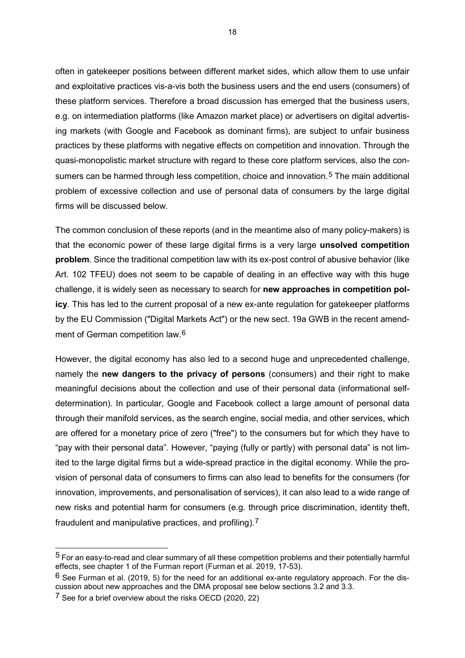often in gatekeeper positions between different market sides, which allow them to use unfair and exploitative practices vis-a-vis both the business users and the end users (consumers) of these platform services. Therefore a broad discussion has emerged that the business users, e.g. on intermediation platforms (like Amazon market place) or advertisers on digital advertising markets (with Google and Facebook as dominant firms), are subject to unfair business practices by these platforms with negative effects on competition and innovation. Through the quasi-monopolistic market structure with regard to these core platform services, also the con-sumers can be harmed through less competition, choice and innovation.<sup>[5](#page-18-0)</sup> The main additional problem of excessive collection and use of personal data of consumers by the large digital firms will be discussed below.

The common conclusion of these reports (and in the meantime also of many policy-makers) is that the economic power of these large digital firms is a very large **unsolved competition problem**. Since the traditional competition law with its ex-post control of abusive behavior (like Art. 102 TFEU) does not seem to be capable of dealing in an effective way with this huge challenge, it is widely seen as necessary to search for **new approaches in competition policy**. This has led to the current proposal of a new ex-ante regulation for gatekeeper platforms by the EU Commission ("Digital Markets Act") or the new sect. 19a GWB in the recent amend-ment of German competition law.<sup>[6](#page-18-1)</sup>

However, the digital economy has also led to a second huge and unprecedented challenge, namely the **new dangers to the privacy of persons** (consumers) and their right to make meaningful decisions about the collection and use of their personal data (informational selfdetermination). In particular, Google and Facebook collect a large amount of personal data through their manifold services, as the search engine, social media, and other services, which are offered for a monetary price of zero ("free") to the consumers but for which they have to "pay with their personal data". However, "paying (fully or partly) with personal data" is not limited to the large digital firms but a wide-spread practice in the digital economy. While the provision of personal data of consumers to firms can also lead to benefits for the consumers (for innovation, improvements, and personalisation of services), it can also lead to a wide range of new risks and potential harm for consumers (e.g. through price discrimination, identity theft, fraudulent and manipulative practices, and profiling).[7](#page-18-2)

<span id="page-18-0"></span> $5$  For an easy-to-read and clear summary of all these competition problems and their potentially harmful effects, see chapter 1 of the Furman report (Furman et al. 2019, 17-53).

<span id="page-18-1"></span> $6$  See Furman et al. (2019, 5) for the need for an additional ex-ante regulatory approach. For the discussion about new approaches and the DMA proposal see below sections 3.2 and 3.3.

<span id="page-18-2"></span><sup>7</sup> See for a brief overview about the risks OECD (2020, 22)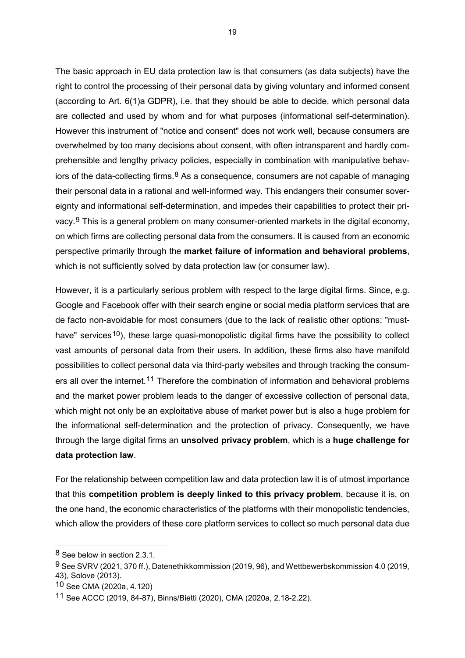The basic approach in EU data protection law is that consumers (as data subjects) have the right to control the processing of their personal data by giving voluntary and informed consent (according to Art. 6(1)a GDPR), i.e. that they should be able to decide, which personal data are collected and used by whom and for what purposes (informational self-determination). However this instrument of "notice and consent" does not work well, because consumers are overwhelmed by too many decisions about consent, with often intransparent and hardly comprehensible and lengthy privacy policies, especially in combination with manipulative behaviors of the data-collecting firms. $8$  As a consequence, consumers are not capable of managing their personal data in a rational and well-informed way. This endangers their consumer sovereignty and informational self-determination, and impedes their capabilities to protect their pri-vacy.<sup>[9](#page-19-1)</sup> This is a general problem on many consumer-oriented markets in the digital economy, on which firms are collecting personal data from the consumers. It is caused from an economic perspective primarily through the **market failure of information and behavioral problems**, which is not sufficiently solved by data protection law (or consumer law).

However, it is a particularly serious problem with respect to the large digital firms. Since, e.g. Google and Facebook offer with their search engine or social media platform services that are de facto non-avoidable for most consumers (due to the lack of realistic other options; "musthave" services<sup>10</sup>), these large quasi-monopolistic digital firms have the possibility to collect vast amounts of personal data from their users. In addition, these firms also have manifold possibilities to collect personal data via third-party websites and through tracking the consum-ers all over the internet.<sup>[11](#page-19-3)</sup> Therefore the combination of information and behavioral problems and the market power problem leads to the danger of excessive collection of personal data, which might not only be an exploitative abuse of market power but is also a huge problem for the informational self-determination and the protection of privacy. Consequently, we have through the large digital firms an **unsolved privacy problem**, which is a **huge challenge for data protection law**.

For the relationship between competition law and data protection law it is of utmost importance that this **competition problem is deeply linked to this privacy problem**, because it is, on the one hand, the economic characteristics of the platforms with their monopolistic tendencies, which allow the providers of these core platform services to collect so much personal data due

<span id="page-19-0"></span><sup>8</sup> See below in section 2.3.1.

<span id="page-19-1"></span><sup>9</sup> See SVRV (2021, 370 ff.), Datenethikkommission (2019, 96), and Wettbewerbskommission 4.0 (2019, 43), Solove (2013).

<span id="page-19-2"></span><sup>10</sup> See CMA (2020a, 4.120)

<span id="page-19-3"></span><sup>11</sup> See ACCC (2019, 84-87), Binns/Bietti (2020), CMA (2020a, 2.18-2.22).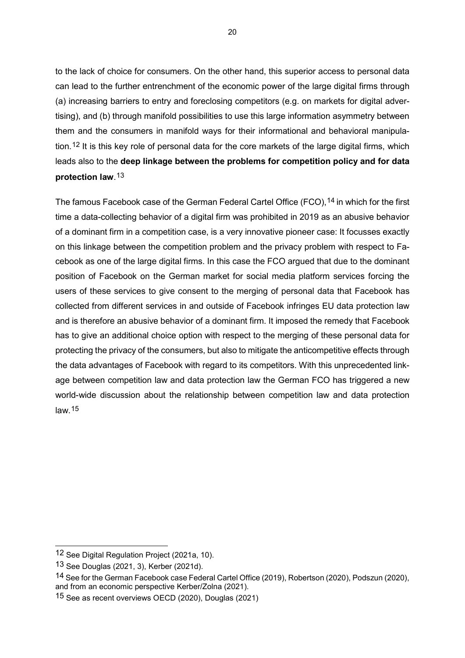to the lack of choice for consumers. On the other hand, this superior access to personal data can lead to the further entrenchment of the economic power of the large digital firms through (a) increasing barriers to entry and foreclosing competitors (e.g. on markets for digital advertising), and (b) through manifold possibilities to use this large information asymmetry between them and the consumers in manifold ways for their informational and behavioral manipulation.[12](#page-20-0) It is this key role of personal data for the core markets of the large digital firms, which leads also to the **deep linkage between the problems for competition policy and for data protection law**.[13](#page-20-1)

The famous Facebook case of the German Federal Cartel Office (FCO), <sup>[14](#page-20-2)</sup> in which for the first time a data-collecting behavior of a digital firm was prohibited in 2019 as an abusive behavior of a dominant firm in a competition case, is a very innovative pioneer case: It focusses exactly on this linkage between the competition problem and the privacy problem with respect to Facebook as one of the large digital firms. In this case the FCO argued that due to the dominant position of Facebook on the German market for social media platform services forcing the users of these services to give consent to the merging of personal data that Facebook has collected from different services in and outside of Facebook infringes EU data protection law and is therefore an abusive behavior of a dominant firm. It imposed the remedy that Facebook has to give an additional choice option with respect to the merging of these personal data for protecting the privacy of the consumers, but also to mitigate the anticompetitive effects through the data advantages of Facebook with regard to its competitors. With this unprecedented linkage between competition law and data protection law the German FCO has triggered a new world-wide discussion about the relationship between competition law and data protection law.[15](#page-20-3)

<span id="page-20-0"></span><sup>12</sup> See Digital Regulation Project (2021a, 10).

<span id="page-20-1"></span><sup>13</sup> See Douglas (2021, 3), Kerber (2021d).

<span id="page-20-2"></span><sup>14</sup> See for the German Facebook case Federal Cartel Office (2019), Robertson (2020), Podszun (2020), and from an economic perspective Kerber/Zolna (2021).

<span id="page-20-3"></span><sup>15</sup> See as recent overviews OECD (2020), Douglas (2021)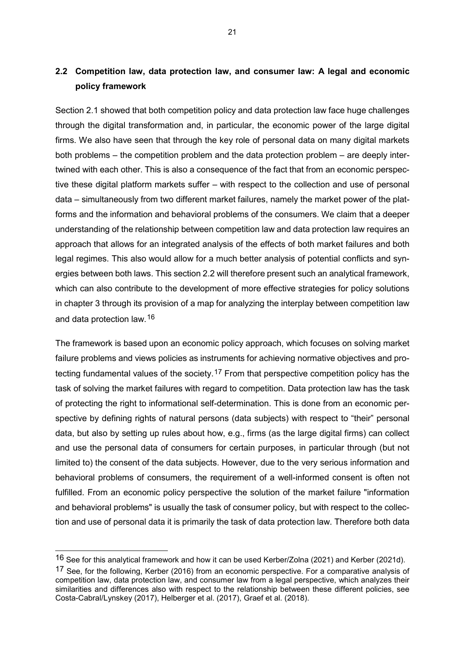## **2.2 Competition law, data protection law, and consumer law: A legal and economic policy framework**

Section 2.1 showed that both competition policy and data protection law face huge challenges through the digital transformation and, in particular, the economic power of the large digital firms. We also have seen that through the key role of personal data on many digital markets both problems – the competition problem and the data protection problem – are deeply intertwined with each other. This is also a consequence of the fact that from an economic perspective these digital platform markets suffer – with respect to the collection and use of personal data – simultaneously from two different market failures, namely the market power of the platforms and the information and behavioral problems of the consumers. We claim that a deeper understanding of the relationship between competition law and data protection law requires an approach that allows for an integrated analysis of the effects of both market failures and both legal regimes. This also would allow for a much better analysis of potential conflicts and synergies between both laws. This section 2.2 will therefore present such an analytical framework, which can also contribute to the development of more effective strategies for policy solutions in chapter 3 through its provision of a map for analyzing the interplay between competition law and data protection law.[16](#page-21-0)

The framework is based upon an economic policy approach, which focuses on solving market failure problems and views policies as instruments for achieving normative objectives and pro-tecting fundamental values of the society.<sup>[17](#page-21-1)</sup> From that perspective competition policy has the task of solving the market failures with regard to competition. Data protection law has the task of protecting the right to informational self-determination. This is done from an economic perspective by defining rights of natural persons (data subjects) with respect to "their" personal data, but also by setting up rules about how, e.g., firms (as the large digital firms) can collect and use the personal data of consumers for certain purposes, in particular through (but not limited to) the consent of the data subjects. However, due to the very serious information and behavioral problems of consumers, the requirement of a well-informed consent is often not fulfilled. From an economic policy perspective the solution of the market failure "information and behavioral problems" is usually the task of consumer policy, but with respect to the collection and use of personal data it is primarily the task of data protection law. Therefore both data

<span id="page-21-0"></span><sup>&</sup>lt;sup>16</sup> See for this analytical framework and how it can be used Kerber/Zolna (2021) and Kerber (2021d).

<span id="page-21-1"></span><sup>&</sup>lt;sup>17</sup> See, for the following, Kerber (2016) from an economic perspective. For a comparative analysis of competition law, data protection law, and consumer law from a legal perspective, which analyzes their similarities and differences also with respect to the relationship between these different policies, see Costa-Cabral/Lynskey (2017), Helberger et al. (2017), Graef et al. (2018).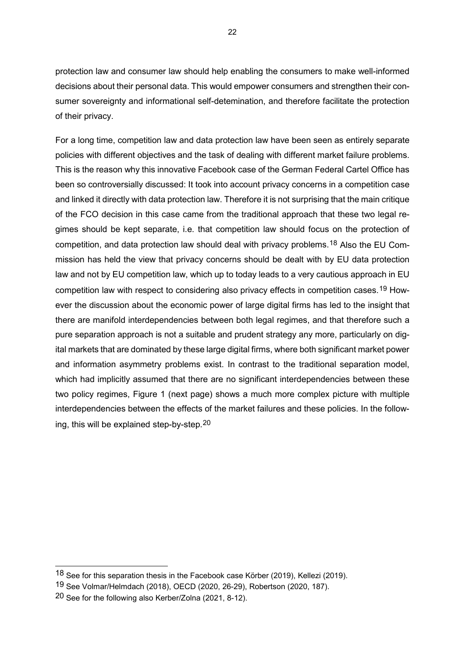protection law and consumer law should help enabling the consumers to make well-informed decisions about their personal data. This would empower consumers and strengthen their consumer sovereignty and informational self-detemination, and therefore facilitate the protection of their privacy.

For a long time, competition law and data protection law have been seen as entirely separate policies with different objectives and the task of dealing with different market failure problems. This is the reason why this innovative Facebook case of the German Federal Cartel Office has been so controversially discussed: It took into account privacy concerns in a competition case and linked it directly with data protection law. Therefore it is not surprising that the main critique of the FCO decision in this case came from the traditional approach that these two legal regimes should be kept separate, i.e. that competition law should focus on the protection of competition, and data protection law should deal with privacy problems.[18](#page-22-0) Also the EU Commission has held the view that privacy concerns should be dealt with by EU data protection law and not by EU competition law, which up to today leads to a very cautious approach in EU competition law with respect to considering also privacy effects in competition cases.<sup>[19](#page-22-1)</sup> However the discussion about the economic power of large digital firms has led to the insight that there are manifold interdependencies between both legal regimes, and that therefore such a pure separation approach is not a suitable and prudent strategy any more, particularly on digital markets that are dominated by these large digital firms, where both significant market power and information asymmetry problems exist. In contrast to the traditional separation model, which had implicitly assumed that there are no significant interdependencies between these two policy regimes, Figure 1 (next page) shows a much more complex picture with multiple interdependencies between the effects of the market failures and these policies. In the following, this will be explained step-by-step.[20](#page-22-2)

<span id="page-22-0"></span><sup>18</sup> See for this separation thesis in the Facebook case Körber (2019), Kellezi (2019).

<span id="page-22-1"></span><sup>19</sup> See Volmar/Helmdach (2018), OECD (2020, 26-29), Robertson (2020, 187).

<span id="page-22-2"></span><sup>20</sup> See for the following also Kerber/Zolna (2021, 8-12).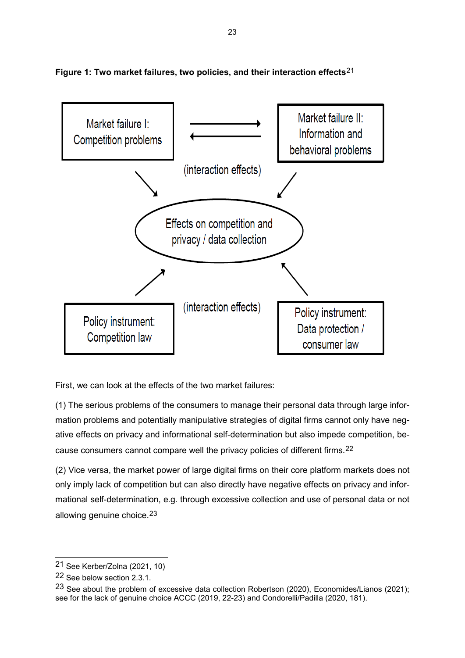

**Figure 1: Two market failures, two policies, and their interaction effects**[21](#page-23-0)

First, we can look at the effects of the two market failures:

(1) The serious problems of the consumers to manage their personal data through large information problems and potentially manipulative strategies of digital firms cannot only have negative effects on privacy and informational self-determination but also impede competition, because consumers cannot compare well the privacy policies of different firms.[22](#page-23-1)

(2) Vice versa, the market power of large digital firms on their core platform markets does not only imply lack of competition but can also directly have negative effects on privacy and informational self-determination, e.g. through excessive collection and use of personal data or not allowing genuine choice.<sup>[23](#page-23-2)</sup>

<span id="page-23-0"></span><sup>21</sup> See Kerber/Zolna (2021, 10)

<span id="page-23-1"></span><sup>22</sup> See below section 2.3.1.

<span id="page-23-2"></span><sup>23</sup> See about the problem of excessive data collection Robertson (2020), Economides/Lianos (2021); see for the lack of genuine choice ACCC (2019, 22-23) and Condorelli/Padilla (2020, 181).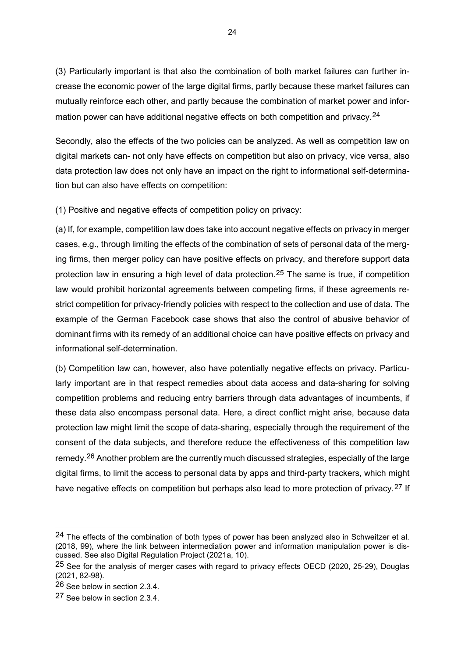(3) Particularly important is that also the combination of both market failures can further increase the economic power of the large digital firms, partly because these market failures can mutually reinforce each other, and partly because the combination of market power and information power can have additional negative effects on both competition and privacy.<sup>24</sup>

Secondly, also the effects of the two policies can be analyzed. As well as competition law on digital markets can- not only have effects on competition but also on privacy, vice versa, also data protection law does not only have an impact on the right to informational self-determination but can also have effects on competition:

(1) Positive and negative effects of competition policy on privacy:

(a) If, for example, competition law does take into account negative effects on privacy in merger cases, e.g., through limiting the effects of the combination of sets of personal data of the merging firms, then merger policy can have positive effects on privacy, and therefore support data protection law in ensuring a high level of data protection.[25](#page-24-1) The same is true, if competition law would prohibit horizontal agreements between competing firms, if these agreements restrict competition for privacy-friendly policies with respect to the collection and use of data. The example of the German Facebook case shows that also the control of abusive behavior of dominant firms with its remedy of an additional choice can have positive effects on privacy and informational self-determination.

(b) Competition law can, however, also have potentially negative effects on privacy. Particularly important are in that respect remedies about data access and data-sharing for solving competition problems and reducing entry barriers through data advantages of incumbents, if these data also encompass personal data. Here, a direct conflict might arise, because data protection law might limit the scope of data-sharing, especially through the requirement of the consent of the data subjects, and therefore reduce the effectiveness of this competition law remedy.<sup>[26](#page-24-2)</sup> Another problem are the currently much discussed strategies, especially of the large digital firms, to limit the access to personal data by apps and third-party trackers, which might have negative effects on competition but perhaps also lead to more protection of privacy.<sup>[27](#page-24-3)</sup> If

<span id="page-24-0"></span><sup>&</sup>lt;sup>24</sup> The effects of the combination of both types of power has been analyzed also in Schweitzer et al. (2018, 99), where the link between intermediation power and information manipulation power is discussed. See also Digital Regulation Project (2021a, 10).

<span id="page-24-1"></span><sup>&</sup>lt;sup>25</sup> See for the analysis of merger cases with regard to privacy effects OECD (2020, 25-29), Douglas (2021, 82-98).

<span id="page-24-2"></span><sup>26</sup> See below in section 2.3.4.

<span id="page-24-3"></span><sup>27</sup> See below in section 2.3.4.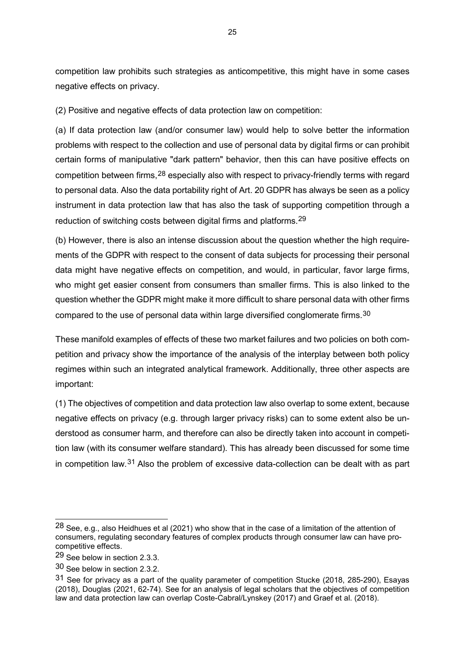competition law prohibits such strategies as anticompetitive, this might have in some cases negative effects on privacy.

(2) Positive and negative effects of data protection law on competition:

(a) If data protection law (and/or consumer law) would help to solve better the information problems with respect to the collection and use of personal data by digital firms or can prohibit certain forms of manipulative "dark pattern" behavior, then this can have positive effects on competition between firms,[28](#page-25-0) especially also with respect to privacy-friendly terms with regard to personal data. Also the data portability right of Art. 20 GDPR has always be seen as a policy instrument in data protection law that has also the task of supporting competition through a reduction of switching costs between digital firms and platforms.[29](#page-25-1)

(b) However, there is also an intense discussion about the question whether the high requirements of the GDPR with respect to the consent of data subjects for processing their personal data might have negative effects on competition, and would, in particular, favor large firms, who might get easier consent from consumers than smaller firms. This is also linked to the question whether the GDPR might make it more difficult to share personal data with other firms compared to the use of personal data within large diversified conglomerate firms.[30](#page-25-2)

These manifold examples of effects of these two market failures and two policies on both competition and privacy show the importance of the analysis of the interplay between both policy regimes within such an integrated analytical framework. Additionally, three other aspects are important:

(1) The objectives of competition and data protection law also overlap to some extent, because negative effects on privacy (e.g. through larger privacy risks) can to some extent also be understood as consumer harm, and therefore can also be directly taken into account in competition law (with its consumer welfare standard). This has already been discussed for some time in competition law.[31](#page-25-3) Also the problem of excessive data-collection can be dealt with as part

<span id="page-25-0"></span> $28$  See, e.g., also Heidhues et al (2021) who show that in the case of a limitation of the attention of consumers, regulating secondary features of complex products through consumer law can have procompetitive effects.

<span id="page-25-1"></span><sup>29</sup> See below in section 2.3.3.

<span id="page-25-2"></span><sup>30</sup> See below in section 2.3.2.

<span id="page-25-3"></span><sup>31</sup> See for privacy as a part of the quality parameter of competition Stucke (2018, 285-290), Esayas (2018), Douglas (2021, 62-74). See for an analysis of legal scholars that the objectives of competition law and data protection law can overlap Coste-Cabral/Lynskey (2017) and Graef et al. (2018).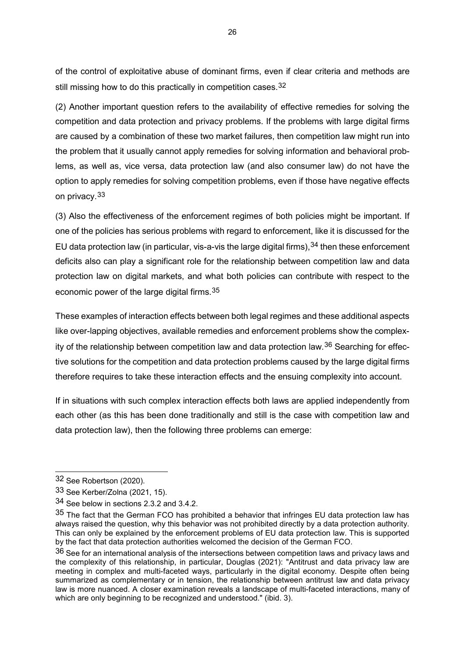of the control of exploitative abuse of dominant firms, even if clear criteria and methods are still missing how to do this practically in competition cases.<sup>[32](#page-26-0)</sup>

(2) Another important question refers to the availability of effective remedies for solving the competition and data protection and privacy problems. If the problems with large digital firms are caused by a combination of these two market failures, then competition law might run into the problem that it usually cannot apply remedies for solving information and behavioral problems, as well as, vice versa, data protection law (and also consumer law) do not have the option to apply remedies for solving competition problems, even if those have negative effects on privacy.[33](#page-26-1)

(3) Also the effectiveness of the enforcement regimes of both policies might be important. If one of the policies has serious problems with regard to enforcement, like it is discussed for the EU data protection law (in particular, vis-a-vis the large digital firms),  $34$  then these enforcement deficits also can play a significant role for the relationship between competition law and data protection law on digital markets, and what both policies can contribute with respect to the economic power of the large digital firms.[35](#page-26-3)

These examples of interaction effects between both legal regimes and these additional aspects like over-lapping objectives, available remedies and enforcement problems show the complexity of the relationship between competition law and data protection law.[36](#page-26-4) Searching for effective solutions for the competition and data protection problems caused by the large digital firms therefore requires to take these interaction effects and the ensuing complexity into account.

If in situations with such complex interaction effects both laws are applied independently from each other (as this has been done traditionally and still is the case with competition law and data protection law), then the following three problems can emerge:

<span id="page-26-0"></span><sup>32</sup> See Robertson (2020).

<span id="page-26-1"></span><sup>33</sup> See Kerber/Zolna (2021, 15).

<span id="page-26-2"></span><sup>34</sup> See below in sections 2.3.2 and 3.4.2.

<span id="page-26-3"></span> $35$  The fact that the German FCO has prohibited a behavior that infringes EU data protection law has always raised the question, why this behavior was not prohibited directly by a data protection authority. This can only be explained by the enforcement problems of EU data protection law. This is supported by the fact that data protection authorities welcomed the decision of the German FCO.

<span id="page-26-4"></span><sup>36</sup> See for an international analysis of the intersections between competition laws and privacy laws and the complexity of this relationship, in particular, Douglas (2021): "Antitrust and data privacy law are meeting in complex and multi-faceted ways, particularly in the digital economy. Despite often being summarized as complementary or in tension, the relationship between antitrust law and data privacy law is more nuanced. A closer examination reveals a landscape of multi-faceted interactions, many of which are only beginning to be recognized and understood." (ibid. 3).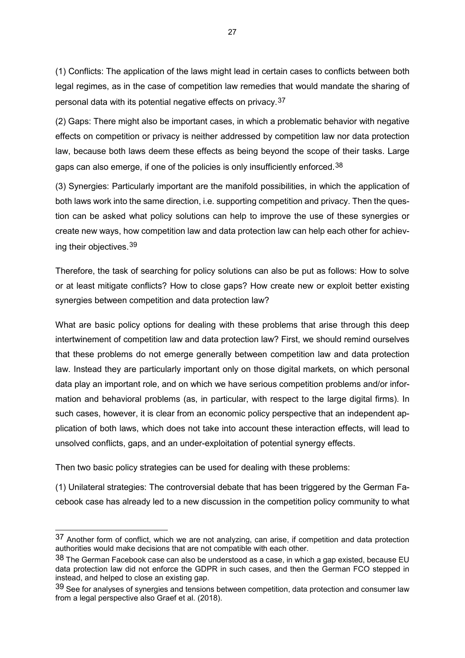(1) Conflicts: The application of the laws might lead in certain cases to conflicts between both legal regimes, as in the case of competition law remedies that would mandate the sharing of personal data with its potential negative effects on privacy.[37](#page-27-0)

(2) Gaps: There might also be important cases, in which a problematic behavior with negative effects on competition or privacy is neither addressed by competition law nor data protection law, because both laws deem these effects as being beyond the scope of their tasks. Large gaps can also emerge, if one of the policies is only insufficiently enforced.<sup>[38](#page-27-1)</sup>

(3) Synergies: Particularly important are the manifold possibilities, in which the application of both laws work into the same direction, i.e. supporting competition and privacy. Then the question can be asked what policy solutions can help to improve the use of these synergies or create new ways, how competition law and data protection law can help each other for achieving their objectives.[39](#page-27-2)

Therefore, the task of searching for policy solutions can also be put as follows: How to solve or at least mitigate conflicts? How to close gaps? How create new or exploit better existing synergies between competition and data protection law?

What are basic policy options for dealing with these problems that arise through this deep intertwinement of competition law and data protection law? First, we should remind ourselves that these problems do not emerge generally between competition law and data protection law. Instead they are particularly important only on those digital markets, on which personal data play an important role, and on which we have serious competition problems and/or information and behavioral problems (as, in particular, with respect to the large digital firms). In such cases, however, it is clear from an economic policy perspective that an independent application of both laws, which does not take into account these interaction effects, will lead to unsolved conflicts, gaps, and an under-exploitation of potential synergy effects.

Then two basic policy strategies can be used for dealing with these problems:

-

(1) Unilateral strategies: The controversial debate that has been triggered by the German Facebook case has already led to a new discussion in the competition policy community to what

<span id="page-27-0"></span> $37$  Another form of conflict, which we are not analyzing, can arise, if competition and data protection authorities would make decisions that are not compatible with each other.

<span id="page-27-1"></span> $38$  The German Facebook case can also be understood as a case, in which a gap existed, because EU data protection law did not enforce the GDPR in such cases, and then the German FCO stepped in instead, and helped to close an existing gap.

<span id="page-27-2"></span> $39$  See for analyses of synergies and tensions between competition, data protection and consumer law from a legal perspective also Graef et al. (2018).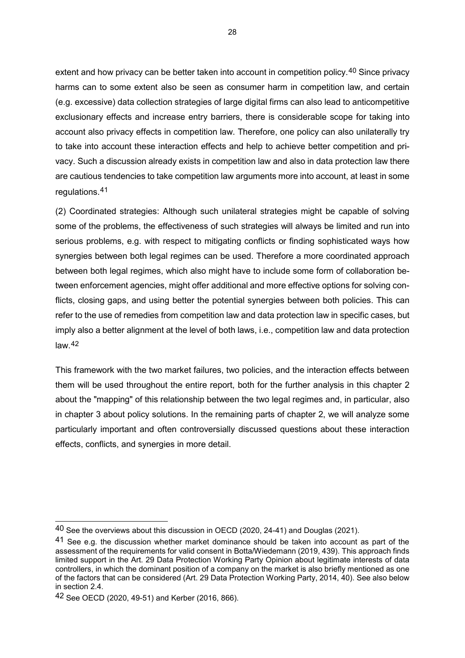extent and how privacy can be better taken into account in competition policy.<sup>[40](#page-28-0)</sup> Since privacy harms can to some extent also be seen as consumer harm in competition law, and certain (e.g. excessive) data collection strategies of large digital firms can also lead to anticompetitive exclusionary effects and increase entry barriers, there is considerable scope for taking into account also privacy effects in competition law. Therefore, one policy can also unilaterally try to take into account these interaction effects and help to achieve better competition and privacy. Such a discussion already exists in competition law and also in data protection law there are cautious tendencies to take competition law arguments more into account, at least in some regulations.[41](#page-28-1)

(2) Coordinated strategies: Although such unilateral strategies might be capable of solving some of the problems, the effectiveness of such strategies will always be limited and run into serious problems, e.g. with respect to mitigating conflicts or finding sophisticated ways how synergies between both legal regimes can be used. Therefore a more coordinated approach between both legal regimes, which also might have to include some form of collaboration between enforcement agencies, might offer additional and more effective options for solving conflicts, closing gaps, and using better the potential synergies between both policies. This can refer to the use of remedies from competition law and data protection law in specific cases, but imply also a better alignment at the level of both laws, i.e., competition law and data protection law  $42$ 

This framework with the two market failures, two policies, and the interaction effects between them will be used throughout the entire report, both for the further analysis in this chapter 2 about the "mapping" of this relationship between the two legal regimes and, in particular, also in chapter 3 about policy solutions. In the remaining parts of chapter 2, we will analyze some particularly important and often controversially discussed questions about these interaction effects, conflicts, and synergies in more detail.

<span id="page-28-0"></span><sup>40</sup> See the overviews about this discussion in OECD (2020, 24-41) and Douglas (2021).

<span id="page-28-1"></span><sup>41</sup> See e.g. the discussion whether market dominance should be taken into account as part of the assessment of the requirements for valid consent in Botta/Wiedemann (2019, 439). This approach finds limited support in the Art. 29 Data Protection Working Party Opinion about legitimate interests of data controllers, in which the dominant position of a company on the market is also briefly mentioned as one of the factors that can be considered (Art. 29 Data Protection Working Party, 2014, 40). See also below in section 2.4.

<span id="page-28-2"></span><sup>42</sup> See OECD (2020, 49-51) and Kerber (2016, 866).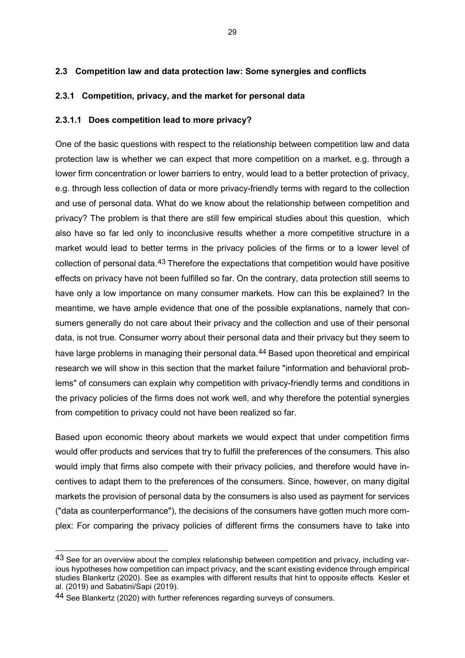#### **2.3 Competition law and data protection law: Some synergies and conflicts**

#### **2.3.1 Competition, privacy, and the market for personal data**

#### **2.3.1.1 Does competition lead to more privacy?**

One of the basic questions with respect to the relationship between competition law and data protection law is whether we can expect that more competition on a market, e.g. through a lower firm concentration or lower barriers to entry, would lead to a better protection of privacy, e.g. through less collection of data or more privacy-friendly terms with regard to the collection and use of personal data. What do we know about the relationship between competition and privacy? The problem is that there are still few empirical studies about this question, which also have so far led only to inconclusive results whether a more competitive structure in a market would lead to better terms in the privacy policies of the firms or to a lower level of collection of personal data.<sup>[43](#page-29-0)</sup> Therefore the expectations that competition would have positive effects on privacy have not been fulfilled so far. On the contrary, data protection still seems to have only a low importance on many consumer markets. How can this be explained? In the meantime, we have ample evidence that one of the possible explanations, namely that consumers generally do not care about their privacy and the collection and use of their personal data, is not true. Consumer worry about their personal data and their privacy but they seem to have large problems in managing their personal data.<sup>[44](#page-29-1)</sup> Based upon theoretical and empirical research we will show in this section that the market failure "information and behavioral problems" of consumers can explain why competition with privacy-friendly terms and conditions in the privacy policies of the firms does not work well, and why therefore the potential synergies from competition to privacy could not have been realized so far.

Based upon economic theory about markets we would expect that under competition firms would offer products and services that try to fulfill the preferences of the consumers. This also would imply that firms also compete with their privacy policies, and therefore would have incentives to adapt them to the preferences of the consumers. Since, however, on many digital markets the provision of personal data by the consumers is also used as payment for services ("data as counterperformance"), the decisions of the consumers have gotten much more complex: For comparing the privacy policies of different firms the consumers have to take into

<span id="page-29-0"></span><sup>43</sup> See for an overview about the complex relationship between competition and privacy, including various hypotheses how competition can impact privacy, and the scant existing evidence through empirical studies Blankertz (2020). See as examples with different results that hint to opposite effects Kesler et al. (2019) and Sabatini/Sapi (2019).

<span id="page-29-1"></span><sup>44</sup> See Blankertz (2020) with further references regarding surveys of consumers.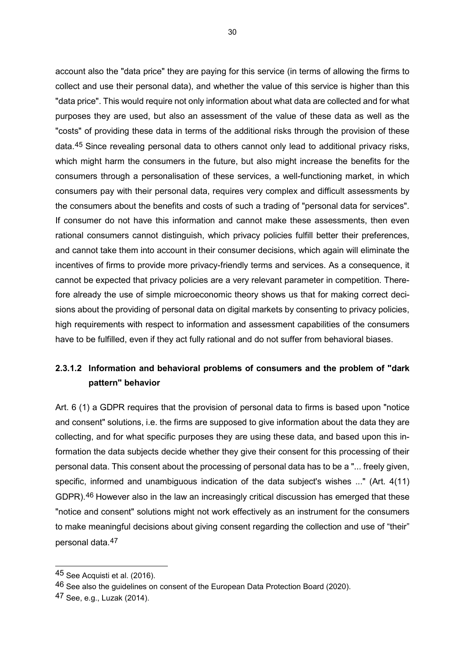account also the "data price" they are paying for this service (in terms of allowing the firms to collect and use their personal data), and whether the value of this service is higher than this "data price". This would require not only information about what data are collected and for what purposes they are used, but also an assessment of the value of these data as well as the "costs" of providing these data in terms of the additional risks through the provision of these data.[45](#page-30-0) Since revealing personal data to others cannot only lead to additional privacy risks, which might harm the consumers in the future, but also might increase the benefits for the consumers through a personalisation of these services, a well-functioning market, in which consumers pay with their personal data, requires very complex and difficult assessments by the consumers about the benefits and costs of such a trading of "personal data for services". If consumer do not have this information and cannot make these assessments, then even rational consumers cannot distinguish, which privacy policies fulfill better their preferences, and cannot take them into account in their consumer decisions, which again will eliminate the incentives of firms to provide more privacy-friendly terms and services. As a consequence, it cannot be expected that privacy policies are a very relevant parameter in competition. Therefore already the use of simple microeconomic theory shows us that for making correct decisions about the providing of personal data on digital markets by consenting to privacy policies, high requirements with respect to information and assessment capabilities of the consumers have to be fulfilled, even if they act fully rational and do not suffer from behavioral biases.

## **2.3.1.2 Information and behavioral problems of consumers and the problem of "dark pattern" behavior**

Art. 6 (1) a GDPR requires that the provision of personal data to firms is based upon "notice and consent" solutions, i.e. the firms are supposed to give information about the data they are collecting, and for what specific purposes they are using these data, and based upon this information the data subjects decide whether they give their consent for this processing of their personal data. This consent about the processing of personal data has to be a "... freely given, specific, informed and unambiguous indication of the data subject's wishes ..." (Art. 4(11) GDPR).[46](#page-30-1) However also in the law an increasingly critical discussion has emerged that these "notice and consent" solutions might not work effectively as an instrument for the consumers to make meaningful decisions about giving consent regarding the collection and use of "their" personal data.[47](#page-30-2)

<span id="page-30-0"></span><sup>45</sup> See Acquisti et al. (2016).

<span id="page-30-1"></span><sup>46</sup> See also the guidelines on consent of the European Data Protection Board (2020).

<span id="page-30-2"></span><sup>47</sup> See, e.g., Luzak (2014).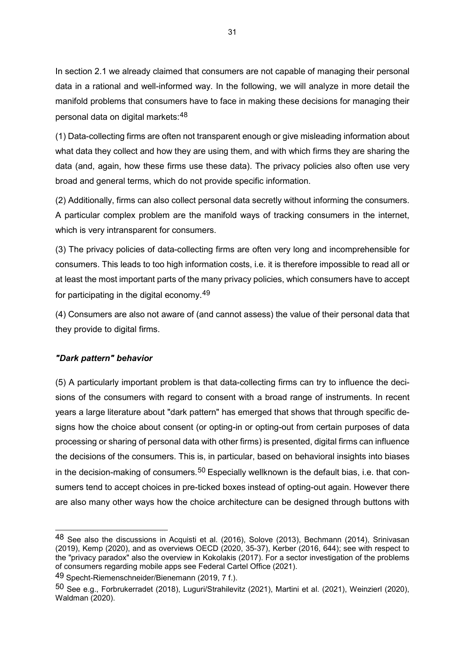In section 2.1 we already claimed that consumers are not capable of managing their personal data in a rational and well-informed way. In the following, we will analyze in more detail the manifold problems that consumers have to face in making these decisions for managing their personal data on digital markets:[48](#page-31-0)

(1) Data-collecting firms are often not transparent enough or give misleading information about what data they collect and how they are using them, and with which firms they are sharing the data (and, again, how these firms use these data). The privacy policies also often use very broad and general terms, which do not provide specific information.

(2) Additionally, firms can also collect personal data secretly without informing the consumers. A particular complex problem are the manifold ways of tracking consumers in the internet, which is very intransparent for consumers.

(3) The privacy policies of data-collecting firms are often very long and incomprehensible for consumers. This leads to too high information costs, i.e. it is therefore impossible to read all or at least the most important parts of the many privacy policies, which consumers have to accept for participating in the digital economy.[49](#page-31-1)

(4) Consumers are also not aware of (and cannot assess) the value of their personal data that they provide to digital firms.

#### *"Dark pattern" behavior*

-

(5) A particularly important problem is that data-collecting firms can try to influence the decisions of the consumers with regard to consent with a broad range of instruments. In recent years a large literature about "dark pattern" has emerged that shows that through specific designs how the choice about consent (or opting-in or opting-out from certain purposes of data processing or sharing of personal data with other firms) is presented, digital firms can influence the decisions of the consumers. This is, in particular, based on behavioral insights into biases in the decision-making of consumers.<sup>[50](#page-31-2)</sup> Especially wellknown is the default bias, i.e. that consumers tend to accept choices in pre-ticked boxes instead of opting-out again. However there are also many other ways how the choice architecture can be designed through buttons with

<span id="page-31-0"></span><sup>48</sup> See also the discussions in Acquisti et al. (2016), Solove (2013), Bechmann (2014), Srinivasan (2019), Kemp (2020), and as overviews OECD (2020, 35-37), Kerber (2016, 644); see with respect to the "privacy paradox" also the overview in Kokolakis (2017). For a sector investigation of the problems of consumers regarding mobile apps see Federal Cartel Office (2021).

<span id="page-31-1"></span><sup>49</sup> Specht-Riemenschneider/Bienemann (2019, 7 f.).

<span id="page-31-2"></span><sup>50</sup> See e.g., Forbrukerradet (2018), Luguri/Strahilevitz (2021), Martini et al. (2021), Weinzierl (2020), Waldman (2020).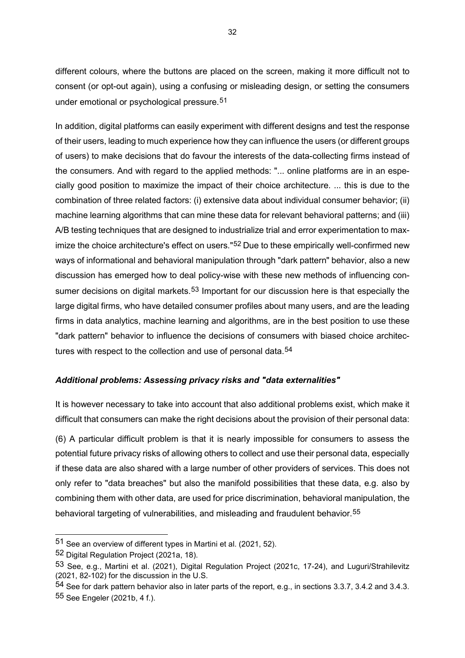different colours, where the buttons are placed on the screen, making it more difficult not to consent (or opt-out again), using a confusing or misleading design, or setting the consumers under emotional or psychological pressure.[51](#page-32-0)

In addition, digital platforms can easily experiment with different designs and test the response of their users, leading to much experience how they can influence the users (or different groups of users) to make decisions that do favour the interests of the data-collecting firms instead of the consumers. And with regard to the applied methods: "... online platforms are in an especially good position to maximize the impact of their choice architecture. ... this is due to the combination of three related factors: (i) extensive data about individual consumer behavior; (ii) machine learning algorithms that can mine these data for relevant behavioral patterns; and (iii) A/B testing techniques that are designed to industrialize trial and error experimentation to max-imize the choice architecture's effect on users."<sup>[52](#page-32-1)</sup> Due to these empirically well-confirmed new ways of informational and behavioral manipulation through "dark pattern" behavior, also a new discussion has emerged how to deal policy-wise with these new methods of influencing con-sumer decisions on digital markets.<sup>[53](#page-32-2)</sup> Important for our discussion here is that especially the large digital firms, who have detailed consumer profiles about many users, and are the leading firms in data analytics, machine learning and algorithms, are in the best position to use these "dark pattern" behavior to influence the decisions of consumers with biased choice architec-tures with respect to the collection and use of personal data.<sup>[54](#page-32-3)</sup>

#### *Additional problems: Assessing privacy risks and "data externalities"*

It is however necessary to take into account that also additional problems exist, which make it difficult that consumers can make the right decisions about the provision of their personal data:

(6) A particular difficult problem is that it is nearly impossible for consumers to assess the potential future privacy risks of allowing others to collect and use their personal data, especially if these data are also shared with a large number of other providers of services. This does not only refer to "data breaches" but also the manifold possibilities that these data, e.g. also by combining them with other data, are used for price discrimination, behavioral manipulation, the behavioral targeting of vulnerabilities, and misleading and fraudulent behavior.<sup>[55](#page-32-4)</sup>

<span id="page-32-0"></span><sup>51</sup> See an overview of different types in Martini et al. (2021, 52).

<span id="page-32-1"></span><sup>52</sup> Digital Regulation Project (2021a, 18).

<span id="page-32-2"></span><sup>53</sup> See, e.g., Martini et al. (2021), Digital Regulation Project (2021c, 17-24), and Luguri/Strahilevitz (2021, 82-102) for the discussion in the U.S.

<span id="page-32-4"></span><span id="page-32-3"></span><sup>54</sup> See for dark pattern behavior also in later parts of the report, e.g., in sections 3.3.7, 3.4.2 and 3.4.3. 55 See Engeler (2021b, 4 f.).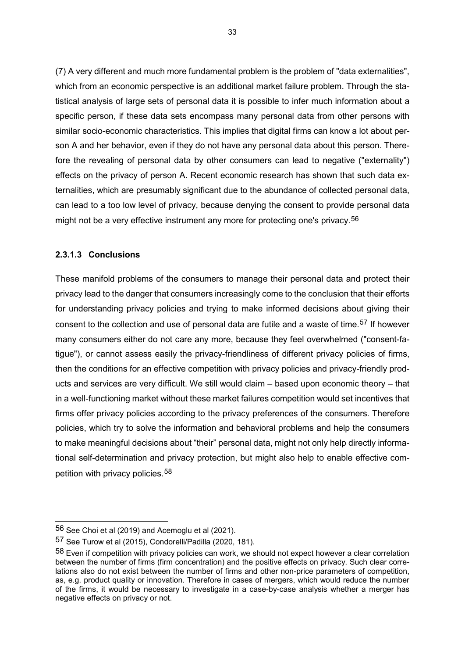(7) A very different and much more fundamental problem is the problem of "data externalities", which from an economic perspective is an additional market failure problem. Through the statistical analysis of large sets of personal data it is possible to infer much information about a specific person, if these data sets encompass many personal data from other persons with similar socio-economic characteristics. This implies that digital firms can know a lot about person A and her behavior, even if they do not have any personal data about this person. Therefore the revealing of personal data by other consumers can lead to negative ("externality") effects on the privacy of person A. Recent economic research has shown that such data externalities, which are presumably significant due to the abundance of collected personal data, can lead to a too low level of privacy, because denying the consent to provide personal data might not be a very effective instrument any more for protecting one's privacy.<sup>[56](#page-33-0)</sup>

#### **2.3.1.3 Conclusions**

These manifold problems of the consumers to manage their personal data and protect their privacy lead to the danger that consumers increasingly come to the conclusion that their efforts for understanding privacy policies and trying to make informed decisions about giving their consent to the collection and use of personal data are futile and a waste of time.<sup>[57](#page-33-1)</sup> If however many consumers either do not care any more, because they feel overwhelmed ("consent-fatigue"), or cannot assess easily the privacy-friendliness of different privacy policies of firms, then the conditions for an effective competition with privacy policies and privacy-friendly products and services are very difficult. We still would claim – based upon economic theory – that in a well-functioning market without these market failures competition would set incentives that firms offer privacy policies according to the privacy preferences of the consumers. Therefore policies, which try to solve the information and behavioral problems and help the consumers to make meaningful decisions about "their" personal data, might not only help directly informational self-determination and privacy protection, but might also help to enable effective competition with privacy policies.[58](#page-33-2)

<span id="page-33-0"></span> $56$  See Choi et al (2019) and Acemoglu et al (2021).

<span id="page-33-1"></span><sup>57</sup> See Turow et al (2015), Condorelli/Padilla (2020, 181).

<span id="page-33-2"></span> $58$  Even if competition with privacy policies can work, we should not expect however a clear correlation between the number of firms (firm concentration) and the positive effects on privacy. Such clear correlations also do not exist between the number of firms and other non-price parameters of competition, as, e.g. product quality or innovation. Therefore in cases of mergers, which would reduce the number of the firms, it would be necessary to investigate in a case-by-case analysis whether a merger has negative effects on privacy or not.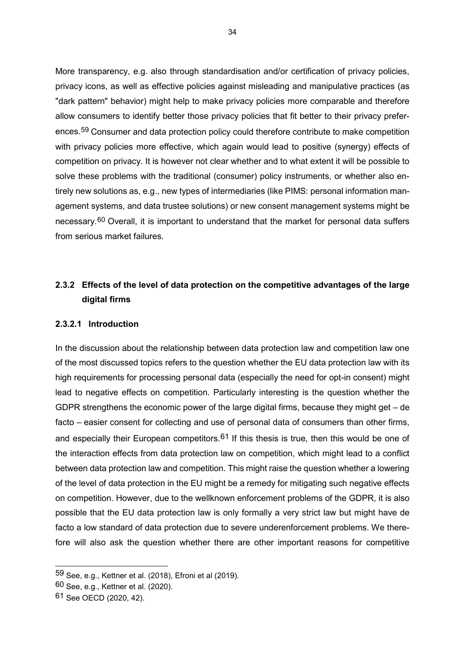More transparency, e.g. also through standardisation and/or certification of privacy policies, privacy icons, as well as effective policies against misleading and manipulative practices (as "dark pattern" behavior) might help to make privacy policies more comparable and therefore allow consumers to identify better those privacy policies that fit better to their privacy preferences.[59](#page-34-0) Consumer and data protection policy could therefore contribute to make competition with privacy policies more effective, which again would lead to positive (synergy) effects of competition on privacy. It is however not clear whether and to what extent it will be possible to solve these problems with the traditional (consumer) policy instruments, or whether also entirely new solutions as, e.g., new types of intermediaries (like PIMS: personal information management systems, and data trustee solutions) or new consent management systems might be necessary.[60](#page-34-1) Overall, it is important to understand that the market for personal data suffers from serious market failures.

## **2.3.2 Effects of the level of data protection on the competitive advantages of the large digital firms**

#### **2.3.2.1 Introduction**

In the discussion about the relationship between data protection law and competition law one of the most discussed topics refers to the question whether the EU data protection law with its high requirements for processing personal data (especially the need for opt-in consent) might lead to negative effects on competition. Particularly interesting is the question whether the GDPR strengthens the economic power of the large digital firms, because they might get – de facto – easier consent for collecting and use of personal data of consumers than other firms, and especially their European competitors.<sup>[61](#page-34-2)</sup> If this thesis is true, then this would be one of the interaction effects from data protection law on competition, which might lead to a conflict between data protection law and competition. This might raise the question whether a lowering of the level of data protection in the EU might be a remedy for mitigating such negative effects on competition. However, due to the wellknown enforcement problems of the GDPR, it is also possible that the EU data protection law is only formally a very strict law but might have de facto a low standard of data protection due to severe underenforcement problems. We therefore will also ask the question whether there are other important reasons for competitive

<span id="page-34-0"></span><sup>59</sup> See, e.g., Kettner et al. (2018), Efroni et al (2019).

<span id="page-34-1"></span><sup>60</sup> See, e.g., Kettner et al. (2020).

<span id="page-34-2"></span><sup>61</sup> See OECD (2020, 42).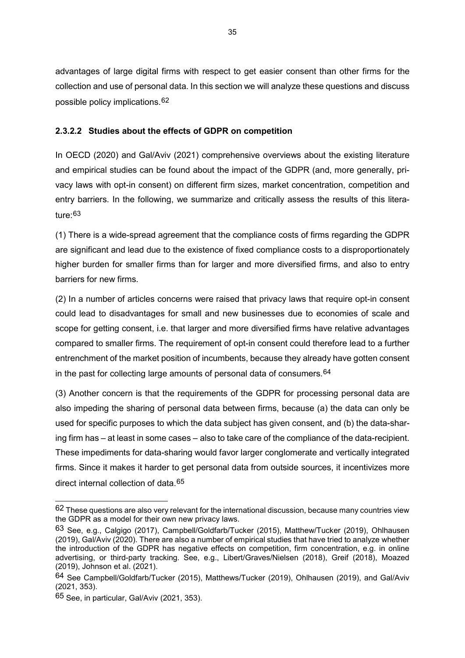advantages of large digital firms with respect to get easier consent than other firms for the collection and use of personal data. In this section we will analyze these questions and discuss possible policy implications.[62](#page-35-0)

#### **2.3.2.2 Studies about the effects of GDPR on competition**

In OECD (2020) and Gal/Aviv (2021) comprehensive overviews about the existing literature and empirical studies can be found about the impact of the GDPR (and, more generally, privacy laws with opt-in consent) on different firm sizes, market concentration, competition and entry barriers. In the following, we summarize and critically assess the results of this literature:[63](#page-35-1)

(1) There is a wide-spread agreement that the compliance costs of firms regarding the GDPR are significant and lead due to the existence of fixed compliance costs to a disproportionately higher burden for smaller firms than for larger and more diversified firms, and also to entry barriers for new firms.

(2) In a number of articles concerns were raised that privacy laws that require opt-in consent could lead to disadvantages for small and new businesses due to economies of scale and scope for getting consent, i.e. that larger and more diversified firms have relative advantages compared to smaller firms. The requirement of opt-in consent could therefore lead to a further entrenchment of the market position of incumbents, because they already have gotten consent in the past for collecting large amounts of personal data of consumers.<sup>[64](#page-35-2)</sup>

(3) Another concern is that the requirements of the GDPR for processing personal data are also impeding the sharing of personal data between firms, because (a) the data can only be used for specific purposes to which the data subject has given consent, and (b) the data-sharing firm has – at least in some cases – also to take care of the compliance of the data-recipient. These impediments for data-sharing would favor larger conglomerate and vertically integrated firms. Since it makes it harder to get personal data from outside sources, it incentivizes more direct internal collection of data.[65](#page-35-3)

<span id="page-35-0"></span><sup>62</sup> These questions are also very relevant for the international discussion, because many countries view the GDPR as a model for their own new privacy laws.

<span id="page-35-1"></span><sup>63</sup> See, e.g., Calgigo (2017), Campbell/Goldfarb/Tucker (2015), Matthew/Tucker (2019), Ohlhausen (2019), Gal/Aviv (2020). There are also a number of empirical studies that have tried to analyze whether the introduction of the GDPR has negative effects on competition, firm concentration, e.g. in online advertising, or third-party tracking. See, e.g., Libert/Graves/Nielsen (2018), Greif (2018), Moazed (2019), Johnson et al. (2021).

<span id="page-35-2"></span><sup>64</sup> See Campbell/Goldfarb/Tucker (2015), Matthews/Tucker (2019), Ohlhausen (2019), and Gal/Aviv (2021, 353).

<span id="page-35-3"></span><sup>65</sup> See, in particular, Gal/Aviv (2021, 353).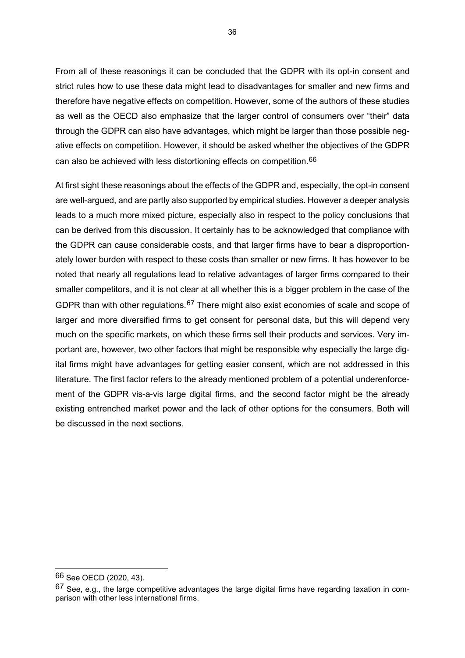From all of these reasonings it can be concluded that the GDPR with its opt-in consent and strict rules how to use these data might lead to disadvantages for smaller and new firms and therefore have negative effects on competition. However, some of the authors of these studies as well as the OECD also emphasize that the larger control of consumers over "their" data through the GDPR can also have advantages, which might be larger than those possible negative effects on competition. However, it should be asked whether the objectives of the GDPR can also be achieved with less distortioning effects on competition.[66](#page-36-0)

At first sight these reasonings about the effects of the GDPR and, especially, the opt-in consent are well-argued, and are partly also supported by empirical studies. However a deeper analysis leads to a much more mixed picture, especially also in respect to the policy conclusions that can be derived from this discussion. It certainly has to be acknowledged that compliance with the GDPR can cause considerable costs, and that larger firms have to bear a disproportionately lower burden with respect to these costs than smaller or new firms. It has however to be noted that nearly all regulations lead to relative advantages of larger firms compared to their smaller competitors, and it is not clear at all whether this is a bigger problem in the case of the GDPR than with other regulations.[67](#page-36-1) There might also exist economies of scale and scope of larger and more diversified firms to get consent for personal data, but this will depend very much on the specific markets, on which these firms sell their products and services. Very important are, however, two other factors that might be responsible why especially the large digital firms might have advantages for getting easier consent, which are not addressed in this literature. The first factor refers to the already mentioned problem of a potential underenforcement of the GDPR vis-a-vis large digital firms, and the second factor might be the already existing entrenched market power and the lack of other options for the consumers. Both will be discussed in the next sections.

<span id="page-36-0"></span><sup>66</sup> See OECD (2020, 43).

<span id="page-36-1"></span><sup>67</sup> See, e.g., the large competitive advantages the large digital firms have regarding taxation in comparison with other less international firms.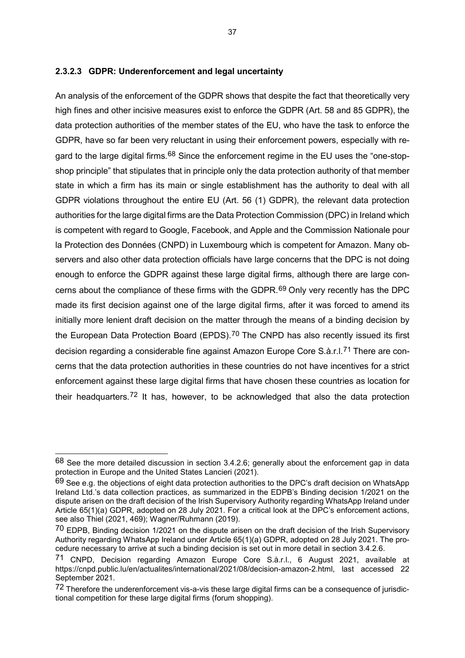### **2.3.2.3 GDPR: Underenforcement and legal uncertainty**

An analysis of the enforcement of the GDPR shows that despite the fact that theoretically very high fines and other incisive measures exist to enforce the GDPR (Art. 58 and 85 GDPR), the data protection authorities of the member states of the EU, who have the task to enforce the GDPR, have so far been very reluctant in using their enforcement powers, especially with re-gard to the large digital firms.<sup>[68](#page-37-0)</sup> Since the enforcement regime in the EU uses the "one-stopshop principle" that stipulates that in principle only the data protection authority of that member state in which a firm has its main or single establishment has the authority to deal with all GDPR violations throughout the entire EU (Art. 56 (1) GDPR), the relevant data protection authorities for the large digital firms are the Data Protection Commission (DPC) in Ireland which is competent with regard to Google, Facebook, and Apple and the Commission Nationale pour la Protection des Données (CNPD) in Luxembourg which is competent for Amazon. Many observers and also other data protection officials have large concerns that the DPC is not doing enough to enforce the GDPR against these large digital firms, although there are large concerns about the compliance of these firms with the GDPR.[69](#page-37-1) Only very recently has the DPC made its first decision against one of the large digital firms, after it was forced to amend its initially more lenient draft decision on the matter through the means of a binding decision by the European Data Protection Board (EPDS).<sup>[70](#page-37-2)</sup> The CNPD has also recently issued its first decision regarding a considerable fine against Amazon Europe Core S.à.r.l.<sup>[71](#page-37-3)</sup> There are concerns that the data protection authorities in these countries do not have incentives for a strict enforcement against these large digital firms that have chosen these countries as location for their headquarters.[72](#page-37-4) It has, however, to be acknowledged that also the data protection

<span id="page-37-0"></span><sup>68</sup> See the more detailed discussion in section 3.4.2.6; generally about the enforcement gap in data protection in Europe and the United States Lancieri (2021).

<span id="page-37-1"></span> $69$  See e.g. the obiections of eight data protection authorities to the DPC's draft decision on WhatsApp Ireland Ltd.'s data collection practices, as summarized in the EDPB's Binding decision 1/2021 on the dispute arisen on the draft decision of the Irish Supervisory Authority regarding WhatsApp Ireland under Article 65(1)(a) GDPR, adopted on 28 July 2021. For a critical look at the DPC's enforcement actions, see also Thiel (2021, 469); Wagner/Ruhmann (2019).

<span id="page-37-2"></span><sup>&</sup>lt;sup>70</sup> EDPB, Binding decision 1/2021 on the dispute arisen on the draft decision of the Irish Supervisory Authority regarding WhatsApp Ireland under Article 65(1)(a) GDPR, adopted on 28 July 2021. The procedure necessary to arrive at such a binding decision is set out in more detail in section 3.4.2.6.

<span id="page-37-3"></span><sup>71</sup> CNPD, Decision regarding Amazon Europe Core S.à.r.l., 6 August 2021, available at https://cnpd.public.lu/en/actualites/international/2021/08/decision-amazon-2.html, last accessed 22 September 2021.

<span id="page-37-4"></span> $72$  Therefore the underenforcement vis-a-vis these large digital firms can be a consequence of jurisdictional competition for these large digital firms (forum shopping).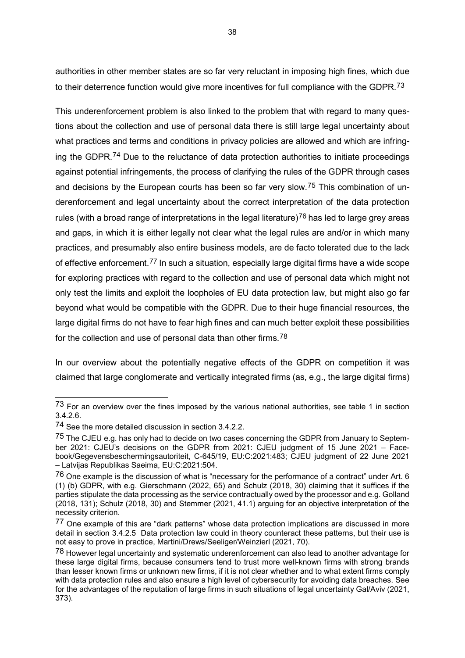authorities in other member states are so far very reluctant in imposing high fines, which due to their deterrence function would give more incentives for full compliance with the GDPR.<sup>[73](#page-38-0)</sup>

This underenforcement problem is also linked to the problem that with regard to many questions about the collection and use of personal data there is still large legal uncertainty about what practices and terms and conditions in privacy policies are allowed and which are infring-ing the GDPR.<sup>[74](#page-38-1)</sup> Due to the reluctance of data protection authorities to initiate proceedings against potential infringements, the process of clarifying the rules of the GDPR through cases and decisions by the European courts has been so far very slow.<sup>[75](#page-38-2)</sup> This combination of underenforcement and legal uncertainty about the correct interpretation of the data protection rules (with a broad range of interpretations in the legal literature)<sup>[76](#page-38-3)</sup> has led to large grey areas and gaps, in which it is either legally not clear what the legal rules are and/or in which many practices, and presumably also entire business models, are de facto tolerated due to the lack of effective enforcement.<sup>[77](#page-38-4)</sup> In such a situation, especially large digital firms have a wide scope for exploring practices with regard to the collection and use of personal data which might not only test the limits and exploit the loopholes of EU data protection law, but might also go far beyond what would be compatible with the GDPR. Due to their huge financial resources, the large digital firms do not have to fear high fines and can much better exploit these possibilities for the collection and use of personal data than other firms.<sup>[78](#page-38-5)</sup>

In our overview about the potentially negative effects of the GDPR on competition it was claimed that large conglomerate and vertically integrated firms (as, e.g., the large digital firms)

<span id="page-38-0"></span><sup>73</sup> For an overview over the fines imposed by the various national authorities, see table 1 in section 3.4.2.6.

<span id="page-38-1"></span><sup>74</sup> See the more detailed discussion in section 3.4.2.2.

<span id="page-38-2"></span><sup>&</sup>lt;sup>75</sup> The CJEU e.g. has only had to decide on two cases concerning the GDPR from January to September 2021: CJEU's decisions on the GDPR from 2021: CJEU judgment of 15 June 2021 – Facebook/Gegevensbeschermingsautoriteit, C-645/19, EU:C:2021:483; CJEU judgment of 22 June 2021 – Latvijas Republikas Saeima, EU:C:2021:504.

<span id="page-38-3"></span><sup>76</sup> One example is the discussion of what is "necessary for the performance of a contract" under Art. 6 (1) (b) GDPR, with e.g. Gierschmann (2022, 65) and Schulz (2018, 30) claiming that it suffices if the parties stipulate the data processing as the service contractually owed by the processor and e.g. Golland (2018, 131); Schulz (2018, 30) and Stemmer (2021, 41.1) arguing for an objective interpretation of the necessity criterion.

<span id="page-38-4"></span><sup>77</sup> One example of this are "dark patterns" whose data protection implications are discussed in more detail in section 3.4.2.5 Data protection law could in theory counteract these patterns, but their use is not easy to prove in practice, Martini/Drews/Seeliger/Weinzierl (2021, 70).

<span id="page-38-5"></span><sup>78</sup> However legal uncertainty and systematic underenforcement can also lead to another advantage for these large digital firms, because consumers tend to trust more well-known firms with strong brands than lesser known firms or unknown new firms, if it is not clear whether and to what extent firms comply with data protection rules and also ensure a high level of cybersecurity for avoiding data breaches. See for the advantages of the reputation of large firms in such situations of legal uncertainty Gal/Aviv (2021, 373).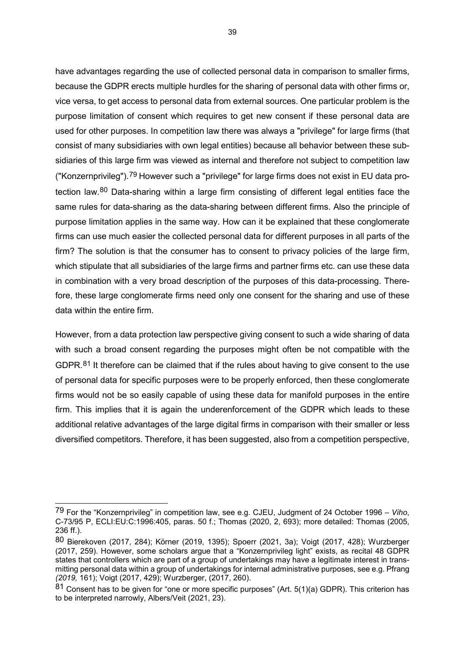have advantages regarding the use of collected personal data in comparison to smaller firms, because the GDPR erects multiple hurdles for the sharing of personal data with other firms or, vice versa, to get access to personal data from external sources. One particular problem is the purpose limitation of consent which requires to get new consent if these personal data are used for other purposes. In competition law there was always a "privilege" for large firms (that consist of many subsidiaries with own legal entities) because all behavior between these subsidiaries of this large firm was viewed as internal and therefore not subject to competition law ("Konzernprivileg").[79](#page-39-0) However such a "privilege" for large firms does not exist in EU data protection law.[80](#page-39-1) Data-sharing within a large firm consisting of different legal entities face the same rules for data-sharing as the data-sharing between different firms. Also the principle of purpose limitation applies in the same way. How can it be explained that these conglomerate firms can use much easier the collected personal data for different purposes in all parts of the firm? The solution is that the consumer has to consent to privacy policies of the large firm, which stipulate that all subsidiaries of the large firms and partner firms etc. can use these data in combination with a very broad description of the purposes of this data-processing. Therefore, these large conglomerate firms need only one consent for the sharing and use of these data within the entire firm.

However, from a data protection law perspective giving consent to such a wide sharing of data with such a broad consent regarding the purposes might often be not compatible with the GDPR. $81$  It therefore can be claimed that if the rules about having to give consent to the use of personal data for specific purposes were to be properly enforced, then these conglomerate firms would not be so easily capable of using these data for manifold purposes in the entire firm. This implies that it is again the underenforcement of the GDPR which leads to these additional relative advantages of the large digital firms in comparison with their smaller or less diversified competitors. Therefore, it has been suggested, also from a competition perspective,

<span id="page-39-0"></span><sup>79</sup> For the "Konzernprivileg" in competition law, see e.g. CJEU, Judgment of 24 October 1996 – *Viho*, C-73/95 P, ECLI:EU:C:1996:405, paras. 50 f.; Thomas (2020, 2, 693); more detailed: Thomas (2005, 236 ff.).

<span id="page-39-1"></span><sup>80</sup> Bierekoven (2017, 284); Körner (2019, 1395); Spoerr (2021, 3a); Voigt (2017, 428); Wurzberger (2017, 259). However, some scholars argue that a "Konzernprivileg light" exists, as recital 48 GDPR states that controllers which are part of a group of undertakings may have a legitimate interest in transmitting personal data within a group of undertakings for internal administrative purposes, see e.g. Pfrang *(2019,* 161); Voigt (2017, 429); Wurzberger, (2017, 260).

<span id="page-39-2"></span><sup>81</sup> Consent has to be given for "one or more specific purposes" (Art. 5(1)(a) GDPR). This criterion has to be interpreted narrowly, Albers/Veit (2021, 23).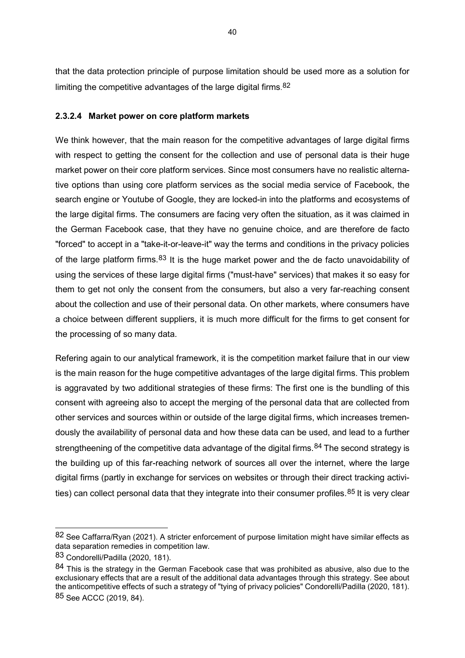that the data protection principle of purpose limitation should be used more as a solution for limiting the competitive advantages of the large digital firms. [82](#page-40-0)

# **2.3.2.4 Market power on core platform markets**

We think however, that the main reason for the competitive advantages of large digital firms with respect to getting the consent for the collection and use of personal data is their huge market power on their core platform services. Since most consumers have no realistic alternative options than using core platform services as the social media service of Facebook, the search engine or Youtube of Google, they are locked-in into the platforms and ecosystems of the large digital firms. The consumers are facing very often the situation, as it was claimed in the German Facebook case, that they have no genuine choice, and are therefore de facto "forced" to accept in a "take-it-or-leave-it" way the terms and conditions in the privacy policies of the large platform firms.<sup>[83](#page-40-1)</sup> It is the huge market power and the de facto unavoidability of using the services of these large digital firms ("must-have" services) that makes it so easy for them to get not only the consent from the consumers, but also a very far-reaching consent about the collection and use of their personal data. On other markets, where consumers have a choice between different suppliers, it is much more difficult for the firms to get consent for the processing of so many data.

Refering again to our analytical framework, it is the competition market failure that in our view is the main reason for the huge competitive advantages of the large digital firms. This problem is aggravated by two additional strategies of these firms: The first one is the bundling of this consent with agreeing also to accept the merging of the personal data that are collected from other services and sources within or outside of the large digital firms, which increases tremendously the availability of personal data and how these data can be used, and lead to a further strengtheening of the competitive data advantage of the digital firms.<sup>[84](#page-40-2)</sup> The second strategy is the building up of this far-reaching network of sources all over the internet, where the large digital firms (partly in exchange for services on websites or through their direct tracking activi-ties) can collect personal data that they integrate into their consumer profiles.<sup>[85](#page-40-3)</sup> It is very clear

<span id="page-40-0"></span><sup>82</sup> See Caffarra/Ryan (2021). A stricter enforcement of purpose limitation might have similar effects as data separation remedies in competition law.

<span id="page-40-1"></span><sup>83</sup> Condorelli/Padilla (2020, 181).

<span id="page-40-3"></span><span id="page-40-2"></span> $84$  This is the strategy in the German Facebook case that was prohibited as abusive, also due to the exclusionary effects that are a result of the additional data advantages through this strategy. See about the anticompetitive effects of such a strategy of "tying of privacy policies" Condorelli/Padilla (2020, 181). 85 See ACCC (2019, 84).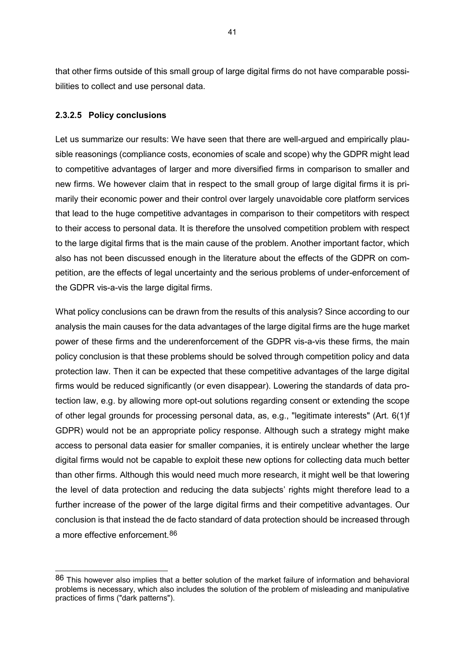that other firms outside of this small group of large digital firms do not have comparable possibilities to collect and use personal data.

### **2.3.2.5 Policy conclusions**

-

Let us summarize our results: We have seen that there are well-argued and empirically plausible reasonings (compliance costs, economies of scale and scope) why the GDPR might lead to competitive advantages of larger and more diversified firms in comparison to smaller and new firms. We however claim that in respect to the small group of large digital firms it is primarily their economic power and their control over largely unavoidable core platform services that lead to the huge competitive advantages in comparison to their competitors with respect to their access to personal data. It is therefore the unsolved competition problem with respect to the large digital firms that is the main cause of the problem. Another important factor, which also has not been discussed enough in the literature about the effects of the GDPR on competition, are the effects of legal uncertainty and the serious problems of under-enforcement of the GDPR vis-a-vis the large digital firms.

What policy conclusions can be drawn from the results of this analysis? Since according to our analysis the main causes for the data advantages of the large digital firms are the huge market power of these firms and the underenforcement of the GDPR vis-a-vis these firms, the main policy conclusion is that these problems should be solved through competition policy and data protection law. Then it can be expected that these competitive advantages of the large digital firms would be reduced significantly (or even disappear). Lowering the standards of data protection law, e.g. by allowing more opt-out solutions regarding consent or extending the scope of other legal grounds for processing personal data, as, e.g., "legitimate interests" (Art. 6(1)f GDPR) would not be an appropriate policy response. Although such a strategy might make access to personal data easier for smaller companies, it is entirely unclear whether the large digital firms would not be capable to exploit these new options for collecting data much better than other firms. Although this would need much more research, it might well be that lowering the level of data protection and reducing the data subjects' rights might therefore lead to a further increase of the power of the large digital firms and their competitive advantages. Our conclusion is that instead the de facto standard of data protection should be increased through a more effective enforcement.[86](#page-41-0)

<span id="page-41-0"></span><sup>86</sup> This however also implies that a better solution of the market failure of information and behavioral problems is necessary, which also includes the solution of the problem of misleading and manipulative practices of firms ("dark patterns").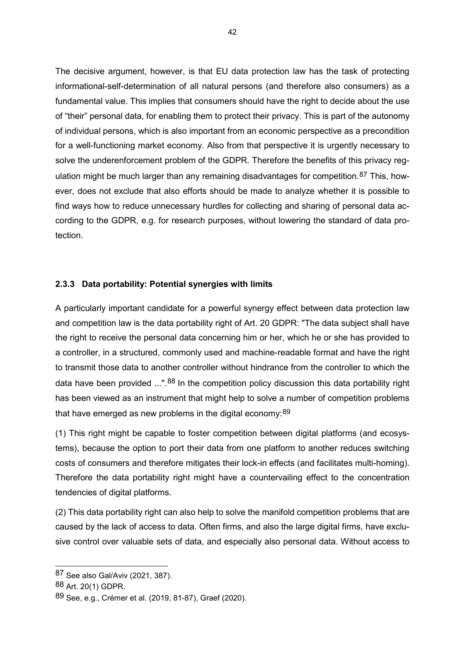The decisive argument, however, is that EU data protection law has the task of protecting informational-self-determination of all natural persons (and therefore also consumers) as a fundamental value. This implies that consumers should have the right to decide about the use of "their" personal data, for enabling them to protect their privacy. This is part of the autonomy of individual persons, which is also important from an economic perspective as a precondition for a well-functioning market economy. Also from that perspective it is urgently necessary to solve the underenforcement problem of the GDPR. Therefore the benefits of this privacy reg-ulation might be much larger than any remaining disadvantages for competition.<sup>[87](#page-42-0)</sup> This, however, does not exclude that also efforts should be made to analyze whether it is possible to find ways how to reduce unnecessary hurdles for collecting and sharing of personal data according to the GDPR, e.g. for research purposes, without lowering the standard of data protection.

### **2.3.3 Data portability: Potential synergies with limits**

A particularly important candidate for a powerful synergy effect between data protection law and competition law is the data portability right of Art. 20 GDPR: "The data subject shall have the right to receive the personal data concerning him or her, which he or she has provided to a controller, in a structured, commonly used and machine-readable format and have the right to transmit those data to another controller without hindrance from the controller to which the data have been provided ...".<sup>[88](#page-42-1)</sup> In the competition policy discussion this data portability right has been viewed as an instrument that might help to solve a number of competition problems that have emerged as new problems in the digital economy: [89](#page-42-2)

(1) This right might be capable to foster competition between digital platforms (and ecosystems), because the option to port their data from one platform to another reduces switching costs of consumers and therefore mitigates their lock-in effects (and facilitates multi-homing). Therefore the data portability right might have a countervailing effect to the concentration tendencies of digital platforms.

(2) This data portability right can also help to solve the manifold competition problems that are caused by the lack of access to data. Often firms, and also the large digital firms, have exclusive control over valuable sets of data, and especially also personal data. Without access to

<span id="page-42-0"></span><sup>87</sup> See also Gal/Aviv (2021, 387).

<span id="page-42-1"></span><sup>88</sup> Art. 20(1) GDPR.

<span id="page-42-2"></span><sup>89</sup> See, e.g., Crémer et al. (2019, 81-87), Graef (2020).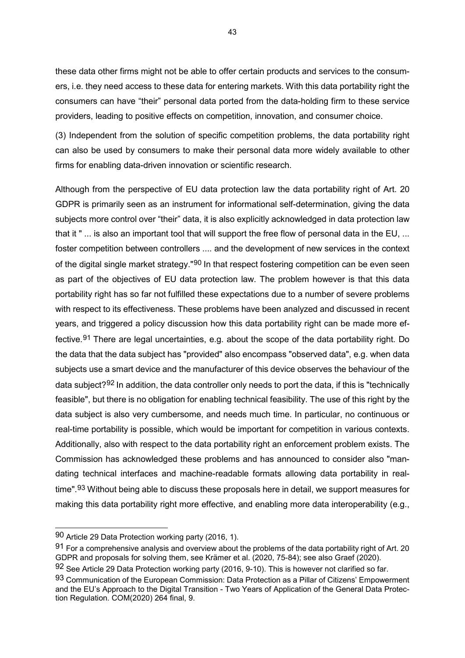these data other firms might not be able to offer certain products and services to the consumers, i.e. they need access to these data for entering markets. With this data portability right the consumers can have "their" personal data ported from the data-holding firm to these service providers, leading to positive effects on competition, innovation, and consumer choice.

(3) Independent from the solution of specific competition problems, the data portability right can also be used by consumers to make their personal data more widely available to other firms for enabling data-driven innovation or scientific research.

Although from the perspective of EU data protection law the data portability right of Art. 20 GDPR is primarily seen as an instrument for informational self-determination, giving the data subjects more control over "their" data, it is also explicitly acknowledged in data protection law that it " ... is also an important tool that will support the free flow of personal data in the EU, ... foster competition between controllers .... and the development of new services in the context of the digital single market strategy."<sup>[90](#page-43-0)</sup> In that respect fostering competition can be even seen as part of the objectives of EU data protection law. The problem however is that this data portability right has so far not fulfilled these expectations due to a number of severe problems with respect to its effectiveness. These problems have been analyzed and discussed in recent years, and triggered a policy discussion how this data portability right can be made more ef-fective.<sup>[91](#page-43-1)</sup> There are legal uncertainties, e.g. about the scope of the data portability right. Do the data that the data subject has "provided" also encompass "observed data", e.g. when data subjects use a smart device and the manufacturer of this device observes the behaviour of the data subject?[92](#page-43-2) In addition, the data controller only needs to port the data, if this is "technically feasible", but there is no obligation for enabling technical feasibility. The use of this right by the data subject is also very cumbersome, and needs much time. In particular, no continuous or real-time portability is possible, which would be important for competition in various contexts. Additionally, also with respect to the data portability right an enforcement problem exists. The Commission has acknowledged these problems and has announced to consider also "mandating technical interfaces and machine-readable formats allowing data portability in real-time".<sup>[93](#page-43-3)</sup> Without being able to discuss these proposals here in detail, we support measures for making this data portability right more effective, and enabling more data interoperability (e.g.,

<span id="page-43-0"></span><sup>90</sup> Article 29 Data Protection working party (2016, 1).

<span id="page-43-1"></span><sup>91</sup> For a comprehensive analysis and overview about the problems of the data portability right of Art. 20 GDPR and proposals for solving them, see Krämer et al. (2020, 75-84); see also Graef (2020).

<span id="page-43-2"></span> $92$  See Article 29 Data Protection working party (2016, 9-10). This is however not clarified so far.

<span id="page-43-3"></span><sup>93</sup> Communication of the European Commission: Data Protection as a Pillar of Citizens' Empowerment and the EU's Approach to the Digital Transition - Two Years of Application of the General Data Protection Regulation. COM(2020) 264 final, 9.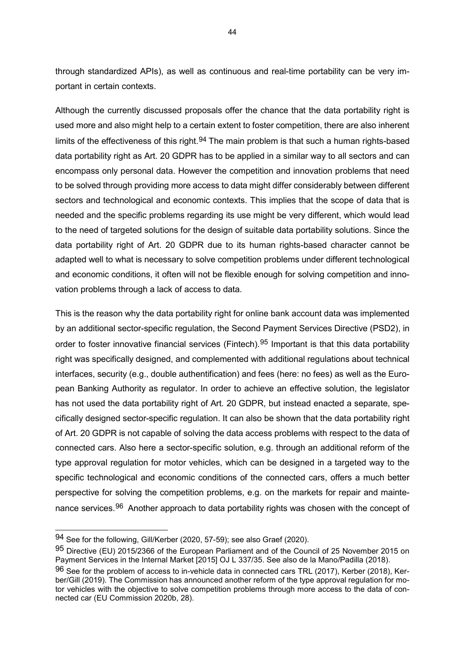through standardized APIs), as well as continuous and real-time portability can be very important in certain contexts.

Although the currently discussed proposals offer the chance that the data portability right is used more and also might help to a certain extent to foster competition, there are also inherent limits of the effectiveness of this right.<sup>[94](#page-44-0)</sup> The main problem is that such a human rights-based data portability right as Art. 20 GDPR has to be applied in a similar way to all sectors and can encompass only personal data. However the competition and innovation problems that need to be solved through providing more access to data might differ considerably between different sectors and technological and economic contexts. This implies that the scope of data that is needed and the specific problems regarding its use might be very different, which would lead to the need of targeted solutions for the design of suitable data portability solutions. Since the data portability right of Art. 20 GDPR due to its human rights-based character cannot be adapted well to what is necessary to solve competition problems under different technological and economic conditions, it often will not be flexible enough for solving competition and innovation problems through a lack of access to data.

This is the reason why the data portability right for online bank account data was implemented by an additional sector-specific regulation, the Second Payment Services Directive (PSD2), in order to foster innovative financial services (Fintech).<sup>[95](#page-44-1)</sup> Important is that this data portability right was specifically designed, and complemented with additional regulations about technical interfaces, security (e.g., double authentification) and fees (here: no fees) as well as the European Banking Authority as regulator. In order to achieve an effective solution, the legislator has not used the data portability right of Art. 20 GDPR, but instead enacted a separate, specifically designed sector-specific regulation. It can also be shown that the data portability right of Art. 20 GDPR is not capable of solving the data access problems with respect to the data of connected cars. Also here a sector-specific solution, e.g. through an additional reform of the type approval regulation for motor vehicles, which can be designed in a targeted way to the specific technological and economic conditions of the connected cars, offers a much better perspective for solving the competition problems, e.g. on the markets for repair and mainte-nance services.<sup>[96](#page-44-2)</sup> Another approach to data portability rights was chosen with the concept of

<span id="page-44-0"></span><sup>94</sup> See for the following, Gill/Kerber (2020, 57-59); see also Graef (2020).

<span id="page-44-1"></span><sup>95</sup> Directive (EU) 2015/2366 of the European Parliament and of the Council of 25 November 2015 on Payment Services in the Internal Market [2015] OJ L 337/35. See also de la Mano/Padilla (2018).

<span id="page-44-2"></span> $96$  See for the problem of access to in-vehicle data in connected cars TRL (2017), Kerber (2018), Kerber/Gill (2019). The Commission has announced another reform of the type approval regulation for motor vehicles with the objective to solve competition problems through more access to the data of connected car (EU Commission 2020b, 28).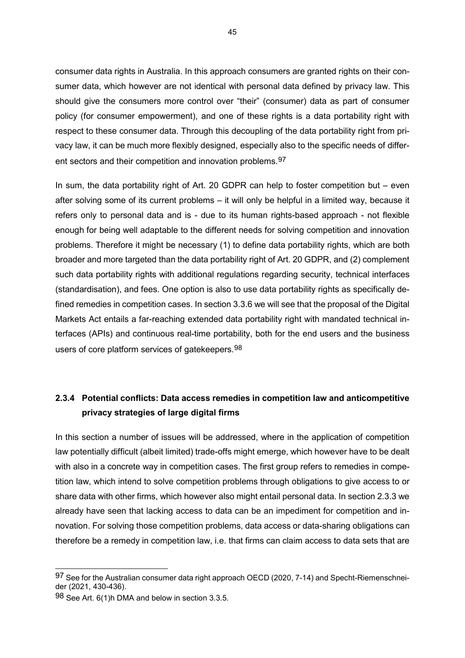consumer data rights in Australia. In this approach consumers are granted rights on their consumer data, which however are not identical with personal data defined by privacy law. This should give the consumers more control over "their" (consumer) data as part of consumer policy (for consumer empowerment), and one of these rights is a data portability right with respect to these consumer data. Through this decoupling of the data portability right from privacy law, it can be much more flexibly designed, especially also to the specific needs of differ-ent sectors and their competition and innovation problems. [97](#page-45-0)

In sum, the data portability right of Art. 20 GDPR can help to foster competition but – even after solving some of its current problems – it will only be helpful in a limited way, because it refers only to personal data and is - due to its human rights-based approach - not flexible enough for being well adaptable to the different needs for solving competition and innovation problems. Therefore it might be necessary (1) to define data portability rights, which are both broader and more targeted than the data portability right of Art. 20 GDPR, and (2) complement such data portability rights with additional regulations regarding security, technical interfaces (standardisation), and fees. One option is also to use data portability rights as specifically defined remedies in competition cases. In section 3.3.6 we will see that the proposal of the Digital Markets Act entails a far-reaching extended data portability right with mandated technical interfaces (APIs) and continuous real-time portability, both for the end users and the business users of core platform services of gatekeepers.<sup>[98](#page-45-1)</sup>

# **2.3.4 Potential conflicts: Data access remedies in competition law and anticompetitive privacy strategies of large digital firms**

In this section a number of issues will be addressed, where in the application of competition law potentially difficult (albeit limited) trade-offs might emerge, which however have to be dealt with also in a concrete way in competition cases. The first group refers to remedies in competition law, which intend to solve competition problems through obligations to give access to or share data with other firms, which however also might entail personal data. In section 2.3.3 we already have seen that lacking access to data can be an impediment for competition and innovation. For solving those competition problems, data access or data-sharing obligations can therefore be a remedy in competition law, i.e. that firms can claim access to data sets that are

<span id="page-45-0"></span><sup>97</sup> See for the Australian consumer data right approach OECD (2020, 7-14) and Specht-Riemenschneider (2021, 430-436).

<span id="page-45-1"></span><sup>98</sup> See Art. 6(1)h DMA and below in section 3.3.5.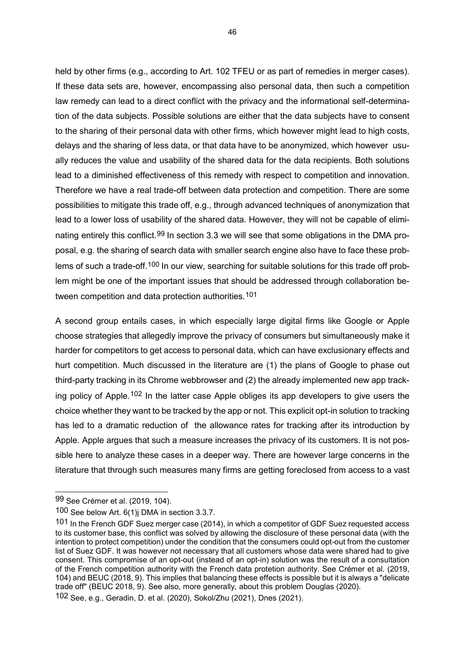held by other firms (e.g., according to Art. 102 TFEU or as part of remedies in merger cases). If these data sets are, however, encompassing also personal data, then such a competition law remedy can lead to a direct conflict with the privacy and the informational self-determination of the data subjects. Possible solutions are either that the data subjects have to consent to the sharing of their personal data with other firms, which however might lead to high costs, delays and the sharing of less data, or that data have to be anonymized, which however usually reduces the value and usability of the shared data for the data recipients. Both solutions lead to a diminished effectiveness of this remedy with respect to competition and innovation. Therefore we have a real trade-off between data protection and competition. There are some possibilities to mitigate this trade off, e.g., through advanced techniques of anonymization that lead to a lower loss of usability of the shared data. However, they will not be capable of elimi-nating entirely this conflict.<sup>[99](#page-46-0)</sup> In section 3.3 we will see that some obligations in the DMA proposal, e.g. the sharing of search data with smaller search engine also have to face these prob-lems of such a trade-off.<sup>[100](#page-46-1)</sup> In our view, searching for suitable solutions for this trade off problem might be one of the important issues that should be addressed through collaboration be-tween competition and data protection authorities.<sup>[101](#page-46-2)</sup>

A second group entails cases, in which especially large digital firms like Google or Apple choose strategies that allegedly improve the privacy of consumers but simultaneously make it harder for competitors to get access to personal data, which can have exclusionary effects and hurt competition. Much discussed in the literature are (1) the plans of Google to phase out third-party tracking in its Chrome webbrowser and (2) the already implemented new app track-ing policy of Apple.<sup>[102](#page-46-3)</sup> In the latter case Apple obliges its app developers to give users the choice whether they want to be tracked by the app or not. This explicit opt-in solution to tracking has led to a dramatic reduction of the allowance rates for tracking after its introduction by Apple. Apple argues that such a measure increases the privacy of its customers. It is not possible here to analyze these cases in a deeper way. There are however large concerns in the literature that through such measures many firms are getting foreclosed from access to a vast

<span id="page-46-0"></span><sup>99</sup> See Crémer et al. (2019, 104).

<span id="page-46-1"></span><sup>100</sup> See below Art. 6(1)j DMA in section 3.3.7.

<span id="page-46-2"></span><sup>101</sup> In the French GDF Suez merger case (2014), in which a competitor of GDF Suez requested access to its customer base, this conflict was solved by allowing the disclosure of these personal data (with the intention to protect competition) under the condition that the consumers could opt-out from the customer list of Suez GDF. It was however not necessary that all customers whose data were shared had to give consent. This compromise of an opt-out (instead of an opt-in) solution was the result of a consultation of the French competition authority with the French data protetion authority. See Crémer et al. (2019, 104) and BEUC (2018, 9). This implies that balancing these effects is possible but it is always a "delicate trade off" (BEUC 2018, 9). See also, more generally, about this problem Douglas (2020).

<span id="page-46-3"></span><sup>102</sup> See, e.g., Geradin, D. et al. (2020), Sokol/Zhu (2021), Dnes (2021).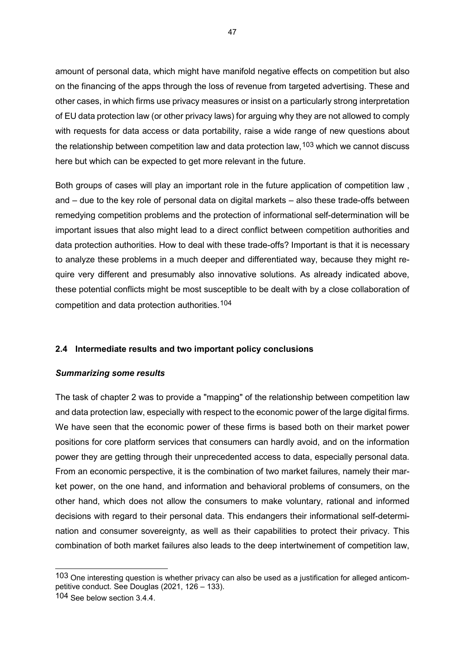amount of personal data, which might have manifold negative effects on competition but also on the financing of the apps through the loss of revenue from targeted advertising. These and other cases, in which firms use privacy measures or insist on a particularly strong interpretation of EU data protection law (or other privacy laws) for arguing why they are not allowed to comply with requests for data access or data portability, raise a wide range of new questions about the relationship between competition law and data protection law,  $103$  which we cannot discuss here but which can be expected to get more relevant in the future.

Both groups of cases will play an important role in the future application of competition law , and – due to the key role of personal data on digital markets – also these trade-offs between remedying competition problems and the protection of informational self-determination will be important issues that also might lead to a direct conflict between competition authorities and data protection authorities. How to deal with these trade-offs? Important is that it is necessary to analyze these problems in a much deeper and differentiated way, because they might require very different and presumably also innovative solutions. As already indicated above, these potential conflicts might be most susceptible to be dealt with by a close collaboration of competition and data protection authorities.[104](#page-47-1)

## **2.4 Intermediate results and two important policy conclusions**

#### *Summarizing some results*

The task of chapter 2 was to provide a "mapping" of the relationship between competition law and data protection law, especially with respect to the economic power of the large digital firms. We have seen that the economic power of these firms is based both on their market power positions for core platform services that consumers can hardly avoid, and on the information power they are getting through their unprecedented access to data, especially personal data. From an economic perspective, it is the combination of two market failures, namely their market power, on the one hand, and information and behavioral problems of consumers, on the other hand, which does not allow the consumers to make voluntary, rational and informed decisions with regard to their personal data. This endangers their informational self-determination and consumer sovereignty, as well as their capabilities to protect their privacy. This combination of both market failures also leads to the deep intertwinement of competition law,

<span id="page-47-0"></span><sup>103</sup> One interesting question is whether privacy can also be used as a justification for alleged anticompetitive conduct. See Douglas (2021, 126 – 133).

<span id="page-47-1"></span><sup>104</sup> See below section 3.4.4.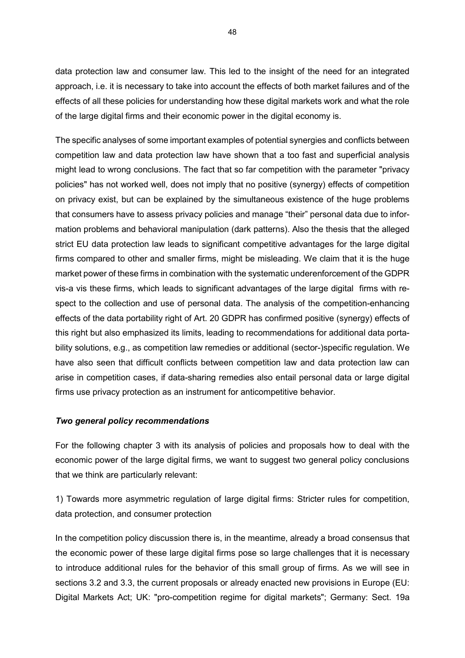data protection law and consumer law. This led to the insight of the need for an integrated approach, i.e. it is necessary to take into account the effects of both market failures and of the effects of all these policies for understanding how these digital markets work and what the role of the large digital firms and their economic power in the digital economy is.

The specific analyses of some important examples of potential synergies and conflicts between competition law and data protection law have shown that a too fast and superficial analysis might lead to wrong conclusions. The fact that so far competition with the parameter "privacy policies" has not worked well, does not imply that no positive (synergy) effects of competition on privacy exist, but can be explained by the simultaneous existence of the huge problems that consumers have to assess privacy policies and manage "their" personal data due to information problems and behavioral manipulation (dark patterns). Also the thesis that the alleged strict EU data protection law leads to significant competitive advantages for the large digital firms compared to other and smaller firms, might be misleading. We claim that it is the huge market power of these firms in combination with the systematic underenforcement of the GDPR vis-a vis these firms, which leads to significant advantages of the large digital firms with respect to the collection and use of personal data. The analysis of the competition-enhancing effects of the data portability right of Art. 20 GDPR has confirmed positive (synergy) effects of this right but also emphasized its limits, leading to recommendations for additional data portability solutions, e.g., as competition law remedies or additional (sector-)specific regulation. We have also seen that difficult conflicts between competition law and data protection law can arise in competition cases, if data-sharing remedies also entail personal data or large digital firms use privacy protection as an instrument for anticompetitive behavior.

#### *Two general policy recommendations*

For the following chapter 3 with its analysis of policies and proposals how to deal with the economic power of the large digital firms, we want to suggest two general policy conclusions that we think are particularly relevant:

1) Towards more asymmetric regulation of large digital firms: Stricter rules for competition, data protection, and consumer protection

In the competition policy discussion there is, in the meantime, already a broad consensus that the economic power of these large digital firms pose so large challenges that it is necessary to introduce additional rules for the behavior of this small group of firms. As we will see in sections 3.2 and 3.3, the current proposals or already enacted new provisions in Europe (EU: Digital Markets Act; UK: "pro-competition regime for digital markets"; Germany: Sect. 19a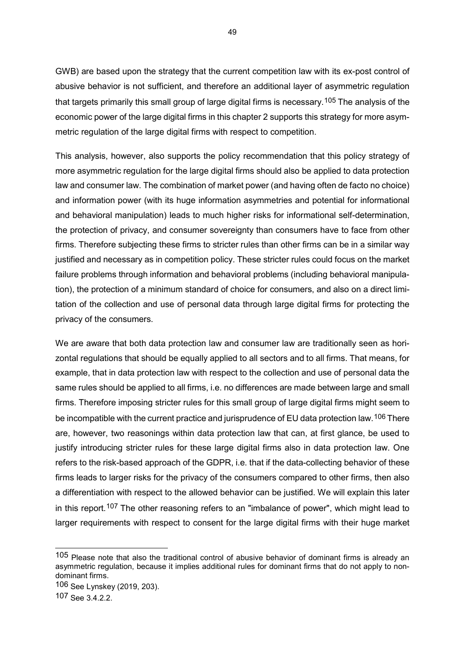GWB) are based upon the strategy that the current competition law with its ex-post control of abusive behavior is not sufficient, and therefore an additional layer of asymmetric regulation that targets primarily this small group of large digital firms is necessary.<sup>[105](#page-49-0)</sup> The analysis of the economic power of the large digital firms in this chapter 2 supports this strategy for more asymmetric regulation of the large digital firms with respect to competition.

This analysis, however, also supports the policy recommendation that this policy strategy of more asymmetric regulation for the large digital firms should also be applied to data protection law and consumer law. The combination of market power (and having often de facto no choice) and information power (with its huge information asymmetries and potential for informational and behavioral manipulation) leads to much higher risks for informational self-determination, the protection of privacy, and consumer sovereignty than consumers have to face from other firms. Therefore subjecting these firms to stricter rules than other firms can be in a similar way justified and necessary as in competition policy. These stricter rules could focus on the market failure problems through information and behavioral problems (including behavioral manipulation), the protection of a minimum standard of choice for consumers, and also on a direct limitation of the collection and use of personal data through large digital firms for protecting the privacy of the consumers.

We are aware that both data protection law and consumer law are traditionally seen as horizontal regulations that should be equally applied to all sectors and to all firms. That means, for example, that in data protection law with respect to the collection and use of personal data the same rules should be applied to all firms, i.e. no differences are made between large and small firms. Therefore imposing stricter rules for this small group of large digital firms might seem to be incompatible with the current practice and jurisprudence of EU data protection law. [106](#page-49-1) There are, however, two reasonings within data protection law that can, at first glance, be used to justify introducing stricter rules for these large digital firms also in data protection law. One refers to the risk-based approach of the GDPR, i.e. that if the data-collecting behavior of these firms leads to larger risks for the privacy of the consumers compared to other firms, then also a differentiation with respect to the allowed behavior can be justified. We will explain this later in this report.[107](#page-49-2) The other reasoning refers to an "imbalance of power", which might lead to larger requirements with respect to consent for the large digital firms with their huge market

<span id="page-49-0"></span><sup>105</sup> Please note that also the traditional control of abusive behavior of dominant firms is already an asymmetric regulation, because it implies additional rules for dominant firms that do not apply to nondominant firms.

<span id="page-49-1"></span><sup>106</sup> See Lynskey (2019, 203).

<span id="page-49-2"></span><sup>107</sup> See 3.4.2.2.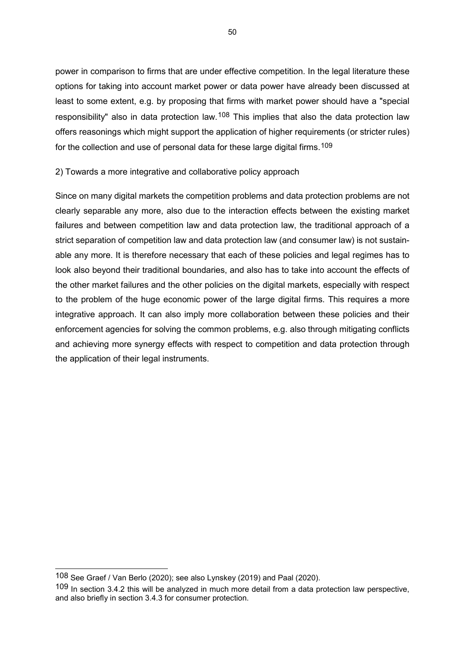power in comparison to firms that are under effective competition. In the legal literature these options for taking into account market power or data power have already been discussed at least to some extent, e.g. by proposing that firms with market power should have a "special responsibility" also in data protection law.<sup>[108](#page-50-0)</sup> This implies that also the data protection law offers reasonings which might support the application of higher requirements (or stricter rules) for the collection and use of personal data for these large digital firms.<sup>[109](#page-50-1)</sup>

2) Towards a more integrative and collaborative policy approach

Since on many digital markets the competition problems and data protection problems are not clearly separable any more, also due to the interaction effects between the existing market failures and between competition law and data protection law, the traditional approach of a strict separation of competition law and data protection law (and consumer law) is not sustainable any more. It is therefore necessary that each of these policies and legal regimes has to look also beyond their traditional boundaries, and also has to take into account the effects of the other market failures and the other policies on the digital markets, especially with respect to the problem of the huge economic power of the large digital firms. This requires a more integrative approach. It can also imply more collaboration between these policies and their enforcement agencies for solving the common problems, e.g. also through mitigating conflicts and achieving more synergy effects with respect to competition and data protection through the application of their legal instruments.

<span id="page-50-0"></span><sup>108</sup> See Graef / Van Berlo (2020); see also Lynskey (2019) and Paal (2020).

<span id="page-50-1"></span><sup>109</sup> In section 3.4.2 this will be analyzed in much more detail from a data protection law perspective, and also briefly in section 3.4.3 for consumer protection.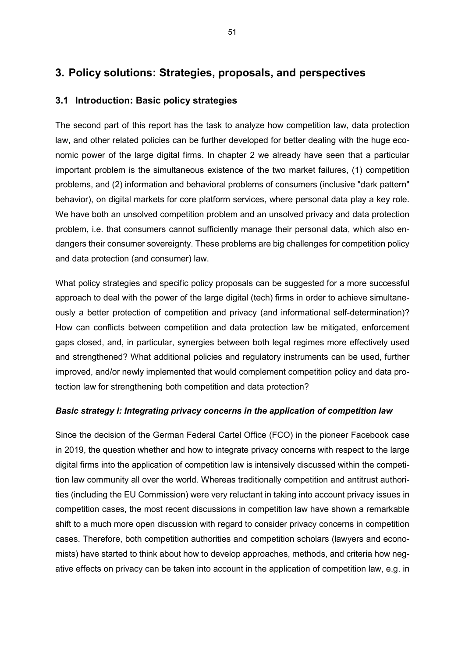# **3. Policy solutions: Strategies, proposals, and perspectives**

# **3.1 Introduction: Basic policy strategies**

The second part of this report has the task to analyze how competition law, data protection law, and other related policies can be further developed for better dealing with the huge economic power of the large digital firms. In chapter 2 we already have seen that a particular important problem is the simultaneous existence of the two market failures, (1) competition problems, and (2) information and behavioral problems of consumers (inclusive "dark pattern" behavior), on digital markets for core platform services, where personal data play a key role. We have both an unsolved competition problem and an unsolved privacy and data protection problem, i.e. that consumers cannot sufficiently manage their personal data, which also endangers their consumer sovereignty. These problems are big challenges for competition policy and data protection (and consumer) law.

What policy strategies and specific policy proposals can be suggested for a more successful approach to deal with the power of the large digital (tech) firms in order to achieve simultaneously a better protection of competition and privacy (and informational self-determination)? How can conflicts between competition and data protection law be mitigated, enforcement gaps closed, and, in particular, synergies between both legal regimes more effectively used and strengthened? What additional policies and regulatory instruments can be used, further improved, and/or newly implemented that would complement competition policy and data protection law for strengthening both competition and data protection?

## *Basic strategy I: Integrating privacy concerns in the application of competition law*

Since the decision of the German Federal Cartel Office (FCO) in the pioneer Facebook case in 2019, the question whether and how to integrate privacy concerns with respect to the large digital firms into the application of competition law is intensively discussed within the competition law community all over the world. Whereas traditionally competition and antitrust authorities (including the EU Commission) were very reluctant in taking into account privacy issues in competition cases, the most recent discussions in competition law have shown a remarkable shift to a much more open discussion with regard to consider privacy concerns in competition cases. Therefore, both competition authorities and competition scholars (lawyers and economists) have started to think about how to develop approaches, methods, and criteria how negative effects on privacy can be taken into account in the application of competition law, e.g. in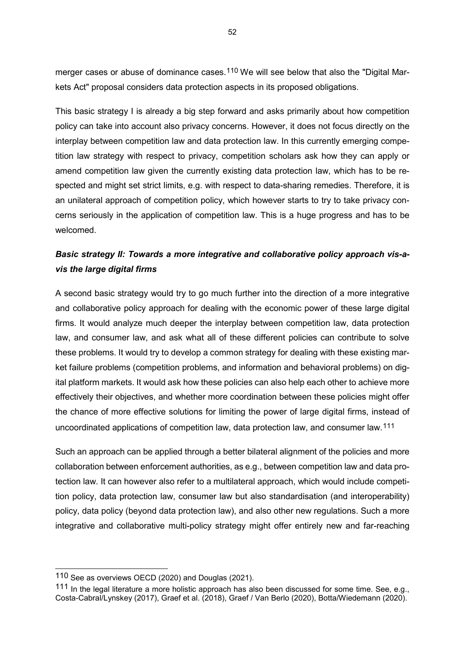merger cases or abuse of dominance cases.<sup>[110](#page-52-0)</sup> We will see below that also the "Digital Markets Act" proposal considers data protection aspects in its proposed obligations.

This basic strategy I is already a big step forward and asks primarily about how competition policy can take into account also privacy concerns. However, it does not focus directly on the interplay between competition law and data protection law. In this currently emerging competition law strategy with respect to privacy, competition scholars ask how they can apply or amend competition law given the currently existing data protection law, which has to be respected and might set strict limits, e.g. with respect to data-sharing remedies. Therefore, it is an unilateral approach of competition policy, which however starts to try to take privacy concerns seriously in the application of competition law. This is a huge progress and has to be welcomed.

# *Basic strategy II: Towards a more integrative and collaborative policy approach vis-avis the large digital firms*

A second basic strategy would try to go much further into the direction of a more integrative and collaborative policy approach for dealing with the economic power of these large digital firms. It would analyze much deeper the interplay between competition law, data protection law, and consumer law, and ask what all of these different policies can contribute to solve these problems. It would try to develop a common strategy for dealing with these existing market failure problems (competition problems, and information and behavioral problems) on digital platform markets. It would ask how these policies can also help each other to achieve more effectively their objectives, and whether more coordination between these policies might offer the chance of more effective solutions for limiting the power of large digital firms, instead of uncoordinated applications of competition law, data protection law, and consumer law.[111](#page-52-1)

Such an approach can be applied through a better bilateral alignment of the policies and more collaboration between enforcement authorities, as e.g., between competition law and data protection law. It can however also refer to a multilateral approach, which would include competition policy, data protection law, consumer law but also standardisation (and interoperability) policy, data policy (beyond data protection law), and also other new regulations. Such a more integrative and collaborative multi-policy strategy might offer entirely new and far-reaching

<span id="page-52-0"></span><sup>110</sup> See as overviews OECD (2020) and Douglas (2021).

<span id="page-52-1"></span><sup>111</sup> In the legal literature a more holistic approach has also been discussed for some time. See, e.g., Costa-Cabral/Lynskey (2017), Graef et al. (2018), Graef / Van Berlo (2020), Botta/Wiedemann (2020).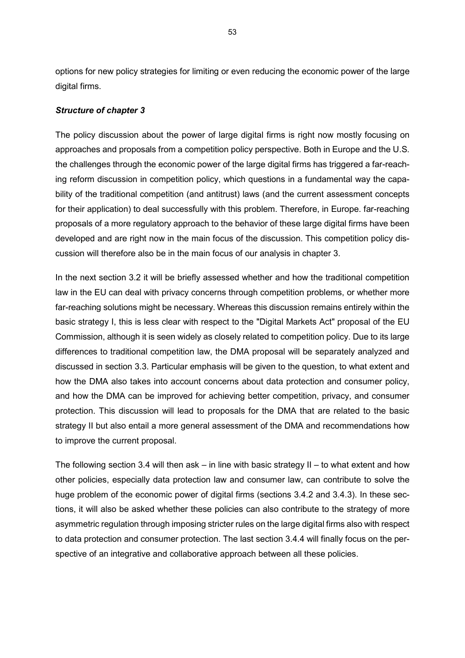options for new policy strategies for limiting or even reducing the economic power of the large digital firms.

## *Structure of chapter 3*

The policy discussion about the power of large digital firms is right now mostly focusing on approaches and proposals from a competition policy perspective. Both in Europe and the U.S. the challenges through the economic power of the large digital firms has triggered a far-reaching reform discussion in competition policy, which questions in a fundamental way the capability of the traditional competition (and antitrust) laws (and the current assessment concepts for their application) to deal successfully with this problem. Therefore, in Europe. far-reaching proposals of a more regulatory approach to the behavior of these large digital firms have been developed and are right now in the main focus of the discussion. This competition policy discussion will therefore also be in the main focus of our analysis in chapter 3.

In the next section 3.2 it will be briefly assessed whether and how the traditional competition law in the EU can deal with privacy concerns through competition problems, or whether more far-reaching solutions might be necessary. Whereas this discussion remains entirely within the basic strategy I, this is less clear with respect to the "Digital Markets Act" proposal of the EU Commission, although it is seen widely as closely related to competition policy. Due to its large differences to traditional competition law, the DMA proposal will be separately analyzed and discussed in section 3.3. Particular emphasis will be given to the question, to what extent and how the DMA also takes into account concerns about data protection and consumer policy, and how the DMA can be improved for achieving better competition, privacy, and consumer protection. This discussion will lead to proposals for the DMA that are related to the basic strategy II but also entail a more general assessment of the DMA and recommendations how to improve the current proposal.

The following section 3.4 will then ask – in line with basic strategy  $II$  – to what extent and how other policies, especially data protection law and consumer law, can contribute to solve the huge problem of the economic power of digital firms (sections 3.4.2 and 3.4.3). In these sections, it will also be asked whether these policies can also contribute to the strategy of more asymmetric regulation through imposing stricter rules on the large digital firms also with respect to data protection and consumer protection. The last section 3.4.4 will finally focus on the perspective of an integrative and collaborative approach between all these policies.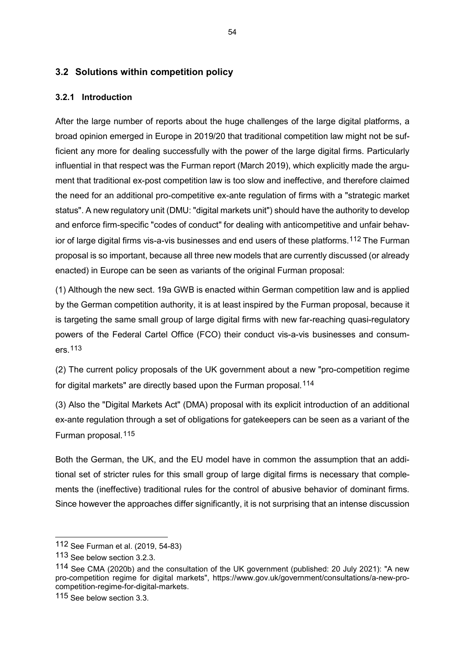# **3.2 Solutions within competition policy**

## **3.2.1 Introduction**

After the large number of reports about the huge challenges of the large digital platforms, a broad opinion emerged in Europe in 2019/20 that traditional competition law might not be sufficient any more for dealing successfully with the power of the large digital firms. Particularly influential in that respect was the Furman report (March 2019), which explicitly made the argument that traditional ex-post competition law is too slow and ineffective, and therefore claimed the need for an additional pro-competitive ex-ante regulation of firms with a "strategic market status". A new regulatory unit (DMU: "digital markets unit") should have the authority to develop and enforce firm-specific "codes of conduct" for dealing with anticompetitive and unfair behavior of large digital firms vis-a-vis businesses and end users of these platforms.[112](#page-54-0) The Furman proposal is so important, because all three new models that are currently discussed (or already enacted) in Europe can be seen as variants of the original Furman proposal:

(1) Although the new sect. 19a GWB is enacted within German competition law and is applied by the German competition authority, it is at least inspired by the Furman proposal, because it is targeting the same small group of large digital firms with new far-reaching quasi-regulatory powers of the Federal Cartel Office (FCO) their conduct vis-a-vis businesses and consumers.[113](#page-54-1)

(2) The current policy proposals of the UK government about a new "pro-competition regime for digital markets" are directly based upon the Furman proposal.[114](#page-54-2)

(3) Also the "Digital Markets Act" (DMA) proposal with its explicit introduction of an additional ex-ante regulation through a set of obligations for gatekeepers can be seen as a variant of the Furman proposal.[115](#page-54-3)

Both the German, the UK, and the EU model have in common the assumption that an additional set of stricter rules for this small group of large digital firms is necessary that complements the (ineffective) traditional rules for the control of abusive behavior of dominant firms. Since however the approaches differ significantly, it is not surprising that an intense discussion

<span id="page-54-0"></span><sup>112</sup> See Furman et al. (2019, 54-83)

<span id="page-54-1"></span><sup>113</sup> See below section 3.2.3.

<span id="page-54-2"></span><sup>114</sup> See CMA (2020b) and the consultation of the UK government (published: 20 July 2021): "A new pro-competition regime for digital markets", https://www.gov.uk/government/consultations/a-new-procompetition-regime-for-digital-markets.

<span id="page-54-3"></span><sup>115</sup> See below section 3.3.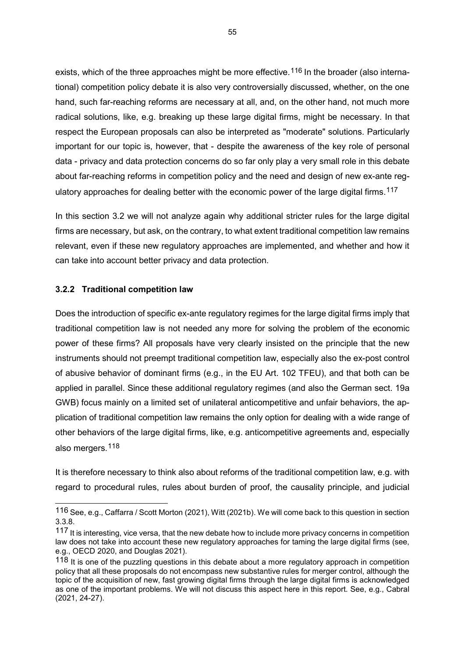exists, which of the three approaches might be more effective.<sup>[116](#page-55-0)</sup> In the broader (also international) competition policy debate it is also very controversially discussed, whether, on the one hand, such far-reaching reforms are necessary at all, and, on the other hand, not much more radical solutions, like, e.g. breaking up these large digital firms, might be necessary. In that respect the European proposals can also be interpreted as "moderate" solutions. Particularly important for our topic is, however, that - despite the awareness of the key role of personal data - privacy and data protection concerns do so far only play a very small role in this debate about far-reaching reforms in competition policy and the need and design of new ex-ante reg-ulatory approaches for dealing better with the economic power of the large digital firms.<sup>[117](#page-55-1)</sup>

In this section 3.2 we will not analyze again why additional stricter rules for the large digital firms are necessary, but ask, on the contrary, to what extent traditional competition law remains relevant, even if these new regulatory approaches are implemented, and whether and how it can take into account better privacy and data protection.

### **3.2.2 Traditional competition law**

-

Does the introduction of specific ex-ante regulatory regimes for the large digital firms imply that traditional competition law is not needed any more for solving the problem of the economic power of these firms? All proposals have very clearly insisted on the principle that the new instruments should not preempt traditional competition law, especially also the ex-post control of abusive behavior of dominant firms (e.g., in the EU Art. 102 TFEU), and that both can be applied in parallel. Since these additional regulatory regimes (and also the German sect. 19a GWB) focus mainly on a limited set of unilateral anticompetitive and unfair behaviors, the application of traditional competition law remains the only option for dealing with a wide range of other behaviors of the large digital firms, like, e.g. anticompetitive agreements and, especially also mergers.[118](#page-55-2)

It is therefore necessary to think also about reforms of the traditional competition law, e.g. with regard to procedural rules, rules about burden of proof, the causality principle, and judicial

<span id="page-55-0"></span><sup>116</sup> See, e.g., Caffarra / Scott Morton (2021), Witt (2021b). We will come back to this question in section 3.3.8.

<span id="page-55-1"></span><sup>117</sup> It is interesting, vice versa, that the new debate how to include more privacy concerns in competition law does not take into account these new regulatory approaches for taming the large digital firms (see, e.g., OECD 2020, and Douglas 2021).

<span id="page-55-2"></span><sup>118</sup> It is one of the puzzling questions in this debate about a more regulatory approach in competition policy that all these proposals do not encompass new substantive rules for merger control, although the topic of the acquisition of new, fast growing digital firms through the large digital firms is acknowledged as one of the important problems. We will not discuss this aspect here in this report. See, e.g., Cabral (2021, 24-27).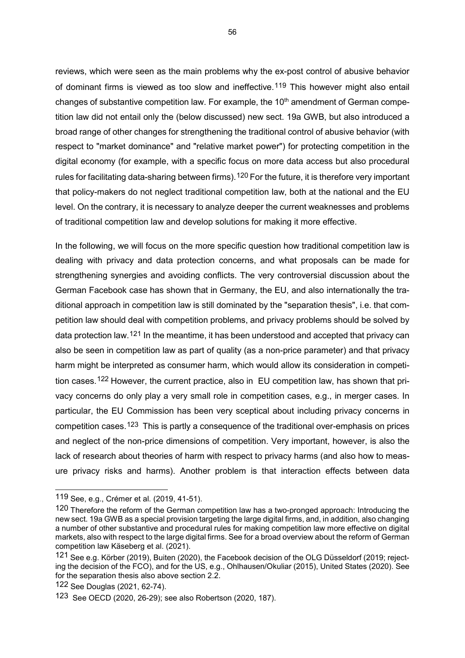reviews, which were seen as the main problems why the ex-post control of abusive behavior of dominant firms is viewed as too slow and ineffective.<sup>[119](#page-56-0)</sup> This however might also entail changes of substantive competition law. For example, the 10<sup>th</sup> amendment of German competition law did not entail only the (below discussed) new sect. 19a GWB, but also introduced a broad range of other changes for strengthening the traditional control of abusive behavior (with respect to "market dominance" and "relative market power") for protecting competition in the digital economy (for example, with a specific focus on more data access but also procedural rules for facilitating data-sharing between firms).<sup>[120](#page-56-1)</sup> For the future, it is therefore very important that policy-makers do not neglect traditional competition law, both at the national and the EU level. On the contrary, it is necessary to analyze deeper the current weaknesses and problems of traditional competition law and develop solutions for making it more effective.

In the following, we will focus on the more specific question how traditional competition law is dealing with privacy and data protection concerns, and what proposals can be made for strengthening synergies and avoiding conflicts. The very controversial discussion about the German Facebook case has shown that in Germany, the EU, and also internationally the traditional approach in competition law is still dominated by the "separation thesis", i.e. that competition law should deal with competition problems, and privacy problems should be solved by data protection law.[121](#page-56-2) In the meantime, it has been understood and accepted that privacy can also be seen in competition law as part of quality (as a non-price parameter) and that privacy harm might be interpreted as consumer harm, which would allow its consideration in competition cases.[122](#page-56-3) However, the current practice, also in EU competition law, has shown that privacy concerns do only play a very small role in competition cases, e.g., in merger cases. In particular, the EU Commission has been very sceptical about including privacy concerns in competition cases.[123](#page-56-4) This is partly a consequence of the traditional over-emphasis on prices and neglect of the non-price dimensions of competition. Very important, however, is also the lack of research about theories of harm with respect to privacy harms (and also how to measure privacy risks and harms). Another problem is that interaction effects between data

<span id="page-56-0"></span><sup>119</sup> See, e.g., Crémer et al. (2019, 41-51).

<span id="page-56-1"></span><sup>120</sup> Therefore the reform of the German competition law has a two-pronged approach: Introducing the new sect. 19a GWB as a special provision targeting the large digital firms, and, in addition, also changing a number of other substantive and procedural rules for making competition law more effective on digital markets, also with respect to the large digital firms. See for a broad overview about the reform of German competition law Käseberg et al. (2021).

<span id="page-56-2"></span><sup>121</sup> See e.g. Körber (2019), Buiten (2020), the Facebook decision of the OLG Düsseldorf (2019; rejecting the decision of the FCO), and for the US, e.g., Ohlhausen/Okuliar (2015), United States (2020). See for the separation thesis also above section 2.2.

<span id="page-56-3"></span><sup>122</sup> See Douglas (2021, 62-74).

<span id="page-56-4"></span><sup>123</sup> See OECD (2020, 26-29); see also Robertson (2020, 187).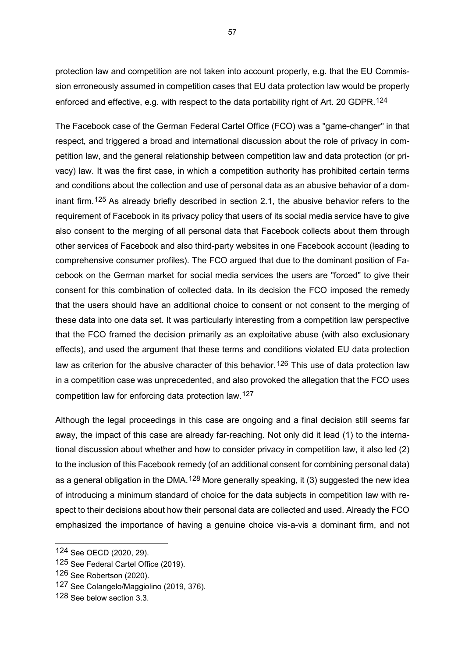protection law and competition are not taken into account properly, e.g. that the EU Commission erroneously assumed in competition cases that EU data protection law would be properly enforced and effective, e.g. with respect to the data portability right of Art. 20 GDPR.<sup>[124](#page-57-0)</sup>

The Facebook case of the German Federal Cartel Office (FCO) was a "game-changer" in that respect, and triggered a broad and international discussion about the role of privacy in competition law, and the general relationship between competition law and data protection (or privacy) law. It was the first case, in which a competition authority has prohibited certain terms and conditions about the collection and use of personal data as an abusive behavior of a dominant firm.[125](#page-57-1) As already briefly described in section 2.1, the abusive behavior refers to the requirement of Facebook in its privacy policy that users of its social media service have to give also consent to the merging of all personal data that Facebook collects about them through other services of Facebook and also third-party websites in one Facebook account (leading to comprehensive consumer profiles). The FCO argued that due to the dominant position of Facebook on the German market for social media services the users are "forced" to give their consent for this combination of collected data. In its decision the FCO imposed the remedy that the users should have an additional choice to consent or not consent to the merging of these data into one data set. It was particularly interesting from a competition law perspective that the FCO framed the decision primarily as an exploitative abuse (with also exclusionary effects), and used the argument that these terms and conditions violated EU data protection law as criterion for the abusive character of this behavior.<sup>[126](#page-57-2)</sup> This use of data protection law in a competition case was unprecedented, and also provoked the allegation that the FCO uses competition law for enforcing data protection law.[127](#page-57-3)

Although the legal proceedings in this case are ongoing and a final decision still seems far away, the impact of this case are already far-reaching. Not only did it lead (1) to the international discussion about whether and how to consider privacy in competition law, it also led (2) to the inclusion of this Facebook remedy (of an additional consent for combining personal data) as a general obligation in the DMA.<sup>[128](#page-57-4)</sup> More generally speaking, it (3) suggested the new idea of introducing a minimum standard of choice for the data subjects in competition law with respect to their decisions about how their personal data are collected and used. Already the FCO emphasized the importance of having a genuine choice vis-a-vis a dominant firm, and not

<span id="page-57-0"></span><sup>124</sup> See OECD (2020, 29).

<span id="page-57-1"></span><sup>125</sup> See Federal Cartel Office (2019).

<span id="page-57-2"></span><sup>126</sup> See Robertson (2020).

<span id="page-57-3"></span><sup>127</sup> See Colangelo/Maggiolino (2019, 376).

<span id="page-57-4"></span><sup>128</sup> See below section 3.3.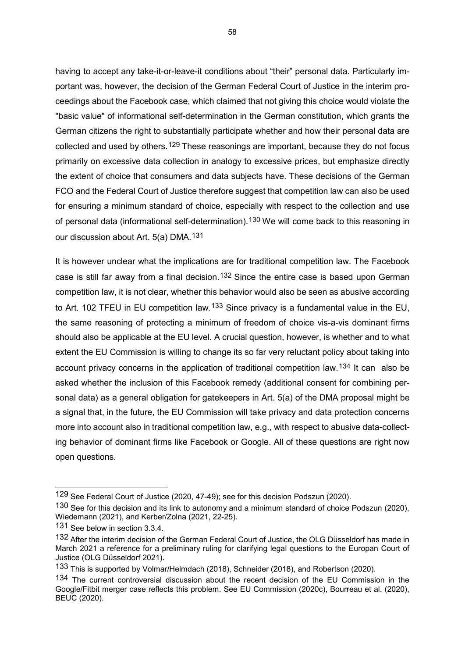having to accept any take-it-or-leave-it conditions about "their" personal data. Particularly important was, however, the decision of the German Federal Court of Justice in the interim proceedings about the Facebook case, which claimed that not giving this choice would violate the "basic value" of informational self-determination in the German constitution, which grants the German citizens the right to substantially participate whether and how their personal data are collected and used by others.<sup>[129](#page-58-0)</sup> These reasonings are important, because they do not focus primarily on excessive data collection in analogy to excessive prices, but emphasize directly the extent of choice that consumers and data subjects have. These decisions of the German FCO and the Federal Court of Justice therefore suggest that competition law can also be used for ensuring a minimum standard of choice, especially with respect to the collection and use of personal data (informational self-determination).<sup>[130](#page-58-1)</sup> We will come back to this reasoning in our discussion about Art. 5(a) DMA.[131](#page-58-2)

It is however unclear what the implications are for traditional competition law. The Facebook case is still far away from a final decision.[132](#page-58-3) Since the entire case is based upon German competition law, it is not clear, whether this behavior would also be seen as abusive according to Art. 102 TFEU in EU competition law.<sup>[133](#page-58-4)</sup> Since privacy is a fundamental value in the EU, the same reasoning of protecting a minimum of freedom of choice vis-a-vis dominant firms should also be applicable at the EU level. A crucial question, however, is whether and to what extent the EU Commission is willing to change its so far very reluctant policy about taking into account privacy concerns in the application of traditional competition law.<sup>[134](#page-58-5)</sup> It can also be asked whether the inclusion of this Facebook remedy (additional consent for combining personal data) as a general obligation for gatekeepers in Art. 5(a) of the DMA proposal might be a signal that, in the future, the EU Commission will take privacy and data protection concerns more into account also in traditional competition law, e.g., with respect to abusive data-collecting behavior of dominant firms like Facebook or Google. All of these questions are right now open questions.

<span id="page-58-0"></span><sup>129</sup> See Federal Court of Justice (2020, 47-49); see for this decision Podszun (2020).

<span id="page-58-1"></span><sup>130</sup> See for this decision and its link to autonomy and a minimum standard of choice Podszun (2020), Wiedemann (2021), and Kerber/Zolna (2021, 22-25).

<span id="page-58-2"></span><sup>131</sup> See below in section 3.3.4.

<span id="page-58-3"></span><sup>132</sup> After the interim decision of the German Federal Court of Justice, the OLG Düsseldorf has made in March 2021 a reference for a preliminary ruling for clarifying legal questions to the Europan Court of Justice (OLG Düsseldorf 2021).

<span id="page-58-4"></span><sup>133</sup> This is supported by Volmar/Helmdach (2018), Schneider (2018), and Robertson (2020).

<span id="page-58-5"></span><sup>134</sup> The current controversial discussion about the recent decision of the EU Commission in the Google/Fitbit merger case reflects this problem. See EU Commission (2020c), Bourreau et al. (2020), BEUC (2020).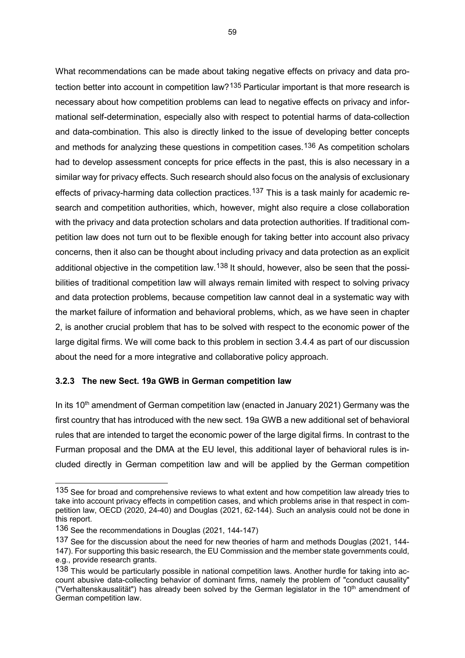What recommendations can be made about taking negative effects on privacy and data pro-tection better into account in competition law?<sup>[135](#page-59-0)</sup> Particular important is that more research is necessary about how competition problems can lead to negative effects on privacy and informational self-determination, especially also with respect to potential harms of data-collection and data-combination. This also is directly linked to the issue of developing better concepts and methods for analyzing these questions in competition cases.<sup>[136](#page-59-1)</sup> As competition scholars had to develop assessment concepts for price effects in the past, this is also necessary in a similar way for privacy effects. Such research should also focus on the analysis of exclusionary effects of privacy-harming data collection practices.<sup>[137](#page-59-2)</sup> This is a task mainly for academic research and competition authorities, which, however, might also require a close collaboration with the privacy and data protection scholars and data protection authorities. If traditional competition law does not turn out to be flexible enough for taking better into account also privacy concerns, then it also can be thought about including privacy and data protection as an explicit additional objective in the competition law.<sup>[138](#page-59-3)</sup> It should, however, also be seen that the possibilities of traditional competition law will always remain limited with respect to solving privacy and data protection problems, because competition law cannot deal in a systematic way with the market failure of information and behavioral problems, which, as we have seen in chapter 2, is another crucial problem that has to be solved with respect to the economic power of the large digital firms. We will come back to this problem in section 3.4.4 as part of our discussion about the need for a more integrative and collaborative policy approach.

### **3.2.3 The new Sect. 19a GWB in German competition law**

In its 10<sup>th</sup> amendment of German competition law (enacted in January 2021) Germany was the first country that has introduced with the new sect. 19a GWB a new additional set of behavioral rules that are intended to target the economic power of the large digital firms. In contrast to the Furman proposal and the DMA at the EU level, this additional layer of behavioral rules is included directly in German competition law and will be applied by the German competition

<span id="page-59-0"></span><sup>135</sup> See for broad and comprehensive reviews to what extent and how competition law already tries to take into account privacy effects in competition cases, and which problems arise in that respect in competition law, OECD (2020, 24-40) and Douglas (2021, 62-144). Such an analysis could not be done in this report.

<span id="page-59-1"></span><sup>136</sup> See the recommendations in Douglas (2021, 144-147)

<span id="page-59-2"></span><sup>137</sup> See for the discussion about the need for new theories of harm and methods Douglas (2021, 144- 147). For supporting this basic research, the EU Commission and the member state governments could, e.g., provide research grants.

<span id="page-59-3"></span><sup>138</sup> This would be particularly possible in national competition laws. Another hurdle for taking into account abusive data-collecting behavior of dominant firms, namely the problem of "conduct causality" ("Verhaltenskausalität") has already been solved by the German legislator in the  $10<sup>th</sup>$  amendment of German competition law.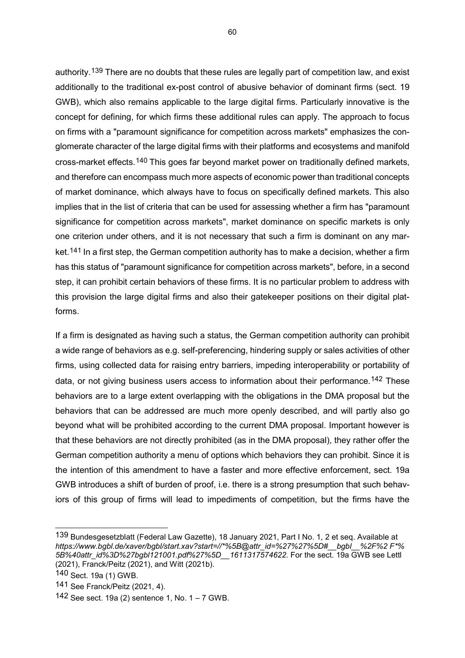authority.<sup>[139](#page-60-0)</sup> There are no doubts that these rules are legally part of competition law, and exist additionally to the traditional ex-post control of abusive behavior of dominant firms (sect. 19 GWB), which also remains applicable to the large digital firms. Particularly innovative is the concept for defining, for which firms these additional rules can apply. The approach to focus on firms with a "paramount significance for competition across markets" emphasizes the conglomerate character of the large digital firms with their platforms and ecosystems and manifold cross-market effects.[140](#page-60-1) This goes far beyond market power on traditionally defined markets, and therefore can encompass much more aspects of economic power than traditional concepts of market dominance, which always have to focus on specifically defined markets. This also implies that in the list of criteria that can be used for assessing whether a firm has "paramount significance for competition across markets", market dominance on specific markets is only one criterion under others, and it is not necessary that such a firm is dominant on any mar-ket.<sup>[141](#page-60-2)</sup> In a first step, the German competition authority has to make a decision, whether a firm has this status of "paramount significance for competition across markets", before, in a second step, it can prohibit certain behaviors of these firms. It is no particular problem to address with this provision the large digital firms and also their gatekeeper positions on their digital platforms.

If a firm is designated as having such a status, the German competition authority can prohibit a wide range of behaviors as e.g. self-preferencing, hindering supply or sales activities of other firms, using collected data for raising entry barriers, impeding interoperability or portability of data, or not giving business users access to information about their performance.<sup>[142](#page-60-3)</sup> These behaviors are to a large extent overlapping with the obligations in the DMA proposal but the behaviors that can be addressed are much more openly described, and will partly also go beyond what will be prohibited according to the current DMA proposal. Important however is that these behaviors are not directly prohibited (as in the DMA proposal), they rather offer the German competition authority a menu of options which behaviors they can prohibit. Since it is the intention of this amendment to have a faster and more effective enforcement, sect. 19a GWB introduces a shift of burden of proof, i.e. there is a strong presumption that such behaviors of this group of firms will lead to impediments of competition, but the firms have the

<span id="page-60-0"></span><sup>139</sup> Bundesgesetzblatt (Federal Law Gazette), 18 January 2021, Part I No. 1, 2 et seq. Available at *https://www.bgbl.de/xaver/bgbl/start.xav?start=//\*%5B@attr\_id=%27%27%5D#\_\_bgbl\_\_%2F%2 F\*% 5B%40attr\_id%3D%27bgbl121001.pdf%27%5D\_\_1611317574622.* For the sect. 19a GWB see Lettl (2021), Franck/Peitz (2021), and Witt (2021b).

<span id="page-60-1"></span><sup>140</sup> Sect. 19a (1) GWB.

<span id="page-60-2"></span><sup>141</sup> See Franck/Peitz (2021, 4).

<span id="page-60-3"></span><sup>142</sup> See sect. 19a (2) sentence 1, No.  $1 - 7$  GWB.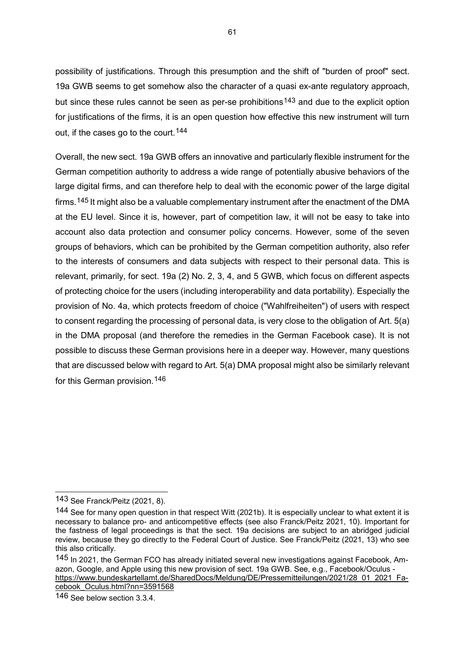possibility of justifications. Through this presumption and the shift of "burden of proof" sect. 19a GWB seems to get somehow also the character of a quasi ex-ante regulatory approach, but since these rules cannot be seen as per-se prohibitions<sup>[143](#page-61-0)</sup> and due to the explicit option for justifications of the firms, it is an open question how effective this new instrument will turn out, if the cases go to the court.<sup>[144](#page-61-1)</sup>

Overall, the new sect. 19a GWB offers an innovative and particularly flexible instrument for the German competition authority to address a wide range of potentially abusive behaviors of the large digital firms, and can therefore help to deal with the economic power of the large digital firms.[145](#page-61-2) It might also be a valuable complementary instrument after the enactment of the DMA at the EU level. Since it is, however, part of competition law, it will not be easy to take into account also data protection and consumer policy concerns. However, some of the seven groups of behaviors, which can be prohibited by the German competition authority, also refer to the interests of consumers and data subjects with respect to their personal data. This is relevant, primarily, for sect. 19a (2) No. 2, 3, 4, and 5 GWB, which focus on different aspects of protecting choice for the users (including interoperability and data portability). Especially the provision of No. 4a, which protects freedom of choice ("Wahlfreiheiten") of users with respect to consent regarding the processing of personal data, is very close to the obligation of Art. 5(a) in the DMA proposal (and therefore the remedies in the German Facebook case). It is not possible to discuss these German provisions here in a deeper way. However, many questions that are discussed below with regard to Art. 5(a) DMA proposal might also be similarly relevant for this German provision.<sup>[146](#page-61-3)</sup>

<span id="page-61-0"></span><sup>143</sup> See Franck/Peitz (2021, 8).

<span id="page-61-1"></span><sup>144</sup> See for many open question in that respect Witt (2021b). It is especially unclear to what extent it is necessary to balance pro- and anticompetitive effects (see also Franck/Peitz 2021, 10). Important for the fastness of legal proceedings is that the sect. 19a decisions are subject to an abridged judicial review, because they go directly to the Federal Court of Justice. See Franck/Peitz (2021, 13) who see this also critically.

<span id="page-61-2"></span><sup>145</sup> In 2021, the German FCO has already initiated several new investigations against Facebook, Amazon, Google, and Apple using this new provision of sect. 19a GWB. See, e.g., Facebook/Oculus [https://www.bundeskartellamt.de/SharedDocs/Meldung/DE/Pressemitteilungen/2021/28\\_01\\_2021\\_Fa](https://www.bundeskartellamt.de/SharedDocs/Meldung/DE/Pressemitteilungen/2021/28_01_2021_Facebook_Oculus.html?nn=3591568)cebook Oculus.html?nn=3591568

<span id="page-61-3"></span><sup>146</sup> See below section 3.3.4.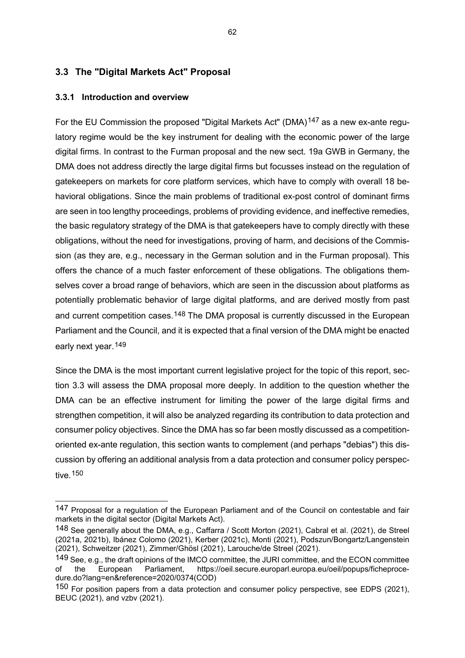## **3.3 The "Digital Markets Act" Proposal**

## **3.3.1 Introduction and overview**

-

For the EU Commission the proposed "Digital Markets Act" (DMA)<sup>[147](#page-62-0)</sup> as a new ex-ante regulatory regime would be the key instrument for dealing with the economic power of the large digital firms. In contrast to the Furman proposal and the new sect. 19a GWB in Germany, the DMA does not address directly the large digital firms but focusses instead on the regulation of gatekeepers on markets for core platform services, which have to comply with overall 18 behavioral obligations. Since the main problems of traditional ex-post control of dominant firms are seen in too lengthy proceedings, problems of providing evidence, and ineffective remedies, the basic regulatory strategy of the DMA is that gatekeepers have to comply directly with these obligations, without the need for investigations, proving of harm, and decisions of the Commission (as they are, e.g., necessary in the German solution and in the Furman proposal). This offers the chance of a much faster enforcement of these obligations. The obligations themselves cover a broad range of behaviors, which are seen in the discussion about platforms as potentially problematic behavior of large digital platforms, and are derived mostly from past and current competition cases.<sup>[148](#page-62-1)</sup> The DMA proposal is currently discussed in the European Parliament and the Council, and it is expected that a final version of the DMA might be enacted early next year.<sup>149</sup>

Since the DMA is the most important current legislative project for the topic of this report, section 3.3 will assess the DMA proposal more deeply. In addition to the question whether the DMA can be an effective instrument for limiting the power of the large digital firms and strengthen competition, it will also be analyzed regarding its contribution to data protection and consumer policy objectives. Since the DMA has so far been mostly discussed as a competitionoriented ex-ante regulation, this section wants to complement (and perhaps "debias") this discussion by offering an additional analysis from a data protection and consumer policy perspective.[150](#page-62-3)

<span id="page-62-0"></span><sup>147</sup> Proposal for a regulation of the European Parliament and of the Council on contestable and fair markets in the digital sector (Digital Markets Act).

<span id="page-62-1"></span><sup>148</sup> See generally about the DMA, e.g., Caffarra / Scott Morton (2021), Cabral et al. (2021), de Streel (2021a, 2021b), Ibánez Colomo (2021), Kerber (2021c), Monti (2021), Podszun/Bongartz/Langenstein (2021), Schweitzer (2021), Zimmer/Ghösl (2021), Larouche/de Streel (2021).

<span id="page-62-2"></span><sup>149</sup> See, e.g., the draft opinions of the IMCO committee, the JURI committee, and the ECON committee<br>of the European Parliament, https://oeil.secure.europarl.europa.eu/oeil/popups/ficheproceof the European Parliament, https://oeil.secure.europarl.europa.eu/oeil/popups/ficheprocedure.do?lang=en&reference=2020/0374(COD)

<span id="page-62-3"></span><sup>150</sup> For position papers from a data protection and consumer policy perspective, see EDPS (2021), BEUC (2021), and vzbv (2021).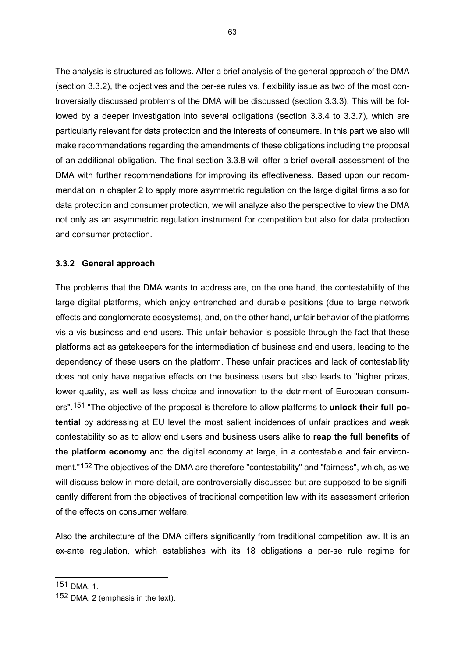The analysis is structured as follows. After a brief analysis of the general approach of the DMA (section 3.3.2), the objectives and the per-se rules vs. flexibility issue as two of the most controversially discussed problems of the DMA will be discussed (section 3.3.3). This will be followed by a deeper investigation into several obligations (section 3.3.4 to 3.3.7), which are particularly relevant for data protection and the interests of consumers. In this part we also will make recommendations regarding the amendments of these obligations including the proposal of an additional obligation. The final section 3.3.8 will offer a brief overall assessment of the DMA with further recommendations for improving its effectiveness. Based upon our recommendation in chapter 2 to apply more asymmetric regulation on the large digital firms also for data protection and consumer protection, we will analyze also the perspective to view the DMA not only as an asymmetric regulation instrument for competition but also for data protection and consumer protection.

### **3.3.2 General approach**

The problems that the DMA wants to address are, on the one hand, the contestability of the large digital platforms, which enjoy entrenched and durable positions (due to large network effects and conglomerate ecosystems), and, on the other hand, unfair behavior of the platforms vis-a-vis business and end users. This unfair behavior is possible through the fact that these platforms act as gatekeepers for the intermediation of business and end users, leading to the dependency of these users on the platform. These unfair practices and lack of contestability does not only have negative effects on the business users but also leads to "higher prices, lower quality, as well as less choice and innovation to the detriment of European consumers".[151](#page-63-0) "The objective of the proposal is therefore to allow platforms to **unlock their full potential** by addressing at EU level the most salient incidences of unfair practices and weak contestability so as to allow end users and business users alike to **reap the full benefits of the platform economy** and the digital economy at large, in a contestable and fair environment."[152](#page-63-1) The objectives of the DMA are therefore "contestability" and "fairness", which, as we will discuss below in more detail, are controversially discussed but are supposed to be significantly different from the objectives of traditional competition law with its assessment criterion of the effects on consumer welfare.

Also the architecture of the DMA differs significantly from traditional competition law. It is an ex-ante regulation, which establishes with its 18 obligations a per-se rule regime for

<span id="page-63-0"></span><sup>151</sup> DMA, 1.

<span id="page-63-1"></span><sup>152</sup> DMA, 2 (emphasis in the text).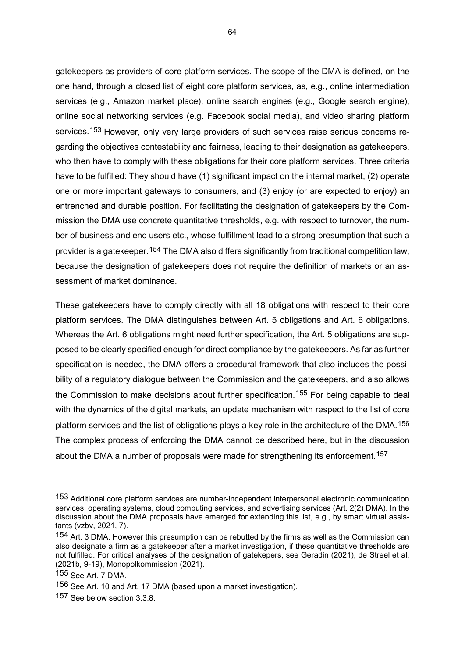gatekeepers as providers of core platform services. The scope of the DMA is defined, on the one hand, through a closed list of eight core platform services, as, e.g., online intermediation services (e.g., Amazon market place), online search engines (e.g., Google search engine), online social networking services (e.g. Facebook social media), and video sharing platform services.<sup>[153](#page-64-0)</sup> However, only very large providers of such services raise serious concerns regarding the objectives contestability and fairness, leading to their designation as gatekeepers, who then have to comply with these obligations for their core platform services. Three criteria have to be fulfilled: They should have (1) significant impact on the internal market, (2) operate one or more important gateways to consumers, and (3) enjoy (or are expected to enjoy) an entrenched and durable position. For facilitating the designation of gatekeepers by the Commission the DMA use concrete quantitative thresholds, e.g. with respect to turnover, the number of business and end users etc., whose fulfillment lead to a strong presumption that such a provider is a gatekeeper.[154](#page-64-1) The DMA also differs significantly from traditional competition law, because the designation of gatekeepers does not require the definition of markets or an assessment of market dominance.

These gatekeepers have to comply directly with all 18 obligations with respect to their core platform services. The DMA distinguishes between Art. 5 obligations and Art. 6 obligations. Whereas the Art. 6 obligations might need further specification, the Art. 5 obligations are supposed to be clearly specified enough for direct compliance by the gatekeepers. As far as further specification is needed, the DMA offers a procedural framework that also includes the possibility of a regulatory dialogue between the Commission and the gatekeepers, and also allows the Commission to make decisions about further specification.<sup>[155](#page-64-2)</sup> For being capable to deal with the dynamics of the digital markets, an update mechanism with respect to the list of core platform services and the list of obligations plays a key role in the architecture of the DMA.[156](#page-64-3) The complex process of enforcing the DMA cannot be described here, but in the discussion about the DMA a number of proposals were made for strengthening its enforcement.<sup>157</sup>

<span id="page-64-0"></span><sup>153</sup> Additional core platform services are number-independent interpersonal electronic communication services, operating systems, cloud computing services, and advertising services (Art. 2(2) DMA). In the discussion about the DMA proposals have emerged for extending this list, e.g., by smart virtual assistants (vzbv, 2021, 7).

<span id="page-64-1"></span><sup>154</sup> Art. 3 DMA. However this presumption can be rebutted by the firms as well as the Commission can also designate a firm as a gatekeeper after a market investigation, if these quantitative thresholds are not fulfilled. For critical analyses of the designation of gatekepers, see Geradin (2021), de Streel et al. (2021b, 9-19), Monopolkommission (2021).

<span id="page-64-2"></span><sup>155</sup> See Art. 7 DMA.

<span id="page-64-3"></span><sup>156</sup> See Art. 10 and Art. 17 DMA (based upon a market investigation).

<span id="page-64-4"></span><sup>157</sup> See below section 3.3.8.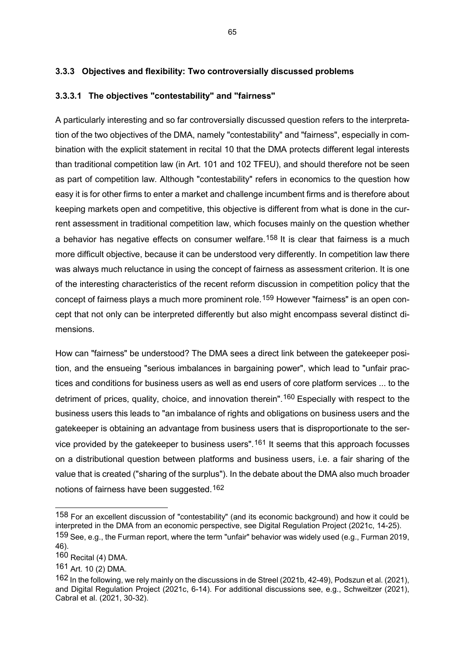# **3.3.3 Objectives and flexibility: Two controversially discussed problems**

## **3.3.3.1 The objectives "contestability" and "fairness"**

A particularly interesting and so far controversially discussed question refers to the interpretation of the two objectives of the DMA, namely "contestability" and "fairness", especially in combination with the explicit statement in recital 10 that the DMA protects different legal interests than traditional competition law (in Art. 101 and 102 TFEU), and should therefore not be seen as part of competition law. Although "contestability" refers in economics to the question how easy it is for other firms to enter a market and challenge incumbent firms and is therefore about keeping markets open and competitive, this objective is different from what is done in the current assessment in traditional competition law, which focuses mainly on the question whether a behavior has negative effects on consumer welfare.<sup>[158](#page-65-0)</sup> It is clear that fairness is a much more difficult objective, because it can be understood very differently. In competition law there was always much reluctance in using the concept of fairness as assessment criterion. It is one of the interesting characteristics of the recent reform discussion in competition policy that the concept of fairness plays a much more prominent role.<sup>[159](#page-65-1)</sup> However "fairness" is an open concept that not only can be interpreted differently but also might encompass several distinct dimensions.

How can "fairness" be understood? The DMA sees a direct link between the gatekeeper position, and the ensueing "serious imbalances in bargaining power", which lead to "unfair practices and conditions for business users as well as end users of core platform services ... to the detriment of prices, quality, choice, and innovation therein".<sup>[160](#page-65-2)</sup> Especially with respect to the business users this leads to "an imbalance of rights and obligations on business users and the gatekeeper is obtaining an advantage from business users that is disproportionate to the service provided by the gatekeeper to business users".[161](#page-65-3) It seems that this approach focusses on a distributional question between platforms and business users, i.e. a fair sharing of the value that is created ("sharing of the surplus"). In the debate about the DMA also much broader notions of fairness have been suggested.[162](#page-65-4)

<span id="page-65-0"></span><sup>158</sup> For an excellent discussion of "contestability" (and its economic background) and how it could be interpreted in the DMA from an economic perspective, see Digital Regulation Project (2021c, 14-25).

<span id="page-65-1"></span><sup>159</sup> See, e.g., the Furman report, where the term "unfair" behavior was widely used (e.g., Furman 2019, 46).

<span id="page-65-2"></span><sup>160</sup> Recital (4) DMA.

<span id="page-65-3"></span><sup>161</sup> Art. 10 (2) DMA.

<span id="page-65-4"></span><sup>162</sup> In the following, we rely mainly on the discussions in de Streel (2021b, 42-49), Podszun et al. (2021), and Digital Regulation Project (2021c, 6-14). For additional discussions see, e.g., Schweitzer (2021), Cabral et al. (2021, 30-32).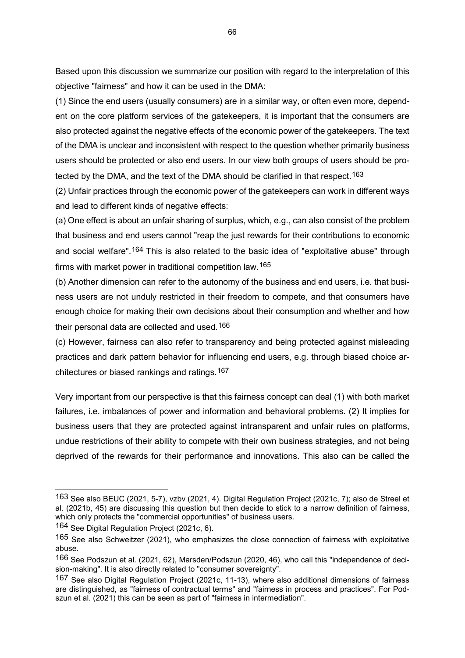Based upon this discussion we summarize our position with regard to the interpretation of this objective "fairness" and how it can be used in the DMA:

(1) Since the end users (usually consumers) are in a similar way, or often even more, dependent on the core platform services of the gatekeepers, it is important that the consumers are also protected against the negative effects of the economic power of the gatekeepers. The text of the DMA is unclear and inconsistent with respect to the question whether primarily business users should be protected or also end users. In our view both groups of users should be protected by the DMA, and the text of the DMA should be clarified in that respect.[163](#page-66-0)

(2) Unfair practices through the economic power of the gatekeepers can work in different ways and lead to different kinds of negative effects:

(a) One effect is about an unfair sharing of surplus, which, e.g., can also consist of the problem that business and end users cannot "reap the just rewards for their contributions to economic and social welfare".<sup>[164](#page-66-1)</sup> This is also related to the basic idea of "exploitative abuse" through firms with market power in traditional competition law.[165](#page-66-2)

(b) Another dimension can refer to the autonomy of the business and end users, i.e. that business users are not unduly restricted in their freedom to compete, and that consumers have enough choice for making their own decisions about their consumption and whether and how their personal data are collected and used.[166](#page-66-3)

(c) However, fairness can also refer to transparency and being protected against misleading practices and dark pattern behavior for influencing end users, e.g. through biased choice architectures or biased rankings and ratings.[167](#page-66-4)

Very important from our perspective is that this fairness concept can deal (1) with both market failures, i.e. imbalances of power and information and behavioral problems. (2) It implies for business users that they are protected against intransparent and unfair rules on platforms, undue restrictions of their ability to compete with their own business strategies, and not being deprived of the rewards for their performance and innovations. This also can be called the

<span id="page-66-0"></span><sup>163</sup> See also BEUC (2021, 5-7), vzbv (2021, 4). Digital Regulation Project (2021c, 7); also de Streel et al. (2021b, 45) are discussing this question but then decide to stick to a narrow definition of fairness, which only protects the "commercial opportunities" of business users.

<span id="page-66-1"></span><sup>164</sup> See Digital Regulation Project (2021c, 6).

<span id="page-66-2"></span><sup>165</sup> See also Schweitzer (2021), who emphasizes the close connection of fairness with exploitative abuse.

<span id="page-66-3"></span><sup>166</sup> See Podszun et al. (2021, 62), Marsden/Podszun (2020, 46), who call this "independence of decision-making". It is also directly related to "consumer sovereignty".

<span id="page-66-4"></span><sup>167</sup> See also Digital Regulation Project (2021c, 11-13), where also additional dimensions of fairness are distinguished, as "fairness of contractual terms" and "fairness in process and practices". For Podszun et al. (2021) this can be seen as part of "fairness in intermediation".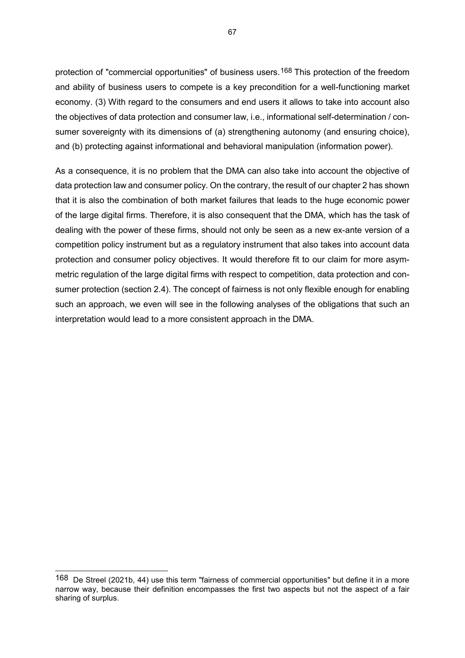protection of "commercial opportunities" of business users.<sup>[168](#page-67-0)</sup> This protection of the freedom and ability of business users to compete is a key precondition for a well-functioning market economy. (3) With regard to the consumers and end users it allows to take into account also the objectives of data protection and consumer law, i.e., informational self-determination / consumer sovereignty with its dimensions of (a) strengthening autonomy (and ensuring choice), and (b) protecting against informational and behavioral manipulation (information power).

As a consequence, it is no problem that the DMA can also take into account the objective of data protection law and consumer policy. On the contrary, the result of our chapter 2 has shown that it is also the combination of both market failures that leads to the huge economic power of the large digital firms. Therefore, it is also consequent that the DMA, which has the task of dealing with the power of these firms, should not only be seen as a new ex-ante version of a competition policy instrument but as a regulatory instrument that also takes into account data protection and consumer policy objectives. It would therefore fit to our claim for more asymmetric regulation of the large digital firms with respect to competition, data protection and consumer protection (section 2.4). The concept of fairness is not only flexible enough for enabling such an approach, we even will see in the following analyses of the obligations that such an interpretation would lead to a more consistent approach in the DMA.

<span id="page-67-0"></span><sup>168</sup> De Streel (2021b, 44) use this term "fairness of commercial opportunities" but define it in a more narrow way, because their definition encompasses the first two aspects but not the aspect of a fair sharing of surplus.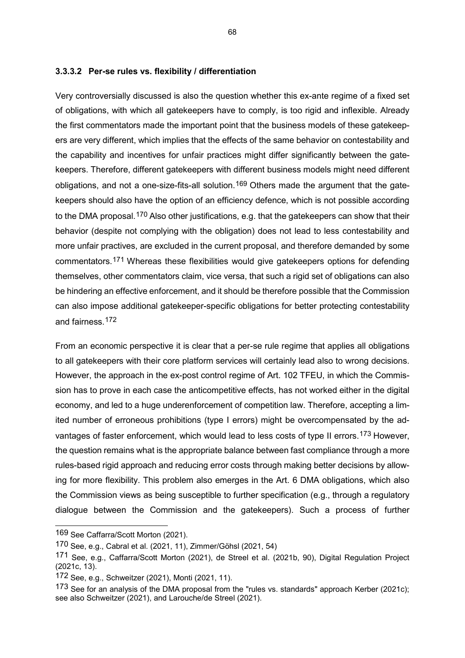#### **3.3.3.2 Per-se rules vs. flexibility / differentiation**

Very controversially discussed is also the question whether this ex-ante regime of a fixed set of obligations, with which all gatekeepers have to comply, is too rigid and inflexible. Already the first commentators made the important point that the business models of these gatekeepers are very different, which implies that the effects of the same behavior on contestability and the capability and incentives for unfair practices might differ significantly between the gatekeepers. Therefore, different gatekeepers with different business models might need different obligations, and not a one-size-fits-all solution.<sup>[169](#page-68-0)</sup> Others made the argument that the gatekeepers should also have the option of an efficiency defence, which is not possible according to the DMA proposal.<sup>[170](#page-68-1)</sup> Also other justifications, e.g. that the gatekeepers can show that their behavior (despite not complying with the obligation) does not lead to less contestability and more unfair practives, are excluded in the current proposal, and therefore demanded by some commentators.[171](#page-68-2) Whereas these flexibilities would give gatekeepers options for defending themselves, other commentators claim, vice versa, that such a rigid set of obligations can also be hindering an effective enforcement, and it should be therefore possible that the Commission can also impose additional gatekeeper-specific obligations for better protecting contestability and fairness.[172](#page-68-3)

From an economic perspective it is clear that a per-se rule regime that applies all obligations to all gatekeepers with their core platform services will certainly lead also to wrong decisions. However, the approach in the ex-post control regime of Art. 102 TFEU, in which the Commission has to prove in each case the anticompetitive effects, has not worked either in the digital economy, and led to a huge underenforcement of competition law. Therefore, accepting a limited number of erroneous prohibitions (type I errors) might be overcompensated by the advantages of faster enforcement, which would lead to less costs of type II errors.[173](#page-68-4) However, the question remains what is the appropriate balance between fast compliance through a more rules-based rigid approach and reducing error costs through making better decisions by allowing for more flexibility. This problem also emerges in the Art. 6 DMA obligations, which also the Commission views as being susceptible to further specification (e.g., through a regulatory dialogue between the Commission and the gatekeepers). Such a process of further

<span id="page-68-0"></span><sup>169</sup> See Caffarra/Scott Morton (2021).

<span id="page-68-1"></span><sup>170</sup> See, e.g., Cabral et al. (2021, 11), Zimmer/Göhsl (2021, 54)

<span id="page-68-2"></span><sup>171</sup> See, e.g., Caffarra/Scott Morton (2021), de Streel et al. (2021b, 90), Digital Regulation Project (2021c, 13).

<span id="page-68-3"></span><sup>172</sup> See, e.g., Schweitzer (2021), Monti (2021, 11).

<span id="page-68-4"></span><sup>173</sup> See for an analysis of the DMA proposal from the "rules vs. standards" approach Kerber (2021c); see also Schweitzer (2021), and Larouche/de Streel (2021).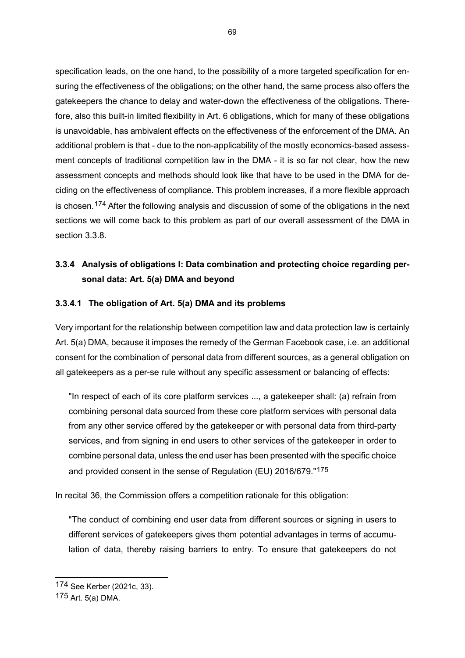specification leads, on the one hand, to the possibility of a more targeted specification for ensuring the effectiveness of the obligations; on the other hand, the same process also offers the gatekeepers the chance to delay and water-down the effectiveness of the obligations. Therefore, also this built-in limited flexibility in Art. 6 obligations, which for many of these obligations is unavoidable, has ambivalent effects on the effectiveness of the enforcement of the DMA. An additional problem is that - due to the non-applicability of the mostly economics-based assessment concepts of traditional competition law in the DMA - it is so far not clear, how the new assessment concepts and methods should look like that have to be used in the DMA for deciding on the effectiveness of compliance. This problem increases, if a more flexible approach is chosen.[174](#page-69-0) After the following analysis and discussion of some of the obligations in the next sections we will come back to this problem as part of our overall assessment of the DMA in section 3.3.8.

# **3.3.4 Analysis of obligations I: Data combination and protecting choice regarding personal data: Art. 5(a) DMA and beyond**

## **3.3.4.1 The obligation of Art. 5(a) DMA and its problems**

Very important for the relationship between competition law and data protection law is certainly Art. 5(a) DMA, because it imposes the remedy of the German Facebook case, i.e. an additional consent for the combination of personal data from different sources, as a general obligation on all gatekeepers as a per-se rule without any specific assessment or balancing of effects:

"In respect of each of its core platform services ..., a gatekeeper shall: (a) refrain from combining personal data sourced from these core platform services with personal data from any other service offered by the gatekeeper or with personal data from third-party services, and from signing in end users to other services of the gatekeeper in order to combine personal data, unless the end user has been presented with the specific choice and provided consent in the sense of Regulation (EU) 2016/679."[175](#page-69-1)

In recital 36, the Commission offers a competition rationale for this obligation:

"The conduct of combining end user data from different sources or signing in users to different services of gatekeepers gives them potential advantages in terms of accumulation of data, thereby raising barriers to entry. To ensure that gatekeepers do not

<span id="page-69-0"></span><sup>174</sup> See Kerber (2021c, 33).

<span id="page-69-1"></span><sup>175</sup> Art. 5(a) DMA.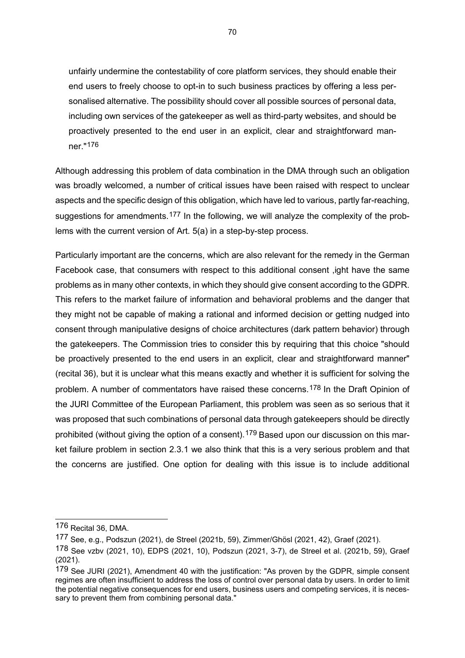unfairly undermine the contestability of core platform services, they should enable their end users to freely choose to opt-in to such business practices by offering a less personalised alternative. The possibility should cover all possible sources of personal data, including own services of the gatekeeper as well as third-party websites, and should be proactively presented to the end user in an explicit, clear and straightforward manner."[176](#page-70-0)

Although addressing this problem of data combination in the DMA through such an obligation was broadly welcomed, a number of critical issues have been raised with respect to unclear aspects and the specific design of this obligation, which have led to various, partly far-reaching, suggestions for amendments.<sup>[177](#page-70-1)</sup> In the following, we will analyze the complexity of the problems with the current version of Art. 5(a) in a step-by-step process.

Particularly important are the concerns, which are also relevant for the remedy in the German Facebook case, that consumers with respect to this additional consent ,ight have the same problems as in many other contexts, in which they should give consent according to the GDPR. This refers to the market failure of information and behavioral problems and the danger that they might not be capable of making a rational and informed decision or getting nudged into consent through manipulative designs of choice architectures (dark pattern behavior) through the gatekeepers. The Commission tries to consider this by requiring that this choice "should be proactively presented to the end users in an explicit, clear and straightforward manner" (recital 36), but it is unclear what this means exactly and whether it is sufficient for solving the problem. A number of commentators have raised these concerns.[178](#page-70-2) In the Draft Opinion of the JURI Committee of the European Parliament, this problem was seen as so serious that it was proposed that such combinations of personal data through gatekeepers should be directly prohibited (without giving the option of a consent).<sup>[179](#page-70-3)</sup> Based upon our discussion on this market failure problem in section 2.3.1 we also think that this is a very serious problem and that the concerns are justified. One option for dealing with this issue is to include additional

<span id="page-70-0"></span><sup>176</sup> Recital 36, DMA.

<span id="page-70-1"></span><sup>177</sup> See, e.g., Podszun (2021), de Streel (2021b, 59), Zimmer/Ghösl (2021, 42), Graef (2021).

<span id="page-70-2"></span><sup>178</sup> See vzbv (2021, 10), EDPS (2021, 10), Podszun (2021, 3-7), de Streel et al. (2021b, 59), Graef (2021).

<span id="page-70-3"></span><sup>179</sup> See JURI (2021), Amendment 40 with the justification: "As proven by the GDPR, simple consent regimes are often insufficient to address the loss of control over personal data by users. In order to limit the potential negative consequences for end users, business users and competing services, it is necessary to prevent them from combining personal data."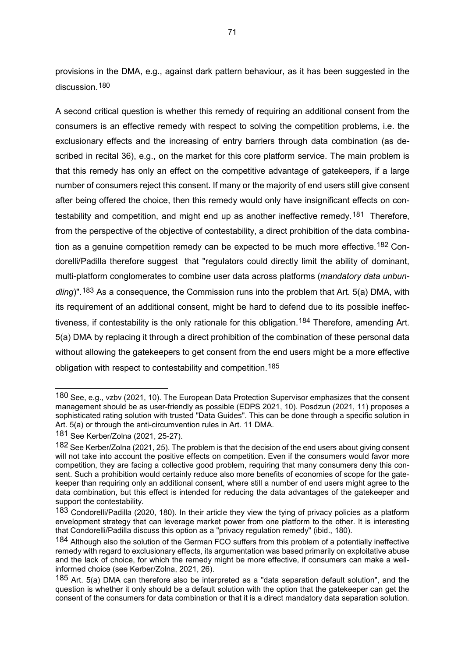provisions in the DMA, e.g., against dark pattern behaviour, as it has been suggested in the discussion.<sup>[180](#page-71-0)</sup>

A second critical question is whether this remedy of requiring an additional consent from the consumers is an effective remedy with respect to solving the competition problems, i.e. the exclusionary effects and the increasing of entry barriers through data combination (as described in recital 36), e.g., on the market for this core platform service. The main problem is that this remedy has only an effect on the competitive advantage of gatekeepers, if a large number of consumers reject this consent. If many or the majority of end users still give consent after being offered the choice, then this remedy would only have insignificant effects on con-testability and competition, and might end up as another ineffective remedy.<sup>[181](#page-71-1)</sup> Therefore, from the perspective of the objective of contestability, a direct prohibition of the data combina-tion as a genuine competition remedy can be expected to be much more effective.<sup>[182](#page-71-2)</sup> Condorelli/Padilla therefore suggest that "regulators could directly limit the ability of dominant, multi-platform conglomerates to combine user data across platforms (*mandatory data unbundling*)".[183](#page-71-3) As a consequence, the Commission runs into the problem that Art. 5(a) DMA, with its requirement of an additional consent, might be hard to defend due to its possible ineffec-tiveness, if contestability is the only rationale for this obligation.<sup>[184](#page-71-4)</sup> Therefore, amending Art. 5(a) DMA by replacing it through a direct prohibition of the combination of these personal data without allowing the gatekeepers to get consent from the end users might be a more effective obligation with respect to contestability and competition.[185](#page-71-5)

<span id="page-71-0"></span><sup>180</sup> See, e.g., vzbv (2021, 10). The European Data Protection Supervisor emphasizes that the consent management should be as user-friendly as possible (EDPS 2021, 10). Posdzun (2021, 11) proposes a sophisticated rating solution with trusted "Data Guides". This can be done through a specific solution in Art. 5(a) or through the anti-circumvention rules in Art. 11 DMA.

<span id="page-71-1"></span><sup>181</sup> See Kerber/Zolna (2021, 25-27).

<span id="page-71-2"></span><sup>182</sup> See Kerber/Zolna (2021, 25). The problem is that the decision of the end users about giving consent will not take into account the positive effects on competition. Even if the consumers would favor more competition, they are facing a collective good problem, requiring that many consumers deny this consent. Such a prohibition would certainly reduce also more benefits of economies of scope for the gatekeeper than requiring only an additional consent, where still a number of end users might agree to the data combination, but this effect is intended for reducing the data advantages of the gatekeeper and support the contestability.

<span id="page-71-3"></span><sup>183</sup> Condorelli/Padilla (2020, 180). In their article they view the tying of privacy policies as a platform envelopment strategy that can leverage market power from one platform to the other. It is interesting that Condorelli/Padilla discuss this option as a "privacy regulation remedy" (ibid., 180).

<span id="page-71-4"></span><sup>184</sup> Although also the solution of the German FCO suffers from this problem of a potentially ineffective remedy with regard to exclusionary effects, its argumentation was based primarily on exploitative abuse and the lack of choice, for which the remedy might be more effective, if consumers can make a wellinformed choice (see Kerber/Zolna, 2021, 26).

<span id="page-71-5"></span><sup>185</sup> Art. 5(a) DMA can therefore also be interpreted as a "data separation default solution", and the question is whether it only should be a default solution with the option that the gatekeeper can get the consent of the consumers for data combination or that it is a direct mandatory data separation solution.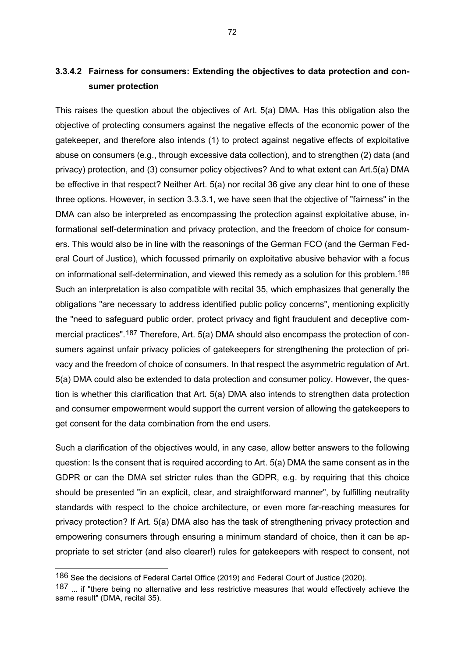This raises the question about the objectives of Art. 5(a) DMA. Has this obligation also the objective of protecting consumers against the negative effects of the economic power of the gatekeeper, and therefore also intends (1) to protect against negative effects of exploitative abuse on consumers (e.g., through excessive data collection), and to strengthen (2) data (and privacy) protection, and (3) consumer policy objectives? And to what extent can Art.5(a) DMA be effective in that respect? Neither Art. 5(a) nor recital 36 give any clear hint to one of these three options. However, in section 3.3.3.1, we have seen that the objective of "fairness" in the DMA can also be interpreted as encompassing the protection against exploitative abuse, informational self-determination and privacy protection, and the freedom of choice for consumers. This would also be in line with the reasonings of the German FCO (and the German Federal Court of Justice), which focussed primarily on exploitative abusive behavior with a focus on informational self-determination, and viewed this remedy as a solution for this problem.[186](#page-72-0) Such an interpretation is also compatible with recital 35, which emphasizes that generally the obligations "are necessary to address identified public policy concerns", mentioning explicitly the "need to safeguard public order, protect privacy and fight fraudulent and deceptive com-mercial practices", <sup>[187](#page-72-1)</sup> Therefore, Art. 5(a) DMA should also encompass the protection of consumers against unfair privacy policies of gatekeepers for strengthening the protection of privacy and the freedom of choice of consumers. In that respect the asymmetric regulation of Art. 5(a) DMA could also be extended to data protection and consumer policy. However, the question is whether this clarification that Art. 5(a) DMA also intends to strengthen data protection and consumer empowerment would support the current version of allowing the gatekeepers to get consent for the data combination from the end users.

Such a clarification of the objectives would, in any case, allow better answers to the following question: Is the consent that is required according to Art. 5(a) DMA the same consent as in the GDPR or can the DMA set stricter rules than the GDPR, e.g. by requiring that this choice should be presented "in an explicit, clear, and straightforward manner", by fulfilling neutrality standards with respect to the choice architecture, or even more far-reaching measures for privacy protection? If Art. 5(a) DMA also has the task of strengthening privacy protection and empowering consumers through ensuring a minimum standard of choice, then it can be appropriate to set stricter (and also clearer!) rules for gatekeepers with respect to consent, not

<span id="page-72-0"></span><sup>186</sup> See the decisions of Federal Cartel Office (2019) and Federal Court of Justice (2020).

<span id="page-72-1"></span><sup>187 ...</sup> if "there being no alternative and less restrictive measures that would effectively achieve the same result" (DMA, recital 35).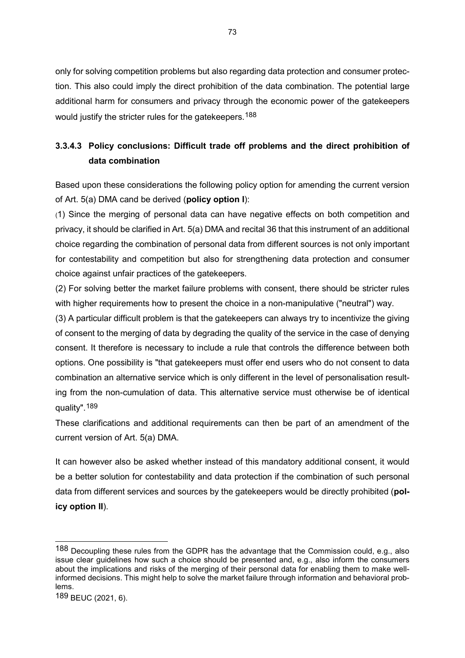only for solving competition problems but also regarding data protection and consumer protection. This also could imply the direct prohibition of the data combination. The potential large additional harm for consumers and privacy through the economic power of the gatekeepers would justify the stricter rules for the gatekeepers.<sup>[188](#page-73-0)</sup>

# **3.3.4.3 Policy conclusions: Difficult trade off problems and the direct prohibition of data combination**

Based upon these considerations the following policy option for amending the current version of Art. 5(a) DMA cand be derived (**policy option I**):

(1) Since the merging of personal data can have negative effects on both competition and privacy, it should be clarified in Art. 5(a) DMA and recital 36 that this instrument of an additional choice regarding the combination of personal data from different sources is not only important for contestability and competition but also for strengthening data protection and consumer choice against unfair practices of the gatekeepers.

(2) For solving better the market failure problems with consent, there should be stricter rules with higher requirements how to present the choice in a non-manipulative ("neutral") way.

(3) A particular difficult problem is that the gatekeepers can always try to incentivize the giving of consent to the merging of data by degrading the quality of the service in the case of denying consent. It therefore is necessary to include a rule that controls the difference between both options. One possibility is "that gatekeepers must offer end users who do not consent to data combination an alternative service which is only different in the level of personalisation resulting from the non-cumulation of data. This alternative service must otherwise be of identical quality".[189](#page-73-1)

These clarifications and additional requirements can then be part of an amendment of the current version of Art. 5(a) DMA.

It can however also be asked whether instead of this mandatory additional consent, it would be a better solution for contestability and data protection if the combination of such personal data from different services and sources by the gatekeepers would be directly prohibited (**policy option II**).

<span id="page-73-0"></span><sup>188</sup> Decoupling these rules from the GDPR has the advantage that the Commission could, e.g., also issue clear guidelines how such a choice should be presented and, e.g., also inform the consumers about the implications and risks of the merging of their personal data for enabling them to make wellinformed decisions. This might help to solve the market failure through information and behavioral problems.

<span id="page-73-1"></span><sup>189</sup> BEUC (2021, 6).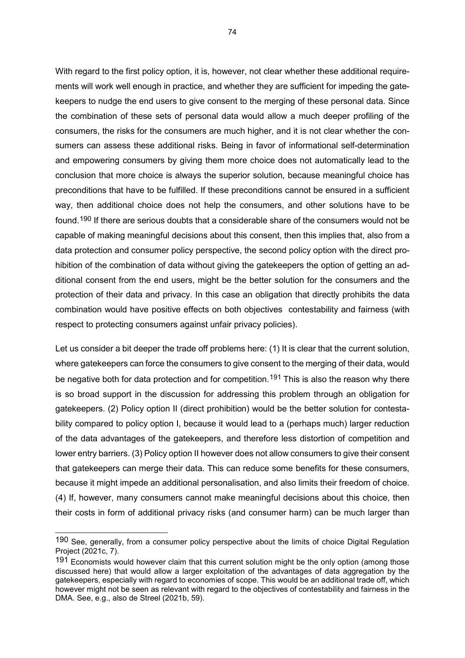With regard to the first policy option, it is, however, not clear whether these additional requirements will work well enough in practice, and whether they are sufficient for impeding the gatekeepers to nudge the end users to give consent to the merging of these personal data. Since the combination of these sets of personal data would allow a much deeper profiling of the consumers, the risks for the consumers are much higher, and it is not clear whether the consumers can assess these additional risks. Being in favor of informational self-determination and empowering consumers by giving them more choice does not automatically lead to the conclusion that more choice is always the superior solution, because meaningful choice has preconditions that have to be fulfilled. If these preconditions cannot be ensured in a sufficient way, then additional choice does not help the consumers, and other solutions have to be found.[190](#page-74-0) If there are serious doubts that a considerable share of the consumers would not be capable of making meaningful decisions about this consent, then this implies that, also from a data protection and consumer policy perspective, the second policy option with the direct prohibition of the combination of data without giving the gatekeepers the option of getting an additional consent from the end users, might be the better solution for the consumers and the protection of their data and privacy. In this case an obligation that directly prohibits the data combination would have positive effects on both objectives contestability and fairness (with respect to protecting consumers against unfair privacy policies).

Let us consider a bit deeper the trade off problems here: (1) It is clear that the current solution, where gatekeepers can force the consumers to give consent to the merging of their data, would be negative both for data protection and for competition.<sup>[191](#page-74-1)</sup> This is also the reason why there is so broad support in the discussion for addressing this problem through an obligation for gatekeepers. (2) Policy option II (direct prohibition) would be the better solution for contestability compared to policy option I, because it would lead to a (perhaps much) larger reduction of the data advantages of the gatekeepers, and therefore less distortion of competition and lower entry barriers. (3) Policy option II however does not allow consumers to give their consent that gatekeepers can merge their data. This can reduce some benefits for these consumers, because it might impede an additional personalisation, and also limits their freedom of choice. (4) If, however, many consumers cannot make meaningful decisions about this choice, then their costs in form of additional privacy risks (and consumer harm) can be much larger than

<span id="page-74-0"></span><sup>190</sup> See. generally, from a consumer policy perspective about the limits of choice Digital Regulation Project (2021c, 7).

<span id="page-74-1"></span><sup>191</sup> Economists would however claim that this current solution might be the only option (among those discussed here) that would allow a larger exploitation of the advantages of data aggregation by the gatekeepers, especially with regard to economies of scope. This would be an additional trade off, which however might not be seen as relevant with regard to the objectives of contestability and fairness in the DMA. See, e.g., also de Streel (2021b, 59).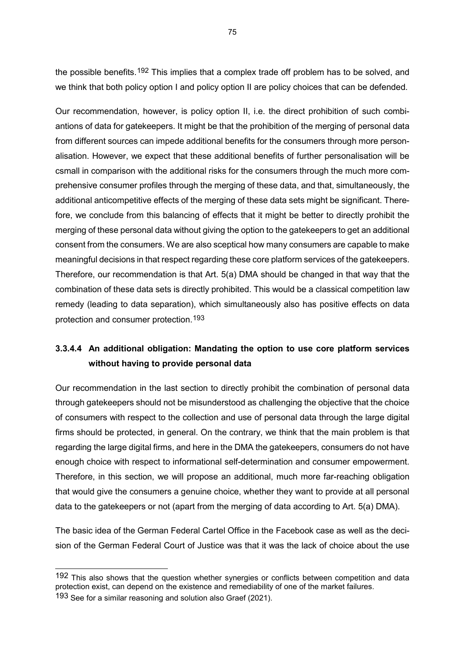the possible benefits.<sup>[192](#page-75-0)</sup> This implies that a complex trade off problem has to be solved, and we think that both policy option I and policy option II are policy choices that can be defended.

Our recommendation, however, is policy option II, i.e. the direct prohibition of such combiantions of data for gatekeepers. It might be that the prohibition of the merging of personal data from different sources can impede additional benefits for the consumers through more personalisation. However, we expect that these additional benefits of further personalisation will be csmall in comparison with the additional risks for the consumers through the much more comprehensive consumer profiles through the merging of these data, and that, simultaneously, the additional anticompetitive effects of the merging of these data sets might be significant. Therefore, we conclude from this balancing of effects that it might be better to directly prohibit the merging of these personal data without giving the option to the gatekeepers to get an additional consent from the consumers. We are also sceptical how many consumers are capable to make meaningful decisions in that respect regarding these core platform services of the gatekeepers. Therefore, our recommendation is that Art. 5(a) DMA should be changed in that way that the combination of these data sets is directly prohibited. This would be a classical competition law remedy (leading to data separation), which simultaneously also has positive effects on data protection and consumer protection.[193](#page-75-1)

# **3.3.4.4 An additional obligation: Mandating the option to use core platform services without having to provide personal data**

Our recommendation in the last section to directly prohibit the combination of personal data through gatekeepers should not be misunderstood as challenging the objective that the choice of consumers with respect to the collection and use of personal data through the large digital firms should be protected, in general. On the contrary, we think that the main problem is that regarding the large digital firms, and here in the DMA the gatekeepers, consumers do not have enough choice with respect to informational self-determination and consumer empowerment. Therefore, in this section, we will propose an additional, much more far-reaching obligation that would give the consumers a genuine choice, whether they want to provide at all personal data to the gatekeepers or not (apart from the merging of data according to Art. 5(a) DMA).

The basic idea of the German Federal Cartel Office in the Facebook case as well as the decision of the German Federal Court of Justice was that it was the lack of choice about the use

<span id="page-75-1"></span><span id="page-75-0"></span><sup>192</sup> This also shows that the question whether synergies or conflicts between competition and data protection exist, can depend on the existence and remediability of one of the market failures. 193 See for a similar reasoning and solution also Graef (2021).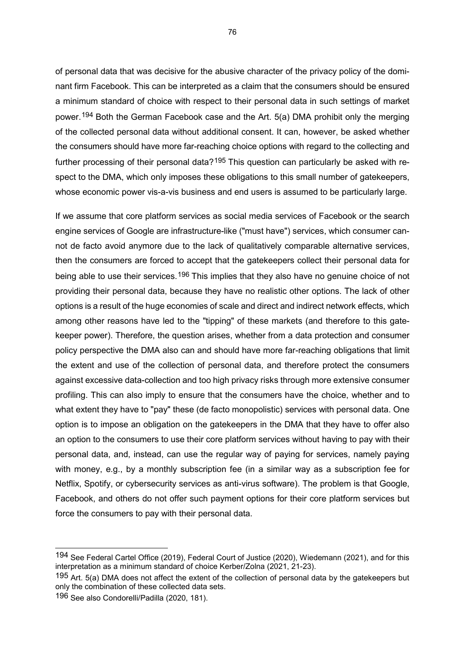of personal data that was decisive for the abusive character of the privacy policy of the dominant firm Facebook. This can be interpreted as a claim that the consumers should be ensured a minimum standard of choice with respect to their personal data in such settings of market power.[194](#page-76-0) Both the German Facebook case and the Art. 5(a) DMA prohibit only the merging of the collected personal data without additional consent. It can, however, be asked whether the consumers should have more far-reaching choice options with regard to the collecting and further processing of their personal data?<sup>[195](#page-76-1)</sup> This question can particularly be asked with respect to the DMA, which only imposes these obligations to this small number of gatekeepers, whose economic power vis-a-vis business and end users is assumed to be particularly large.

If we assume that core platform services as social media services of Facebook or the search engine services of Google are infrastructure-like ("must have") services, which consumer cannot de facto avoid anymore due to the lack of qualitatively comparable alternative services, then the consumers are forced to accept that the gatekeepers collect their personal data for being able to use their services.<sup>[196](#page-76-2)</sup> This implies that they also have no genuine choice of not providing their personal data, because they have no realistic other options. The lack of other options is a result of the huge economies of scale and direct and indirect network effects, which among other reasons have led to the "tipping" of these markets (and therefore to this gatekeeper power). Therefore, the question arises, whether from a data protection and consumer policy perspective the DMA also can and should have more far-reaching obligations that limit the extent and use of the collection of personal data, and therefore protect the consumers against excessive data-collection and too high privacy risks through more extensive consumer profiling. This can also imply to ensure that the consumers have the choice, whether and to what extent they have to "pay" these (de facto monopolistic) services with personal data. One option is to impose an obligation on the gatekeepers in the DMA that they have to offer also an option to the consumers to use their core platform services without having to pay with their personal data, and, instead, can use the regular way of paying for services, namely paying with money, e.g., by a monthly subscription fee (in a similar way as a subscription fee for Netflix, Spotify, or cybersecurity services as anti-virus software). The problem is that Google, Facebook, and others do not offer such payment options for their core platform services but force the consumers to pay with their personal data.

<span id="page-76-0"></span><sup>194</sup> See Federal Cartel Office (2019), Federal Court of Justice (2020), Wiedemann (2021), and for this interpretation as a minimum standard of choice Kerber/Zolna (2021, 21-23).

<span id="page-76-1"></span><sup>195</sup> Art. 5(a) DMA does not affect the extent of the collection of personal data by the gatekeepers but only the combination of these collected data sets.

<span id="page-76-2"></span><sup>196</sup> See also Condorelli/Padilla (2020, 181).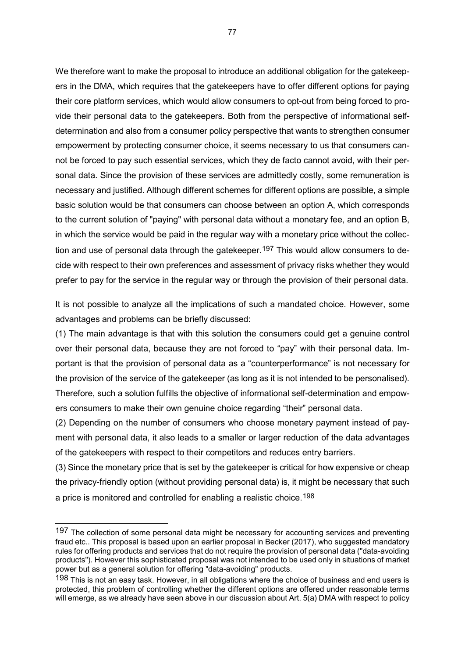We therefore want to make the proposal to introduce an additional obligation for the gatekeepers in the DMA, which requires that the gatekeepers have to offer different options for paying their core platform services, which would allow consumers to opt-out from being forced to provide their personal data to the gatekeepers. Both from the perspective of informational selfdetermination and also from a consumer policy perspective that wants to strengthen consumer empowerment by protecting consumer choice, it seems necessary to us that consumers cannot be forced to pay such essential services, which they de facto cannot avoid, with their personal data. Since the provision of these services are admittedly costly, some remuneration is necessary and justified. Although different schemes for different options are possible, a simple basic solution would be that consumers can choose between an option A, which corresponds to the current solution of "paying" with personal data without a monetary fee, and an option B, in which the service would be paid in the regular way with a monetary price without the collec-tion and use of personal data through the gatekeeper.<sup>[197](#page-77-0)</sup> This would allow consumers to decide with respect to their own preferences and assessment of privacy risks whether they would prefer to pay for the service in the regular way or through the provision of their personal data.

It is not possible to analyze all the implications of such a mandated choice. However, some advantages and problems can be briefly discussed:

(1) The main advantage is that with this solution the consumers could get a genuine control over their personal data, because they are not forced to "pay" with their personal data. Important is that the provision of personal data as a "counterperformance" is not necessary for the provision of the service of the gatekeeper (as long as it is not intended to be personalised). Therefore, such a solution fulfills the objective of informational self-determination and empowers consumers to make their own genuine choice regarding "their" personal data.

(2) Depending on the number of consumers who choose monetary payment instead of payment with personal data, it also leads to a smaller or larger reduction of the data advantages of the gatekeepers with respect to their competitors and reduces entry barriers.

(3) Since the monetary price that is set by the gatekeeper is critical for how expensive or cheap the privacy-friendly option (without providing personal data) is, it might be necessary that such a price is monitored and controlled for enabling a realistic choice.[198](#page-77-1)

<span id="page-77-0"></span><sup>197</sup> The collection of some personal data might be necessary for accounting services and preventing fraud etc.. This proposal is based upon an earlier proposal in Becker (2017), who suggested mandatory rules for offering products and services that do not require the provision of personal data ("data-avoiding products"). However this sophisticated proposal was not intended to be used only in situations of market power but as a general solution for offering "data-avoiding" products.

<span id="page-77-1"></span><sup>198</sup> This is not an easy task. However, in all obligations where the choice of business and end users is protected, this problem of controlling whether the different options are offered under reasonable terms will emerge, as we already have seen above in our discussion about Art. 5(a) DMA with respect to policy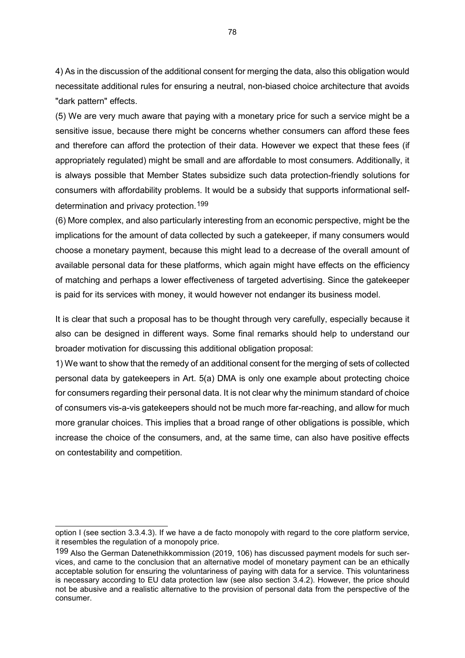4) As in the discussion of the additional consent for merging the data, also this obligation would necessitate additional rules for ensuring a neutral, non-biased choice architecture that avoids "dark pattern" effects.

(5) We are very much aware that paying with a monetary price for such a service might be a sensitive issue, because there might be concerns whether consumers can afford these fees and therefore can afford the protection of their data. However we expect that these fees (if appropriately regulated) might be small and are affordable to most consumers. Additionally, it is always possible that Member States subsidize such data protection-friendly solutions for consumers with affordability problems. It would be a subsidy that supports informational selfdetermination and privacy protection.[199](#page-78-0)

(6) More complex, and also particularly interesting from an economic perspective, might be the implications for the amount of data collected by such a gatekeeper, if many consumers would choose a monetary payment, because this might lead to a decrease of the overall amount of available personal data for these platforms, which again might have effects on the efficiency of matching and perhaps a lower effectiveness of targeted advertising. Since the gatekeeper is paid for its services with money, it would however not endanger its business model.

It is clear that such a proposal has to be thought through very carefully, especially because it also can be designed in different ways. Some final remarks should help to understand our broader motivation for discussing this additional obligation proposal:

1) We want to show that the remedy of an additional consent for the merging of sets of collected personal data by gatekeepers in Art. 5(a) DMA is only one example about protecting choice for consumers regarding their personal data. It is not clear why the minimum standard of choice of consumers vis-a-vis gatekeepers should not be much more far-reaching, and allow for much more granular choices. This implies that a broad range of other obligations is possible, which increase the choice of the consumers, and, at the same time, can also have positive effects on contestability and competition.

option I (see section 3.3.4.3). If we have a de facto monopoly with regard to the core platform service, it resembles the regulation of a monopoly price.

<span id="page-78-0"></span><sup>199</sup> Also the German Datenethikkommission (2019, 106) has discussed payment models for such services, and came to the conclusion that an alternative model of monetary payment can be an ethically acceptable solution for ensuring the voluntariness of paying with data for a service. This voluntariness is necessary according to EU data protection law (see also section 3.4.2). However, the price should not be abusive and a realistic alternative to the provision of personal data from the perspective of the consumer.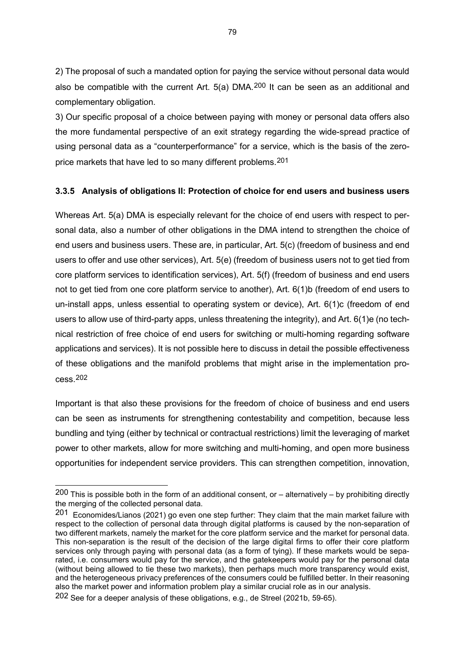2) The proposal of such a mandated option for paying the service without personal data would also be compatible with the current Art.  $5(a)$  DMA.<sup>[200](#page-79-0)</sup> It can be seen as an additional and complementary obligation.

3) Our specific proposal of a choice between paying with money or personal data offers also the more fundamental perspective of an exit strategy regarding the wide-spread practice of using personal data as a "counterperformance" for a service, which is the basis of the zeroprice markets that have led to so many different problems.[201](#page-79-1)

#### **3.3.5 Analysis of obligations II: Protection of choice for end users and business users**

Whereas Art. 5(a) DMA is especially relevant for the choice of end users with respect to personal data, also a number of other obligations in the DMA intend to strengthen the choice of end users and business users. These are, in particular, Art. 5(c) (freedom of business and end users to offer and use other services), Art. 5(e) (freedom of business users not to get tied from core platform services to identification services), Art. 5(f) (freedom of business and end users not to get tied from one core platform service to another), Art. 6(1)b (freedom of end users to un-install apps, unless essential to operating system or device), Art. 6(1)c (freedom of end users to allow use of third-party apps, unless threatening the integrity), and Art. 6(1)e (no technical restriction of free choice of end users for switching or multi-homing regarding software applications and services). It is not possible here to discuss in detail the possible effectiveness of these obligations and the manifold problems that might arise in the implementation process.[202](#page-79-2)

Important is that also these provisions for the freedom of choice of business and end users can be seen as instruments for strengthening contestability and competition, because less bundling and tying (either by technical or contractual restrictions) limit the leveraging of market power to other markets, allow for more switching and multi-homing, and open more business opportunities for independent service providers. This can strengthen competition, innovation,

<span id="page-79-0"></span> $200$  This is possible both in the form of an additional consent, or – alternatively – by prohibiting directly the merging of the collected personal data.

<span id="page-79-1"></span><sup>201</sup> Economides/Lianos (2021) go even one step further: They claim that the main market failure with respect to the collection of personal data through digital platforms is caused by the non-separation of two different markets, namely the market for the core platform service and the market for personal data. This non-separation is the result of the decision of the large digital firms to offer their core platform services only through paying with personal data (as a form of tying). If these markets would be separated, i.e. consumers would pay for the service, and the gatekeepers would pay for the personal data (without being allowed to tie these two markets), then perhaps much more transparency would exist, and the heterogeneous privacy preferences of the consumers could be fulfilled better. In their reasoning also the market power and information problem play a similar crucial role as in our analysis.

<span id="page-79-2"></span><sup>202</sup> See for a deeper analysis of these obligations, e.g., de Streel (2021b, 59-65).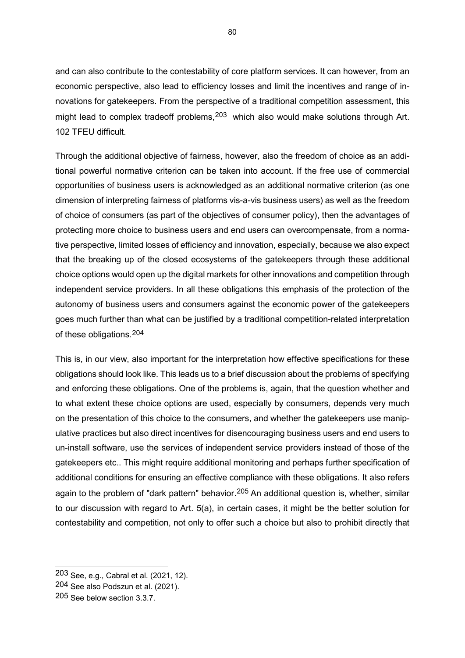and can also contribute to the contestability of core platform services. It can however, from an economic perspective, also lead to efficiency losses and limit the incentives and range of innovations for gatekeepers. From the perspective of a traditional competition assessment, this might lead to complex tradeoff problems, <sup>[203](#page-80-0)</sup> which also would make solutions through Art. 102 TFEU difficult.

Through the additional objective of fairness, however, also the freedom of choice as an additional powerful normative criterion can be taken into account. If the free use of commercial opportunities of business users is acknowledged as an additional normative criterion (as one dimension of interpreting fairness of platforms vis-a-vis business users) as well as the freedom of choice of consumers (as part of the objectives of consumer policy), then the advantages of protecting more choice to business users and end users can overcompensate, from a normative perspective, limited losses of efficiency and innovation, especially, because we also expect that the breaking up of the closed ecosystems of the gatekeepers through these additional choice options would open up the digital markets for other innovations and competition through independent service providers. In all these obligations this emphasis of the protection of the autonomy of business users and consumers against the economic power of the gatekeepers goes much further than what can be justified by a traditional competition-related interpretation of these obligations.[204](#page-80-1)

This is, in our view, also important for the interpretation how effective specifications for these obligations should look like. This leads us to a brief discussion about the problems of specifying and enforcing these obligations. One of the problems is, again, that the question whether and to what extent these choice options are used, especially by consumers, depends very much on the presentation of this choice to the consumers, and whether the gatekeepers use manipulative practices but also direct incentives for disencouraging business users and end users to un-install software, use the services of independent service providers instead of those of the gatekeepers etc.. This might require additional monitoring and perhaps further specification of additional conditions for ensuring an effective compliance with these obligations. It also refers again to the problem of "dark pattern" behavior.<sup>[205](#page-80-2)</sup> An additional question is, whether, similar to our discussion with regard to Art. 5(a), in certain cases, it might be the better solution for contestability and competition, not only to offer such a choice but also to prohibit directly that

<span id="page-80-0"></span><sup>203</sup> See, e.g., Cabral et al. (2021, 12).

<span id="page-80-1"></span><sup>204</sup> See also Podszun et al. (2021).

<span id="page-80-2"></span><sup>205</sup> See below section 3.3.7.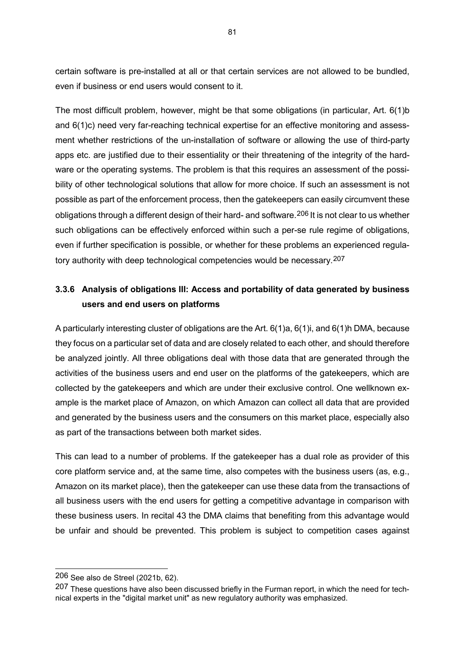certain software is pre-installed at all or that certain services are not allowed to be bundled, even if business or end users would consent to it.

The most difficult problem, however, might be that some obligations (in particular, Art. 6(1)b and 6(1)c) need very far-reaching technical expertise for an effective monitoring and assessment whether restrictions of the un-installation of software or allowing the use of third-party apps etc. are justified due to their essentiality or their threatening of the integrity of the hardware or the operating systems. The problem is that this requires an assessment of the possibility of other technological solutions that allow for more choice. If such an assessment is not possible as part of the enforcement process, then the gatekeepers can easily circumvent these obligations through a different design of their hard- and software.<sup>[206](#page-81-0)</sup> It is not clear to us whether such obligations can be effectively enforced within such a per-se rule regime of obligations, even if further specification is possible, or whether for these problems an experienced regulatory authority with deep technological competencies would be necessary.[207](#page-81-1)

# **3.3.6 Analysis of obligations III: Access and portability of data generated by business users and end users on platforms**

A particularly interesting cluster of obligations are the Art. 6(1)a, 6(1)i, and 6(1)h DMA, because they focus on a particular set of data and are closely related to each other, and should therefore be analyzed jointly. All three obligations deal with those data that are generated through the activities of the business users and end user on the platforms of the gatekeepers, which are collected by the gatekeepers and which are under their exclusive control. One wellknown example is the market place of Amazon, on which Amazon can collect all data that are provided and generated by the business users and the consumers on this market place, especially also as part of the transactions between both market sides.

This can lead to a number of problems. If the gatekeeper has a dual role as provider of this core platform service and, at the same time, also competes with the business users (as, e.g., Amazon on its market place), then the gatekeeper can use these data from the transactions of all business users with the end users for getting a competitive advantage in comparison with these business users. In recital 43 the DMA claims that benefiting from this advantage would be unfair and should be prevented. This problem is subject to competition cases against

<span id="page-81-0"></span><sup>206</sup> See also de Streel (2021b, 62).

<span id="page-81-1"></span><sup>207</sup> These questions have also been discussed briefly in the Furman report, in which the need for technical experts in the "digital market unit" as new regulatory authority was emphasized.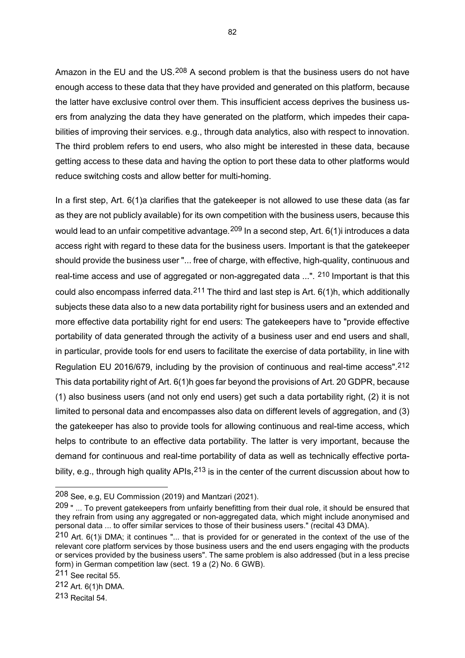Amazon in the EU and the US.<sup>[208](#page-82-0)</sup> A second problem is that the business users do not have enough access to these data that they have provided and generated on this platform, because the latter have exclusive control over them. This insufficient access deprives the business users from analyzing the data they have generated on the platform, which impedes their capabilities of improving their services. e.g., through data analytics, also with respect to innovation. The third problem refers to end users, who also might be interested in these data, because getting access to these data and having the option to port these data to other platforms would reduce switching costs and allow better for multi-homing.

In a first step, Art. 6(1)a clarifies that the gatekeeper is not allowed to use these data (as far as they are not publicly available) for its own competition with the business users, because this would lead to an unfair competitive advantage. <sup>[209](#page-82-1)</sup> In a second step, Art. 6(1) iintroduces a data access right with regard to these data for the business users. Important is that the gatekeeper should provide the business user "... free of charge, with effective, high-quality, continuous and real-time access and use of aggregated or non-aggregated data ...". <sup>[210](#page-82-2)</sup> Important is that this could also encompass inferred data.[211](#page-82-3) The third and last step is Art. 6(1)h, which additionally subjects these data also to a new data portability right for business users and an extended and more effective data portability right for end users: The gatekeepers have to "provide effective portability of data generated through the activity of a business user and end users and shall, in particular, provide tools for end users to facilitate the exercise of data portability, in line with Regulation EU 2016/679, including by the provision of continuous and real-time access".<sup>[212](#page-82-4)</sup> This data portability right of Art. 6(1)h goes far beyond the provisions of Art. 20 GDPR, because (1) also business users (and not only end users) get such a data portability right, (2) it is not limited to personal data and encompasses also data on different levels of aggregation, and (3) the gatekeeper has also to provide tools for allowing continuous and real-time access, which helps to contribute to an effective data portability. The latter is very important, because the demand for continuous and real-time portability of data as well as technically effective portability, e.g., through high quality APIs,  $213$  is in the center of the current discussion about how to

<span id="page-82-0"></span><sup>208</sup> See, e.g, EU Commission (2019) and Mantzari (2021).

<span id="page-82-1"></span><sup>209 &</sup>quot; ... To prevent gatekeepers from unfairly benefitting from their dual role, it should be ensured that they refrain from using any aggregated or non-aggregated data, which might include anonymised and personal data ... to offer similar services to those of their business users." (recital 43 DMA).

<span id="page-82-2"></span><sup>210</sup> Art. 6(1)i DMA; it continues "... that is provided for or generated in the context of the use of the relevant core platform services by those business users and the end users engaging with the products or services provided by the business users". The same problem is also addressed (but in a less precise form) in German competition law (sect. 19 a (2) No. 6 GWB).

<span id="page-82-3"></span><sup>211</sup> See recital 55.

<span id="page-82-4"></span><sup>212</sup> Art. 6(1)h DMA.

<span id="page-82-5"></span><sup>213</sup> Recital 54.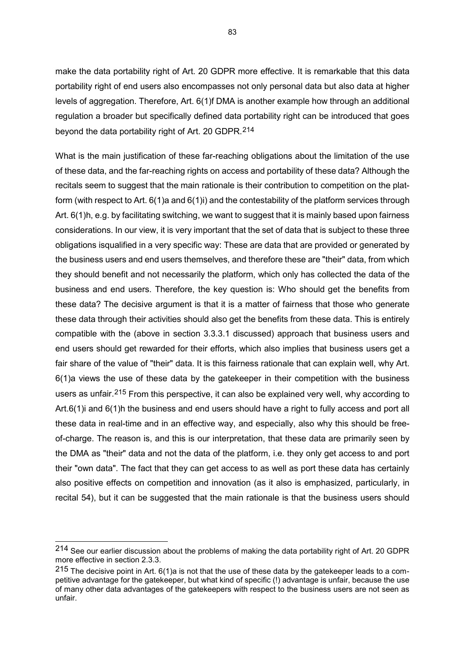make the data portability right of Art. 20 GDPR more effective. It is remarkable that this data portability right of end users also encompasses not only personal data but also data at higher levels of aggregation. Therefore, Art. 6(1)f DMA is another example how through an additional regulation a broader but specifically defined data portability right can be introduced that goes beyond the data portability right of Art. 20 GDPR.[214](#page-83-0)

What is the main justification of these far-reaching obligations about the limitation of the use of these data, and the far-reaching rights on access and portability of these data? Although the recitals seem to suggest that the main rationale is their contribution to competition on the platform (with respect to Art. 6(1)a and 6(1)i) and the contestability of the platform services through Art. 6(1)h, e.g. by facilitating switching, we want to suggest that it is mainly based upon fairness considerations. In our view, it is very important that the set of data that is subject to these three obligations isqualified in a very specific way: These are data that are provided or generated by the business users and end users themselves, and therefore these are "their" data, from which they should benefit and not necessarily the platform, which only has collected the data of the business and end users. Therefore, the key question is: Who should get the benefits from these data? The decisive argument is that it is a matter of fairness that those who generate these data through their activities should also get the benefits from these data. This is entirely compatible with the (above in section 3.3.3.1 discussed) approach that business users and end users should get rewarded for their efforts, which also implies that business users get a fair share of the value of "their" data. It is this fairness rationale that can explain well, why Art. 6(1)a views the use of these data by the gatekeeper in their competition with the business users as unfair.<sup>[215](#page-83-1)</sup> From this perspective, it can also be explained very well, why according to Art.6(1)i and 6(1)h the business and end users should have a right to fully access and port all these data in real-time and in an effective way, and especially, also why this should be freeof-charge. The reason is, and this is our interpretation, that these data are primarily seen by the DMA as "their" data and not the data of the platform, i.e. they only get access to and port their "own data". The fact that they can get access to as well as port these data has certainly also positive effects on competition and innovation (as it also is emphasized, particularly, in recital 54), but it can be suggested that the main rationale is that the business users should

<span id="page-83-0"></span><sup>214</sup> See our earlier discussion about the problems of making the data portability right of Art. 20 GDPR more effective in section 2.3.3.

<span id="page-83-1"></span> $215$  The decisive point in Art. 6(1)a is not that the use of these data by the gatekeeper leads to a competitive advantage for the gatekeeper, but what kind of specific (!) advantage is unfair, because the use of many other data advantages of the gatekeepers with respect to the business users are not seen as unfair.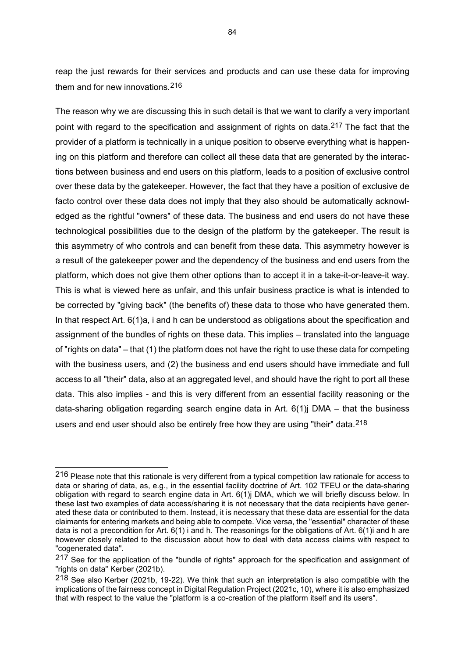reap the just rewards for their services and products and can use these data for improving them and for new innovations.[216](#page-84-0)

The reason why we are discussing this in such detail is that we want to clarify a very important point with regard to the specification and assignment of rights on data.<sup>[217](#page-84-1)</sup> The fact that the provider of a platform is technically in a unique position to observe everything what is happening on this platform and therefore can collect all these data that are generated by the interactions between business and end users on this platform, leads to a position of exclusive control over these data by the gatekeeper. However, the fact that they have a position of exclusive de facto control over these data does not imply that they also should be automatically acknowledged as the rightful "owners" of these data. The business and end users do not have these technological possibilities due to the design of the platform by the gatekeeper. The result is this asymmetry of who controls and can benefit from these data. This asymmetry however is a result of the gatekeeper power and the dependency of the business and end users from the platform, which does not give them other options than to accept it in a take-it-or-leave-it way. This is what is viewed here as unfair, and this unfair business practice is what is intended to be corrected by "giving back" (the benefits of) these data to those who have generated them. In that respect Art. 6(1)a, i and h can be understood as obligations about the specification and assignment of the bundles of rights on these data. This implies – translated into the language of "rights on data" – that (1) the platform does not have the right to use these data for competing with the business users, and (2) the business and end users should have immediate and full access to all "their" data, also at an aggregated level, and should have the right to port all these data. This also implies - and this is very different from an essential facility reasoning or the data-sharing obligation regarding search engine data in Art. 6(1)j DMA – that the business users and end user should also be entirely free how they are using "their" data.<sup>[218](#page-84-2)</sup>

<span id="page-84-0"></span><sup>216</sup> Please note that this rationale is very different from a typical competition law rationale for access to data or sharing of data, as, e.g., in the essential facility doctrine of Art. 102 TFEU or the data-sharing obligation with regard to search engine data in Art. 6(1)j DMA, which we will briefly discuss below. In these last two examples of data access/sharing it is not necessary that the data recipients have generated these data or contributed to them. Instead, it is necessary that these data are essential for the data claimants for entering markets and being able to compete. Vice versa, the "essential" character of these data is not a precondition for Art. 6(1) i and h. The reasonings for the obligations of Art. 6(1)i and h are however closely related to the discussion about how to deal with data access claims with respect to "cogenerated data".

<span id="page-84-1"></span><sup>217</sup> See for the application of the "bundle of rights" approach for the specification and assignment of "rights on data" Kerber (2021b).

<span id="page-84-2"></span><sup>218</sup> See also Kerber (2021b, 19-22). We think that such an interpretation is also compatible with the implications of the fairness concept in Digital Regulation Project (2021c, 10), where it is also emphasized that with respect to the value the "platform is a co-creation of the platform itself and its users".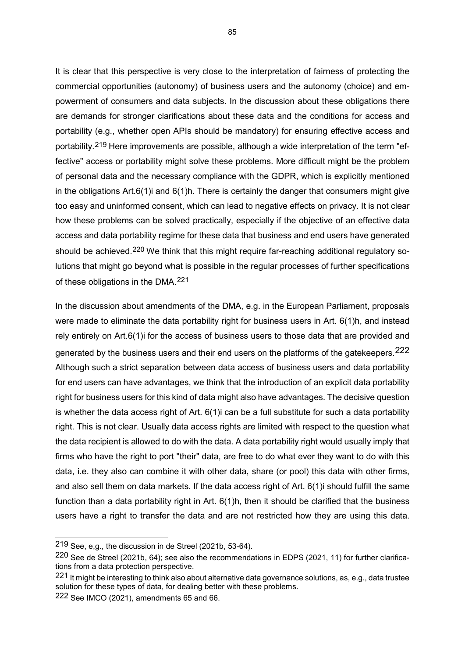It is clear that this perspective is very close to the interpretation of fairness of protecting the commercial opportunities (autonomy) of business users and the autonomy (choice) and empowerment of consumers and data subjects. In the discussion about these obligations there are demands for stronger clarifications about these data and the conditions for access and portability (e.g., whether open APIs should be mandatory) for ensuring effective access and portability.[219](#page-85-0) Here improvements are possible, although a wide interpretation of the term "effective" access or portability might solve these problems. More difficult might be the problem of personal data and the necessary compliance with the GDPR, which is explicitly mentioned in the obligations Art.6(1)i and  $6(1)$ h. There is certainly the danger that consumers might give too easy and uninformed consent, which can lead to negative effects on privacy. It is not clear how these problems can be solved practically, especially if the objective of an effective data access and data portability regime for these data that business and end users have generated should be achieved.<sup>[220](#page-85-1)</sup> We think that this might require far-reaching additional regulatory solutions that might go beyond what is possible in the regular processes of further specifications of these obligations in the DMA.[221](#page-85-2)

In the discussion about amendments of the DMA, e.g. in the European Parliament, proposals were made to eliminate the data portability right for business users in Art. 6(1)h, and instead rely entirely on Art.6(1)i for the access of business users to those data that are provided and generated by the business users and their end users on the platforms of the gatekeepers.<sup>[222](#page-85-3)</sup> Although such a strict separation between data access of business users and data portability for end users can have advantages, we think that the introduction of an explicit data portability right for business users for this kind of data might also have advantages. The decisive question is whether the data access right of Art. 6(1)i can be a full substitute for such a data portability right. This is not clear. Usually data access rights are limited with respect to the question what the data recipient is allowed to do with the data. A data portability right would usually imply that firms who have the right to port "their" data, are free to do what ever they want to do with this data, i.e. they also can combine it with other data, share (or pool) this data with other firms, and also sell them on data markets. If the data access right of Art. 6(1)i should fulfill the same function than a data portability right in Art. 6(1)h, then it should be clarified that the business users have a right to transfer the data and are not restricted how they are using this data.

<span id="page-85-0"></span><sup>219</sup> See, e,g., the discussion in de Streel (2021b, 53-64).

<span id="page-85-1"></span><sup>220</sup> See de Streel (2021b, 64); see also the recommendations in EDPS (2021, 11) for further clarifications from a data protection perspective.

<span id="page-85-2"></span><sup>221</sup> It might be interesting to think also about alternative data governance solutions, as, e.g., data trustee solution for these types of data, for dealing better with these problems.

<span id="page-85-3"></span><sup>222</sup> See IMCO (2021), amendments 65 and 66.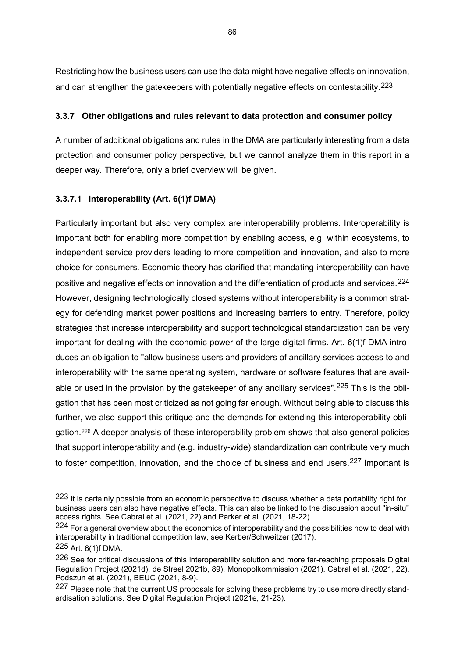Restricting how the business users can use the data might have negative effects on innovation, and can strengthen the gatekeepers with potentially negative effects on contestability.<sup>[223](#page-86-0)</sup>

## **3.3.7 Other obligations and rules relevant to data protection and consumer policy**

A number of additional obligations and rules in the DMA are particularly interesting from a data protection and consumer policy perspective, but we cannot analyze them in this report in a deeper way. Therefore, only a brief overview will be given.

## **3.3.7.1 Interoperability (Art. 6(1)f DMA)**

Particularly important but also very complex are interoperability problems. Interoperability is important both for enabling more competition by enabling access, e.g. within ecosystems, to independent service providers leading to more competition and innovation, and also to more choice for consumers. Economic theory has clarified that mandating interoperability can have positive and negative effects on innovation and the differentiation of products and services.[224](#page-86-1) However, designing technologically closed systems without interoperability is a common strategy for defending market power positions and increasing barriers to entry. Therefore, policy strategies that increase interoperability and support technological standardization can be very important for dealing with the economic power of the large digital firms. Art. 6(1)f DMA introduces an obligation to "allow business users and providers of ancillary services access to and interoperability with the same operating system, hardware or software features that are avail-able or used in the provision by the gatekeeper of any ancillary services".<sup>[225](#page-86-2)</sup> This is the obligation that has been most criticized as not going far enough. Without being able to discuss this further, we also support this critique and the demands for extending this interoperability obligation.[226](#page-86-3) A deeper analysis of these interoperability problem shows that also general policies that support interoperability and (e.g. industry-wide) standardization can contribute very much to foster competition, innovation, and the choice of business and end users.<sup>[227](#page-86-4)</sup> Important is

<span id="page-86-0"></span><sup>223</sup> It is certainly possible from an economic perspective to discuss whether a data portability right for business users can also have negative effects. This can also be linked to the discussion about "in-situ" access rights. See Cabral et al. (2021, 22) and Parker et al. (2021, 18-22).

<span id="page-86-1"></span><sup>224</sup> For a general overview about the economics of interoperability and the possibilities how to deal with interoperability in traditional competition law, see Kerber/Schweitzer (2017).

<span id="page-86-2"></span><sup>225</sup> Art. 6(1)f DMA.

<span id="page-86-3"></span><sup>226</sup> See for critical discussions of this interoperability solution and more far-reaching proposals Digital Regulation Project (2021d), de Streel 2021b, 89), Monopolkommission (2021), Cabral et al. (2021, 22), Podszun et al. (2021), BEUC (2021, 8-9).

<span id="page-86-4"></span><sup>227</sup> Please note that the current US proposals for solving these problems try to use more directly standardisation solutions. See Digital Regulation Project (2021e, 21-23).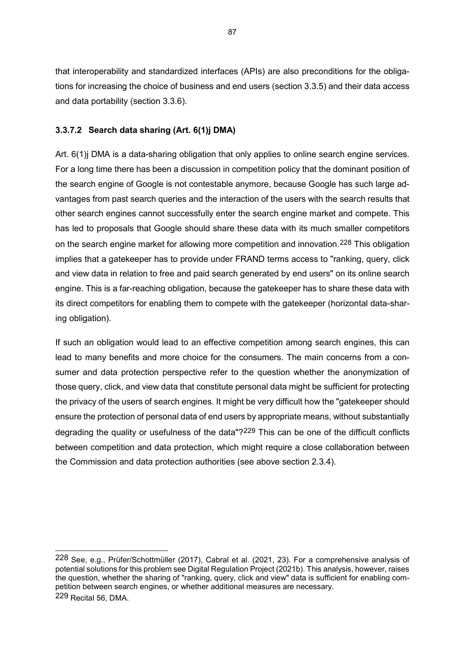that interoperability and standardized interfaces (APIs) are also preconditions for the obligations for increasing the choice of business and end users (section 3.3.5) and their data access and data portability (section 3.3.6).

## **3.3.7.2 Search data sharing (Art. 6(1)j DMA)**

-

Art. 6(1)j DMA is a data-sharing obligation that only applies to online search engine services. For a long time there has been a discussion in competition policy that the dominant position of the search engine of Google is not contestable anymore, because Google has such large advantages from past search queries and the interaction of the users with the search results that other search engines cannot successfully enter the search engine market and compete. This has led to proposals that Google should share these data with its much smaller competitors on the search engine market for allowing more competition and innovation.<sup>[228](#page-87-0)</sup> This obligation implies that a gatekeeper has to provide under FRAND terms access to "ranking, query, click and view data in relation to free and paid search generated by end users" on its online search engine. This is a far-reaching obligation, because the gatekeeper has to share these data with its direct competitors for enabling them to compete with the gatekeeper (horizontal data-sharing obligation).

If such an obligation would lead to an effective competition among search engines, this can lead to many benefits and more choice for the consumers. The main concerns from a consumer and data protection perspective refer to the question whether the anonymization of those query, click, and view data that constitute personal data might be sufficient for protecting the privacy of the users of search engines. It might be very difficult how the "gatekeeper should ensure the protection of personal data of end users by appropriate means, without substantially degrading the quality or usefulness of the data"?<sup>[229](#page-87-1)</sup> This can be one of the difficult conflicts between competition and data protection, which might require a close collaboration between the Commission and data protection authorities (see above section 2.3.4).

<span id="page-87-1"></span><span id="page-87-0"></span><sup>228</sup> See, e.g., Prüfer/Schottmüller (2017), Cabral et al. (2021, 23). For a comprehensive analysis of potential solutions for this problem see Digital Regulation Project (2021b). This analysis, however, raises the question, whether the sharing of "ranking, query, click and view" data is sufficient for enabling competition between search engines, or whether additional measures are necessary. 229 Recital 56, DMA.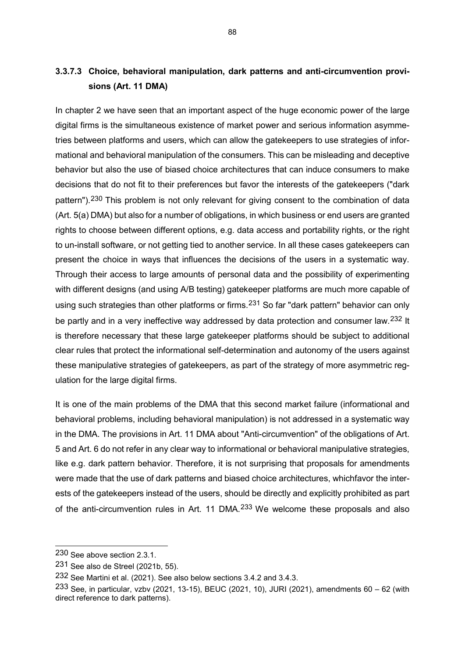# **3.3.7.3 Choice, behavioral manipulation, dark patterns and anti-circumvention provisions (Art. 11 DMA)**

In chapter 2 we have seen that an important aspect of the huge economic power of the large digital firms is the simultaneous existence of market power and serious information asymmetries between platforms and users, which can allow the gatekeepers to use strategies of informational and behavioral manipulation of the consumers. This can be misleading and deceptive behavior but also the use of biased choice architectures that can induce consumers to make decisions that do not fit to their preferences but favor the interests of the gatekeepers ("dark pattern").<sup>[230](#page-88-0)</sup> This problem is not only relevant for giving consent to the combination of data (Art. 5(a) DMA) but also for a number of obligations, in which business or end users are granted rights to choose between different options, e.g. data access and portability rights, or the right to un-install software, or not getting tied to another service. In all these cases gatekeepers can present the choice in ways that influences the decisions of the users in a systematic way. Through their access to large amounts of personal data and the possibility of experimenting with different designs (and using A/B testing) gatekeeper platforms are much more capable of using such strategies than other platforms or firms.<sup>[231](#page-88-1)</sup> So far "dark pattern" behavior can only be partly and in a very ineffective way addressed by data protection and consumer law.<sup>[232](#page-88-2)</sup> It is therefore necessary that these large gatekeeper platforms should be subject to additional clear rules that protect the informational self-determination and autonomy of the users against these manipulative strategies of gatekeepers, as part of the strategy of more asymmetric regulation for the large digital firms.

It is one of the main problems of the DMA that this second market failure (informational and behavioral problems, including behavioral manipulation) is not addressed in a systematic way in the DMA. The provisions in Art. 11 DMA about "Anti-circumvention" of the obligations of Art. 5 and Art. 6 do not refer in any clear way to informational or behavioral manipulative strategies, like e.g. dark pattern behavior. Therefore, it is not surprising that proposals for amendments were made that the use of dark patterns and biased choice architectures, whichfavor the interests of the gatekeepers instead of the users, should be directly and explicitly prohibited as part of the anti-circumvention rules in Art. 11 DMA.[233](#page-88-3) We welcome these proposals and also

<span id="page-88-0"></span><sup>230</sup> See above section 2.3.1.

<span id="page-88-1"></span><sup>231</sup> See also de Streel (2021b, 55).

<span id="page-88-2"></span><sup>232</sup> See Martini et al. (2021). See also below sections 3.4.2 and 3.4.3.

<span id="page-88-3"></span><sup>233</sup> See, in particular, vzbv (2021, 13-15), BEUC (2021, 10), JURI (2021), amendments 60 - 62 (with direct reference to dark patterns).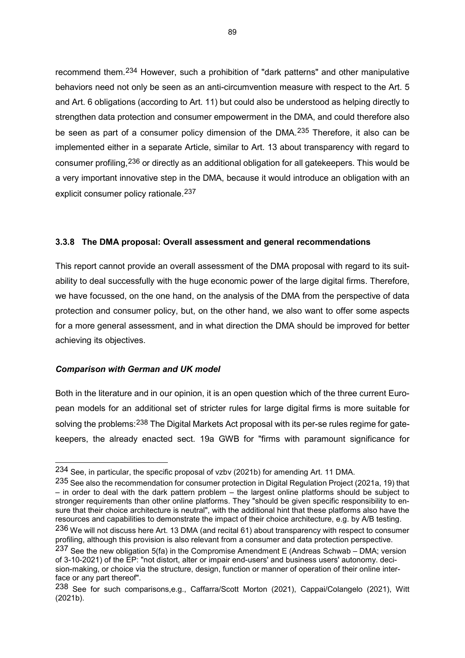recommend them.[234](#page-89-0) However, such a prohibition of "dark patterns" and other manipulative behaviors need not only be seen as an anti-circumvention measure with respect to the Art. 5 and Art. 6 obligations (according to Art. 11) but could also be understood as helping directly to strengthen data protection and consumer empowerment in the DMA, and could therefore also be seen as part of a consumer policy dimension of the DMA.<sup>[235](#page-89-1)</sup> Therefore, it also can be implemented either in a separate Article, similar to Art. 13 about transparency with regard to consumer profiling,[236](#page-89-2) or directly as an additional obligation for all gatekeepers. This would be a very important innovative step in the DMA, because it would introduce an obligation with an explicit consumer policy rationale.[237](#page-89-3)

## **3.3.8 The DMA proposal: Overall assessment and general recommendations**

This report cannot provide an overall assessment of the DMA proposal with regard to its suitability to deal successfully with the huge economic power of the large digital firms. Therefore, we have focussed, on the one hand, on the analysis of the DMA from the perspective of data protection and consumer policy, but, on the other hand, we also want to offer some aspects for a more general assessment, and in what direction the DMA should be improved for better achieving its objectives.

#### *Comparison with German and UK model*

-

Both in the literature and in our opinion, it is an open question which of the three current European models for an additional set of stricter rules for large digital firms is more suitable for solving the problems: <sup>[238](#page-89-4)</sup> The Digital Markets Act proposal with its per-se rules regime for gatekeepers, the already enacted sect. 19a GWB for "firms with paramount significance for

<span id="page-89-0"></span><sup>234</sup> See, in particular, the specific proposal of vzbv (2021b) for amending Art. 11 DMA.

<span id="page-89-1"></span><sup>235</sup> See also the recommendation for consumer protection in Digital Regulation Project (2021a, 19) that – in order to deal with the dark pattern problem – the largest online platforms should be subject to stronger requirements than other online platforms. They "should be given specific responsibility to ensure that their choice architecture is neutral", with the additional hint that these platforms also have the resources and capabilities to demonstrate the impact of their choice architecture, e.g. by A/B testing. 236 We will not discuss here Art. 13 DMA (and recital 61) about transparency with respect to consumer profiling, although this provision is also relevant from a consumer and data protection perspective.

<span id="page-89-3"></span><span id="page-89-2"></span><sup>237</sup> See the new obligation 5(fa) in the Compromise Amendment E (Andreas Schwab – DMA; version of 3-10-2021) of the EP: "not distort, alter or impair end-users' and business users' autonomy. decision-making, or choice via the structure, design, function or manner of operation of their online interface or any part thereof".

<span id="page-89-4"></span><sup>238</sup> See for such comparisons,e.g., Caffarra/Scott Morton (2021), Cappai/Colangelo (2021), Witt (2021b).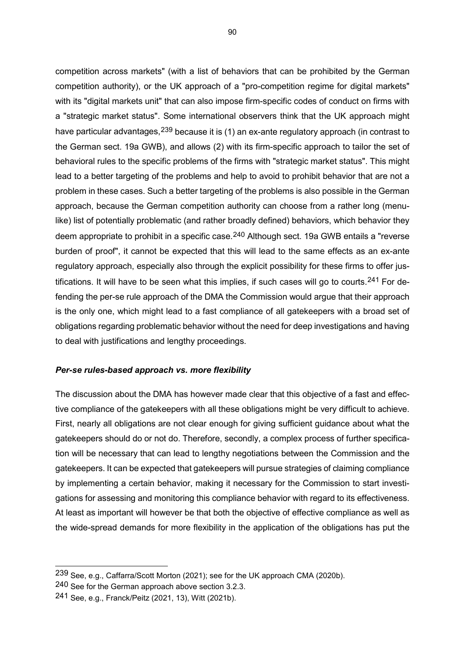competition across markets" (with a list of behaviors that can be prohibited by the German competition authority), or the UK approach of a "pro-competition regime for digital markets" with its "digital markets unit" that can also impose firm-specific codes of conduct on firms with a "strategic market status". Some international observers think that the UK approach might have particular advantages, <sup>[239](#page-90-0)</sup> because it is (1) an ex-ante regulatory approach (in contrast to the German sect. 19a GWB), and allows (2) with its firm-specific approach to tailor the set of behavioral rules to the specific problems of the firms with "strategic market status". This might lead to a better targeting of the problems and help to avoid to prohibit behavior that are not a problem in these cases. Such a better targeting of the problems is also possible in the German approach, because the German competition authority can choose from a rather long (menulike) list of potentially problematic (and rather broadly defined) behaviors, which behavior they deem appropriate to prohibit in a specific case.<sup>[240](#page-90-1)</sup> Although sect. 19a GWB entails a "reverse burden of proof", it cannot be expected that this will lead to the same effects as an ex-ante regulatory approach, especially also through the explicit possibility for these firms to offer jus-tifications. It will have to be seen what this implies, if such cases will go to courts.<sup>[241](#page-90-2)</sup> For defending the per-se rule approach of the DMA the Commission would argue that their approach is the only one, which might lead to a fast compliance of all gatekeepers with a broad set of obligations regarding problematic behavior without the need for deep investigations and having to deal with justifications and lengthy proceedings.

#### *Per-se rules-based approach vs. more flexibility*

The discussion about the DMA has however made clear that this objective of a fast and effective compliance of the gatekeepers with all these obligations might be very difficult to achieve. First, nearly all obligations are not clear enough for giving sufficient guidance about what the gatekeepers should do or not do. Therefore, secondly, a complex process of further specification will be necessary that can lead to lengthy negotiations between the Commission and the gatekeepers. It can be expected that gatekeepers will pursue strategies of claiming compliance by implementing a certain behavior, making it necessary for the Commission to start investigations for assessing and monitoring this compliance behavior with regard to its effectiveness. At least as important will however be that both the objective of effective compliance as well as the wide-spread demands for more flexibility in the application of the obligations has put the

<span id="page-90-0"></span><sup>239</sup> See, e.g., Caffarra/Scott Morton (2021); see for the UK approach CMA (2020b).

<span id="page-90-1"></span><sup>240</sup> See for the German approach above section 3.2.3.

<span id="page-90-2"></span><sup>241</sup> See, e.g., Franck/Peitz (2021, 13), Witt (2021b).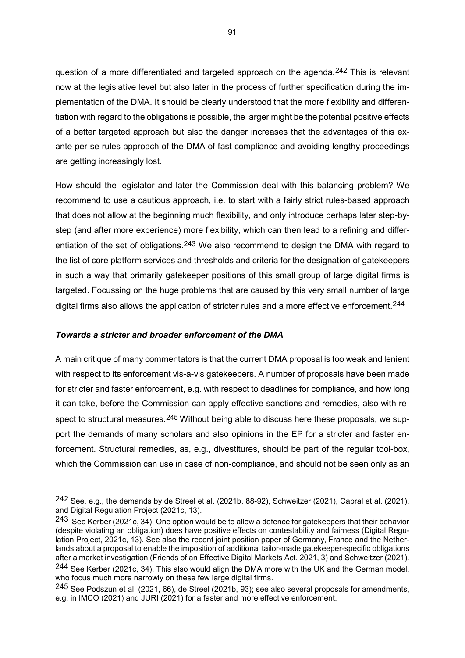question of a more differentiated and targeted approach on the agenda.<sup>[242](#page-91-0)</sup> This is relevant now at the legislative level but also later in the process of further specification during the implementation of the DMA. It should be clearly understood that the more flexibility and differentiation with regard to the obligations is possible, the larger might be the potential positive effects of a better targeted approach but also the danger increases that the advantages of this exante per-se rules approach of the DMA of fast compliance and avoiding lengthy proceedings are getting increasingly lost.

How should the legislator and later the Commission deal with this balancing problem? We recommend to use a cautious approach, i.e. to start with a fairly strict rules-based approach that does not allow at the beginning much flexibility, and only introduce perhaps later step-bystep (and after more experience) more flexibility, which can then lead to a refining and differ-entiation of the set of obligations.<sup>[243](#page-91-1)</sup> We also recommend to design the DMA with regard to the list of core platform services and thresholds and criteria for the designation of gatekeepers in such a way that primarily gatekeeper positions of this small group of large digital firms is targeted. Focussing on the huge problems that are caused by this very small number of large digital firms also allows the application of stricter rules and a more effective enforcement.<sup>[244](#page-91-2)</sup>

## *Towards a stricter and broader enforcement of the DMA*

-

A main critique of many commentators is that the current DMA proposal is too weak and lenient with respect to its enforcement vis-a-vis gatekeepers. A number of proposals have been made for stricter and faster enforcement, e.g. with respect to deadlines for compliance, and how long it can take, before the Commission can apply effective sanctions and remedies, also with respect to structural measures.  $245$  Without being able to discuss here these proposals, we support the demands of many scholars and also opinions in the EP for a stricter and faster enforcement. Structural remedies, as, e.g., divestitures, should be part of the regular tool-box, which the Commission can use in case of non-compliance, and should not be seen only as an

<span id="page-91-0"></span><sup>242</sup> See, e.g., the demands by de Streel et al. (2021b, 88-92), Schweitzer (2021), Cabral et al. (2021), and Digital Regulation Project (2021c, 13).

<span id="page-91-1"></span><sup>243</sup> See Kerber (2021c, 34). One option would be to allow a defence for gatekeepers that their behavior (despite violating an obligation) does have positive effects on contestability and fairness (Digital Regulation Project, 2021c, 13). See also the recent joint position paper of Germany, France and the Netherlands about a proposal to enable the imposition of additional tailor-made gatekeeper-specific obligations after a market investigation (Friends of an Effective Digital Markets Act. 2021, 3) and Schweitzer (2021).

<span id="page-91-2"></span><sup>244</sup> See Kerber (2021c, 34). This also would align the DMA more with the UK and the German model, who focus much more narrowly on these few large digital firms.

<span id="page-91-3"></span><sup>245</sup> See Podszun et al. (2021, 66), de Streel (2021b, 93); see also several proposals for amendments, e.g. in IMCO (2021) and JURI (2021) for a faster and more effective enforcement.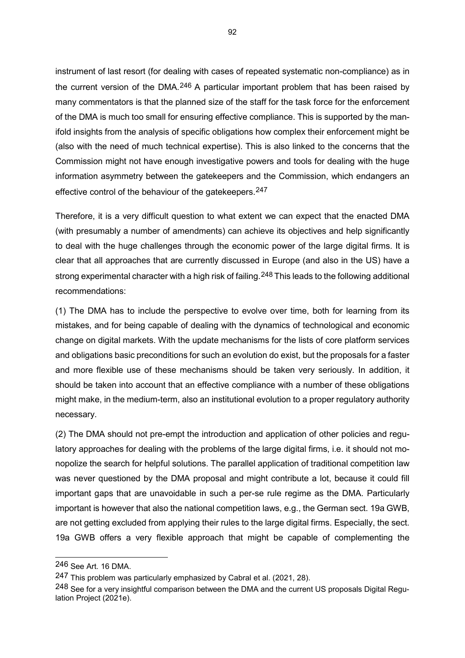instrument of last resort (for dealing with cases of repeated systematic non-compliance) as in the current version of the DMA.<sup>[246](#page-92-0)</sup> A particular important problem that has been raised by many commentators is that the planned size of the staff for the task force for the enforcement of the DMA is much too small for ensuring effective compliance. This is supported by the manifold insights from the analysis of specific obligations how complex their enforcement might be (also with the need of much technical expertise). This is also linked to the concerns that the Commission might not have enough investigative powers and tools for dealing with the huge information asymmetry between the gatekeepers and the Commission, which endangers an effective control of the behaviour of the gatekeepers.<sup>[247](#page-92-1)</sup>

Therefore, it is a very difficult question to what extent we can expect that the enacted DMA (with presumably a number of amendments) can achieve its objectives and help significantly to deal with the huge challenges through the economic power of the large digital firms. It is clear that all approaches that are currently discussed in Europe (and also in the US) have a strong experimental character with a high risk of failing.<sup>[248](#page-92-2)</sup> This leads to the following additional recommendations:

(1) The DMA has to include the perspective to evolve over time, both for learning from its mistakes, and for being capable of dealing with the dynamics of technological and economic change on digital markets. With the update mechanisms for the lists of core platform services and obligations basic preconditions for such an evolution do exist, but the proposals for a faster and more flexible use of these mechanisms should be taken very seriously. In addition, it should be taken into account that an effective compliance with a number of these obligations might make, in the medium-term, also an institutional evolution to a proper regulatory authority necessary.

(2) The DMA should not pre-empt the introduction and application of other policies and regulatory approaches for dealing with the problems of the large digital firms, i.e. it should not monopolize the search for helpful solutions. The parallel application of traditional competition law was never questioned by the DMA proposal and might contribute a lot, because it could fill important gaps that are unavoidable in such a per-se rule regime as the DMA. Particularly important is however that also the national competition laws, e.g., the German sect. 19a GWB, are not getting excluded from applying their rules to the large digital firms. Especially, the sect. 19a GWB offers a very flexible approach that might be capable of complementing the

<span id="page-92-0"></span><sup>246</sup> See Art. 16 DMA.

<span id="page-92-1"></span><sup>247</sup> This problem was particularly emphasized by Cabral et al. (2021, 28).

<span id="page-92-2"></span><sup>248</sup> See for a very insightful comparison between the DMA and the current US proposals Digital Regulation Project (2021e).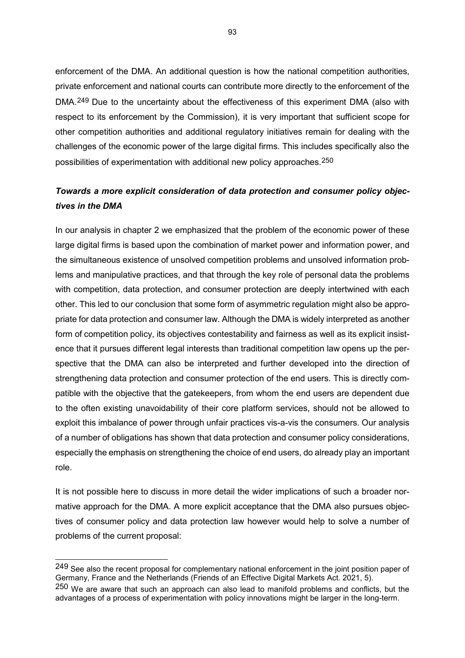enforcement of the DMA. An additional question is how the national competition authorities, private enforcement and national courts can contribute more directly to the enforcement of the DMA.<sup>[249](#page-93-0)</sup> Due to the uncertainty about the effectiveness of this experiment DMA (also with respect to its enforcement by the Commission), it is very important that sufficient scope for other competition authorities and additional regulatory initiatives remain for dealing with the challenges of the economic power of the large digital firms. This includes specifically also the possibilities of experimentation with additional new policy approaches.[250](#page-93-1)

## *Towards a more explicit consideration of data protection and consumer policy objectives in the DMA*

In our analysis in chapter 2 we emphasized that the problem of the economic power of these large digital firms is based upon the combination of market power and information power, and the simultaneous existence of unsolved competition problems and unsolved information problems and manipulative practices, and that through the key role of personal data the problems with competition, data protection, and consumer protection are deeply intertwined with each other. This led to our conclusion that some form of asymmetric regulation might also be appropriate for data protection and consumer law. Although the DMA is widely interpreted as another form of competition policy, its objectives contestability and fairness as well as its explicit insistence that it pursues different legal interests than traditional competition law opens up the perspective that the DMA can also be interpreted and further developed into the direction of strengthening data protection and consumer protection of the end users. This is directly compatible with the objective that the gatekeepers, from whom the end users are dependent due to the often existing unavoidability of their core platform services, should not be allowed to exploit this imbalance of power through unfair practices vis-a-vis the consumers. Our analysis of a number of obligations has shown that data protection and consumer policy considerations, especially the emphasis on strengthening the choice of end users, do already play an important role.

It is not possible here to discuss in more detail the wider implications of such a broader normative approach for the DMA. A more explicit acceptance that the DMA also pursues objectives of consumer policy and data protection law however would help to solve a number of problems of the current proposal:

<span id="page-93-0"></span><sup>249</sup> See also the recent proposal for complementary national enforcement in the joint position paper of Germany, France and the Netherlands (Friends of an Effective Digital Markets Act. 2021, 5).

<span id="page-93-1"></span><sup>250</sup> We are aware that such an approach can also lead to manifold problems and conflicts, but the advantages of a process of experimentation with policy innovations might be larger in the long-term.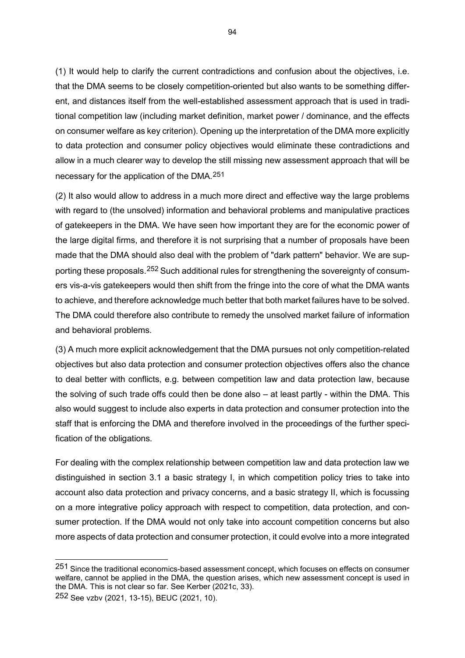(1) It would help to clarify the current contradictions and confusion about the objectives, i.e. that the DMA seems to be closely competition-oriented but also wants to be something different, and distances itself from the well-established assessment approach that is used in traditional competition law (including market definition, market power / dominance, and the effects on consumer welfare as key criterion). Opening up the interpretation of the DMA more explicitly to data protection and consumer policy objectives would eliminate these contradictions and allow in a much clearer way to develop the still missing new assessment approach that will be necessary for the application of the DMA.[251](#page-94-0)

(2) It also would allow to address in a much more direct and effective way the large problems with regard to (the unsolved) information and behavioral problems and manipulative practices of gatekeepers in the DMA. We have seen how important they are for the economic power of the large digital firms, and therefore it is not surprising that a number of proposals have been made that the DMA should also deal with the problem of "dark pattern" behavior. We are supporting these proposals.[252](#page-94-1) Such additional rules for strengthening the sovereignty of consumers vis-a-vis gatekeepers would then shift from the fringe into the core of what the DMA wants to achieve, and therefore acknowledge much better that both market failures have to be solved. The DMA could therefore also contribute to remedy the unsolved market failure of information and behavioral problems.

(3) A much more explicit acknowledgement that the DMA pursues not only competition-related objectives but also data protection and consumer protection objectives offers also the chance to deal better with conflicts, e.g. between competition law and data protection law, because the solving of such trade offs could then be done also – at least partly - within the DMA. This also would suggest to include also experts in data protection and consumer protection into the staff that is enforcing the DMA and therefore involved in the proceedings of the further specification of the obligations.

For dealing with the complex relationship between competition law and data protection law we distinguished in section 3.1 a basic strategy I, in which competition policy tries to take into account also data protection and privacy concerns, and a basic strategy II, which is focussing on a more integrative policy approach with respect to competition, data protection, and consumer protection. If the DMA would not only take into account competition concerns but also more aspects of data protection and consumer protection, it could evolve into a more integrated

-

94

<span id="page-94-1"></span><span id="page-94-0"></span><sup>251</sup> Since the traditional economics-based assessment concept, which focuses on effects on consumer welfare, cannot be applied in the DMA, the question arises, which new assessment concept is used in the DMA. This is not clear so far. See Kerber (2021c, 33).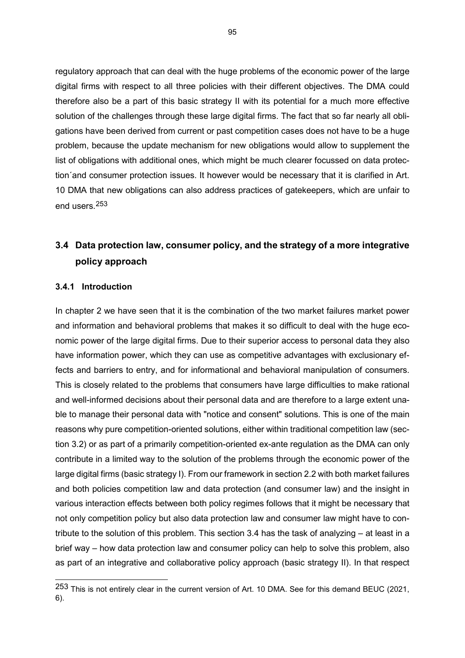regulatory approach that can deal with the huge problems of the economic power of the large digital firms with respect to all three policies with their different objectives. The DMA could therefore also be a part of this basic strategy II with its potential for a much more effective solution of the challenges through these large digital firms. The fact that so far nearly all obligations have been derived from current or past competition cases does not have to be a huge problem, because the update mechanism for new obligations would allow to supplement the list of obligations with additional ones, which might be much clearer focussed on data protection´and consumer protection issues. It however would be necessary that it is clarified in Art. 10 DMA that new obligations can also address practices of gatekeepers, which are unfair to end users.[253](#page-95-0)

# **3.4 Data protection law, consumer policy, and the strategy of a more integrative policy approach**

#### **3.4.1 Introduction**

-

In chapter 2 we have seen that it is the combination of the two market failures market power and information and behavioral problems that makes it so difficult to deal with the huge economic power of the large digital firms. Due to their superior access to personal data they also have information power, which they can use as competitive advantages with exclusionary effects and barriers to entry, and for informational and behavioral manipulation of consumers. This is closely related to the problems that consumers have large difficulties to make rational and well-informed decisions about their personal data and are therefore to a large extent unable to manage their personal data with "notice and consent" solutions. This is one of the main reasons why pure competition-oriented solutions, either within traditional competition law (section 3.2) or as part of a primarily competition-oriented ex-ante regulation as the DMA can only contribute in a limited way to the solution of the problems through the economic power of the large digital firms (basic strategy I). From our framework in section 2.2 with both market failures and both policies competition law and data protection (and consumer law) and the insight in various interaction effects between both policy regimes follows that it might be necessary that not only competition policy but also data protection law and consumer law might have to contribute to the solution of this problem. This section 3.4 has the task of analyzing – at least in a brief way – how data protection law and consumer policy can help to solve this problem, also as part of an integrative and collaborative policy approach (basic strategy II). In that respect

<span id="page-95-0"></span> $253$  This is not entirely clear in the current version of Art. 10 DMA. See for this demand BEUC (2021, 6).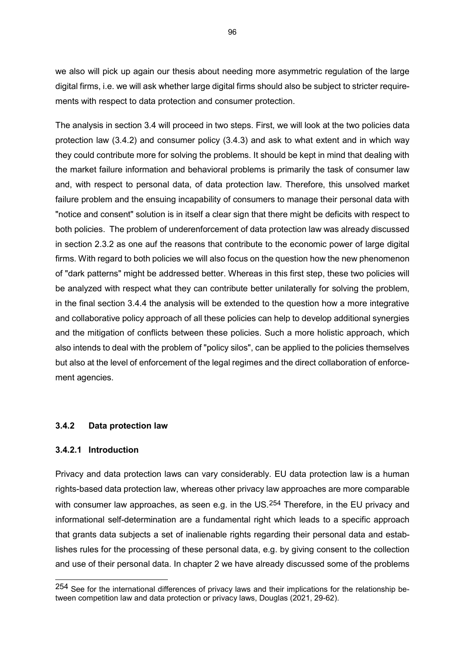we also will pick up again our thesis about needing more asymmetric regulation of the large digital firms, i.e. we will ask whether large digital firms should also be subject to stricter requirements with respect to data protection and consumer protection.

The analysis in section 3.4 will proceed in two steps. First, we will look at the two policies data protection law (3.4.2) and consumer policy (3.4.3) and ask to what extent and in which way they could contribute more for solving the problems. It should be kept in mind that dealing with the market failure information and behavioral problems is primarily the task of consumer law and, with respect to personal data, of data protection law. Therefore, this unsolved market failure problem and the ensuing incapability of consumers to manage their personal data with "notice and consent" solution is in itself a clear sign that there might be deficits with respect to both policies. The problem of underenforcement of data protection law was already discussed in section 2.3.2 as one auf the reasons that contribute to the economic power of large digital firms. With regard to both policies we will also focus on the question how the new phenomenon of "dark patterns" might be addressed better. Whereas in this first step, these two policies will be analyzed with respect what they can contribute better unilaterally for solving the problem, in the final section 3.4.4 the analysis will be extended to the question how a more integrative and collaborative policy approach of all these policies can help to develop additional synergies and the mitigation of conflicts between these policies. Such a more holistic approach, which also intends to deal with the problem of "policy silos", can be applied to the policies themselves but also at the level of enforcement of the legal regimes and the direct collaboration of enforcement agencies.

#### **3.4.2 Data protection law**

#### **3.4.2.1 Introduction**

-

Privacy and data protection laws can vary considerably. EU data protection law is a human rights-based data protection law, whereas other privacy law approaches are more comparable with consumer law approaches, as seen e.g. in the US.<sup>[254](#page-96-0)</sup> Therefore, in the EU privacy and informational self-determination are a fundamental right which leads to a specific approach that grants data subjects a set of inalienable rights regarding their personal data and establishes rules for the processing of these personal data, e.g. by giving consent to the collection and use of their personal data. In chapter 2 we have already discussed some of the problems

<span id="page-96-0"></span><sup>254</sup> See for the international differences of privacy laws and their implications for the relationship between competition law and data protection or privacy laws, Douglas (2021, 29-62).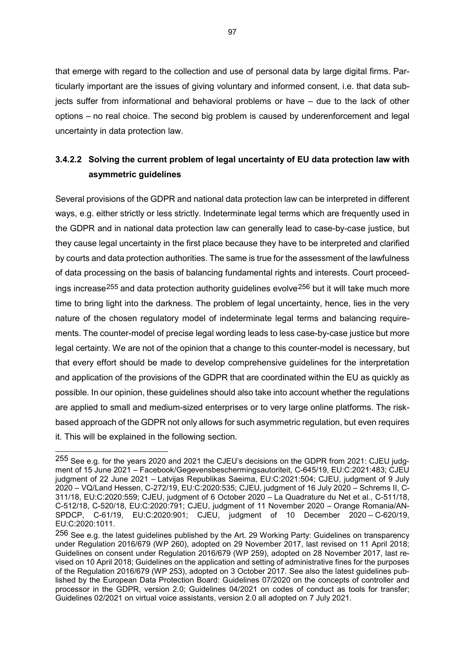that emerge with regard to the collection and use of personal data by large digital firms. Particularly important are the issues of giving voluntary and informed consent, i.e. that data subjects suffer from informational and behavioral problems or have – due to the lack of other options – no real choice. The second big problem is caused by underenforcement and legal uncertainty in data protection law.

# **3.4.2.2 Solving the current problem of legal uncertainty of EU data protection law with asymmetric guidelines**

Several provisions of the GDPR and national data protection law can be interpreted in different ways, e.g. either strictly or less strictly. Indeterminate legal terms which are frequently used in the GDPR and in national data protection law can generally lead to case-by-case justice, but they cause legal uncertainty in the first place because they have to be interpreted and clarified by courts and data protection authorities. The same is true for the assessment of the lawfulness of data processing on the basis of balancing fundamental rights and interests. Court proceed-ings increase<sup>[255](#page-97-0)</sup> and data protection authority guidelines evolve<sup>[256](#page-97-1)</sup> but it will take much more time to bring light into the darkness. The problem of legal uncertainty, hence, lies in the very nature of the chosen regulatory model of indeterminate legal terms and balancing requirements. The counter-model of precise legal wording leads to less case-by-case justice but more legal certainty. We are not of the opinion that a change to this counter-model is necessary, but that every effort should be made to develop comprehensive guidelines for the interpretation and application of the provisions of the GDPR that are coordinated within the EU as quickly as possible. In our opinion, these guidelines should also take into account whether the regulations are applied to small and medium-sized enterprises or to very large online platforms. The riskbased approach of the GDPR not only allows for such asymmetric regulation, but even requires it. This will be explained in the following section.

<span id="page-97-0"></span><sup>255</sup> See e.g. for the years 2020 and 2021 the CJEU's decisions on the GDPR from 2021: CJEU judgment of 15 June 2021 – Facebook/Gegevensbeschermingsautoriteit, C-645/19, EU:C:2021:483; CJEU judgment of 22 June 2021 – Latvijas Republikas Saeima, EU:C:2021:504; CJEU, judgment of 9 July 2020 – VQ/Land Hessen, C-272/19, EU:C:2020:535; CJEU, judgment of 16 July 2020 – Schrems II, C-311/18, EU:C:2020:559; CJEU, judgment of 6 October 2020 – La Quadrature du Net et al., C-511/18, C-512/18, C-520/18, EU:C:2020:791; CJEU, judgment of 11 November 2020 – Orange Romania/AN-SPDCP, C-61/19, EU:C:2020:901; CJEU, judgment of 10 December 2020 – C-620/19, EU:C:2020:1011.

<span id="page-97-1"></span><sup>256</sup> See e.g. the latest guidelines published by the Art. 29 Working Party: Guidelines on transparency under Regulation 2016/679 (WP 260), adopted on 29 November 2017, last revised on 11 April 2018; Guidelines on consent under Regulation 2016/679 (WP 259), adopted on 28 November 2017, last revised on 10 April 2018; Guidelines on the application and setting of administrative fines for the purposes of the Regulation 2016/679 (WP 253), adopted on 3 October 2017. See also the latest guidelines published by the European Data Protection Board: Guidelines 07/2020 on the concepts of controller and processor in the GDPR, version 2.0; Guidelines 04/2021 on codes of conduct as tools for transfer; Guidelines 02/2021 on virtual voice assistants, version 2.0 all adopted on 7 July 2021.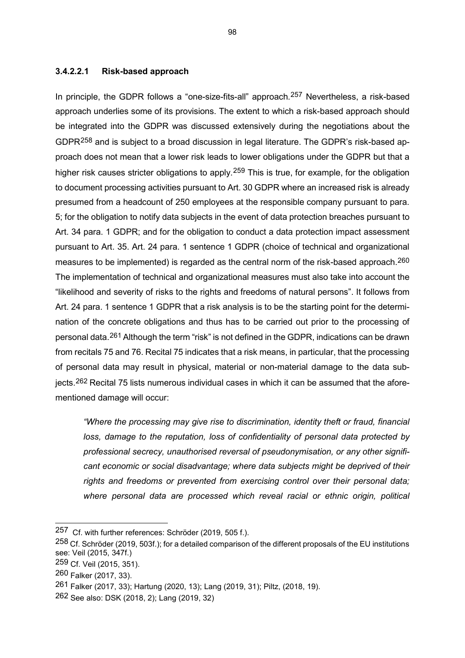#### **3.4.2.2.1 Risk-based approach**

In principle, the GDPR follows a "one-size-fits-all" approach.<sup>[257](#page-98-0)</sup> Nevertheless, a risk-based approach underlies some of its provisions. The extent to which a risk-based approach should be integrated into the GDPR was discussed extensively during the negotiations about the GDPR[258](#page-98-1) and is subject to a broad discussion in legal literature. The GDPR's risk-based approach does not mean that a lower risk leads to lower obligations under the GDPR but that a higher risk causes stricter obligations to apply.<sup>[259](#page-98-2)</sup> This is true, for example, for the obligation to document processing activities pursuant to Art. 30 GDPR where an increased risk is already presumed from a headcount of 250 employees at the responsible company pursuant to para. 5; for the obligation to notify data subjects in the event of data protection breaches pursuant to Art. 34 para. 1 GDPR; and for the obligation to conduct a data protection impact assessment pursuant to Art. 35. Art. 24 para. 1 sentence 1 GDPR (choice of technical and organizational measures to be implemented) is regarded as the central norm of the risk-based approach.<sup>[260](#page-98-3)</sup> The implementation of technical and organizational measures must also take into account the "likelihood and severity of risks to the rights and freedoms of natural persons". It follows from Art. 24 para. 1 sentence 1 GDPR that a risk analysis is to be the starting point for the determination of the concrete obligations and thus has to be carried out prior to the processing of personal data.[261](#page-98-4) Although the term "risk" is not defined in the GDPR, indications can be drawn from recitals 75 and 76. Recital 75 indicates that a risk means, in particular, that the processing of personal data may result in physical, material or non-material damage to the data subjects.[262](#page-98-5) Recital 75 lists numerous individual cases in which it can be assumed that the aforementioned damage will occur:

*"Where the processing may give rise to discrimination, identity theft or fraud, financial loss, damage to the reputation, loss of confidentiality of personal data protected by professional secrecy, unauthorised reversal of pseudonymisation, or any other significant economic or social disadvantage; where data subjects might be deprived of their rights and freedoms or prevented from exercising control over their personal data; where personal data are processed which reveal racial or ethnic origin, political* 

<span id="page-98-0"></span><sup>257</sup> Cf. with further references: Schröder (2019, 505 f.).

<span id="page-98-1"></span><sup>258</sup> Cf. Schröder (2019, 503f.); for a detailed comparison of the different proposals of the EU institutions see: Veil (2015, 347f.)

<span id="page-98-2"></span><sup>259</sup> Cf. Veil (2015, 351).

<span id="page-98-3"></span><sup>260</sup> Falker (2017, 33).

<span id="page-98-4"></span><sup>261</sup> Falker (2017, 33); Hartung (2020, 13); Lang (2019, 31); Piltz, (2018, 19).

<span id="page-98-5"></span><sup>262</sup> See also: DSK (2018, 2); Lang (2019, 32)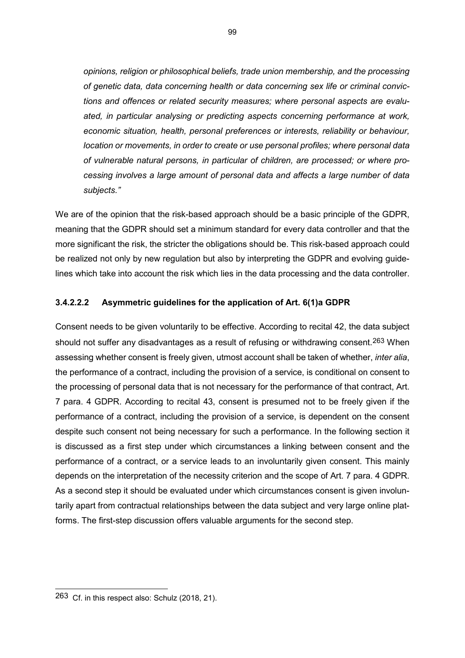*opinions, religion or philosophical beliefs, trade union membership, and the processing of genetic data, data concerning health or data concerning sex life or criminal convictions and offences or related security measures; where personal aspects are evaluated, in particular analysing or predicting aspects concerning performance at work, economic situation, health, personal preferences or interests, reliability or behaviour, location or movements, in order to create or use personal profiles; where personal data of vulnerable natural persons, in particular of children, are processed; or where processing involves a large amount of personal data and affects a large number of data subjects."*

We are of the opinion that the risk-based approach should be a basic principle of the GDPR, meaning that the GDPR should set a minimum standard for every data controller and that the more significant the risk, the stricter the obligations should be. This risk-based approach could be realized not only by new regulation but also by interpreting the GDPR and evolving guidelines which take into account the risk which lies in the data processing and the data controller.

## **3.4.2.2.2 Asymmetric guidelines for the application of Art. 6(1)a GDPR**

Consent needs to be given voluntarily to be effective. According to recital 42, the data subject should not suffer any disadvantages as a result of refusing or withdrawing consent.<sup>[263](#page-99-0)</sup> When assessing whether consent is freely given, utmost account shall be taken of whether, *inter alia*, the performance of a contract, including the provision of a service, is conditional on consent to the processing of personal data that is not necessary for the performance of that contract, Art. 7 para. 4 GDPR. According to recital 43, consent is presumed not to be freely given if the performance of a contract, including the provision of a service, is dependent on the consent despite such consent not being necessary for such a performance. In the following section it is discussed as a first step under which circumstances a linking between consent and the performance of a contract, or a service leads to an involuntarily given consent. This mainly depends on the interpretation of the necessity criterion and the scope of Art. 7 para. 4 GDPR. As a second step it should be evaluated under which circumstances consent is given involuntarily apart from contractual relationships between the data subject and very large online platforms. The first-step discussion offers valuable arguments for the second step.

<span id="page-99-0"></span><sup>263</sup> Cf. in this respect also: Schulz (2018, 21).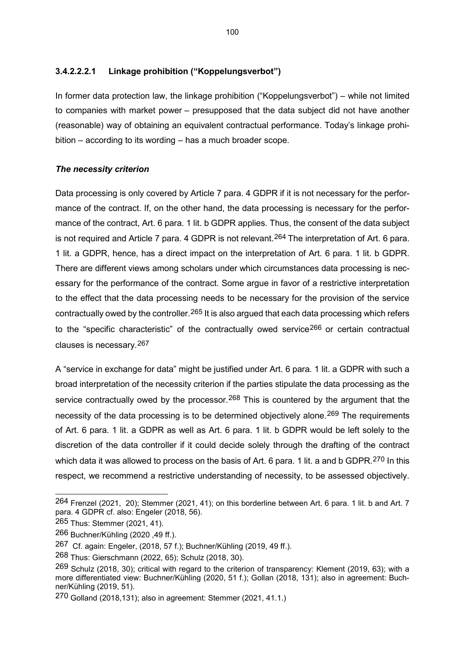## **3.4.2.2.2.1 Linkage prohibition ("Koppelungsverbot")**

In former data protection law, the linkage prohibition ("Koppelungsverbot") – while not limited to companies with market power – presupposed that the data subject did not have another (reasonable) way of obtaining an equivalent contractual performance. Today's linkage prohibition – according to its wording – has a much broader scope.

#### *The necessity criterion*

Data processing is only covered by Article 7 para. 4 GDPR if it is not necessary for the performance of the contract. If, on the other hand, the data processing is necessary for the performance of the contract, Art. 6 para. 1 lit. b GDPR applies. Thus, the consent of the data subject is not required and Article 7 para. 4 GDPR is not relevant.<sup>[264](#page-100-0)</sup> The interpretation of Art. 6 para. 1 lit. a GDPR, hence, has a direct impact on the interpretation of Art. 6 para. 1 lit. b GDPR. There are different views among scholars under which circumstances data processing is necessary for the performance of the contract. Some argue in favor of a restrictive interpretation to the effect that the data processing needs to be necessary for the provision of the service contractually owed by the controller.<sup>[265](#page-100-1)</sup> It is also argued that each data processing which refers to the "specific characteristic" of the contractually owed service<sup>[266](#page-100-2)</sup> or certain contractual clauses is necessary.[267](#page-100-3)

A "service in exchange for data" might be justified under Art. 6 para. 1 lit. a GDPR with such a broad interpretation of the necessity criterion if the parties stipulate the data processing as the service contractually owed by the processor.<sup>[268](#page-100-4)</sup> This is countered by the argument that the necessity of the data processing is to be determined objectively alone.<sup>[269](#page-100-5)</sup> The requirements of Art. 6 para. 1 lit. a GDPR as well as Art. 6 para. 1 lit. b GDPR would be left solely to the discretion of the data controller if it could decide solely through the drafting of the contract which data it was allowed to process on the basis of Art. 6 para. 1 lit. a and b GDPR.<sup>[270](#page-100-6)</sup> In this respect, we recommend a restrictive understanding of necessity, to be assessed objectively.

<span id="page-100-0"></span><sup>264</sup> Frenzel (2021, 20); Stemmer (2021, 41); on this borderline between Art. 6 para. 1 lit. b and Art. 7 para. 4 GDPR cf. also: Engeler (2018, 56).

<span id="page-100-1"></span><sup>265</sup> Thus: Stemmer (2021, 41).

<span id="page-100-2"></span><sup>266</sup> Buchner/Kühling (2020 ,49 ff.).

<span id="page-100-3"></span><sup>267</sup> Cf. again: Engeler, (2018, 57 f.); Buchner/Kühling (2019, 49 ff.).

<span id="page-100-4"></span><sup>268</sup> Thus: Gierschmann (2022, 65); Schulz (2018, 30).

<span id="page-100-5"></span><sup>269</sup> Schulz (2018, 30); critical with regard to the criterion of transparency: Klement (2019, 63); with a more differentiated view: Buchner/Kühling (2020, 51 f.); Gollan (2018, 131); also in agreement: Buchner/Kühling (2019, 51).

<span id="page-100-6"></span><sup>270</sup> Golland (2018,131); also in agreement: Stemmer (2021, 41.1.)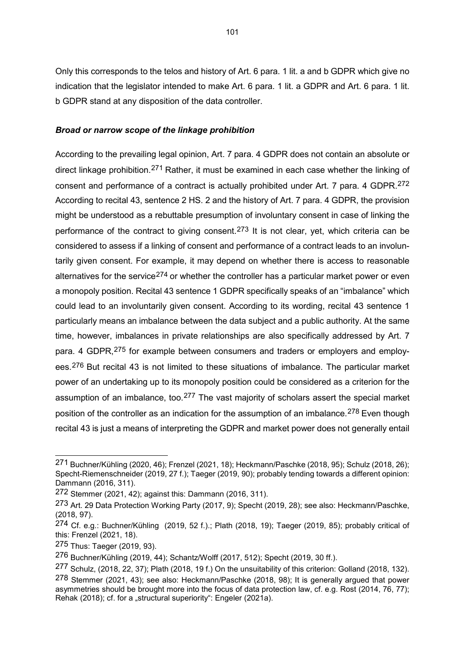Only this corresponds to the telos and history of Art. 6 para. 1 lit. a and b GDPR which give no indication that the legislator intended to make Art. 6 para. 1 lit. a GDPR and Art. 6 para. 1 lit. b GDPR stand at any disposition of the data controller.

#### *Broad or narrow scope of the linkage prohibition*

According to the prevailing legal opinion, Art. 7 para. 4 GDPR does not contain an absolute or direct linkage prohibition.[271](#page-101-0) Rather, it must be examined in each case whether the linking of consent and performance of a contract is actually prohibited under Art. 7 para. 4 GDPR.<sup>[272](#page-101-1)</sup> According to recital 43, sentence 2 HS. 2 and the history of Art. 7 para. 4 GDPR, the provision might be understood as a rebuttable presumption of involuntary consent in case of linking the performance of the contract to giving consent.<sup>[273](#page-101-2)</sup> It is not clear, yet, which criteria can be considered to assess if a linking of consent and performance of a contract leads to an involuntarily given consent. For example, it may depend on whether there is access to reasonable alternatives for the service<sup>[274](#page-101-3)</sup> or whether the controller has a particular market power or even a monopoly position. Recital 43 sentence 1 GDPR specifically speaks of an "imbalance" which could lead to an involuntarily given consent. According to its wording, recital 43 sentence 1 particularly means an imbalance between the data subject and a public authority. At the same time, however, imbalances in private relationships are also specifically addressed by Art. 7 para. 4 GDPR, <sup>[275](#page-101-4)</sup> for example between consumers and traders or employers and employees.[276](#page-101-5) But recital 43 is not limited to these situations of imbalance. The particular market power of an undertaking up to its monopoly position could be considered as a criterion for the assumption of an imbalance, too.<sup>[277](#page-101-6)</sup> The vast majority of scholars assert the special market position of the controller as an indication for the assumption of an imbalance.<sup>[278](#page-101-7)</sup> Even though recital 43 is just a means of interpreting the GDPR and market power does not generally entail

<span id="page-101-0"></span><sup>271</sup> Buchner/Kühling (2020, 46); Frenzel (2021, 18); Heckmann/Paschke (2018, 95); Schulz (2018, 26); Specht-Riemenschneider (2019, 27 f.); Taeger (2019, 90); probably tending towards a different opinion: Dammann (2016, 311).

<span id="page-101-1"></span><sup>272</sup> Stemmer (2021, 42); against this: Dammann (2016, 311).

<span id="page-101-2"></span><sup>273</sup> Art. 29 Data Protection Working Party (2017, 9); Specht (2019, 28); see also: Heckmann/Paschke, (2018, 97).

<span id="page-101-3"></span><sup>274</sup> Cf. e.g.: Buchner/Kühling (2019, 52 f.).; Plath (2018, 19); Taeger (2019, 85); probably critical of this: Frenzel (2021, 18).

<span id="page-101-4"></span><sup>275</sup> Thus: Taeger (2019, 93).

<span id="page-101-5"></span><sup>276</sup> Buchner/Kühling (2019, 44); Schantz/Wolff (2017, 512); Specht (2019, 30 ff.).

<span id="page-101-7"></span><span id="page-101-6"></span><sup>277</sup> Schulz, (2018, 22, 37); Plath (2018, 19 f.) On the unsuitability of this criterion: Golland (2018, 132). 278 Stemmer (2021, 43); see also: Heckmann/Paschke (2018, 98); It is generally argued that power asymmetries should be brought more into the focus of data protection law, cf. e.g. Rost (2014, 76, 77); Rehak (2018); cf. for a "structural superiority": Engeler (2021a).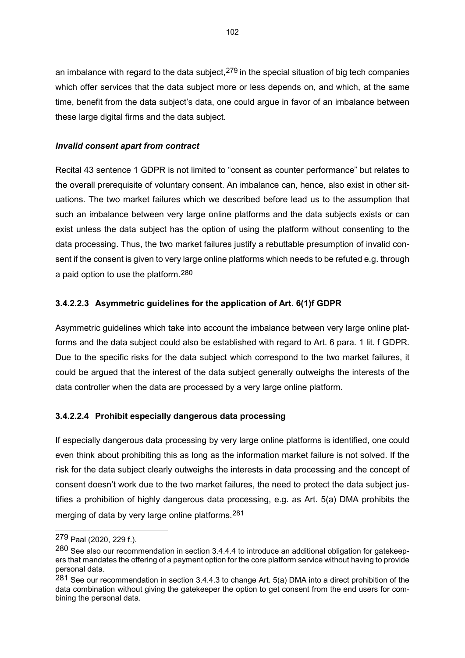an imbalance with regard to the data subject,  $279$  in the special situation of big tech companies which offer services that the data subject more or less depends on, and which, at the same time, benefit from the data subject's data, one could argue in favor of an imbalance between these large digital firms and the data subject.

## *Invalid consent apart from contract*

Recital 43 sentence 1 GDPR is not limited to "consent as counter performance" but relates to the overall prerequisite of voluntary consent. An imbalance can, hence, also exist in other situations. The two market failures which we described before lead us to the assumption that such an imbalance between very large online platforms and the data subjects exists or can exist unless the data subject has the option of using the platform without consenting to the data processing. Thus, the two market failures justify a rebuttable presumption of invalid consent if the consent is given to very large online platforms which needs to be refuted e.g. through a paid option to use the platform.[280](#page-102-1)

## **3.4.2.2.3 Asymmetric guidelines for the application of Art. 6(1)f GDPR**

Asymmetric guidelines which take into account the imbalance between very large online platforms and the data subject could also be established with regard to Art. 6 para. 1 lit. f GDPR. Due to the specific risks for the data subject which correspond to the two market failures, it could be argued that the interest of the data subject generally outweighs the interests of the data controller when the data are processed by a very large online platform.

## **3.4.2.2.4 Prohibit especially dangerous data processing**

If especially dangerous data processing by very large online platforms is identified, one could even think about prohibiting this as long as the information market failure is not solved. If the risk for the data subject clearly outweighs the interests in data processing and the concept of consent doesn't work due to the two market failures, the need to protect the data subject justifies a prohibition of highly dangerous data processing, e.g. as Art. 5(a) DMA prohibits the merging of data by very large online platforms.<sup>[281](#page-102-2)</sup>

<span id="page-102-0"></span><sup>279</sup> Paal (2020, 229 f.).

<span id="page-102-1"></span><sup>280</sup> See also our recommendation in section 3.4.4.4 to introduce an additional obligation for gatekeepers that mandates the offering of a payment option for the core platform service without having to provide personal data.

<span id="page-102-2"></span><sup>281</sup> See our recommendation in section 3.4.4.3 to change Art. 5(a) DMA into a direct prohibition of the data combination without giving the gatekeeper the option to get consent from the end users for combining the personal data.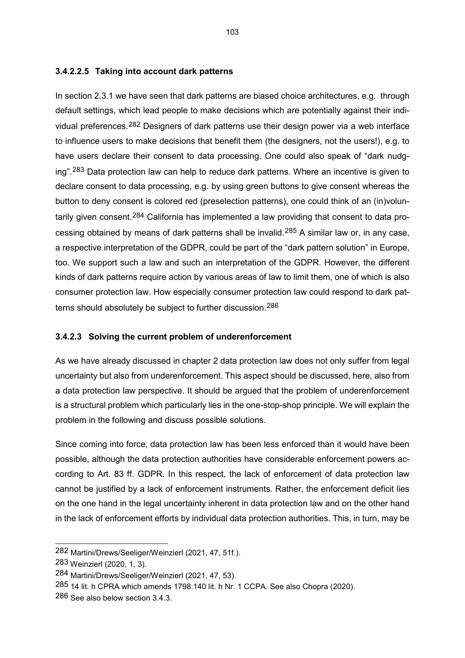#### **3.4.2.2.5 Taking into account dark patterns**

In section 2.3.1 we have seen that dark patterns are biased choice architectures, e.g. through default settings, which lead people to make decisions which are potentially against their individual preferences.[282](#page-103-0) Designers of dark patterns use their design power via a web interface to influence users to make decisions that benefit them (the designers, not the users!), e.g. to have users declare their consent to data processing. One could also speak of "dark nudg-ing".<sup>[283](#page-103-1)</sup> Data protection law can help to reduce dark patterns. Where an incentive is given to declare consent to data processing, e.g. by using green buttons to give consent whereas the button to deny consent is colored red (preselection patterns), one could think of an (in)volun-tarily given consent.<sup>[284](#page-103-2)</sup> California has implemented a law providing that consent to data processing obtained by means of dark patterns shall be invalid.[285](#page-103-3) A similar law or, in any case, a respective interpretation of the GDPR, could be part of the "dark pattern solution" in Europe, too. We support such a law and such an interpretation of the GDPR. However, the different kinds of dark patterns require action by various areas of law to limit them, one of which is also consumer protection law. How especially consumer protection law could respond to dark patterns should absolutely be subject to further discussion.[286](#page-103-4)

#### **3.4.2.3 Solving the current problem of underenforcement**

As we have already discussed in chapter 2 data protection law does not only suffer from legal uncertainty but also from underenforcement. This aspect should be discussed, here, also from a data protection law perspective. It should be argued that the problem of underenforcement is a structural problem which particularly lies in the one-stop-shop principle. We will explain the problem in the following and discuss possible solutions.

Since coming into force, data protection law has been less enforced than it would have been possible, although the data protection authorities have considerable enforcement powers according to Art. 83 ff. GDPR. In this respect, the lack of enforcement of data protection law cannot be justified by a lack of enforcement instruments. Rather, the enforcement deficit lies on the one hand in the legal uncertainty inherent in data protection law and on the other hand in the lack of enforcement efforts by individual data protection authorities. This, in turn, may be

<span id="page-103-0"></span><sup>282</sup> Martini/Drews/Seeliger/Weinzierl (2021, 47, 51f.).

<span id="page-103-1"></span><sup>283</sup> Weinzierl (2020, 1, 3).

<span id="page-103-2"></span><sup>284</sup> Martini/Drews/Seeliger/Weinzierl (2021, 47, 53).

<span id="page-103-3"></span><sup>285</sup> 14 lit. h CPRA which amends 1798.140 lit. h Nr. 1 CCPA. See also Chopra (2020).

<span id="page-103-4"></span><sup>286</sup> See also below section 3.4.3.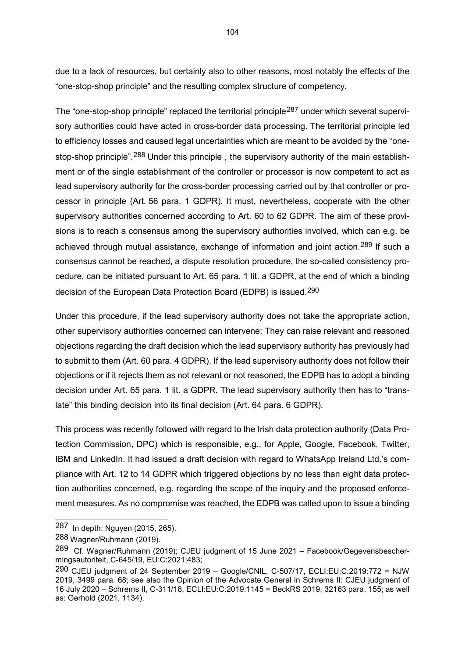due to a lack of resources, but certainly also to other reasons, most notably the effects of the "one-stop-shop principle" and the resulting complex structure of competency.

The "one-stop-shop principle" replaced the territorial principle<sup>[287](#page-104-0)</sup> under which several supervisory authorities could have acted in cross-border data processing. The territorial principle led to efficiency losses and caused legal uncertainties which are meant to be avoided by the "one-stop-shop principle".<sup>[288](#page-104-1)</sup> Under this principle, the supervisory authority of the main establishment or of the single establishment of the controller or processor is now competent to act as lead supervisory authority for the cross-border processing carried out by that controller or processor in principle (Art. 56 para. 1 GDPR). It must, nevertheless, cooperate with the other supervisory authorities concerned according to Art. 60 to 62 GDPR. The aim of these provisions is to reach a consensus among the supervisory authorities involved, which can e.g. be achieved through mutual assistance, exchange of information and joint action.<sup>[289](#page-104-2)</sup> If such a consensus cannot be reached, a dispute resolution procedure, the so-called consistency procedure, can be initiated pursuant to Art. 65 para. 1 lit. a GDPR, at the end of which a binding decision of the European Data Protection Board (EDPB) is issued.[290](#page-104-3)

Under this procedure, if the lead supervisory authority does not take the appropriate action, other supervisory authorities concerned can intervene: They can raise relevant and reasoned objections regarding the draft decision which the lead supervisory authority has previously had to submit to them (Art. 60 para. 4 GDPR). If the lead supervisory authority does not follow their objections or if it rejects them as not relevant or not reasoned, the EDPB has to adopt a binding decision under Art. 65 para. 1 lit. a GDPR. The lead supervisory authority then has to "translate" this binding decision into its final decision (Art. 64 para. 6 GDPR).

This process was recently followed with regard to the Irish data protection authority (Data Protection Commission, DPC) which is responsible, e.g., for Apple, Google, Facebook, Twitter, IBM and LinkedIn. It had issued a draft decision with regard to WhatsApp Ireland Ltd.'s compliance with Art. 12 to 14 GDPR which triggered objections by no less than eight data protection authorities concerned, e.g. regarding the scope of the inquiry and the proposed enforcement measures. As no compromise was reached, the EDPB was called upon to issue a binding

<span id="page-104-0"></span><sup>287</sup> In depth: Nguyen (2015, 265).

<span id="page-104-1"></span><sup>288</sup> Wagner/Ruhmann (2019).

<span id="page-104-2"></span><sup>289</sup> Cf. Wagner/Ruhmann (2019); CJEU judgment of 15 June 2021 – Facebook/Gegevensbeschermingsautoriteit, C-645/19, EU:C:2021:483;

<span id="page-104-3"></span><sup>290</sup> CJEU judgment of 24 September 2019 – Google/CNIL, C-507/17, ECLI:EU:C:2019:772 = NJW 2019, 3499 para. 68; see also the Opinion of the Advocate General in Schrems II: CJEU judgment of 16 July 2020 – Schrems II, C-311/18, ECLI:EU:C:2019:1145 = BeckRS 2019, 32163 para. 155; as well as: Gerhold (2021, 1134).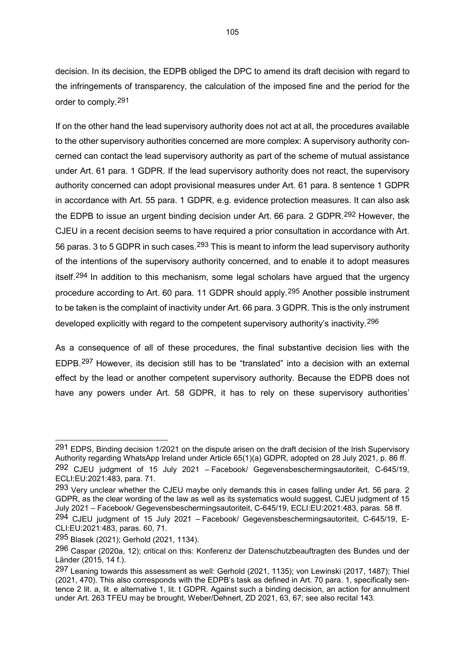decision. In its decision, the EDPB obliged the DPC to amend its draft decision with regard to the infringements of transparency, the calculation of the imposed fine and the period for the order to comply.[291](#page-105-0)

If on the other hand the lead supervisory authority does not act at all, the procedures available to the other supervisory authorities concerned are more complex: A supervisory authority concerned can contact the lead supervisory authority as part of the scheme of mutual assistance under Art. 61 para. 1 GDPR. If the lead supervisory authority does not react, the supervisory authority concerned can adopt provisional measures under Art. 61 para. 8 sentence 1 GDPR in accordance with Art. 55 para. 1 GDPR, e.g. evidence protection measures. It can also ask the EDPB to issue an urgent binding decision under Art. 66 para. 2 GDPR.<sup>[292](#page-105-1)</sup> However, the CJEU in a recent decision seems to have required a prior consultation in accordance with Art. 56 paras. 3 to 5 GDPR in such cases.<sup>[293](#page-105-2)</sup> This is meant to inform the lead supervisory authority of the intentions of the supervisory authority concerned, and to enable it to adopt measures itself.<sup>[294](#page-105-3)</sup> In addition to this mechanism, some legal scholars have argued that the urgency procedure according to Art. 60 para. 11 GDPR should apply.[295](#page-105-4) Another possible instrument to be taken is the complaint of inactivity under Art. 66 para. 3 GDPR. This is the only instrument developed explicitly with regard to the competent supervisory authority's inactivity.<sup>[296](#page-105-5)</sup>

As a consequence of all of these procedures, the final substantive decision lies with the EDPB.[297](#page-105-6) However, its decision still has to be "translated" into a decision with an external effect by the lead or another competent supervisory authority. Because the EDPB does not have any powers under Art. 58 GDPR, it has to rely on these supervisory authorities'

<span id="page-105-1"></span><span id="page-105-0"></span><sup>291</sup> EDPS, Binding decision 1/2021 on the dispute arisen on the draft decision of the Irish Supervisory Authority regarding WhatsApp Ireland under Article 65(1)(a) GDPR, adopted on 28 July 2021, p. 86 ff. 292 CJEU judgment of 15 July 2021 – Facebook/ Gegevensbeschermingsautoriteit, C-645/19, ECLI:EU:2021:483, para. 71.

<span id="page-105-2"></span><sup>293</sup> Very unclear whether the CJEU maybe only demands this in cases falling under Art. 56 para. 2 GDPR, as the clear wording of the law as well as its systematics would suggest, CJEU judgment of 15 July 2021 – Facebook/ Gegevensbeschermingsautoriteit, C-645/19, ECLI:EU:2021:483, paras. 58 ff.

<span id="page-105-3"></span><sup>294</sup> CJEU judgment of 15 July 2021 – Facebook/ Gegevensbeschermingsautoriteit, C-645/19, E-CLI:EU:2021:483, paras. 60, 71.

<span id="page-105-4"></span><sup>295</sup> Blasek (2021); Gerhold (2021, 1134).

<span id="page-105-5"></span><sup>296</sup> Caspar (2020a, 12); critical on this: Konferenz der Datenschutzbeauftragten des Bundes und der Länder (2015, 14 f.).

<span id="page-105-6"></span><sup>297</sup> Leaning towards this assessment as well: Gerhold (2021, 1135); von Lewinski (2017, 1487); Thiel (2021, 470). This also corresponds with the EDPB's task as defined in Art. 70 para. 1, specifically sentence 2 lit. a, lit. e alternative 1, lit. t GDPR. Against such a binding decision, an action for annulment under Art. 263 TFEU may be brought, Weber/Dehnert, ZD 2021, 63, 67; see also recital 143.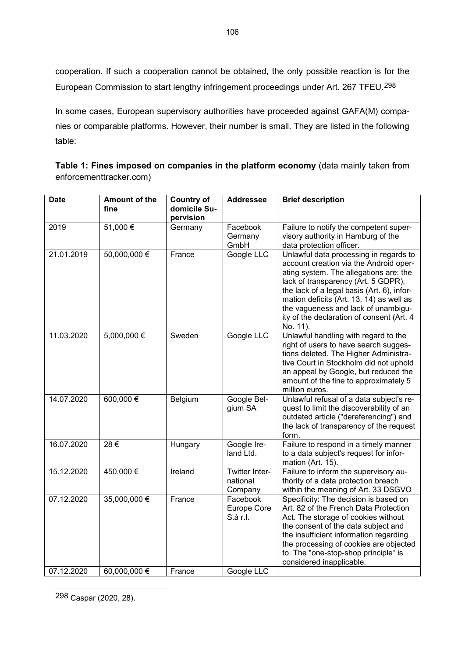cooperation. If such a cooperation cannot be obtained, the only possible reaction is for the European Commission to start lengthy infringement proceedings under Art. 267 TFEU.[298](#page-106-0)

In some cases, European supervisory authorities have proceeded against GAFA(M) companies or comparable platforms. However, their number is small. They are listed in the following table:

|                         | Table 1: Fines imposed on companies in the platform economy (data mainly taken from |  |
|-------------------------|-------------------------------------------------------------------------------------|--|
| enforcementtracker.com) |                                                                                     |  |

| <b>Date</b> | <b>Amount of the</b><br>fine | <b>Country of</b><br>domicile Su- | <b>Addressee</b>                      | <b>Brief description</b>                                                                                                                                                                                                                                                                                                                                    |
|-------------|------------------------------|-----------------------------------|---------------------------------------|-------------------------------------------------------------------------------------------------------------------------------------------------------------------------------------------------------------------------------------------------------------------------------------------------------------------------------------------------------------|
|             |                              | pervision                         |                                       |                                                                                                                                                                                                                                                                                                                                                             |
| 2019        | 51,000€                      | Germany                           | Facebook<br>Germany<br>GmbH           | Failure to notify the competent super-<br>visory authority in Hamburg of the<br>data protection officer.                                                                                                                                                                                                                                                    |
| 21.01.2019  | 50,000,000 €                 | France                            | Google LLC                            | Unlawful data processing in regards to<br>account creation via the Android oper-<br>ating system. The allegations are: the<br>lack of transparency (Art. 5 GDPR),<br>the lack of a legal basis (Art. 6), infor-<br>mation deficits (Art. 13, 14) as well as<br>the vagueness and lack of unambigu-<br>ity of the declaration of consent (Art. 4<br>No. 11). |
| 11.03.2020  | $5,000,000$ €                | Sweden                            | Google LLC                            | Unlawful handling with regard to the<br>right of users to have search sugges-<br>tions deleted. The Higher Administra-<br>tive Court in Stockholm did not uphold<br>an appeal by Google, but reduced the<br>amount of the fine to approximately 5<br>million euros.                                                                                         |
| 14.07.2020  | 600,000€                     | Belgium                           | Google Bel-<br>gium SA                | Unlawful refusal of a data subject's re-<br>quest to limit the discoverability of an<br>outdated article ("dereferencing") and<br>the lack of transparency of the request<br>form.                                                                                                                                                                          |
| 16.07.2020  | 28€                          | Hungary                           | Google Ire-<br>land Ltd.              | Failure to respond in a timely manner<br>to a data subject's request for infor-<br>mation (Art. 15).                                                                                                                                                                                                                                                        |
| 15.12.2020  | 450,000€                     | Ireland                           | Twitter Inter-<br>national<br>Company | Failure to inform the supervisory au-<br>thority of a data protection breach<br>within the meaning of Art. 33 DSGVO                                                                                                                                                                                                                                         |
| 07.12.2020  | 35,000,000 €                 | France                            | Facebook<br>Europe Core<br>S.à r.l.   | Specificity: The decision is based on<br>Art. 82 of the French Data Protection<br>Act. The storage of cookies without<br>the consent of the data subject and<br>the insufficient information regarding<br>the processing of cookies are objected<br>to. The "one-stop-shop principle" is<br>considered inapplicable.                                        |
| 07.12.2020  | 60,000,000 €                 | France                            | Google LLC                            |                                                                                                                                                                                                                                                                                                                                                             |

<span id="page-106-0"></span>298 Caspar (2020, 28).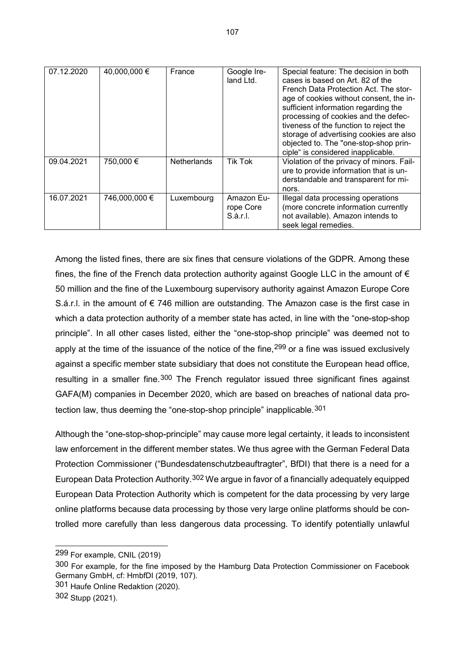| 07.12.2020 | 40,000,000 €  | France             | Google Ire-<br>land Ltd.            | Special feature: The decision in both<br>cases is based on Art. 82 of the<br>French Data Protection Act. The stor-<br>age of cookies without consent, the in-<br>sufficient information regarding the<br>processing of cookies and the defec-<br>tiveness of the function to reject the<br>storage of advertising cookies are also<br>objected to. The "one-stop-shop prin-<br>ciple" is considered inapplicable. |
|------------|---------------|--------------------|-------------------------------------|-------------------------------------------------------------------------------------------------------------------------------------------------------------------------------------------------------------------------------------------------------------------------------------------------------------------------------------------------------------------------------------------------------------------|
| 09.04.2021 | 750,000 €     | <b>Netherlands</b> | <b>Tik Tok</b>                      | Violation of the privacy of minors. Fail-<br>ure to provide information that is un-<br>derstandable and transparent for mi-<br>nors.                                                                                                                                                                                                                                                                              |
| 16.07.2021 | 746,000,000 € | Luxembourg         | Amazon Eu-<br>rope Core<br>S.à.r.l. | Illegal data processing operations<br>(more concrete information currently<br>not available). Amazon intends to<br>seek legal remedies.                                                                                                                                                                                                                                                                           |

Among the listed fines, there are six fines that censure violations of the GDPR. Among these fines, the fine of the French data protection authority against Google LLC in the amount of  $\epsilon$ 50 million and the fine of the Luxembourg supervisory authority against Amazon Europe Core S.á.r.l. in the amount of € 746 million are outstanding. The Amazon case is the first case in which a data protection authority of a member state has acted, in line with the "one-stop-shop principle". In all other cases listed, either the "one-stop-shop principle" was deemed not to apply at the time of the issuance of the notice of the fine,  $299$  or a fine was issued exclusively against a specific member state subsidiary that does not constitute the European head office, resulting in a smaller fine.<sup>[300](#page-107-1)</sup> The French regulator issued three significant fines against GAFA(M) companies in December 2020, which are based on breaches of national data protection law, thus deeming the "one-stop-shop principle" inapplicable.[301](#page-107-2)

Although the "one-stop-shop-principle" may cause more legal certainty, it leads to inconsistent law enforcement in the different member states. We thus agree with the German Federal Data Protection Commissioner ("Bundesdatenschutzbeauftragter", BfDI) that there is a need for a European Data Protection Authority.[302](#page-107-3) We argue in favor of a financially adequately equipped European Data Protection Authority which is competent for the data processing by very large online platforms because data processing by those very large online platforms should be controlled more carefully than less dangerous data processing. To identify potentially unlawful

<span id="page-107-0"></span><sup>299</sup> For example, CNIL (2019)

<span id="page-107-1"></span><sup>300</sup> For example, for the fine imposed by the Hamburg Data Protection Commissioner on Facebook Germany GmbH, cf: HmbfDI (2019, 107).

<span id="page-107-2"></span><sup>301</sup> Haufe Online Redaktion (2020).

<span id="page-107-3"></span><sup>302</sup> Stupp (2021).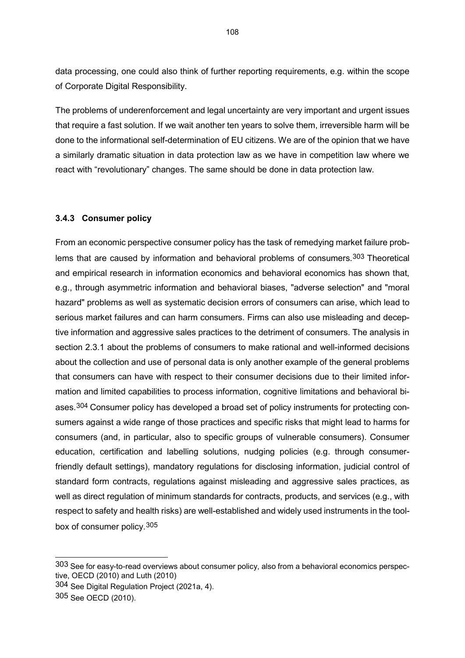data processing, one could also think of further reporting requirements, e.g. within the scope of Corporate Digital Responsibility.

The problems of underenforcement and legal uncertainty are very important and urgent issues that require a fast solution. If we wait another ten years to solve them, irreversible harm will be done to the informational self-determination of EU citizens. We are of the opinion that we have a similarly dramatic situation in data protection law as we have in competition law where we react with "revolutionary" changes. The same should be done in data protection law.

### **3.4.3 Consumer policy**

From an economic perspective consumer policy has the task of remedying market failure prob-lems that are caused by information and behavioral problems of consumers.<sup>[303](#page-108-0)</sup> Theoretical and empirical research in information economics and behavioral economics has shown that, e.g., through asymmetric information and behavioral biases, "adverse selection" and "moral hazard" problems as well as systematic decision errors of consumers can arise, which lead to serious market failures and can harm consumers. Firms can also use misleading and deceptive information and aggressive sales practices to the detriment of consumers. The analysis in section 2.3.1 about the problems of consumers to make rational and well-informed decisions about the collection and use of personal data is only another example of the general problems that consumers can have with respect to their consumer decisions due to their limited information and limited capabilities to process information, cognitive limitations and behavioral bi-ases.<sup>[304](#page-108-1)</sup> Consumer policy has developed a broad set of policy instruments for protecting consumers against a wide range of those practices and specific risks that might lead to harms for consumers (and, in particular, also to specific groups of vulnerable consumers). Consumer education, certification and labelling solutions, nudging policies (e.g. through consumerfriendly default settings), mandatory regulations for disclosing information, judicial control of standard form contracts, regulations against misleading and aggressive sales practices, as well as direct regulation of minimum standards for contracts, products, and services (e.g., with respect to safety and health risks) are well-established and widely used instruments in the toolbox of consumer policy.[305](#page-108-2)

<span id="page-108-0"></span><sup>303</sup> See for easy-to-read overviews about consumer policy, also from a behavioral economics perspective, OECD (2010) and Luth (2010)

<span id="page-108-1"></span><sup>304</sup> See Digital Regulation Project (2021a, 4).

<span id="page-108-2"></span><sup>305</sup> See OECD (2010).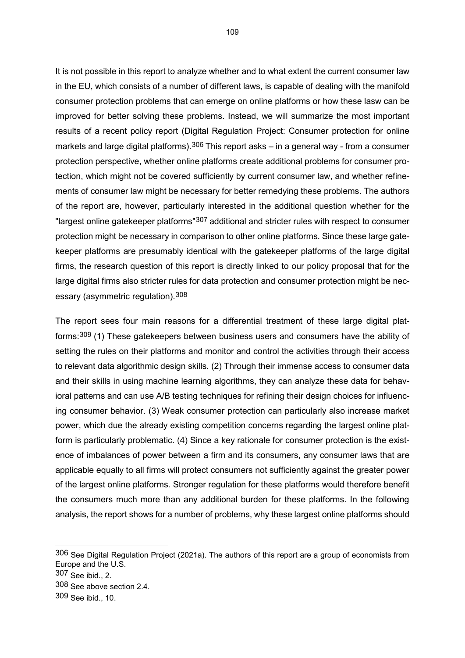It is not possible in this report to analyze whether and to what extent the current consumer law in the EU, which consists of a number of different laws, is capable of dealing with the manifold consumer protection problems that can emerge on online platforms or how these lasw can be improved for better solving these problems. Instead, we will summarize the most important results of a recent policy report (Digital Regulation Project: Consumer protection for online markets and large digital platforms).<sup>[306](#page-109-0)</sup> This report asks – in a general way - from a consumer protection perspective, whether online platforms create additional problems for consumer protection, which might not be covered sufficiently by current consumer law, and whether refinements of consumer law might be necessary for better remedying these problems. The authors of the report are, however, particularly interested in the additional question whether for the "largest online gatekeeper platforms"[307](#page-109-1) additional and stricter rules with respect to consumer protection might be necessary in comparison to other online platforms. Since these large gatekeeper platforms are presumably identical with the gatekeeper platforms of the large digital firms, the research question of this report is directly linked to our policy proposal that for the large digital firms also stricter rules for data protection and consumer protection might be necessary (asymmetric regulation).[308](#page-109-2)

The report sees four main reasons for a differential treatment of these large digital platforms:[309](#page-109-3) (1) These gatekeepers between business users and consumers have the ability of setting the rules on their platforms and monitor and control the activities through their access to relevant data algorithmic design skills. (2) Through their immense access to consumer data and their skills in using machine learning algorithms, they can analyze these data for behavioral patterns and can use A/B testing techniques for refining their design choices for influencing consumer behavior. (3) Weak consumer protection can particularly also increase market power, which due the already existing competition concerns regarding the largest online platform is particularly problematic. (4) Since a key rationale for consumer protection is the existence of imbalances of power between a firm and its consumers, any consumer laws that are applicable equally to all firms will protect consumers not sufficiently against the greater power of the largest online platforms. Stronger regulation for these platforms would therefore benefit the consumers much more than any additional burden for these platforms. In the following analysis, the report shows for a number of problems, why these largest online platforms should

<span id="page-109-0"></span><sup>306</sup> See Digital Regulation Project (2021a). The authors of this report are a group of economists from Europe and the U.S.

<span id="page-109-1"></span><sup>307</sup> See ibid., 2.

<span id="page-109-2"></span><sup>308</sup> See above section 2.4.

<span id="page-109-3"></span><sup>309</sup> See ibid., 10.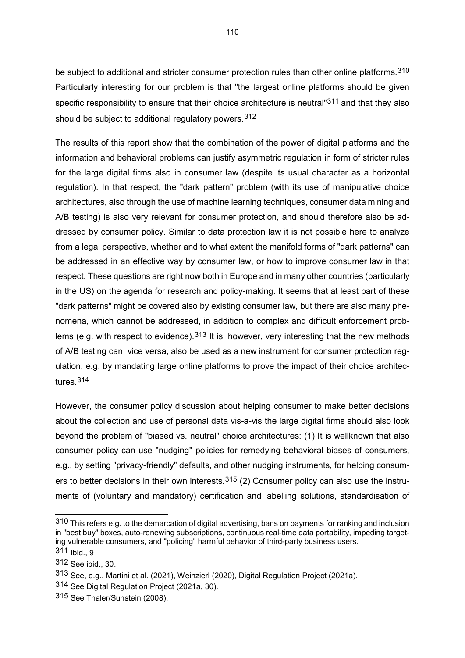be subject to additional and stricter consumer protection rules than other online platforms.<sup>[310](#page-110-0)</sup> Particularly interesting for our problem is that "the largest online platforms should be given specific responsibility to ensure that their choice architecture is neutral <sup>[311](#page-110-1)</sup> and that they also should be subject to additional regulatory powers.<sup>[312](#page-110-2)</sup>

The results of this report show that the combination of the power of digital platforms and the information and behavioral problems can justify asymmetric regulation in form of stricter rules for the large digital firms also in consumer law (despite its usual character as a horizontal regulation). In that respect, the "dark pattern" problem (with its use of manipulative choice architectures, also through the use of machine learning techniques, consumer data mining and A/B testing) is also very relevant for consumer protection, and should therefore also be addressed by consumer policy. Similar to data protection law it is not possible here to analyze from a legal perspective, whether and to what extent the manifold forms of "dark patterns" can be addressed in an effective way by consumer law, or how to improve consumer law in that respect. These questions are right now both in Europe and in many other countries (particularly in the US) on the agenda for research and policy-making. It seems that at least part of these "dark patterns" might be covered also by existing consumer law, but there are also many phenomena, which cannot be addressed, in addition to complex and difficult enforcement prob-lems (e.g. with respect to evidence).<sup>[313](#page-110-3)</sup> It is, however, very interesting that the new methods of A/B testing can, vice versa, also be used as a new instrument for consumer protection regulation, e.g. by mandating large online platforms to prove the impact of their choice architectures.[314](#page-110-4)

However, the consumer policy discussion about helping consumer to make better decisions about the collection and use of personal data vis-a-vis the large digital firms should also look beyond the problem of "biased vs. neutral" choice architectures: (1) It is wellknown that also consumer policy can use "nudging" policies for remedying behavioral biases of consumers, e.g., by setting "privacy-friendly" defaults, and other nudging instruments, for helping consumers to better decisions in their own interests.  $315$  (2) Consumer policy can also use the instruments of (voluntary and mandatory) certification and labelling solutions, standardisation of

<span id="page-110-0"></span><sup>310</sup> This refers e.g. to the demarcation of digital advertising, bans on payments for ranking and inclusion in "best buy" boxes, auto-renewing subscriptions, continuous real-time data portability, impeding targeting vulnerable consumers, and "policing" harmful behavior of third-party business users.

<span id="page-110-1"></span><sup>311</sup> Ibid., 9

<span id="page-110-2"></span><sup>312</sup> See ibid., 30.

<span id="page-110-3"></span><sup>313</sup> See, e.g., Martini et al. (2021), Weinzierl (2020), Digital Regulation Project (2021a).

<span id="page-110-4"></span><sup>314</sup> See Digital Regulation Project (2021a, 30).

<span id="page-110-5"></span><sup>315</sup> See Thaler/Sunstein (2008).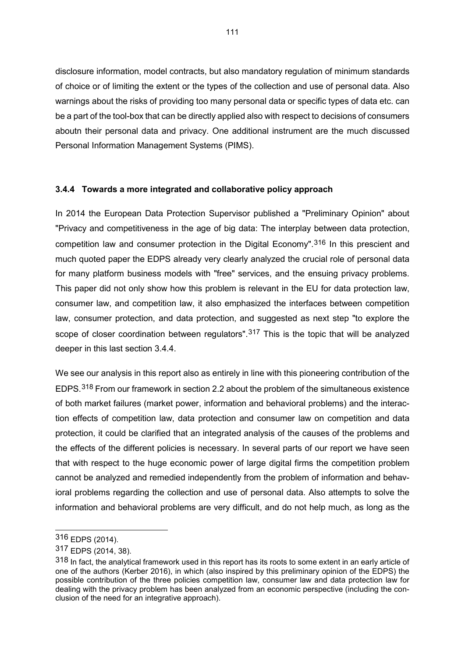disclosure information, model contracts, but also mandatory regulation of minimum standards of choice or of limiting the extent or the types of the collection and use of personal data. Also warnings about the risks of providing too many personal data or specific types of data etc. can be a part of the tool-box that can be directly applied also with respect to decisions of consumers aboutn their personal data and privacy. One additional instrument are the much discussed Personal Information Management Systems (PIMS).

# **3.4.4 Towards a more integrated and collaborative policy approach**

In 2014 the European Data Protection Supervisor published a "Preliminary Opinion" about "Privacy and competitiveness in the age of big data: The interplay between data protection, competition law and consumer protection in the Digital Economy".[316](#page-111-0) In this prescient and much quoted paper the EDPS already very clearly analyzed the crucial role of personal data for many platform business models with "free" services, and the ensuing privacy problems. This paper did not only show how this problem is relevant in the EU for data protection law, consumer law, and competition law, it also emphasized the interfaces between competition law, consumer protection, and data protection, and suggested as next step "to explore the scope of closer coordination between regulators".<sup>[317](#page-111-1)</sup> This is the topic that will be analyzed deeper in this last section 3.4.4.

We see our analysis in this report also as entirely in line with this pioneering contribution of the EDPS.[318](#page-111-2) From our framework in section 2.2 about the problem of the simultaneous existence of both market failures (market power, information and behavioral problems) and the interaction effects of competition law, data protection and consumer law on competition and data protection, it could be clarified that an integrated analysis of the causes of the problems and the effects of the different policies is necessary. In several parts of our report we have seen that with respect to the huge economic power of large digital firms the competition problem cannot be analyzed and remedied independently from the problem of information and behavioral problems regarding the collection and use of personal data. Also attempts to solve the information and behavioral problems are very difficult, and do not help much, as long as the

<span id="page-111-0"></span><sup>316</sup> EDPS (2014).

<span id="page-111-1"></span><sup>317</sup> EDPS (2014, 38).

<span id="page-111-2"></span><sup>318</sup> In fact, the analytical framework used in this report has its roots to some extent in an early article of one of the authors (Kerber 2016), in which (also inspired by this preliminary opinion of the EDPS) the possible contribution of the three policies competition law, consumer law and data protection law for dealing with the privacy problem has been analyzed from an economic perspective (including the conclusion of the need for an integrative approach).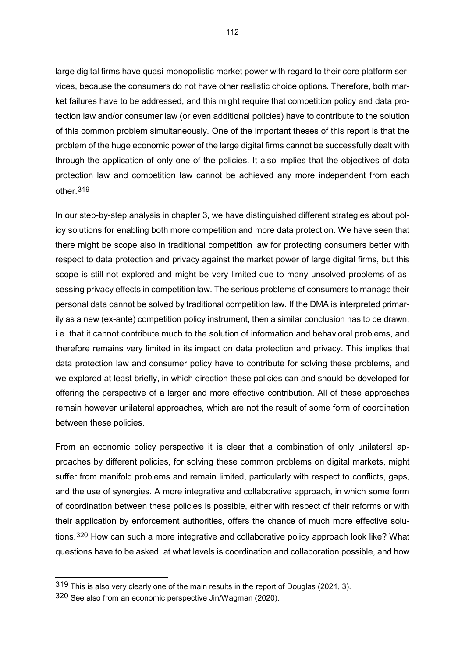large digital firms have quasi-monopolistic market power with regard to their core platform services, because the consumers do not have other realistic choice options. Therefore, both market failures have to be addressed, and this might require that competition policy and data protection law and/or consumer law (or even additional policies) have to contribute to the solution of this common problem simultaneously. One of the important theses of this report is that the problem of the huge economic power of the large digital firms cannot be successfully dealt with through the application of only one of the policies. It also implies that the objectives of data protection law and competition law cannot be achieved any more independent from each other.[319](#page-112-0)

In our step-by-step analysis in chapter 3, we have distinguished different strategies about policy solutions for enabling both more competition and more data protection. We have seen that there might be scope also in traditional competition law for protecting consumers better with respect to data protection and privacy against the market power of large digital firms, but this scope is still not explored and might be very limited due to many unsolved problems of assessing privacy effects in competition law. The serious problems of consumers to manage their personal data cannot be solved by traditional competition law. If the DMA is interpreted primarily as a new (ex-ante) competition policy instrument, then a similar conclusion has to be drawn, i.e. that it cannot contribute much to the solution of information and behavioral problems, and therefore remains very limited in its impact on data protection and privacy. This implies that data protection law and consumer policy have to contribute for solving these problems, and we explored at least briefly, in which direction these policies can and should be developed for offering the perspective of a larger and more effective contribution. All of these approaches remain however unilateral approaches, which are not the result of some form of coordination between these policies.

From an economic policy perspective it is clear that a combination of only unilateral approaches by different policies, for solving these common problems on digital markets, might suffer from manifold problems and remain limited, particularly with respect to conflicts, gaps, and the use of synergies. A more integrative and collaborative approach, in which some form of coordination between these policies is possible, either with respect of their reforms or with their application by enforcement authorities, offers the chance of much more effective solutions.[320](#page-112-1) How can such a more integrative and collaborative policy approach look like? What questions have to be asked, at what levels is coordination and collaboration possible, and how

<span id="page-112-0"></span><sup>319</sup> This is also very clearly one of the main results in the report of Douglas (2021, 3).

<span id="page-112-1"></span><sup>320</sup> See also from an economic perspective Jin/Wagman (2020).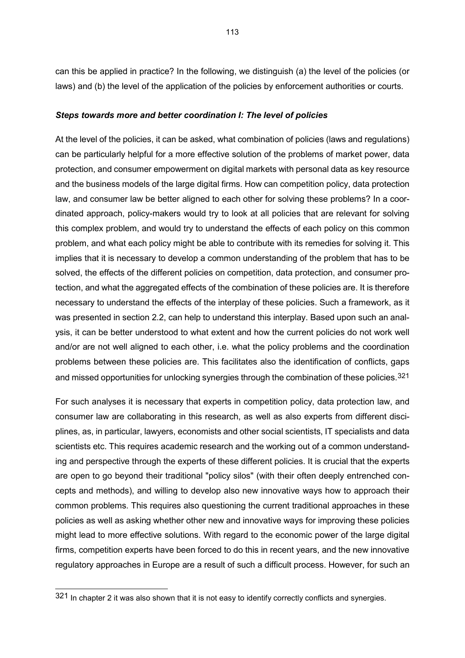can this be applied in practice? In the following, we distinguish (a) the level of the policies (or laws) and (b) the level of the application of the policies by enforcement authorities or courts.

#### *Steps towards more and better coordination I: The level of policies*

At the level of the policies, it can be asked, what combination of policies (laws and regulations) can be particularly helpful for a more effective solution of the problems of market power, data protection, and consumer empowerment on digital markets with personal data as key resource and the business models of the large digital firms. How can competition policy, data protection law, and consumer law be better aligned to each other for solving these problems? In a coordinated approach, policy-makers would try to look at all policies that are relevant for solving this complex problem, and would try to understand the effects of each policy on this common problem, and what each policy might be able to contribute with its remedies for solving it. This implies that it is necessary to develop a common understanding of the problem that has to be solved, the effects of the different policies on competition, data protection, and consumer protection, and what the aggregated effects of the combination of these policies are. It is therefore necessary to understand the effects of the interplay of these policies. Such a framework, as it was presented in section 2.2, can help to understand this interplay. Based upon such an analysis, it can be better understood to what extent and how the current policies do not work well and/or are not well aligned to each other, i.e. what the policy problems and the coordination problems between these policies are. This facilitates also the identification of conflicts, gaps and missed opportunities for unlocking synergies through the combination of these policies. $321$ 

For such analyses it is necessary that experts in competition policy, data protection law, and consumer law are collaborating in this research, as well as also experts from different disciplines, as, in particular, lawyers, economists and other social scientists, IT specialists and data scientists etc. This requires academic research and the working out of a common understanding and perspective through the experts of these different policies. It is crucial that the experts are open to go beyond their traditional "policy silos" (with their often deeply entrenched concepts and methods), and willing to develop also new innovative ways how to approach their common problems. This requires also questioning the current traditional approaches in these policies as well as asking whether other new and innovative ways for improving these policies might lead to more effective solutions. With regard to the economic power of the large digital firms, competition experts have been forced to do this in recent years, and the new innovative regulatory approaches in Europe are a result of such a difficult process. However, for such an

<span id="page-113-0"></span><sup>321</sup> In chapter 2 it was also shown that it is not easy to identify correctly conflicts and synergies.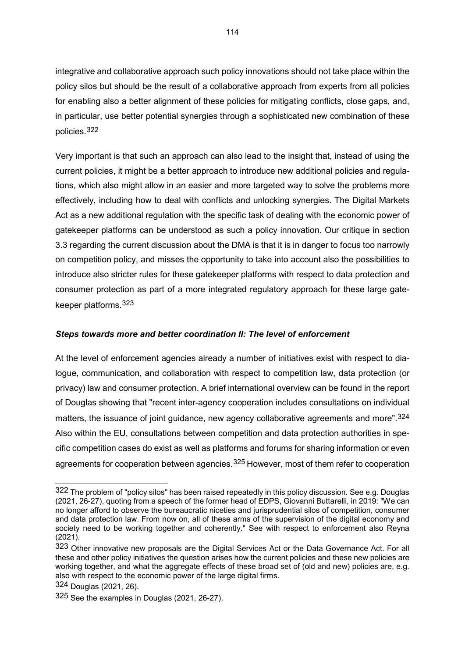integrative and collaborative approach such policy innovations should not take place within the policy silos but should be the result of a collaborative approach from experts from all policies for enabling also a better alignment of these policies for mitigating conflicts, close gaps, and, in particular, use better potential synergies through a sophisticated new combination of these policies.[322](#page-114-0)

Very important is that such an approach can also lead to the insight that, instead of using the current policies, it might be a better approach to introduce new additional policies and regulations, which also might allow in an easier and more targeted way to solve the problems more effectively, including how to deal with conflicts and unlocking synergies. The Digital Markets Act as a new additional regulation with the specific task of dealing with the economic power of gatekeeper platforms can be understood as such a policy innovation. Our critique in section 3.3 regarding the current discussion about the DMA is that it is in danger to focus too narrowly on competition policy, and misses the opportunity to take into account also the possibilities to introduce also stricter rules for these gatekeeper platforms with respect to data protection and consumer protection as part of a more integrated regulatory approach for these large gatekeeper platforms.[323](#page-114-1)

# *Steps towards more and better coordination II: The level of enforcement*

At the level of enforcement agencies already a number of initiatives exist with respect to dialogue, communication, and collaboration with respect to competition law, data protection (or privacy) law and consumer protection. A brief international overview can be found in the report of Douglas showing that "recent inter-agency cooperation includes consultations on individual matters, the issuance of joint guidance, new agency collaborative agreements and more".<sup>[324](#page-114-2)</sup> Also within the EU, consultations between competition and data protection authorities in specific competition cases do exist as well as platforms and forums for sharing information or even agreements for cooperation between agencies.<sup>[325](#page-114-3)</sup> However, most of them refer to cooperation

<span id="page-114-0"></span><sup>322</sup> The problem of "policy silos" has been raised repeatedly in this policy discussion. See e.g. Douglas (2021, 26-27), quoting from a speech of the former head of EDPS, Giovanni Buttarelli, in 2019: "We can no longer afford to observe the bureaucratic niceties and jurisprudential silos of competition, consumer and data protection law. From now on, all of these arms of the supervision of the digital economy and society need to be working together and coherently." See with respect to enforcement also Reyna (2021).

<span id="page-114-1"></span><sup>323</sup> Other innovative new proposals are the Digital Services Act or the Data Governance Act. For all these and other policy initiatives the question arises how the current policies and these new policies are working together, and what the aggregate effects of these broad set of (old and new) policies are, e.g. also with respect to the economic power of the large digital firms.

<span id="page-114-2"></span><sup>324</sup> Douglas (2021, 26).

<span id="page-114-3"></span><sup>325</sup> See the examples in Douglas (2021, 26-27).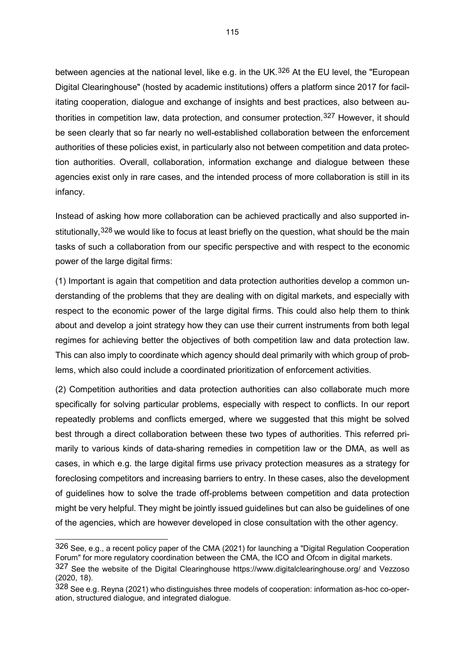between agencies at the national level, like e.g. in the UK.<sup>[326](#page-115-0)</sup> At the EU level, the "European Digital Clearinghouse" (hosted by academic institutions) offers a platform since 2017 for facilitating cooperation, dialogue and exchange of insights and best practices, also between authorities in competition law, data protection, and consumer protection.[327](#page-115-1) However, it should be seen clearly that so far nearly no well-established collaboration between the enforcement authorities of these policies exist, in particularly also not between competition and data protection authorities. Overall, collaboration, information exchange and dialogue between these agencies exist only in rare cases, and the intended process of more collaboration is still in its infancy.

Instead of asking how more collaboration can be achieved practically and also supported in-stitutionally, [328](#page-115-2) we would like to focus at least briefly on the question, what should be the main tasks of such a collaboration from our specific perspective and with respect to the economic power of the large digital firms:

(1) Important is again that competition and data protection authorities develop a common understanding of the problems that they are dealing with on digital markets, and especially with respect to the economic power of the large digital firms. This could also help them to think about and develop a joint strategy how they can use their current instruments from both legal regimes for achieving better the objectives of both competition law and data protection law. This can also imply to coordinate which agency should deal primarily with which group of problems, which also could include a coordinated prioritization of enforcement activities.

(2) Competition authorities and data protection authorities can also collaborate much more specifically for solving particular problems, especially with respect to conflicts. In our report repeatedly problems and conflicts emerged, where we suggested that this might be solved best through a direct collaboration between these two types of authorities. This referred primarily to various kinds of data-sharing remedies in competition law or the DMA, as well as cases, in which e.g. the large digital firms use privacy protection measures as a strategy for foreclosing competitors and increasing barriers to entry. In these cases, also the development of guidelines how to solve the trade off-problems between competition and data protection might be very helpful. They might be jointly issued guidelines but can also be guidelines of one of the agencies, which are however developed in close consultation with the other agency.

<span id="page-115-0"></span><sup>326</sup> See, e.g., a recent policy paper of the CMA (2021) for launching a "Digital Regulation Cooperation Forum" for more regulatory coordination between the CMA, the ICO and Ofcom in digital markets.

<span id="page-115-1"></span><sup>327</sup> See the website of the Digital Clearinghouse https://www.digitalclearinghouse.org/ and Vezzoso (2020, 18).

<span id="page-115-2"></span><sup>328</sup> See e.g. Reyna (2021) who distinguishes three models of cooperation: information as-hoc co-operation, structured dialogue, and integrated dialogue.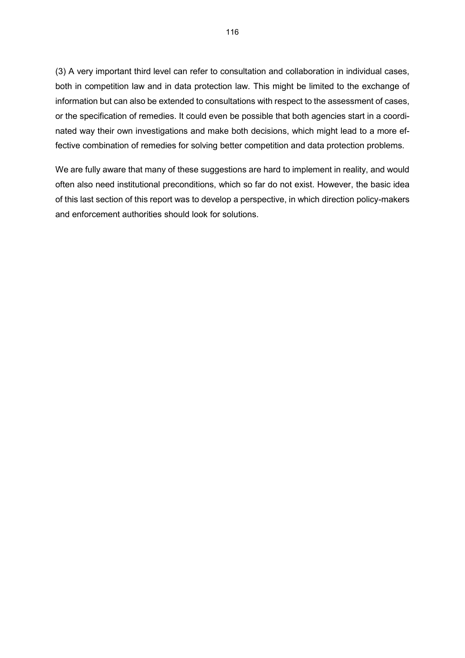(3) A very important third level can refer to consultation and collaboration in individual cases, both in competition law and in data protection law. This might be limited to the exchange of information but can also be extended to consultations with respect to the assessment of cases, or the specification of remedies. It could even be possible that both agencies start in a coordinated way their own investigations and make both decisions, which might lead to a more effective combination of remedies for solving better competition and data protection problems.

We are fully aware that many of these suggestions are hard to implement in reality, and would often also need institutional preconditions, which so far do not exist. However, the basic idea of this last section of this report was to develop a perspective, in which direction policy-makers and enforcement authorities should look for solutions.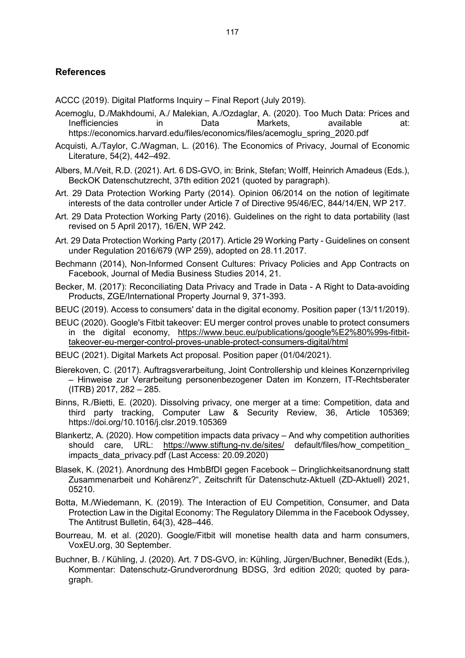# **References**

ACCC (2019). Digital Platforms Inquiry – Final Report (July 2019).

- Acemoglu, D./Makhdoumi, A./ Malekian, A./Ozdaglar, A. (2020). Too Much Data: Prices and Inefficiencies in Data Markets, available at: https://economics.harvard.edu/files/economics/files/acemoglu\_spring\_2020.pdf
- Acquisti, A./Taylor, C./Wagman, L. (2016). The Economics of Privacy, Journal of Economic Literature, 54(2), 442–492.
- Albers, M./Veit, R.D. (2021). Art. 6 DS-GVO, in: Brink, Stefan; Wolff, Heinrich Amadeus (Eds.), BeckOK Datenschutzrecht, 37th edition 2021 (quoted by paragraph).
- Art. 29 Data Protection Working Party (2014). Opinion 06/2014 on the notion of legitimate interests of the data controller under Article 7 of Directive 95/46/EC, 844/14/EN, WP 217.
- Art. 29 Data Protection Working Party (2016). Guidelines on the right to data portability (last revised on 5 April 2017), 16/EN, WP 242.
- Art. 29 Data Protection Working Party (2017). Article 29 Working Party Guidelines on consent under Regulation 2016/679 (WP 259), adopted on 28.11.2017.
- Bechmann (2014), Non-Informed Consent Cultures: Privacy Policies and App Contracts on Facebook, Journal of Media Business Studies 2014, 21.
- Becker, M. (2017): Reconciliating Data Privacy and Trade in Data A Right to Data-avoiding Products, ZGE/International Property Journal 9, 371-393.
- BEUC (2019). Access to consumers' data in the digital economy. Position paper (13/11/2019).
- BEUC (2020). Google's Fitbit takeover: EU merger control proves unable to protect consumers in the digital economy, [https://www.beuc.eu/publications/google%E2%80%99s-fitbit](https://www.beuc.eu/publications/google%E2%80%99s-fitbit-takeover-eu-merger-control-proves-unable-protect-consumers-digital/html)[takeover-eu-merger-control-proves-unable-protect-consumers-digital/html](https://www.beuc.eu/publications/google%E2%80%99s-fitbit-takeover-eu-merger-control-proves-unable-protect-consumers-digital/html)
- BEUC (2021). Digital Markets Act proposal. Position paper (01/04/2021).
- Bierekoven, C. (2017). Auftragsverarbeitung, Joint Controllership und kleines Konzernprivileg – Hinweise zur Verarbeitung personenbezogener Daten im Konzern, IT-Rechtsberater (ITRB) 2017, 282 – 285.
- Binns, R./Bietti, E. (2020). Dissolving privacy, one merger at a time: Competition, data and third party tracking, Computer Law & Security Review, 36, Article 105369; https://doi.org/10.1016/j.clsr.2019.105369
- Blankertz, A. (2020). How competition impacts data privacy And why competition authorities should care, URL: <https://www.stiftung-nv.de/sites/> default/files/how\_competition\_ impacts\_data\_privacy.pdf (Last Access: 20.09.2020)
- Blasek, K. (2021). Anordnung des HmbBfDI gegen Facebook Dringlichkeitsanordnung statt Zusammenarbeit und Kohärenz?", Zeitschrift für Datenschutz-Aktuell (ZD-Aktuell) 2021, 05210.
- Botta, M./Wiedemann, K. (2019). The Interaction of EU Competition, Consumer, and Data Protection Law in the Digital Economy: The Regulatory Dilemma in the Facebook Odyssey, The Antitrust Bulletin, 64(3), 428–446.
- Bourreau, M. et al. (2020). Google/Fitbit will monetise health data and harm consumers, VoxEU.org, 30 September.
- Buchner, B. / Kühling, J. (2020). Art. 7 DS-GVO, in: Kühling, Jürgen/Buchner, Benedikt (Eds.), Kommentar: Datenschutz-Grundverordnung BDSG, 3rd edition 2020; quoted by paragraph.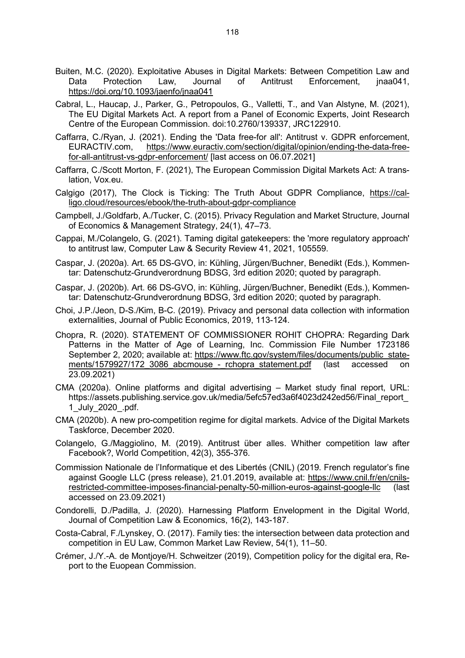- Buiten, M.C. (2020). Exploitative Abuses in Digital Markets: Between Competition Law and Data Protection Law, Journal of Antitrust Enforcement, jnaa041, <https://doi.org/10.1093/jaenfo/jnaa041>
- Cabral, L., Haucap, J., Parker, G., Petropoulos, G., Valletti, T., and Van Alstyne, M. (2021), The EU Digital Markets Act. A report from a Panel of Economic Experts, Joint Research Centre of the European Commission. doi:10.2760/139337, JRC122910.
- Caffarra, C./Ryan, J. (2021). Ending the 'Data free-for all': Antitrust v. GDPR enforcement, EURACTIV.com, [https://www.euractiv.com/section/digital/opinion/ending-the-data-free](https://www.euractiv.com/section/digital/opinion/ending-the-data-free-for-all-antitrust-vs-gdpr-enforcement/)[for-all-antitrust-vs-gdpr-enforcement/](https://www.euractiv.com/section/digital/opinion/ending-the-data-free-for-all-antitrust-vs-gdpr-enforcement/) [last access on 06.07.2021]
- Caffarra, C./Scott Morton, F. (2021), The European Commission Digital Markets Act: A translation, Vox.eu.
- Calgigo (2017), The Clock is Ticking: The Truth About GDPR Compliance, [https://cal](https://calligo.cloud/resources/ebook/the-truth-about-gdpr-compliance)[ligo.cloud/resources/ebook/the-truth-about-gdpr-compliance](https://calligo.cloud/resources/ebook/the-truth-about-gdpr-compliance)
- Campbell, J./Goldfarb, A./Tucker, C. (2015). Privacy Regulation and Market Structure, Journal of Economics & Management Strategy, 24(1), 47–73.
- Cappai, M./Colangelo, G. (2021). Taming digital gatekeepers: the 'more regulatory approach' to antitrust law, Computer Law & Security Review 41, 2021, 105559.
- Caspar, J. (2020a). Art. 65 DS-GVO, in: Kühling, Jürgen/Buchner, Benedikt (Eds.), Kommentar: Datenschutz-Grundverordnung BDSG, 3rd edition 2020; quoted by paragraph.
- Caspar, J. (2020b). Art. 66 DS-GVO, in: Kühling, Jürgen/Buchner, Benedikt (Eds.), Kommentar: Datenschutz-Grundverordnung BDSG, 3rd edition 2020; quoted by paragraph.
- Choi, J.P./Jeon, D-S./Kim, B-C. (2019). Privacy and personal data collection with information externalities, Journal of Public Economics, 2019, 113-124.
- Chopra, R. (2020). STATEMENT OF COMMISSIONER ROHIT CHOPRA: Regarding Dark Patterns in the Matter of Age of Learning, Inc. Commission File Number 1723186 September 2, 2020; available at: [https://www.ftc.gov/system/files/documents/public\\_state](https://www.ftc.gov/system/files/documents/public_statements/1579927/172_3086_abcmouse_-_rchopra_statement.pdf)[ments/1579927/172\\_3086\\_abcmouse\\_-\\_rchopra\\_statement.pdf](https://www.ftc.gov/system/files/documents/public_statements/1579927/172_3086_abcmouse_-_rchopra_statement.pdf) (last accessed on 23.09.2021)
- CMA (2020a). Online platforms and digital advertising Market study final report, URL: https://assets.publishing.service.gov.uk/media/5efc57ed3a6f4023d242ed56/Final\_report\_ 1\_July\_2020\_.pdf.
- CMA (2020b). A new pro-competition regime for digital markets. Advice of the Digital Markets Taskforce, December 2020.
- Colangelo, G./Maggiolino, M. (2019). Antitrust über alles. Whither competition law after Facebook?, World Competition, 42(3), 355-376.
- Commission Nationale de l'Informatique et des Libertés (CNIL) (2019. French regulator's fine against Google LLC (press release), 21.01.2019, available at: [https://www.cnil.fr/en/cnils](https://www.cnil.fr/en/cnils-restricted-committee-imposes-financial-penalty-50-million-euros-against-google-llc)[restricted-committee-imposes-financial-penalty-50-million-euros-against-google-llc](https://www.cnil.fr/en/cnils-restricted-committee-imposes-financial-penalty-50-million-euros-against-google-llc) (last accessed on 23.09.2021)
- Condorelli, D./Padilla, J. (2020). Harnessing Platform Envelopment in the Digital World, Journal of Competition Law & Economics, 16(2), 143-187.
- Costa-Cabral, F./Lynskey, O. (2017). Family ties: the intersection between data protection and competition in EU Law, Common Market Law Review, 54(1), 11–50.
- Crémer, J./Y.-A. de Montjoye/H. Schweitzer (2019), Competition policy for the digital era, Report to the Euopean Commission.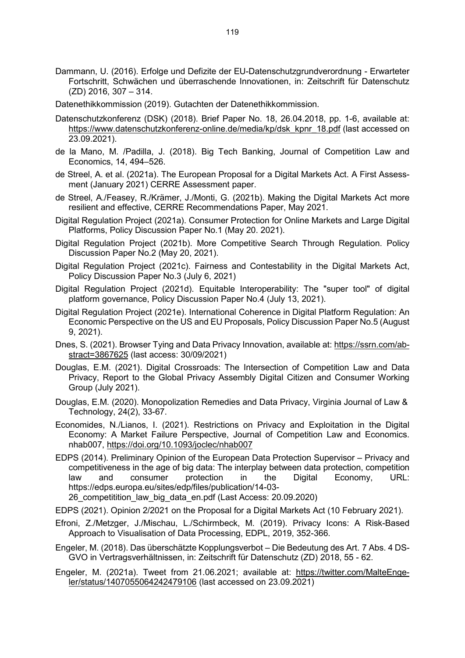- Dammann, U. (2016). Erfolge und Defizite der EU-Datenschutzgrundverordnung Erwarteter Fortschritt, Schwächen und überraschende Innovationen, in: Zeitschrift für Datenschutz (ZD) 2016, 307 – 314.
- Datenethikkommission (2019). Gutachten der Datenethikkommission.
- Datenschutzkonferenz (DSK) (2018). Brief Paper No. 18, 26.04.2018, pp. 1-6, available at: [https://www.datenschutzkonferenz-online.de/media/kp/dsk\\_kpnr\\_18.pdf](https://www.datenschutzkonferenz-online.de/media/kp/dsk_kpnr_18.pdf) (last accessed on 23.09.2021).
- de la Mano, M. /Padilla, J. (2018). Big Tech Banking, Journal of Competition Law and Economics, 14, 494–526.
- de Streel, A. et al. (2021a). The European Proposal for a Digital Markets Act. A First Assessment (January 2021) CERRE Assessment paper.
- de Streel, A./Feasey, R./Krämer, J./Monti, G. (2021b). Making the Digital Markets Act more resilient and effective, CERRE Recommendations Paper, May 2021.
- Digital Regulation Project (2021a). Consumer Protection for Online Markets and Large Digital Platforms, Policy Discussion Paper No.1 (May 20. 2021).
- Digital Regulation Project (2021b). More Competitive Search Through Regulation. Policy Discussion Paper No.2 (May 20, 2021).
- Digital Regulation Project (2021c). Fairness and Contestability in the Digital Markets Act, Policy Discussion Paper No.3 (July 6, 2021)
- Digital Regulation Project (2021d). Equitable Interoperability: The "super tool" of digital platform governance, Policy Discussion Paper No.4 (July 13, 2021).
- Digital Regulation Project (2021e). International Coherence in Digital Platform Regulation: An Economic Perspective on the US and EU Proposals, Policy Discussion Paper No.5 (August 9, 2021).
- Dnes, S. (2021). Browser Tying and Data Privacy Innovation, available at: [https://ssrn.com/ab](https://ssrn.com/abstract=3867625)[stract=3867625](https://ssrn.com/abstract=3867625) (last access: 30/09/2021)
- Douglas, E.M. (2021). Digital Crossroads: The Intersection of Competition Law and Data Privacy, Report to the Global Privacy Assembly Digital Citizen and Consumer Working Group (July 2021).
- Douglas, E.M. (2020). Monopolization Remedies and Data Privacy, Virginia Journal of Law & Technology, 24(2), 33-67.
- Economides, N./Lianos, I. (2021). Restrictions on Privacy and Exploitation in the Digital Economy: A Market Failure Perspective, Journal of Competition Law and Economics. nhab007,<https://doi.org/10.1093/joclec/nhab007>
- EDPS (2014). Preliminary Opinion of the European Data Protection Supervisor Privacy and competitiveness in the age of big data: The interplay between data protection, competition law and consumer protection in the Digital Economy, URL: https://edps.europa.eu/sites/edp/files/publication/14-03-

26 competitition law big data en.pdf (Last Access: 20.09.2020)

- EDPS (2021). Opinion 2/2021 on the Proposal for a Digital Markets Act (10 February 2021).
- Efroni, Z./Metzger, J./Mischau, L./Schirmbeck, M. (2019). Privacy Icons: A Risk-Based Approach to Visualisation of Data Processing, EDPL, 2019, 352-366.
- Engeler, M. (2018). Das überschätzte Kopplungsverbot Die Bedeutung des Art. 7 Abs. 4 DS-GVO in Vertragsverhältnissen, in: Zeitschrift für Datenschutz (ZD) 2018, 55 - 62.

Engeler, M. (2021a). Tweet from 21.06.2021; available at: [https://twitter.com/MalteEnge](https://twitter.com/MalteEngeler/status/1407055064242479106)[ler/status/1407055064242479106](https://twitter.com/MalteEngeler/status/1407055064242479106) (last accessed on 23.09.2021)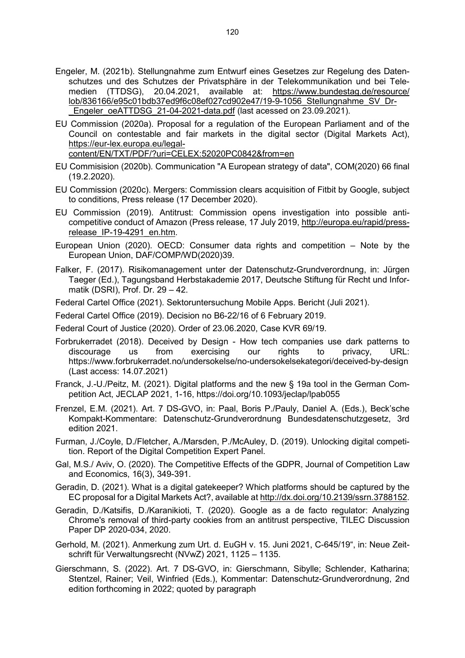- Engeler, M. (2021b). Stellungnahme zum Entwurf eines Gesetzes zur Regelung des Datenschutzes und des Schutzes der Privatsphäre in der Telekommunikation und bei Telemedien (TTDSG), 20.04.2021, available at: [https://www.bundestag.de/resource/](https://www.bundestag.de/resource/%20lob/836166/e95c01bdb37ed9f6c08ef027cd902e47/19-9-1056_Stellungnahme_SV_Dr-_Engeler_oeATTDSG_21-04-2021-data.pdf)  [lob/836166/e95c01bdb37ed9f6c08ef027cd902e47/19-9-1056\\_Stellungnahme\\_SV\\_Dr-](https://www.bundestag.de/resource/%20lob/836166/e95c01bdb37ed9f6c08ef027cd902e47/19-9-1056_Stellungnahme_SV_Dr-_Engeler_oeATTDSG_21-04-2021-data.pdf) Engeler\_oeATTDSG\_21-04-2021-data.pdf (last acessed on 23.09.2021).
- EU Commission (2020a). Proposal for a regulation of the European Parliament and of the Council on contestable and fair markets in the digital sector (Digital Markets Act), [https://eur-lex.europa.eu/legal](https://eur-lex.europa.eu/legal-content/EN/TXT/PDF/?uri=CELEX:52020PC0842&from=en)[content/EN/TXT/PDF/?uri=CELEX:52020PC0842&from=en](https://eur-lex.europa.eu/legal-content/EN/TXT/PDF/?uri=CELEX:52020PC0842&from=en)
- EU Commisision (2020b). Communication "A European strategy of data", COM(2020) 66 final (19.2.2020).
- EU Commission (2020c). Mergers: Commission clears acquisition of Fitbit by Google, subject to conditions, Press release (17 December 2020).
- EU Commission (2019). Antitrust: Commission opens investigation into possible anticompetitive conduct of Amazon (Press release, 17 July 2019, [http://europa.eu/rapid/press](http://europa.eu/rapid/press-release_IP-19-4291_en.htm)release IP-19-4291 en.htm.
- European Union (2020). OECD: Consumer data rights and competition Note by the European Union, DAF/COMP/WD(2020)39.
- Falker, F. (2017). Risikomanagement unter der Datenschutz-Grundverordnung, in: Jürgen Taeger (Ed.), Tagungsband Herbstakademie 2017, Deutsche Stiftung für Recht und Informatik (DSRI), Prof. Dr. 29 – 42.
- Federal Cartel Office (2021). Sektoruntersuchung Mobile Apps. Bericht (Juli 2021).
- Federal Cartel Office (2019). Decision no B6-22/16 of 6 February 2019.
- Federal Court of Justice (2020). Order of 23.06.2020, Case KVR 69/19.
- Forbrukerradet (2018). Deceived by Design How tech companies use dark patterns to<br>discourage us from exercising our rights to privacy, URL: discourage us from exercising our rights to privacy, URL: https://www.forbrukerradet.no/undersokelse/no-undersokelsekategori/deceived-by-design (Last access: 14.07.2021)
- Franck, J.-U./Peitz, M. (2021). Digital platforms and the new § 19a tool in the German Competition Act, JECLAP 2021, 1-16, https://doi.org/10.1093/jeclap/lpab055
- Frenzel, E.M. (2021). Art. 7 DS-GVO, in: Paal, Boris P./Pauly, Daniel A. (Eds.), Beck'sche Kompakt-Kommentare: Datenschutz-Grundverordnung Bundesdatenschutzgesetz, 3rd edition 2021.
- Furman, J./Coyle, D./Fletcher, A./Marsden, P./McAuley, D. (2019). Unlocking digital competition. Report of the Digital Competition Expert Panel.
- Gal, M.S./ Aviv, O. (2020). The Competitive Effects of the GDPR, Journal of Competition Law and Economics, 16(3), 349-391.
- Geradin, D. (2021). What is a digital gatekeeper? Which platforms should be captured by the EC proposal for a Digital Markets Act?, available at [http://dx.doi.org/10.2139/ssrn.3788152.](http://dx.doi.org/10.2139/ssrn.3788152)
- Geradin, D./Katsifis, D./Karanikioti, T. (2020). Google as a de facto regulator: Analyzing Chrome's removal of third-party cookies from an antitrust perspective, TILEC Discussion Paper DP 2020-034, 2020.
- Gerhold, M. (2021). Anmerkung zum Urt. d. EuGH v. 15. Juni 2021, C-645/19", in: Neue Zeitschrift für Verwaltungsrecht (NVwZ) 2021, 1125 – 1135.
- Gierschmann, S. (2022). Art. 7 DS-GVO, in: Gierschmann, Sibylle; Schlender, Katharina; Stentzel, Rainer; Veil, Winfried (Eds.), Kommentar: Datenschutz-Grundverordnung, 2nd edition forthcoming in 2022; quoted by paragraph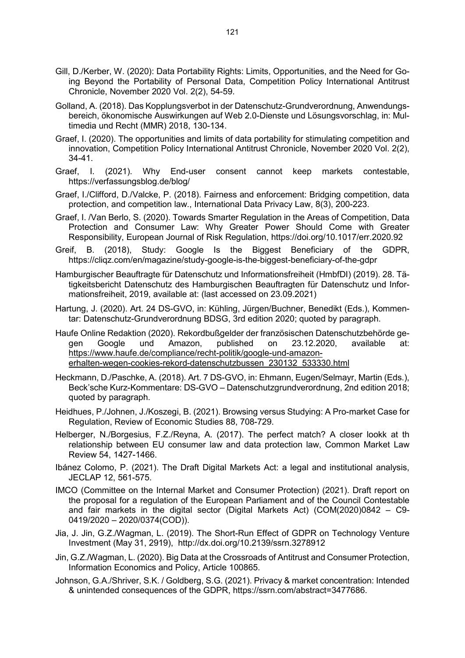- Gill, D./Kerber, W. (2020): Data Portability Rights: Limits, Opportunities, and the Need for Going Beyond the Portability of Personal Data, Competition Policy International Antitrust Chronicle, November 2020 Vol. 2(2), 54-59.
- Golland, A. (2018). Das Kopplungsverbot in der Datenschutz-Grundverordnung, Anwendungsbereich, ökonomische Auswirkungen auf Web 2.0-Dienste und Lösungsvorschlag, in: Multimedia und Recht (MMR) 2018, 130-134.
- Graef, I. (2020). The opportunities and limits of data portability for stimulating competition and innovation, Competition Policy International Antitrust Chronicle, November 2020 Vol. 2(2), 34-41.
- Graef, I. (2021). Why End-user consent cannot keep markets contestable, https://verfassungsblog.de/blog/
- Graef, I./Clifford, D./Valcke, P. (2018). Fairness and enforcement: Bridging competition, data protection, and competition law., International Data Privacy Law, 8(3), 200-223.
- Graef, I. /Van Berlo, S. (2020). Towards Smarter Regulation in the Areas of Competition, Data Protection and Consumer Law: Why Greater Power Should Come with Greater Responsibility, European Journal of Risk Regulation, https://doi.org/10.1017/err.2020.92
- Greif, B. (2018), Study: Google Is the Biggest Beneficiary of the GDPR, https://cliqz.com/en/magazine/study-google-is-the-biggest-beneficiary-of-the-gdpr
- Hamburgischer Beauftragte für Datenschutz und Informationsfreiheit (HmbfDI) (2019). 28. Tätigkeitsbericht Datenschutz des Hamburgischen Beauftragten für Datenschutz und Informationsfreiheit, 2019, available at: (last accessed on 23.09.2021)
- Hartung, J. (2020). Art. 24 DS-GVO, in: Kühling, Jürgen/Buchner, Benedikt (Eds.), Kommentar: Datenschutz-Grundverordnung BDSG, 3rd edition 2020; quoted by paragraph.
- Haufe Online Redaktion (2020). Rekordbußgelder der französischen Datenschutzbehörde gegen Google und Amazon, published on 23.12.2020, available at: [https://www.haufe.de/compliance/recht-politik/google-und-amazon](https://www.haufe.de/compliance/recht-politik/google-und-amazon-erhalten-wegen-cookies-rekord-datenschutzbussen_230132_533330.html)[erhalten-wegen-cookies-rekord-datenschutzbussen\\_230132\\_533330.html](https://www.haufe.de/compliance/recht-politik/google-und-amazon-erhalten-wegen-cookies-rekord-datenschutzbussen_230132_533330.html)
- Heckmann, D./Paschke, A. (2018). Art. 7 DS-GVO, in: Ehmann, Eugen/Selmayr, Martin (Eds.), Beck'sche Kurz-Kommentare: DS-GVO – Datenschutzgrundverordnung, 2nd edition 2018; quoted by paragraph.
- Heidhues, P./Johnen, J./Koszegi, B. (2021). Browsing versus Studying: A Pro-market Case for Regulation, Review of Economic Studies 88, 708-729.
- Helberger, N./Borgesius, F.Z./Reyna, A. (2017). The perfect match? A closer lookk at th relationship between EU consumer law and data protection law, Common Market Law Review 54, 1427-1466.
- Ibánez Colomo, P. (2021). The Draft Digital Markets Act: a legal and institutional analysis, JECLAP 12, 561-575.
- IMCO (Committee on the Internal Market and Consumer Protection) (2021). Draft report on the proposal for a regulation of the European Parliament and of the Council Contestable and fair markets in the digital sector (Digital Markets Act) (COM(2020)0842 – C9- 0419/2020 – 2020/0374(COD)).
- Jia, J. Jin, G.Z./Wagman, L. (2019). The Short-Run Effect of GDPR on Technology Venture Investment (May 31, 2919), http://dx.doi.org/10.2139/ssrn.3278912
- Jin, G.Z./Wagman, L. (2020). Big Data at the Crossroads of Antitrust and Consumer Protection, Information Economics and Policy, Article 100865.
- Johnson, G.A./Shriver, S.K. / Goldberg, S.G. (2021). Privacy & market concentration: Intended & unintended consequences of the GDPR, https://ssrn.com/abstract=3477686.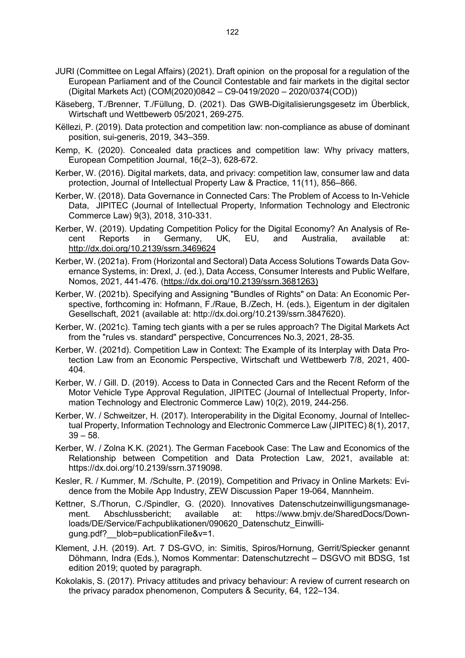- JURI (Committee on Legal Affairs) (2021). Draft opinion on the proposal for a regulation of the European Parliament and of the Council Contestable and fair markets in the digital sector (Digital Markets Act) (COM(2020)0842 – C9-0419/2020 – 2020/0374(COD))
- Käseberg, T./Brenner, T./Füllung, D. (2021). Das GWB-Digitalisierungsgesetz im Überblick, Wirtschaft und Wettbewerb 05/2021, 269-275.
- Këllezi, P. (2019). Data protection and competition law: non-compliance as abuse of dominant position, sui-generis, 2019, 343–359.
- Kemp, K. (2020). Concealed data practices and competition law: Why privacy matters, European Competition Journal, 16(2–3), 628-672.
- Kerber, W. (2016). Digital markets, data, and privacy: competition law, consumer law and data protection, Journal of Intellectual Property Law & Practice, 11(11), 856–866.
- Kerber, W. (2018). Data Governance in Connected Cars: The Problem of Access to In-Vehicle Data, JIPITEC (Journal of Intellectual Property, Information Technology and Electronic Commerce Law) 9(3), 2018, 310-331.
- Kerber, W. (2019). Updating Competition Policy for the Digital Economy? An Analysis of Recent Reports in Germany, UK, EU, and Australia, available at: <http://dx.doi.org/10.2139/ssrn.3469624>
- Kerber, W. (2021a). From (Horizontal and Sectoral) Data Access Solutions Towards Data Governance Systems, in: Drexl, J. (ed.), Data Access, Consumer Interests and Public Welfare, Nomos, 2021, 441-476. [\(https://dx.doi.org/10.2139/ssrn.3681263\)](https://dx.doi.org/10.2139/ssrn.3681263)
- Kerber, W. (2021b). Specifying and Assigning "Bundles of Rights" on Data: An Economic Perspective, forthcoming in: Hofmann, F./Raue, B./Zech, H. (eds.), Eigentum in der digitalen Gesellschaft, 2021 (available at: http://dx.doi.org/10.2139/ssrn.3847620).
- Kerber, W. (2021c). Taming tech giants with a per se rules approach? The Digital Markets Act from the "rules vs. standard" perspective, Concurrences No.3, 2021, 28-35.
- Kerber, W. (2021d). Competition Law in Context: The Example of its Interplay with Data Protection Law from an Economic Perspective, Wirtschaft und Wettbewerb 7/8, 2021, 400- 404.
- Kerber, W. / Gill. D. (2019). Access to Data in Connected Cars and the Recent Reform of the Motor Vehicle Type Approval Regulation, JIPITEC (Journal of Intellectual Property, Information Technology and Electronic Commerce Law) 10(2), 2019, 244-256.
- Kerber, W. / Schweitzer, H. (2017). Interoperability in the Digital Economy, Journal of Intellectual Property, Information Technology and Electronic Commerce Law (JIPITEC) 8(1), 2017,  $39 - 58$ .
- Kerber, W. / Zolna K.K. (2021). The German Facebook Case: The Law and Economics of the Relationship between Competition and Data Protection Law, 2021, available at: https://dx.doi.org/10.2139/ssrn.3719098.
- Kesler, R. / Kummer, M. /Schulte, P. (2019), Competition and Privacy in Online Markets: Evidence from the Mobile App Industry, ZEW Discussion Paper 19-064, Mannheim.
- Kettner, S./Thorun, C./Spindler, G. (2020). Innovatives Datenschutzeinwilligungsmanage-<br>ment. Abschlussbericht; available at: https://www.bmjv.de/SharedDocs/Downment. Abschlussbericht; available at: https://www.bmjv.de/SharedDocs/Downloads/DE/Service/Fachpublikationen/090620\_Datenschutz\_Einwilligung.pdf? blob=publicationFile&v=1.
- Klement, J.H. (2019). Art. 7 DS-GVO, in: Simitis, Spiros/Hornung, Gerrit/Spiecker genannt Döhmann, Indra (Eds.), Nomos Kommentar: Datenschutzrecht – DSGVO mit BDSG, 1st edition 2019; quoted by paragraph.
- Kokolakis, S. (2017). Privacy attitudes and privacy behaviour: A review of current research on the privacy paradox phenomenon, Computers & Security, 64, 122–134.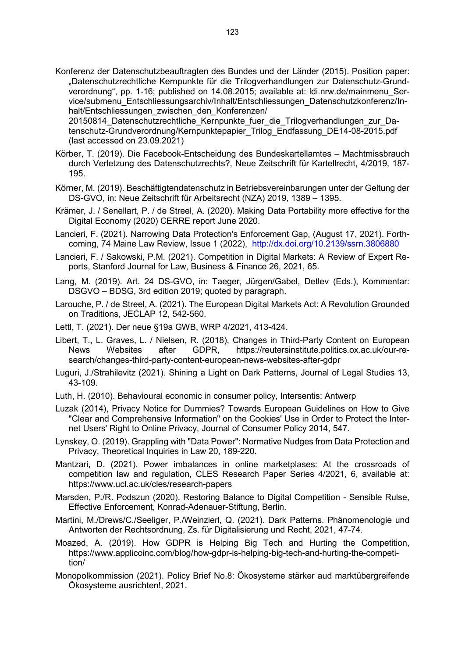Konferenz der Datenschutzbeauftragten des Bundes und der Länder (2015). Position paper: "Datenschutzrechtliche Kernpunkte für die Trilogverhandlungen zur Datenschutz-Grundverordnung", pp. 1-16; published on 14.08.2015; available at: ldi.nrw.de/mainmenu\_Service/submenu\_Entschliessungsarchiv/Inhalt/Entschliessungen\_Datenschutzkonferenz/Inhalt/Entschliessungen\_zwischen\_den\_Konferenzen/

20150814\_Datenschutzrechtliche\_Kernpunkte\_fuer\_die\_Trilogverhandlungen\_zur\_Datenschutz-Grundverordnung/Kernpunktepapier\_Trilog\_Endfassung\_DE14-08-2015.pdf (last accessed on 23.09.2021)

- Körber, T. (2019). Die Facebook-Entscheidung des Bundeskartellamtes Machtmissbrauch durch Verletzung des Datenschutzrechts?, Neue Zeitschrift für Kartellrecht, 4/2019, 187- 195.
- Körner, M. (2019). Beschäftigtendatenschutz in Betriebsvereinbarungen unter der Geltung der DS-GVO, in: Neue Zeitschrift für Arbeitsrecht (NZA) 2019, 1389 – 1395.
- Krämer, J. / Senellart, P. / de Streel, A. (2020). Making Data Portability more effective for the Digital Economy (2020) CERRE report June 2020.
- Lancieri, F. (2021). Narrowing Data Protection's Enforcement Gap, (August 17, 2021). Forthcoming, 74 Maine Law Review, Issue 1 (2022), <http://dx.doi.org/10.2139/ssrn.3806880>
- Lancieri, F. / Sakowski, P.M. (2021). Competition in Digital Markets: A Review of Expert Reports, Stanford Journal for Law, Business & Finance 26, 2021, 65.
- Lang, M. (2019). Art. 24 DS-GVO, in: Taeger, Jürgen/Gabel, Detlev (Eds.), Kommentar: DSGVO – BDSG, 3rd edition 2019; quoted by paragraph.
- Larouche, P. / de Streel, A. (2021). The European Digital Markets Act: A Revolution Grounded on Traditions, JECLAP 12, 542-560.
- Lettl, T. (2021). Der neue §19a GWB, WRP 4/2021, 413-424.
- Libert, T., L. Graves, L. / Nielsen, R. (2018), Changes in Third-Party Content on European<br>News Websites after GDPR, https://reutersinstitute.politics.ox.ac.uk/our-rehttps://reutersinstitute.politics.ox.ac.uk/our-research/changes-third-party-content-european-news-websites-after-gdpr
- Luguri, J./Strahilevitz (2021). Shining a Light on Dark Patterns, Journal of Legal Studies 13, 43-109.
- Luth, H. (2010). Behavioural economic in consumer policy, Intersentis: Antwerp
- Luzak (2014), Privacy Notice for Dummies? Towards European Guidelines on How to Give "Clear and Comprehensive Information" on the Cookies' Use in Order to Protect the Internet Users' Right to Online Privacy, Journal of Consumer Policy 2014, 547.
- Lynskey, O. (2019). Grappling with "Data Power": Normative Nudges from Data Protection and Privacy, Theoretical Inquiries in Law 20, 189-220.
- Mantzari, D. (2021). Power imbalances in online marketplases: At the crossroads of competition law and regulation, CLES Research Paper Series 4/2021, 6, available at: https://www.ucl.ac.uk/cles/research-papers
- Marsden, P./R. Podszun (2020). Restoring Balance to Digital Competition Sensible Rulse, Effective Enforcement, Konrad-Adenauer-Stiftung, Berlin.
- Martini, M./Drews/C./Seeliger, P./Weinzierl, Q. (2021). Dark Patterns. Phänomenologie und Antworten der Rechtsordnung, Zs. für Digitalisierung und Recht, 2021, 47-74.
- Moazed, A. (2019). How GDPR is Helping Big Tech and Hurting the Competition, https://www.applicoinc.com/blog/how-gdpr-is-helping-big-tech-and-hurting-the-competition/
- Monopolkommission (2021). Policy Brief No.8: Ökosysteme stärker aud marktübergreifende Ökosysteme ausrichten!, 2021.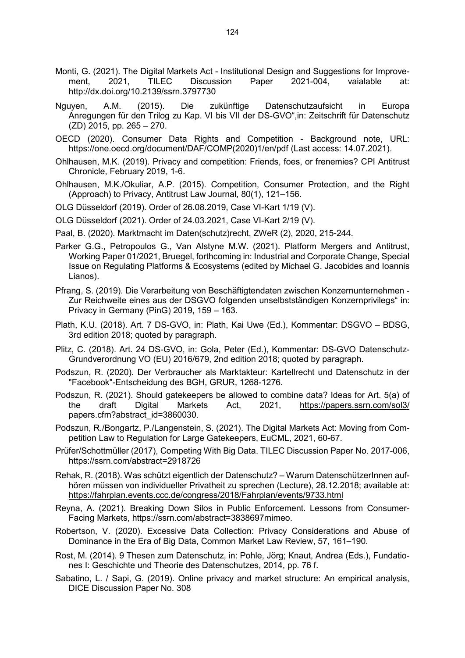- Monti, G. (2021). The Digital Markets Act Institutional Design and Suggestions for Improvement, 2021, TILEC Discussion Paper 2021-004, vaialable at: http://dx.doi.org/10.2139/ssrn.3797730
- Nguyen, A.M. (2015). Die zukünftige Datenschutzaufsicht in Europa Anregungen für den Trilog zu Kap. VI bis VII der DS-GVO",in: Zeitschrift für Datenschutz (ZD) 2015, pp. 265 – 270.
- OECD (2020). Consumer Data Rights and Competition Background note, URL: https://one.oecd.org/document/DAF/COMP(2020)1/en/pdf (Last access: 14.07.2021).
- Ohlhausen, M.K. (2019). Privacy and competition: Friends, foes, or frenemies? CPI Antitrust Chronicle, February 2019, 1-6.
- Ohlhausen, M.K./Okuliar, A.P. (2015). Competition, Consumer Protection, and the Right (Approach) to Privacy, Antitrust Law Journal, 80(1), 121–156.
- OLG Düsseldorf (2019). Order of 26.08.2019, Case VI-Kart 1/19 (V).
- OLG Düsseldorf (2021). Order of 24.03.2021, Case VI-Kart 2/19 (V).
- Paal, B. (2020). Marktmacht im Daten(schutz)recht, ZWeR (2), 2020, 215-244.
- Parker G.G., Petropoulos G., Van Alstyne M.W. (2021). Platform Mergers and Antitrust, Working Paper 01/2021, Bruegel, forthcoming in: Industrial and Corporate Change, Special Issue on Regulating Platforms & Ecosystems (edited by Michael G. Jacobides and Ioannis Lianos).
- Pfrang, S. (2019). Die Verarbeitung von Beschäftigtendaten zwischen Konzernunternehmen Zur Reichweite eines aus der DSGVO folgenden unselbstständigen Konzernprivilegs" in: Privacy in Germany (PinG) 2019, 159 – 163.
- Plath, K.U. (2018). Art. 7 DS-GVO, in: Plath, Kai Uwe (Ed.), Kommentar: DSGVO BDSG, 3rd edition 2018; quoted by paragraph.
- Plitz, C. (2018). Art. 24 DS-GVO, in: Gola, Peter (Ed.), Kommentar: DS-GVO Datenschutz-Grundverordnung VO (EU) 2016/679, 2nd edition 2018; quoted by paragraph.
- Podszun, R. (2020). Der Verbraucher als Marktakteur: Kartellrecht und Datenschutz in der "Facebook"-Entscheidung des BGH, GRUR, 1268-1276.
- Podszun, R. (2021). Should gatekeepers be allowed to combine data? Ideas for Art. 5(a) of the draft Digital Markets Act, 2021, <https://papers.ssrn.com/sol3/> papers.cfm?abstract\_id=3860030.
- Podszun, R./Bongartz, P./Langenstein, S. (2021). The Digital Markets Act: Moving from Competition Law to Regulation for Large Gatekeepers, EuCML, 2021, 60-67.
- Prüfer/Schottmüller (2017), Competing With Big Data. TILEC Discussion Paper No. 2017-006, https://ssrn.com/abstract=2918726
- Rehak, R. (2018). Was schützt eigentlich der Datenschutz? Warum DatenschützerInnen aufhören müssen von individueller Privatheit zu sprechen (Lecture), 28.12.2018; available at: <https://fahrplan.events.ccc.de/congress/2018/Fahrplan/events/9733.html>
- Reyna, A. (2021). Breaking Down Silos in Public Enforcement. Lessons from Consumer-Facing Markets, https://ssrn.com/abstract=3838697mimeo.
- Robertson, V. (2020). Excessive Data Collection: Privacy Considerations and Abuse of Dominance in the Era of Big Data, Common Market Law Review, 57, 161–190.
- Rost, M. (2014). 9 Thesen zum Datenschutz, in: Pohle, Jörg; Knaut, Andrea (Eds.), Fundationes I: Geschichte und Theorie des Datenschutzes, 2014, pp. 76 f.
- Sabatino, L. / Sapi, G. (2019). Online privacy and market structure: An empirical analysis, DICE Discussion Paper No. 308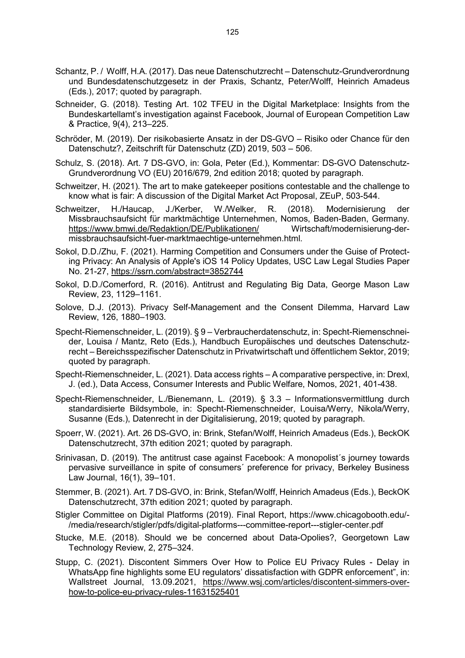- Schantz, P. / Wolff, H.A. (2017). Das neue Datenschutzrecht Datenschutz-Grundverordnung und Bundesdatenschutzgesetz in der Praxis, Schantz, Peter/Wolff, Heinrich Amadeus (Eds.), 2017; quoted by paragraph.
- Schneider, G. (2018). Testing Art. 102 TFEU in the Digital Marketplace: Insights from the Bundeskartellamt's investigation against Facebook, Journal of European Competition Law & Practice, 9(4), 213–225.
- Schröder, M. (2019). Der risikobasierte Ansatz in der DS-GVO Risiko oder Chance für den Datenschutz?, Zeitschrift für Datenschutz (ZD) 2019, 503 – 506.
- Schulz, S. (2018). Art. 7 DS-GVO, in: Gola, Peter (Ed.), Kommentar: DS-GVO Datenschutz-Grundverordnung VO (EU) 2016/679, 2nd edition 2018; quoted by paragraph.
- Schweitzer, H. (2021). The art to make gatekeeper positions contestable and the challenge to know what is fair: A discussion of the Digital Market Act Proposal, ZEuP, 503-544.
- Schweitzer, H./Haucap, J./Kerber, W./Welker, R. (2018). Modernisierung der Missbrauchsaufsicht für marktmächtige Unternehmen, Nomos, Baden-Baden, Germany.<br>https://www.bmwi.de/Redaktion/DE/Publikationen/ Wirtschaft/modernisierung-der<https://www.bmwi.de/Redaktion/DE/Publikationen/> missbrauchsaufsicht-fuer-marktmaechtige-unternehmen.html.
- Sokol, D.D./Zhu, F. (2021). Harming Competition and Consumers under the Guise of Protecting Privacy: An Analysis of Apple's iOS 14 Policy Updates, USC Law Legal Studies Paper No. 21-27,<https://ssrn.com/abstract=3852744>
- Sokol, D.D./Comerford, R. (2016). Antitrust and Regulating Big Data, George Mason Law Review, 23, 1129–1161.
- Solove, D.J. (2013). Privacy Self-Management and the Consent Dilemma, Harvard Law Review, 126, 1880–1903.
- Specht-Riemenschneider, L. (2019). § 9 Verbraucherdatenschutz, in: Specht-Riemenschneider, Louisa / Mantz, Reto (Eds.), Handbuch Europäisches und deutsches Datenschutzrecht – Bereichsspezifischer Datenschutz in Privatwirtschaft und öffentlichem Sektor, 2019; quoted by paragraph.
- Specht-Riemenschneider, L. (2021). Data access rights A comparative perspective, in: Drexl, J. (ed.), Data Access, Consumer Interests and Public Welfare, Nomos, 2021, 401-438.
- Specht-Riemenschneider, L./Bienemann, L. (2019). § 3.3 Informationsvermittlung durch standardisierte Bildsymbole, in: Specht-Riemenschneider, Louisa/Werry, Nikola/Werry, Susanne (Eds.), Datenrecht in der Digitalisierung, 2019; quoted by paragraph.
- Spoerr, W. (2021). Art. 26 DS-GVO, in: Brink, Stefan/Wolff, Heinrich Amadeus (Eds.), BeckOK Datenschutzrecht, 37th edition 2021; quoted by paragraph.
- Srinivasan, D. (2019). The antitrust case against Facebook: A monopolist´s journey towards pervasive surveillance in spite of consumers´ preference for privacy, Berkeley Business Law Journal, 16(1), 39–101.
- Stemmer, B. (2021). Art. 7 DS-GVO, in: Brink, Stefan/Wolff, Heinrich Amadeus (Eds.), BeckOK Datenschutzrecht, 37th edition 2021; quoted by paragraph.
- Stigler Committee on Digital Platforms (2019). Final Report, https://www.chicagobooth.edu/- /media/research/stigler/pdfs/digital-platforms---committee-report---stigler-center.pdf
- Stucke, M.E. (2018). Should we be concerned about Data-Opolies?, Georgetown Law Technology Review, 2, 275–324.
- Stupp, C. (2021). Discontent Simmers Over How to Police EU Privacy Rules Delay in WhatsApp fine highlights some EU regulators' dissatisfaction with GDPR enforcement", in: Wallstreet Journal, 13.09.2021, [https://www.wsj.com/articles/discontent-simmers-over](https://www.wsj.com/articles/discontent-simmers-over-how-to-police-eu-privacy-rules-11631525401)[how-to-police-eu-privacy-rules-11631525401](https://www.wsj.com/articles/discontent-simmers-over-how-to-police-eu-privacy-rules-11631525401)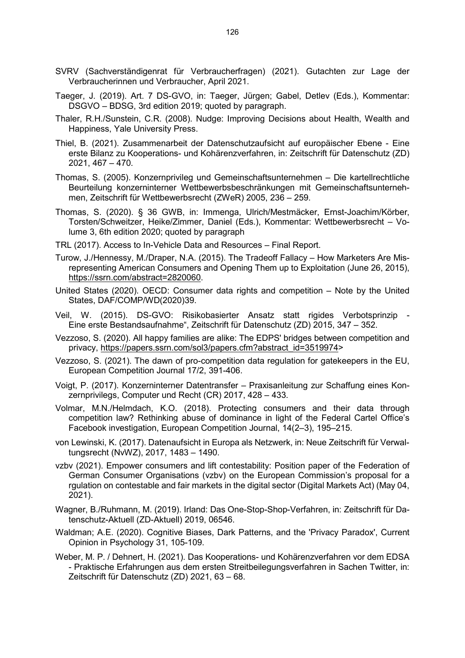- SVRV (Sachverständigenrat für Verbraucherfragen) (2021). Gutachten zur Lage der Verbraucherinnen und Verbraucher, April 2021.
- Taeger, J. (2019). Art. 7 DS-GVO, in: Taeger, Jürgen; Gabel, Detlev (Eds.), Kommentar: DSGVO – BDSG, 3rd edition 2019; quoted by paragraph.
- Thaler, R.H./Sunstein, C.R. (2008). Nudge: Improving Decisions about Health, Wealth and Happiness, Yale University Press.
- Thiel, B. (2021). Zusammenarbeit der Datenschutzaufsicht auf europäischer Ebene Eine erste Bilanz zu Kooperations- und Kohärenzverfahren, in: Zeitschrift für Datenschutz (ZD) 2021, 467 – 470.
- Thomas, S. (2005). Konzernprivileg und Gemeinschaftsunternehmen Die kartellrechtliche Beurteilung konzerninterner Wettbewerbsbeschränkungen mit Gemeinschaftsunternehmen, Zeitschrift für Wettbewerbsrecht (ZWeR) 2005, 236 – 259.
- Thomas, S. (2020). § 36 GWB, in: Immenga, Ulrich/Mestmäcker, Ernst-Joachim/Körber, Torsten/Schweitzer, Heike/Zimmer, Daniel (Eds.), Kommentar: Wettbewerbsrecht – Volume 3, 6th edition 2020; quoted by paragraph
- TRL (2017). Access to In-Vehicle Data and Resources Final Report.
- Turow, J./Hennessy, M./Draper, N.A. (2015). The Tradeoff Fallacy How Marketers Are Misrepresenting American Consumers and Opening Them up to Exploitation (June 26, 2015), [https://ssrn.com/abstract=2820060.](https://ssrn.com/abstract=2820060)
- United States (2020). OECD: Consumer data rights and competition Note by the United States, DAF/COMP/WD(2020)39.
- Veil, W. (2015). DS-GVO: Risikobasierter Ansatz statt rigides Verbotsprinzip Eine erste Bestandsaufnahme", Zeitschrift für Datenschutz (ZD) 2015, 347 – 352.
- Vezzoso, S. (2020). All happy families are alike: The EDPS' bridges between competition and privacy, [https://papers.ssrn.com/sol3/papers.cfm?abstract\\_id=3519974>](https://papers.ssrn.com/sol3/papers.cfm?abstract_id=3519974)
- Vezzoso, S. (2021). The dawn of pro-competition data regulation for gatekeepers in the EU, European Competition Journal 17/2, 391-406.
- Voigt, P. (2017). Konzerninterner Datentransfer Praxisanleitung zur Schaffung eines Konzernprivilegs, Computer und Recht (CR) 2017, 428 – 433.
- Volmar, M.N./Helmdach, K.O. (2018). Protecting consumers and their data through competition law? Rethinking abuse of dominance in light of the Federal Cartel Office's Facebook investigation, European Competition Journal, 14(2–3), 195–215.
- von Lewinski, K. (2017). Datenaufsicht in Europa als Netzwerk, in: Neue Zeitschrift für Verwaltungsrecht (NvWZ), 2017, 1483 – 1490.
- vzbv (2021). Empower consumers and lift contestability: Position paper of the Federation of German Consumer Organisations (vzbv) on the European Commission's proposal for a rgulation on contestable and fair markets in the digital sector (Digital Markets Act) (May 04, 2021).
- Wagner, B./Ruhmann, M. (2019). Irland: Das One-Stop-Shop-Verfahren, in: Zeitschrift für Datenschutz-Aktuell (ZD-Aktuell) 2019, 06546.
- Waldman; A.E. (2020). Cognitive Biases, Dark Patterns, and the 'Privacy Paradox', Current Opinion in Psychology 31, 105-109.
- Weber, M. P. / Dehnert, H. (2021). Das Kooperations- und Kohärenzverfahren vor dem EDSA - Praktische Erfahrungen aus dem ersten Streitbeilegungsverfahren in Sachen Twitter, in: Zeitschrift für Datenschutz (ZD) 2021, 63 – 68.